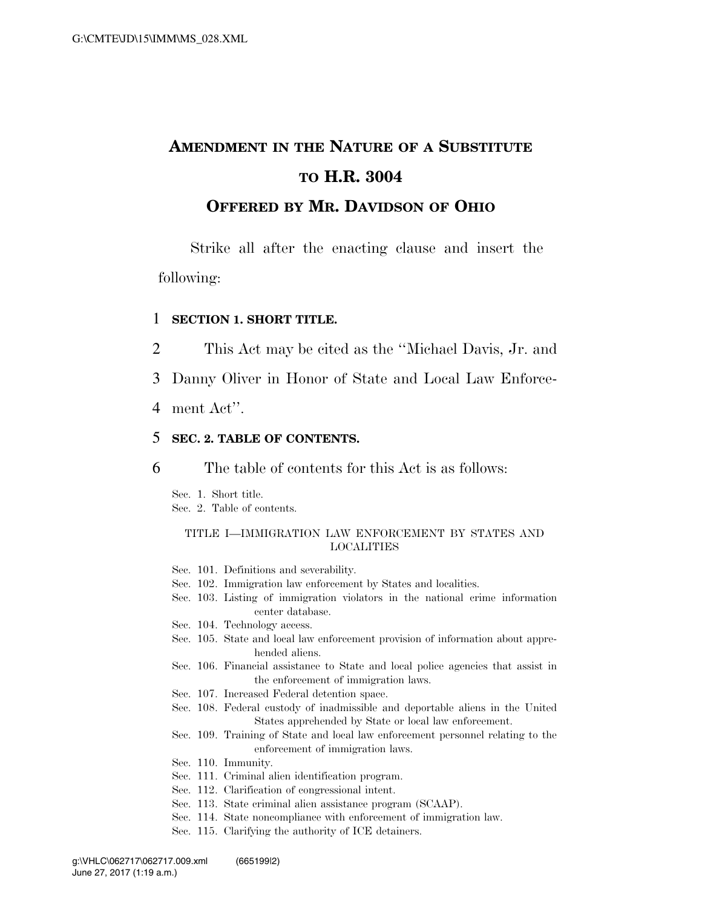# **AMENDMENT IN THE NATURE OF A SUBSTITUTE TO H.R. 3004**

### **OFFERED BY MR. DAVIDSON OF OHIO**

Strike all after the enacting clause and insert the following:

#### 1 **SECTION 1. SHORT TITLE.**

- 2 This Act may be cited as the ''Michael Davis, Jr. and
- 3 Danny Oliver in Honor of State and Local Law Enforce-
- 4 ment Act''.

### 5 **SEC. 2. TABLE OF CONTENTS.**

6 The table of contents for this Act is as follows:

Sec. 1. Short title.

Sec. 2. Table of contents.

#### TITLE I—IMMIGRATION LAW ENFORCEMENT BY STATES AND LOCALITIES

- Sec. 101. Definitions and severability.
- Sec. 102. Immigration law enforcement by States and localities.
- Sec. 103. Listing of immigration violators in the national crime information center database.
- Sec. 104. Technology access.
- Sec. 105. State and local law enforcement provision of information about apprehended aliens.
- Sec. 106. Financial assistance to State and local police agencies that assist in the enforcement of immigration laws.
- Sec. 107. Increased Federal detention space.
- Sec. 108. Federal custody of inadmissible and deportable aliens in the United States apprehended by State or local law enforcement.
- Sec. 109. Training of State and local law enforcement personnel relating to the enforcement of immigration laws.
- Sec. 110. Immunity.
- Sec. 111. Criminal alien identification program.
- Sec. 112. Clarification of congressional intent.
- Sec. 113. State criminal alien assistance program (SCAAP).
- Sec. 114. State noncompliance with enforcement of immigration law.
- Sec. 115. Clarifying the authority of ICE detainers.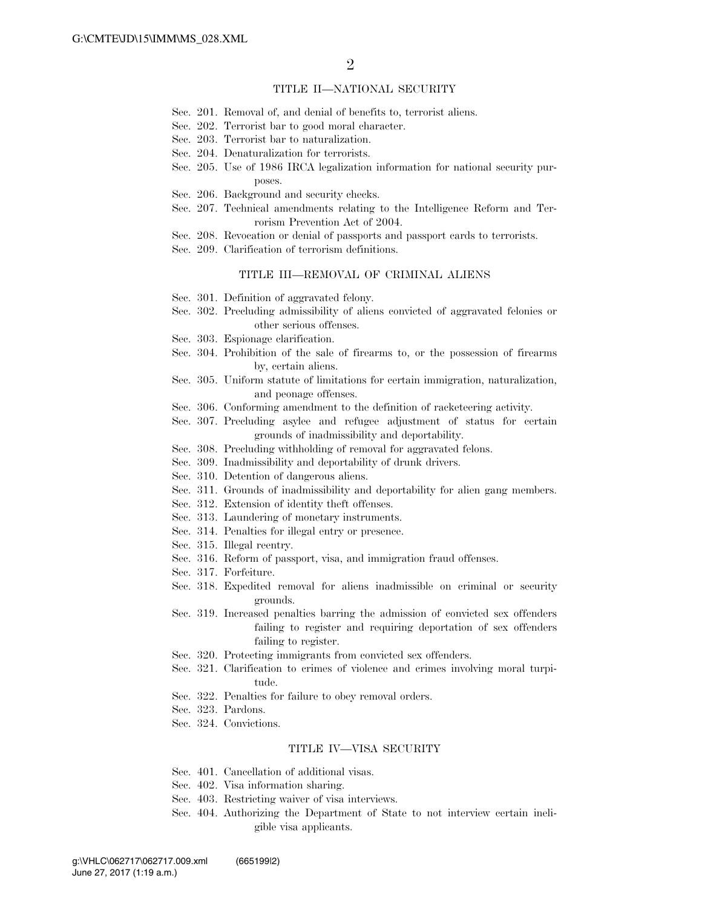#### TITLE II—NATIONAL SECURITY

- Sec. 201. Removal of, and denial of benefits to, terrorist aliens.
- Sec. 202. Terrorist bar to good moral character.
- Sec. 203. Terrorist bar to naturalization.
- Sec. 204. Denaturalization for terrorists.
- Sec. 205. Use of 1986 IRCA legalization information for national security purposes.
- Sec. 206. Background and security checks.
- Sec. 207. Technical amendments relating to the Intelligence Reform and Terrorism Prevention Act of 2004.
- Sec. 208. Revocation or denial of passports and passport cards to terrorists.
- Sec. 209. Clarification of terrorism definitions.

#### TITLE III—REMOVAL OF CRIMINAL ALIENS

- Sec. 301. Definition of aggravated felony.
- Sec. 302. Precluding admissibility of aliens convicted of aggravated felonies or other serious offenses.
- Sec. 303. Espionage clarification.
- Sec. 304. Prohibition of the sale of firearms to, or the possession of firearms by, certain aliens.
- Sec. 305. Uniform statute of limitations for certain immigration, naturalization, and peonage offenses.
- Sec. 306. Conforming amendment to the definition of racketeering activity.
- Sec. 307. Precluding asylee and refugee adjustment of status for certain grounds of inadmissibility and deportability.
- Sec. 308. Precluding withholding of removal for aggravated felons.
- Sec. 309. Inadmissibility and deportability of drunk drivers.
- Sec. 310. Detention of dangerous aliens.
- Sec. 311. Grounds of inadmissibility and deportability for alien gang members.
- Sec. 312. Extension of identity theft offenses.
- Sec. 313. Laundering of monetary instruments.
- Sec. 314. Penalties for illegal entry or presence.
- Sec. 315. Illegal reentry.
- Sec. 316. Reform of passport, visa, and immigration fraud offenses.
- Sec. 317. Forfeiture.
- Sec. 318. Expedited removal for aliens inadmissible on criminal or security grounds.
- Sec. 319. Increased penalties barring the admission of convicted sex offenders failing to register and requiring deportation of sex offenders failing to register.
- Sec. 320. Protecting immigrants from convicted sex offenders.
- Sec. 321. Clarification to crimes of violence and crimes involving moral turpitude.
- Sec. 322. Penalties for failure to obey removal orders.
- Sec. 323. Pardons.
- Sec. 324. Convictions.

#### TITLE IV—VISA SECURITY

- Sec. 401. Cancellation of additional visas.
- Sec. 402. Visa information sharing.
- Sec. 403. Restricting waiver of visa interviews.
- Sec. 404. Authorizing the Department of State to not interview certain ineligible visa applicants.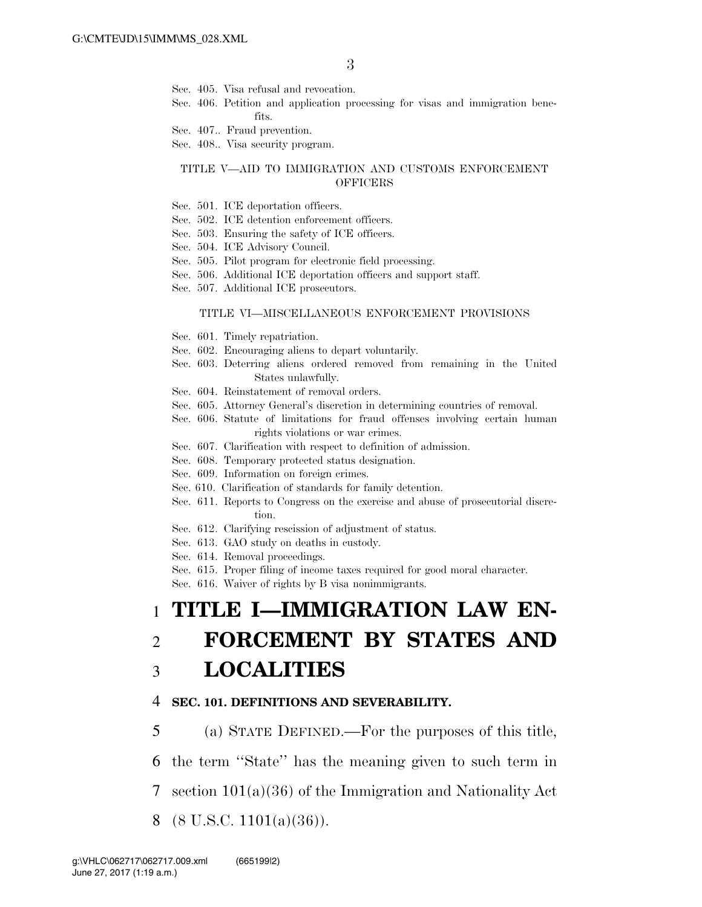- Sec. 405. Visa refusal and revocation.
- Sec. 406. Petition and application processing for visas and immigration benefits.
- Sec. 407.. Fraud prevention.

Sec. 408.. Visa security program.

#### TITLE V—AID TO IMMIGRATION AND CUSTOMS ENFORCEMENT **OFFICERS**

- Sec. 501. ICE deportation officers.
- Sec. 502. ICE detention enforcement officers.
- Sec. 503. Ensuring the safety of ICE officers.
- Sec. 504. ICE Advisory Council.
- Sec. 505. Pilot program for electronic field processing.
- Sec. 506. Additional ICE deportation officers and support staff.
- Sec. 507. Additional ICE prosecutors.

#### TITLE VI—MISCELLANEOUS ENFORCEMENT PROVISIONS

- Sec. 601. Timely repatriation.
- Sec. 602. Encouraging aliens to depart voluntarily.
- Sec. 603. Deterring aliens ordered removed from remaining in the United States unlawfully.
- Sec. 604. Reinstatement of removal orders.
- Sec. 605. Attorney General's discretion in determining countries of removal.
- Sec. 606. Statute of limitations for fraud offenses involving certain human rights violations or war crimes.
- Sec. 607. Clarification with respect to definition of admission.
- Sec. 608. Temporary protected status designation.
- Sec. 609. Information on foreign crimes.
- Sec. 610. Clarification of standards for family detention.
- Sec. 611. Reports to Congress on the exercise and abuse of prosecutorial discretion.
- Sec. 612. Clarifying rescission of adjustment of status.
- Sec. 613. GAO study on deaths in custody.
- Sec. 614. Removal proceedings.
- Sec. 615. Proper filing of income taxes required for good moral character.
- Sec. 616. Waiver of rights by B visa nonimmigrants.

# 1 **TITLE I—IMMIGRATION LAW EN-**2 **FORCEMENT BY STATES AND**

## 3 **LOCALITIES**

#### 4 **SEC. 101. DEFINITIONS AND SEVERABILITY.**

5 (a) STATE DEFINED.—For the purposes of this title,

6 the term ''State'' has the meaning given to such term in

- 7 section 101(a)(36) of the Immigration and Nationality Act
- 8 (8 U.S.C. 1101(a)(36)).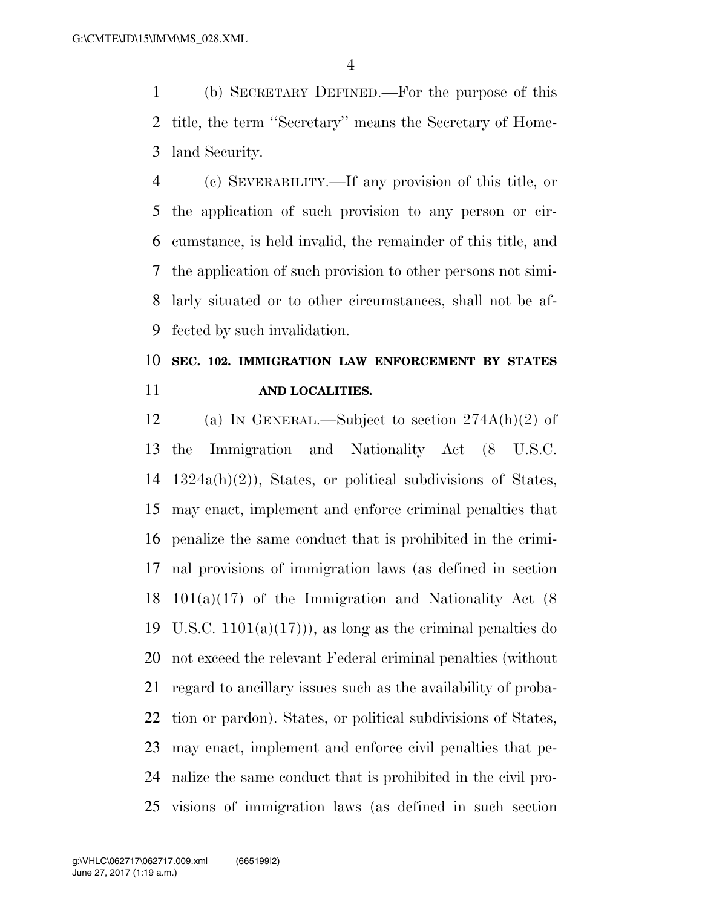(b) SECRETARY DEFINED.—For the purpose of this title, the term ''Secretary'' means the Secretary of Home-land Security.

 (c) SEVERABILITY.—If any provision of this title, or the application of such provision to any person or cir- cumstance, is held invalid, the remainder of this title, and the application of such provision to other persons not simi- larly situated or to other circumstances, shall not be af-fected by such invalidation.

## **SEC. 102. IMMIGRATION LAW ENFORCEMENT BY STATES AND LOCALITIES.**

12 (a) IN GENERAL.—Subject to section  $274A(h)(2)$  of the Immigration and Nationality Act (8 U.S.C. 1324a(h)(2)), States, or political subdivisions of States, may enact, implement and enforce criminal penalties that penalize the same conduct that is prohibited in the crimi- nal provisions of immigration laws (as defined in section 101(a)(17) of the Immigration and Nationality Act (8 19 U.S.C.  $1101(a)(17)$ , as long as the criminal penalties do not exceed the relevant Federal criminal penalties (without regard to ancillary issues such as the availability of proba- tion or pardon). States, or political subdivisions of States, may enact, implement and enforce civil penalties that pe- nalize the same conduct that is prohibited in the civil pro-visions of immigration laws (as defined in such section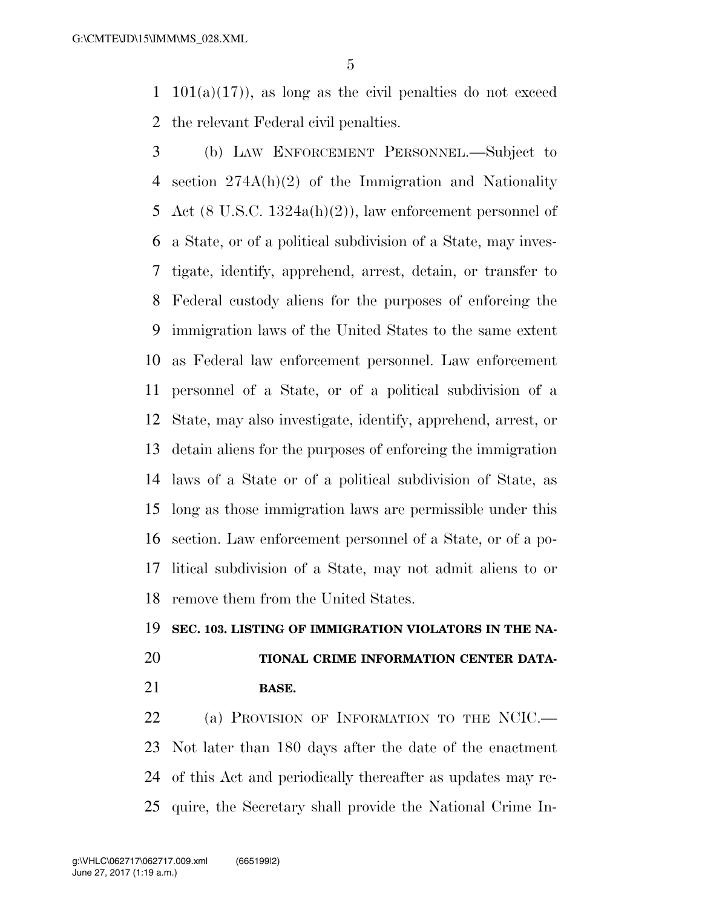1 101(a)(17)), as long as the civil penalties do not exceed the relevant Federal civil penalties.

 (b) LAW ENFORCEMENT PERSONNEL.—Subject to section 274A(h)(2) of the Immigration and Nationality Act (8 U.S.C. 1324a(h)(2)), law enforcement personnel of a State, or of a political subdivision of a State, may inves- tigate, identify, apprehend, arrest, detain, or transfer to Federal custody aliens for the purposes of enforcing the immigration laws of the United States to the same extent as Federal law enforcement personnel. Law enforcement personnel of a State, or of a political subdivision of a State, may also investigate, identify, apprehend, arrest, or detain aliens for the purposes of enforcing the immigration laws of a State or of a political subdivision of State, as long as those immigration laws are permissible under this section. Law enforcement personnel of a State, or of a po- litical subdivision of a State, may not admit aliens to or remove them from the United States.

### **SEC. 103. LISTING OF IMMIGRATION VIOLATORS IN THE NA-**

## **TIONAL CRIME INFORMATION CENTER DATA-BASE.**

22 (a) PROVISION OF INFORMATION TO THE NCIC.— Not later than 180 days after the date of the enactment of this Act and periodically thereafter as updates may re-quire, the Secretary shall provide the National Crime In-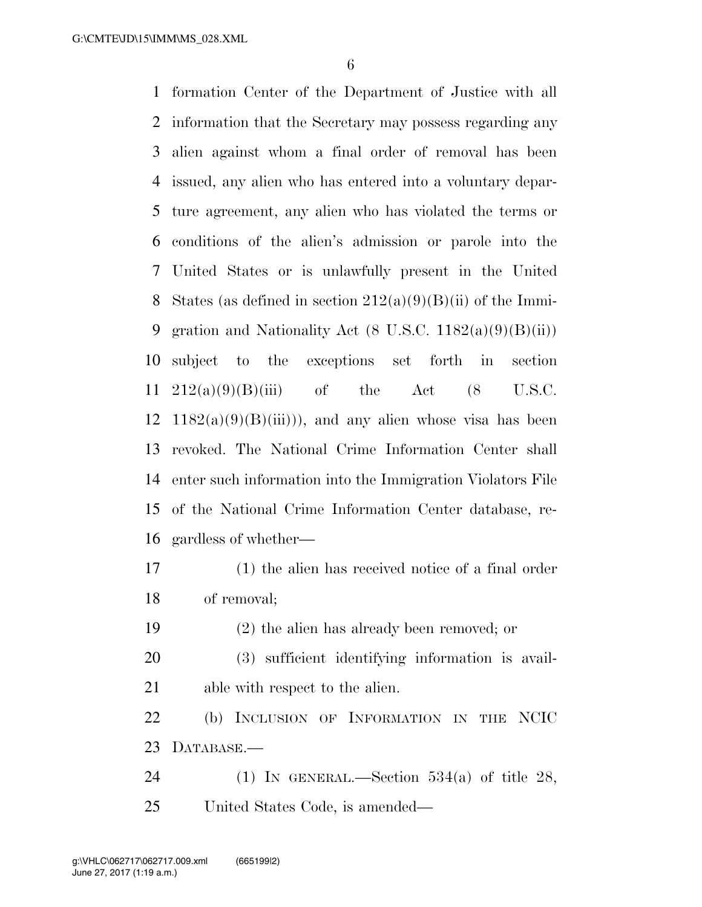formation Center of the Department of Justice with all information that the Secretary may possess regarding any alien against whom a final order of removal has been issued, any alien who has entered into a voluntary depar- ture agreement, any alien who has violated the terms or conditions of the alien's admission or parole into the United States or is unlawfully present in the United 8 States (as defined in section  $212(a)(9)(B)(ii)$  of the Immi-9 gration and Nationality Act  $(8 \text{ U.S.C. } 1182(a)(9)(B)(ii))$  subject to the exceptions set forth in section  $212(a)(9)(B)(iii)$  of the Act  $(8$  U.S.C. 12 1182(a)(9)(B)(iii))), and any alien whose visa has been revoked. The National Crime Information Center shall enter such information into the Immigration Violators File of the National Crime Information Center database, re-gardless of whether—

 (1) the alien has received notice of a final order of removal;

(2) the alien has already been removed; or

 (3) sufficient identifying information is avail-able with respect to the alien.

 (b) INCLUSION OF INFORMATION IN THE NCIC DATABASE.—

24 (1) IN GENERAL.—Section  $534(a)$  of title 28, United States Code, is amended—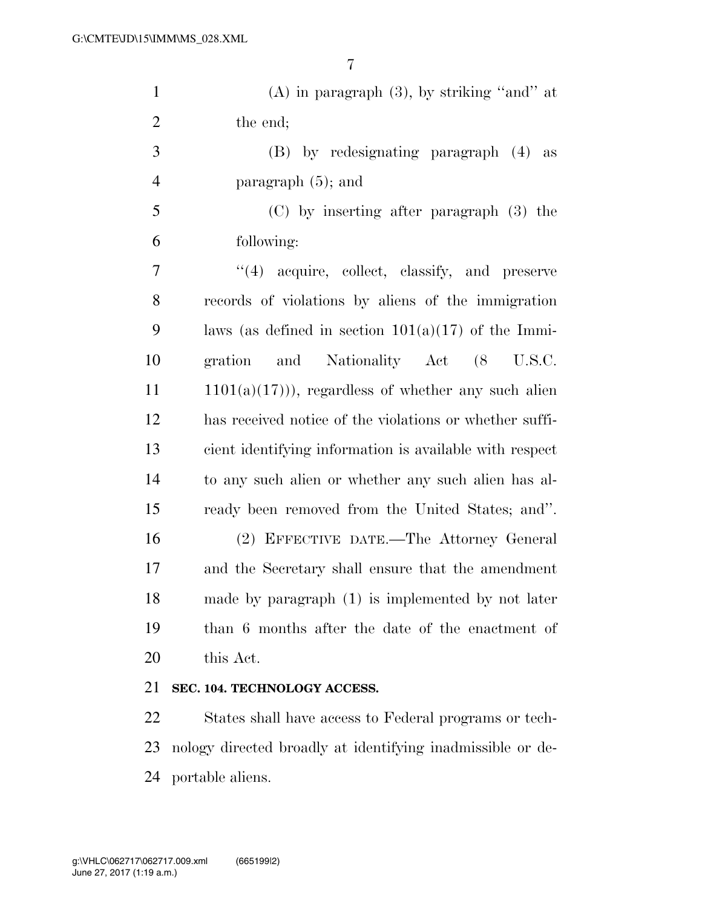| $\mathbf{1}$   | $(A)$ in paragraph $(3)$ , by striking "and" at         |
|----------------|---------------------------------------------------------|
| $\overline{2}$ | the end;                                                |
| 3              | (B) by redesignating paragraph (4)<br>as                |
| $\overline{4}$ | paragraph $(5)$ ; and                                   |
| 5              | (C) by inserting after paragraph (3) the                |
| 6              | following:                                              |
| 7              | "(4) acquire, collect, classify, and preserve           |
| 8              | records of violations by aliens of the immigration      |
| 9              | laws (as defined in section $101(a)(17)$ of the Immi-   |
| 10             | and Nationality Act (8 U.S.C.<br>gration                |
| 11             | $1101(a)(17)$ ), regardless of whether any such alien   |
| 12             | has received notice of the violations or whether suffi- |
| 13             | cient identifying information is available with respect |
| 14             | to any such alien or whether any such alien has al-     |
| 15             | ready been removed from the United States; and".        |
| 16             | (2) EFFECTIVE DATE.—The Attorney General                |
| 17             | and the Secretary shall ensure that the amendment       |
| 18             | made by paragraph (1) is implemented by not later       |
| 19             | than 6 months after the date of the enactment of        |
| 20             | this Act.                                               |
|                |                                                         |

### **SEC. 104. TECHNOLOGY ACCESS.**

 States shall have access to Federal programs or tech- nology directed broadly at identifying inadmissible or de-portable aliens.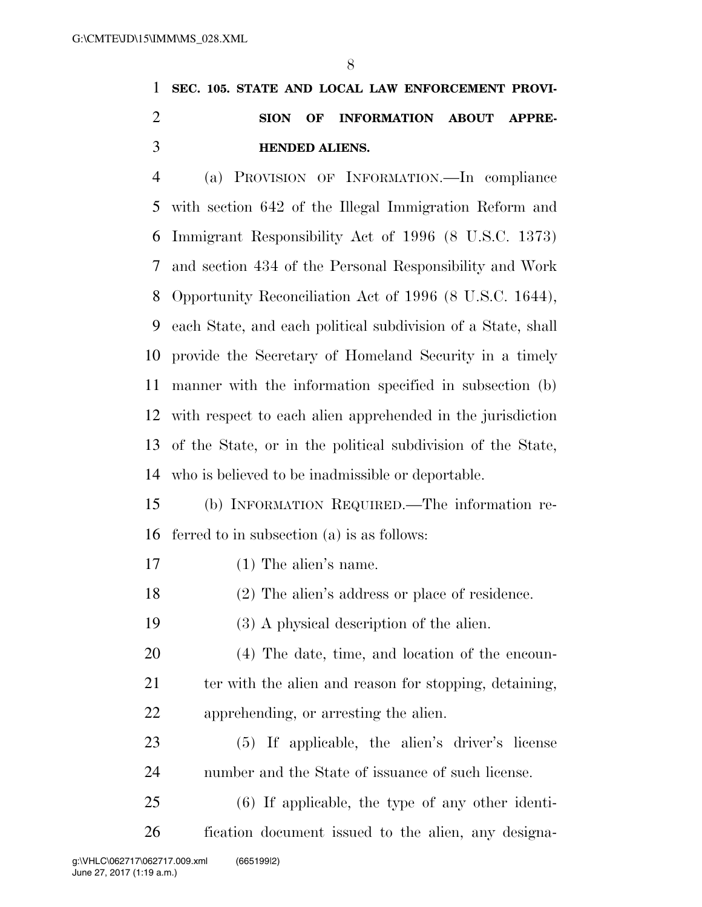## **SEC. 105. STATE AND LOCAL LAW ENFORCEMENT PROVI- SION OF INFORMATION ABOUT APPRE-HENDED ALIENS.**

 (a) PROVISION OF INFORMATION.—In compliance with section 642 of the Illegal Immigration Reform and Immigrant Responsibility Act of 1996 (8 U.S.C. 1373) and section 434 of the Personal Responsibility and Work Opportunity Reconciliation Act of 1996 (8 U.S.C. 1644), each State, and each political subdivision of a State, shall provide the Secretary of Homeland Security in a timely manner with the information specified in subsection (b) with respect to each alien apprehended in the jurisdiction of the State, or in the political subdivision of the State, who is believed to be inadmissible or deportable.

 (b) INFORMATION REQUIRED.—The information re-ferred to in subsection (a) is as follows:

- (1) The alien's name.
- (2) The alien's address or place of residence.
- (3) A physical description of the alien.
- (4) The date, time, and location of the encoun-21 ter with the alien and reason for stopping, detaining, apprehending, or arresting the alien.
- (5) If applicable, the alien's driver's license number and the State of issuance of such license.
- (6) If applicable, the type of any other identi-fication document issued to the alien, any designa-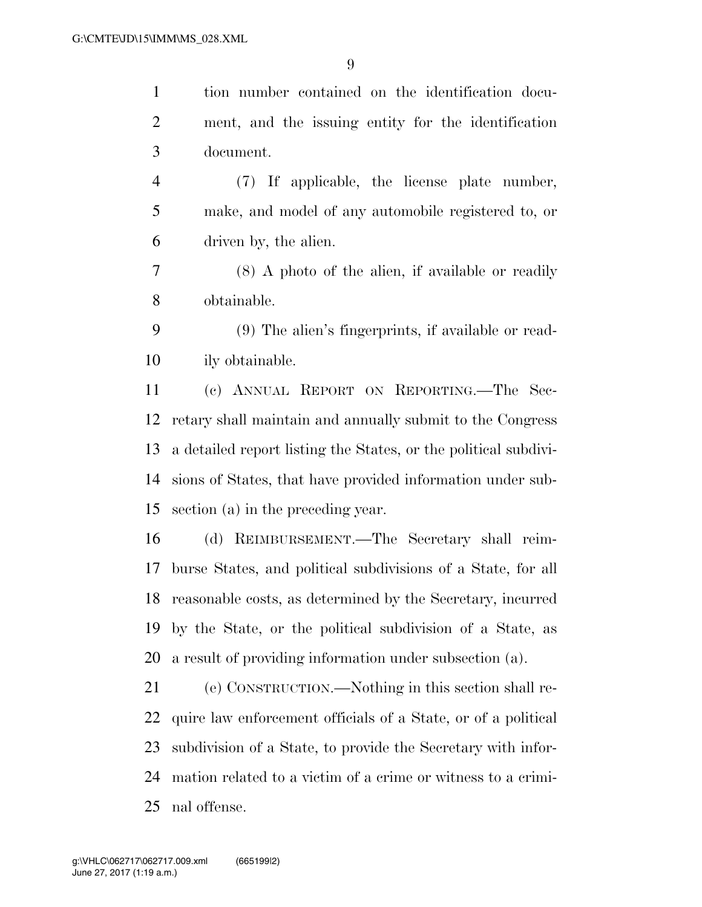tion number contained on the identification docu- ment, and the issuing entity for the identification document.

 (7) If applicable, the license plate number, make, and model of any automobile registered to, or driven by, the alien.

 (8) A photo of the alien, if available or readily obtainable.

 (9) The alien's fingerprints, if available or read-ily obtainable.

 (c) ANNUAL REPORT ON REPORTING.—The Sec- retary shall maintain and annually submit to the Congress a detailed report listing the States, or the political subdivi- sions of States, that have provided information under sub-section (a) in the preceding year.

 (d) REIMBURSEMENT.—The Secretary shall reim- burse States, and political subdivisions of a State, for all reasonable costs, as determined by the Secretary, incurred by the State, or the political subdivision of a State, as a result of providing information under subsection (a).

 (e) CONSTRUCTION.—Nothing in this section shall re- quire law enforcement officials of a State, or of a political subdivision of a State, to provide the Secretary with infor- mation related to a victim of a crime or witness to a crimi-nal offense.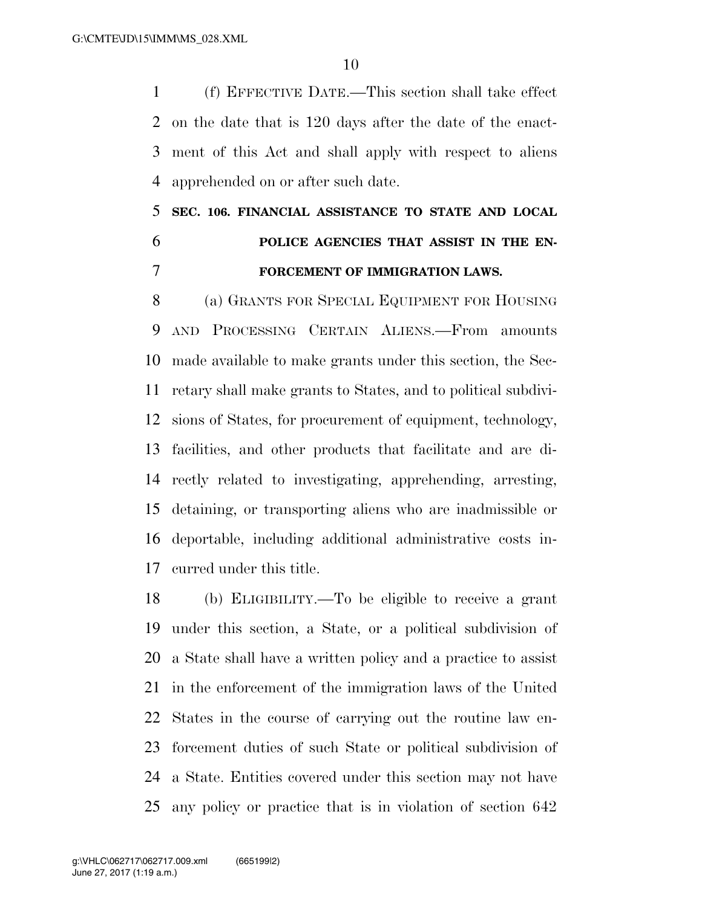(f) EFFECTIVE DATE.—This section shall take effect on the date that is 120 days after the date of the enact- ment of this Act and shall apply with respect to aliens apprehended on or after such date.

## **SEC. 106. FINANCIAL ASSISTANCE TO STATE AND LOCAL POLICE AGENCIES THAT ASSIST IN THE EN-FORCEMENT OF IMMIGRATION LAWS.**

 (a) GRANTS FOR SPECIAL EQUIPMENT FOR HOUSING AND PROCESSING CERTAIN ALIENS.—From amounts made available to make grants under this section, the Sec- retary shall make grants to States, and to political subdivi- sions of States, for procurement of equipment, technology, facilities, and other products that facilitate and are di- rectly related to investigating, apprehending, arresting, detaining, or transporting aliens who are inadmissible or deportable, including additional administrative costs in-curred under this title.

 (b) ELIGIBILITY.—To be eligible to receive a grant under this section, a State, or a political subdivision of a State shall have a written policy and a practice to assist in the enforcement of the immigration laws of the United States in the course of carrying out the routine law en- forcement duties of such State or political subdivision of a State. Entities covered under this section may not have any policy or practice that is in violation of section 642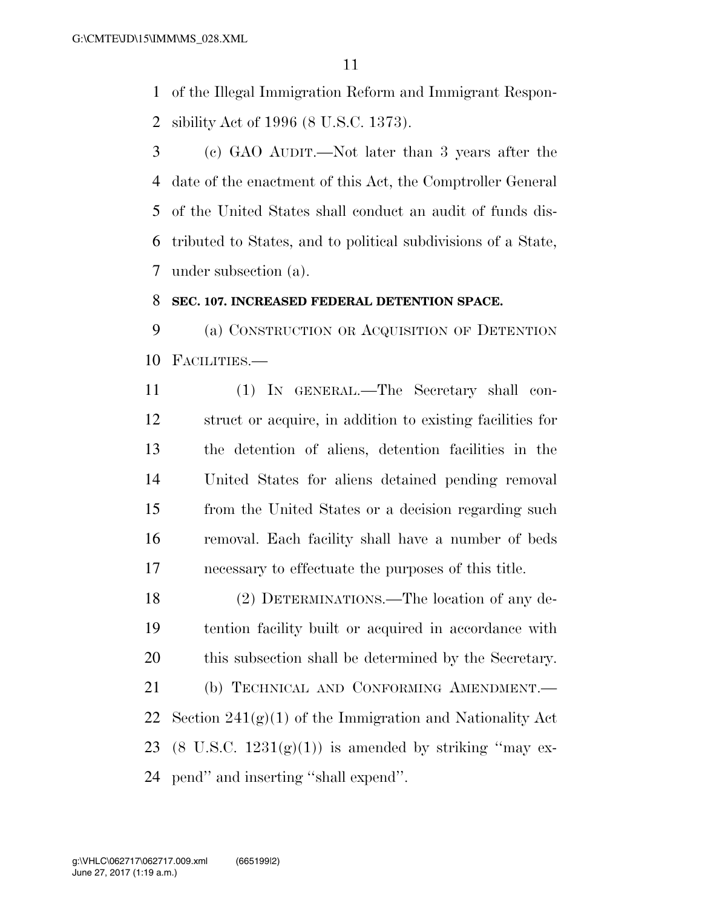of the Illegal Immigration Reform and Immigrant Respon-sibility Act of 1996 (8 U.S.C. 1373).

 (c) GAO AUDIT.—Not later than 3 years after the date of the enactment of this Act, the Comptroller General of the United States shall conduct an audit of funds dis- tributed to States, and to political subdivisions of a State, under subsection (a).

### **SEC. 107. INCREASED FEDERAL DETENTION SPACE.**

 (a) CONSTRUCTION OR ACQUISITION OF DETENTION FACILITIES.—

 (1) IN GENERAL.—The Secretary shall con- struct or acquire, in addition to existing facilities for the detention of aliens, detention facilities in the United States for aliens detained pending removal from the United States or a decision regarding such removal. Each facility shall have a number of beds necessary to effectuate the purposes of this title.

 (2) DETERMINATIONS.—The location of any de- tention facility built or acquired in accordance with this subsection shall be determined by the Secretary. 21 (b) TECHNICAL AND CONFORMING AMENDMENT.

22 Section  $241(g)(1)$  of the Immigration and Nationality Act 23 (8 U.S.C.  $1231(g)(1)$ ) is amended by striking "may ex-pend'' and inserting ''shall expend''.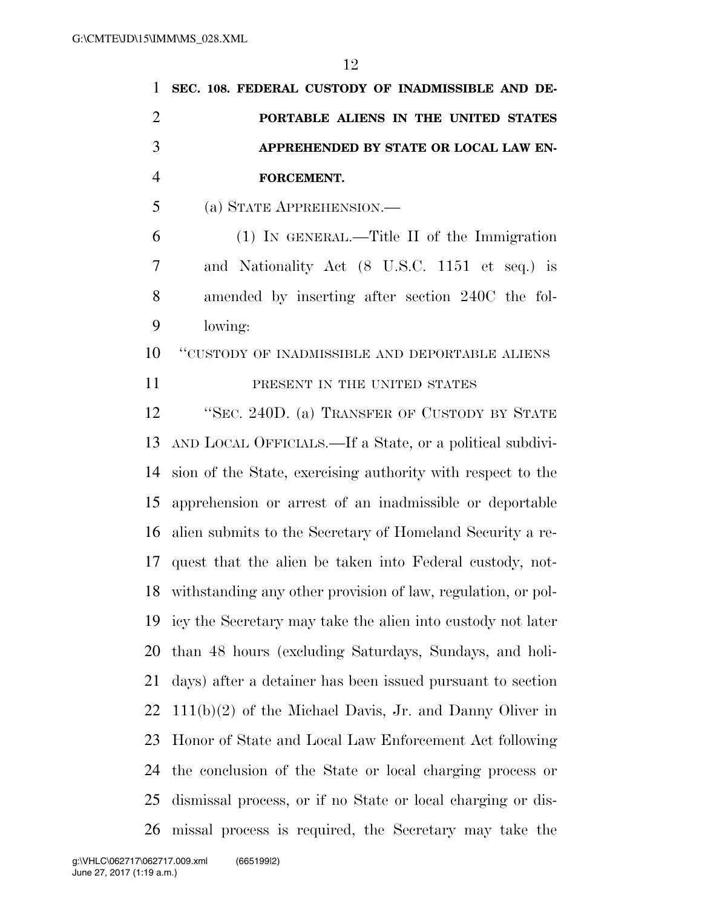| $\mathbf{1}$   | SEC. 108. FEDERAL CUSTODY OF INADMISSIBLE AND DE-               |
|----------------|-----------------------------------------------------------------|
| $\overline{2}$ | PORTABLE ALIENS IN THE UNITED STATES                            |
| 3              | APPREHENDED BY STATE OR LOCAL LAW EN-                           |
| $\overline{4}$ | FORCEMENT.                                                      |
| 5              | (a) STATE APPREHENSION.                                         |
| 6              | $(1)$ In GENERAL.—Title II of the Immigration                   |
| 7              | and Nationality Act (8 U.S.C. 1151 et seq.) is                  |
| 8              | amended by inserting after section 240C the fol-                |
| 9              | lowing:                                                         |
| 10             | "CUSTODY OF INADMISSIBLE AND DEPORTABLE ALIENS                  |
| 11             | PRESENT IN THE UNITED STATES                                    |
| 12             | "SEC. 240D. (a) TRANSFER OF CUSTODY BY STATE                    |
| 13             | AND LOCAL OFFICIALS.—If a State, or a political subdivi-        |
| 14             | sion of the State, exercising authority with respect to the     |
| 15             | apprehension or arrest of an inadmissible or deportable         |
| 16             | alien submits to the Secretary of Homeland Security a re-       |
| 17             | quest that the alien be taken into Federal custody, not-        |
|                | 18 withstanding any other provision of law, regulation, or pol- |
| 19             | icy the Secretary may take the alien into custody not later     |
| 20             | than 48 hours (excluding Saturdays, Sundays, and holi-          |
| 21             | days) after a detainer has been issued pursuant to section      |
| 22             | $111(b)(2)$ of the Michael Davis, Jr. and Danny Oliver in       |
| 23             | Honor of State and Local Law Enforcement Act following          |
| 24             | the conclusion of the State or local charging process or        |
| 25             | dismissal process, or if no State or local charging or dis-     |
| 26             | missal process is required, the Secretary may take the          |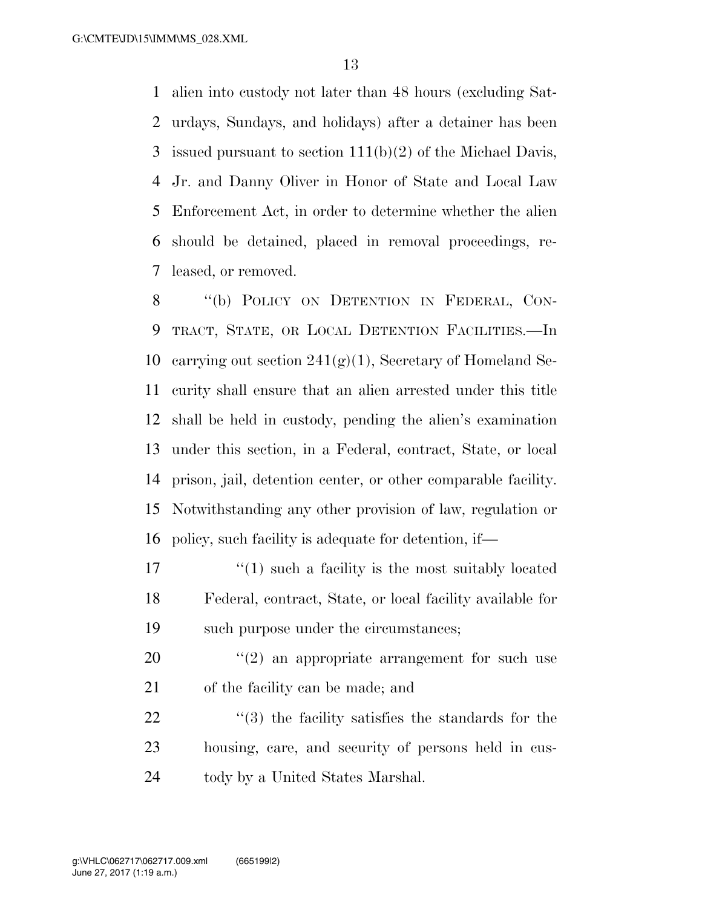alien into custody not later than 48 hours (excluding Sat- urdays, Sundays, and holidays) after a detainer has been issued pursuant to section 111(b)(2) of the Michael Davis, Jr. and Danny Oliver in Honor of State and Local Law Enforcement Act, in order to determine whether the alien should be detained, placed in removal proceedings, re-leased, or removed.

8 "(b) POLICY ON DETENTION IN FEDERAL, CON- TRACT, STATE, OR LOCAL DETENTION FACILITIES.—In 10 carrying out section  $241(g)(1)$ , Secretary of Homeland Se- curity shall ensure that an alien arrested under this title shall be held in custody, pending the alien's examination under this section, in a Federal, contract, State, or local prison, jail, detention center, or other comparable facility. Notwithstanding any other provision of law, regulation or policy, such facility is adequate for detention, if—

 $\binom{1}{1}$  such a facility is the most suitably located Federal, contract, State, or local facility available for such purpose under the circumstances;

 ''(2) an appropriate arrangement for such use of the facility can be made; and

  $\qquad$   $\qquad$   $(3)$  the facility satisfies the standards for the housing, care, and security of persons held in cus-tody by a United States Marshal.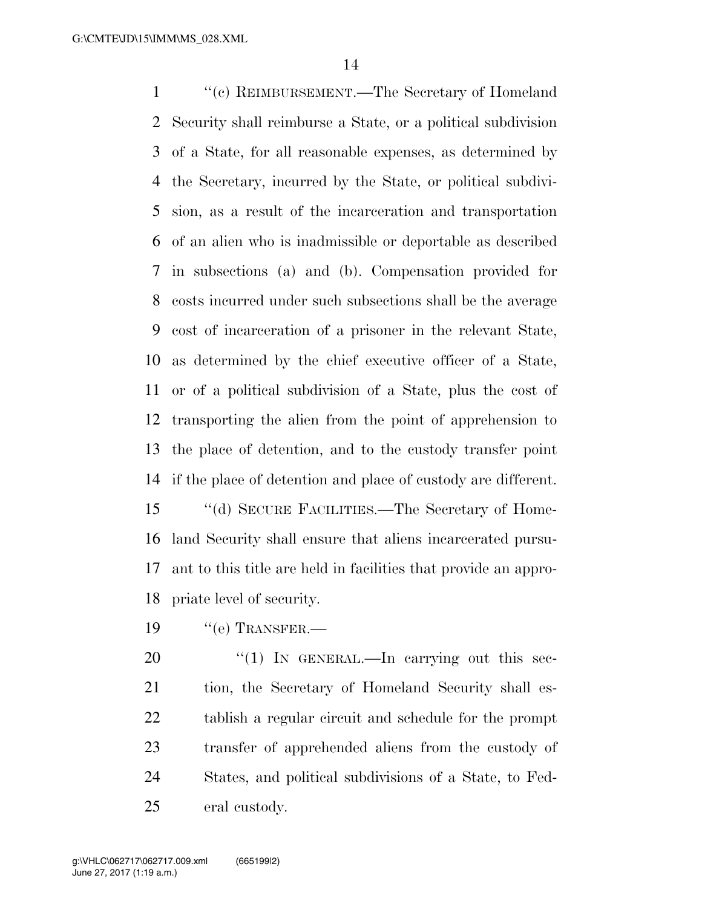''(c) REIMBURSEMENT.—The Secretary of Homeland Security shall reimburse a State, or a political subdivision of a State, for all reasonable expenses, as determined by the Secretary, incurred by the State, or political subdivi- sion, as a result of the incarceration and transportation of an alien who is inadmissible or deportable as described in subsections (a) and (b). Compensation provided for costs incurred under such subsections shall be the average cost of incarceration of a prisoner in the relevant State, as determined by the chief executive officer of a State, or of a political subdivision of a State, plus the cost of transporting the alien from the point of apprehension to the place of detention, and to the custody transfer point if the place of detention and place of custody are different. ''(d) SECURE FACILITIES.—The Secretary of Home-

 land Security shall ensure that aliens incarcerated pursu- ant to this title are held in facilities that provide an appro-priate level of security.

19 "(e) TRANSFER.—

20 "(1) In GENERAL.—In carrying out this sec- tion, the Secretary of Homeland Security shall es- tablish a regular circuit and schedule for the prompt transfer of apprehended aliens from the custody of States, and political subdivisions of a State, to Fed-eral custody.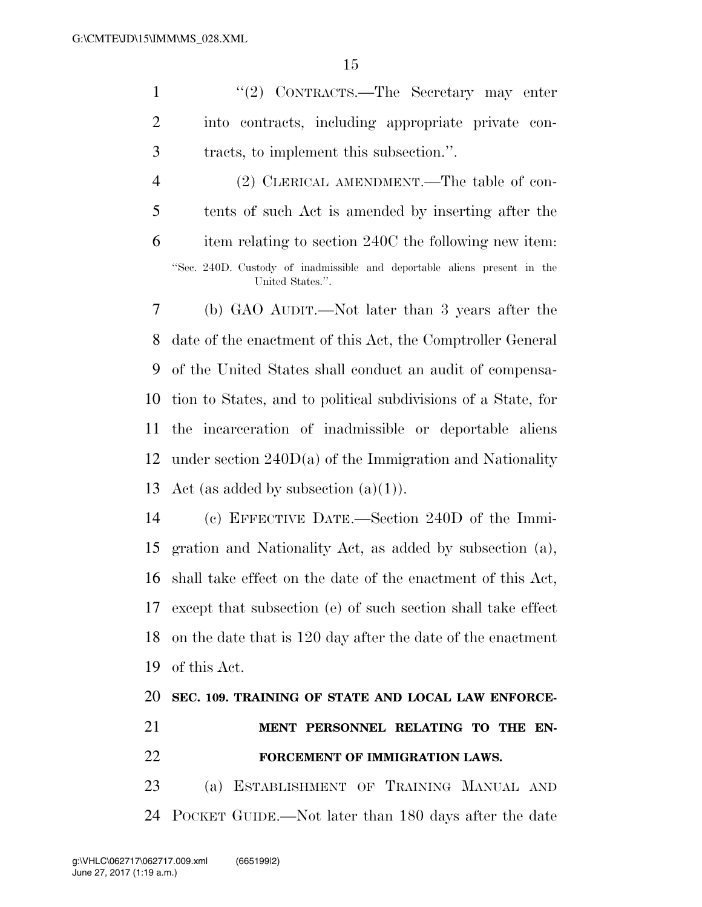1 ''(2) CONTRACTS.—The Secretary may enter into contracts, including appropriate private con-tracts, to implement this subsection.''.

 (2) CLERICAL AMENDMENT.—The table of con- tents of such Act is amended by inserting after the item relating to section 240C the following new item: ''Sec. 240D. Custody of inadmissible and deportable aliens present in the United States.''.

 (b) GAO AUDIT.—Not later than 3 years after the date of the enactment of this Act, the Comptroller General of the United States shall conduct an audit of compensa- tion to States, and to political subdivisions of a State, for the incarceration of inadmissible or deportable aliens under section 240D(a) of the Immigration and Nationality 13 Act (as added by subsection  $(a)(1)$ ).

 (c) EFFECTIVE DATE.—Section 240D of the Immi- gration and Nationality Act, as added by subsection (a), shall take effect on the date of the enactment of this Act, except that subsection (e) of such section shall take effect on the date that is 120 day after the date of the enactment of this Act.

# **SEC. 109. TRAINING OF STATE AND LOCAL LAW ENFORCE- MENT PERSONNEL RELATING TO THE EN- FORCEMENT OF IMMIGRATION LAWS.**  (a) ESTABLISHMENT OF TRAINING MANUAL AND

POCKET GUIDE.—Not later than 180 days after the date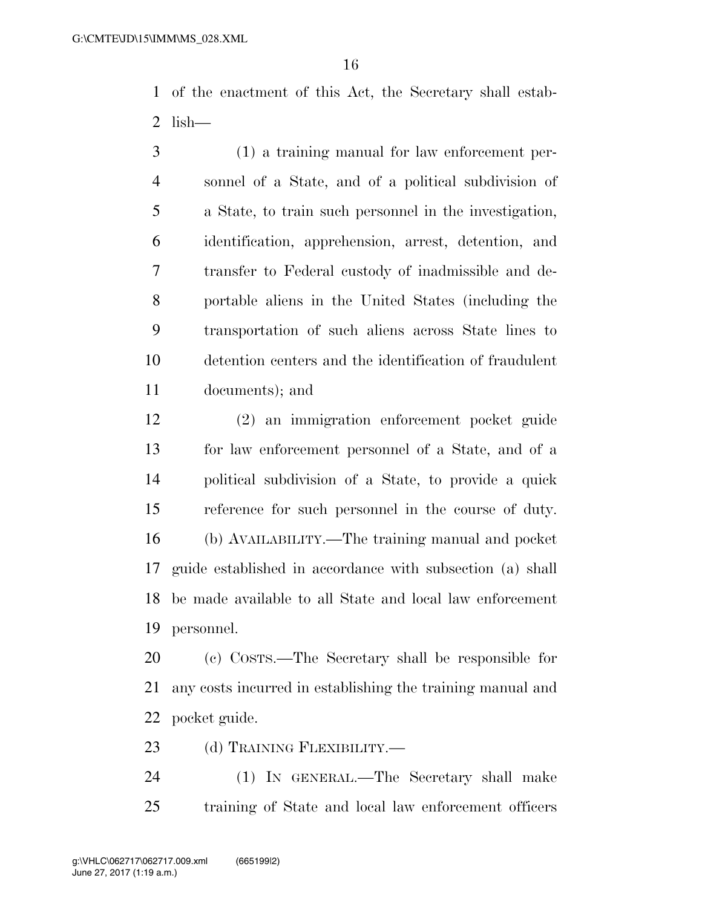of the enactment of this Act, the Secretary shall estab-lish—

 (1) a training manual for law enforcement per- sonnel of a State, and of a political subdivision of a State, to train such personnel in the investigation, identification, apprehension, arrest, detention, and transfer to Federal custody of inadmissible and de- portable aliens in the United States (including the transportation of such aliens across State lines to detention centers and the identification of fraudulent documents); and

 (2) an immigration enforcement pocket guide for law enforcement personnel of a State, and of a political subdivision of a State, to provide a quick reference for such personnel in the course of duty. (b) AVAILABILITY.—The training manual and pocket guide established in accordance with subsection (a) shall be made available to all State and local law enforcement personnel.

 (c) COSTS.—The Secretary shall be responsible for any costs incurred in establishing the training manual and pocket guide.

23 (d) TRAINING FLEXIBILITY.—

 (1) IN GENERAL.—The Secretary shall make training of State and local law enforcement officers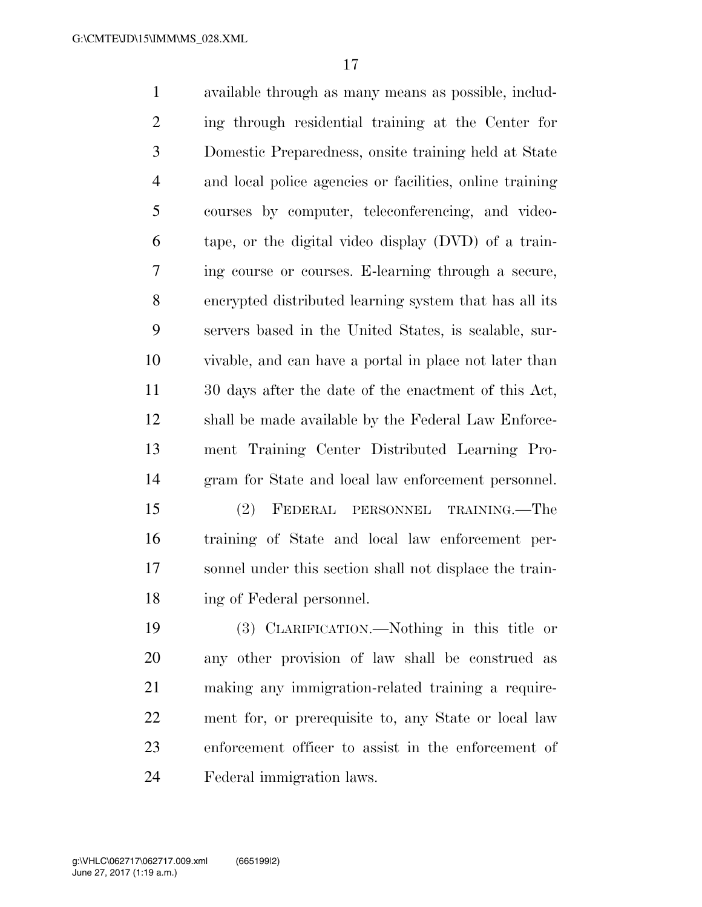available through as many means as possible, includ- ing through residential training at the Center for Domestic Preparedness, onsite training held at State and local police agencies or facilities, online training courses by computer, teleconferencing, and video- tape, or the digital video display (DVD) of a train- ing course or courses. E-learning through a secure, encrypted distributed learning system that has all its servers based in the United States, is scalable, sur- vivable, and can have a portal in place not later than 30 days after the date of the enactment of this Act, shall be made available by the Federal Law Enforce- ment Training Center Distributed Learning Pro-gram for State and local law enforcement personnel.

 (2) FEDERAL PERSONNEL TRAINING.—The training of State and local law enforcement per- sonnel under this section shall not displace the train-ing of Federal personnel.

 (3) CLARIFICATION.—Nothing in this title or any other provision of law shall be construed as making any immigration-related training a require- ment for, or prerequisite to, any State or local law enforcement officer to assist in the enforcement of Federal immigration laws.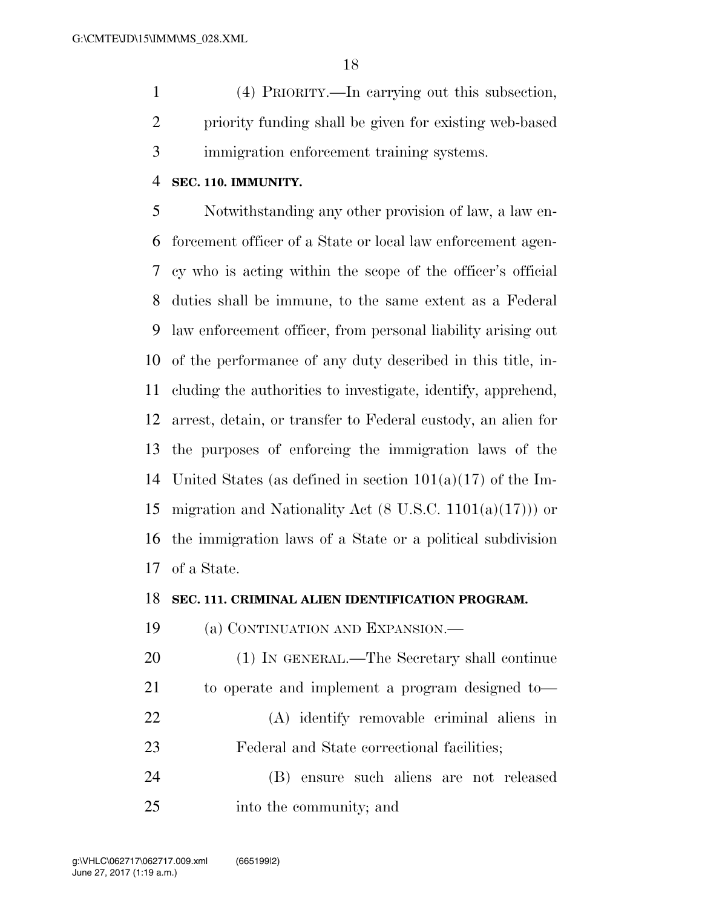(4) PRIORITY.—In carrying out this subsection, priority funding shall be given for existing web-based immigration enforcement training systems.

### **SEC. 110. IMMUNITY.**

 Notwithstanding any other provision of law, a law en- forcement officer of a State or local law enforcement agen- cy who is acting within the scope of the officer's official duties shall be immune, to the same extent as a Federal law enforcement officer, from personal liability arising out of the performance of any duty described in this title, in- cluding the authorities to investigate, identify, apprehend, arrest, detain, or transfer to Federal custody, an alien for the purposes of enforcing the immigration laws of the United States (as defined in section 101(a)(17) of the Im- migration and Nationality Act (8 U.S.C. 1101(a)(17))) or the immigration laws of a State or a political subdivision of a State.

### **SEC. 111. CRIMINAL ALIEN IDENTIFICATION PROGRAM.**

(a) CONTINUATION AND EXPANSION.—

 (1) IN GENERAL.—The Secretary shall continue to operate and implement a program designed to— (A) identify removable criminal aliens in Federal and State correctional facilities;

 (B) ensure such aliens are not released into the community; and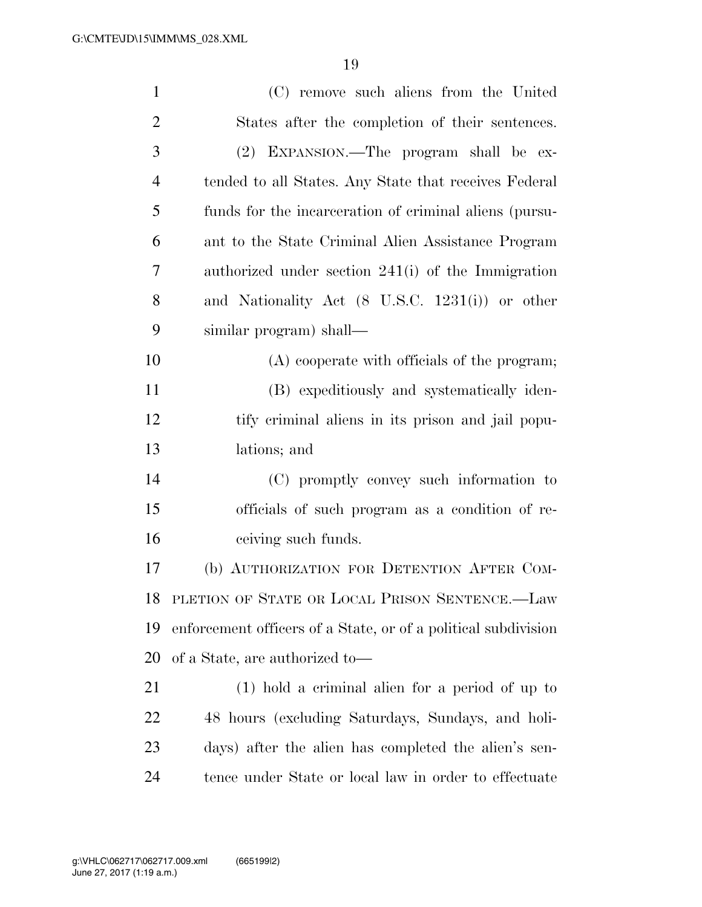| $\mathbf{1}$   | (C) remove such aliens from the United                         |
|----------------|----------------------------------------------------------------|
| $\overline{2}$ | States after the completion of their sentences.                |
| 3              | (2) EXPANSION.—The program shall be ex-                        |
| $\overline{4}$ | tended to all States. Any State that receives Federal          |
| 5              | funds for the incarceration of criminal aliens (pursu-         |
| 6              | ant to the State Criminal Alien Assistance Program             |
| 7              | authorized under section $241(i)$ of the Immigration           |
| 8              | and Nationality Act (8 U.S.C. 1231(i)) or other                |
| 9              | similar program) shall—                                        |
| 10             | (A) cooperate with officials of the program;                   |
| 11             | (B) expeditiously and systematically iden-                     |
| 12             | tify criminal aliens in its prison and jail popu-              |
| 13             | lations; and                                                   |
| 14             | (C) promptly convey such information to                        |
| 15             | officials of such program as a condition of re-                |
| 16             | ceiving such funds.                                            |
| 17             | (b) AUTHORIZATION FOR DETENTION AFTER COM-                     |
| 18             | PLETION OF STATE OR LOCAL PRISON SENTENCE.-Law                 |
| 19             | enforcement officers of a State, or of a political subdivision |
| 20             | of a State, are authorized to—                                 |
| 21             | $(1)$ hold a criminal alien for a period of up to              |
| 22             | 48 hours (excluding Saturdays, Sundays, and holi-              |
| 23             | days) after the alien has completed the alien's sen-           |
| 24             | tence under State or local law in order to effectuate          |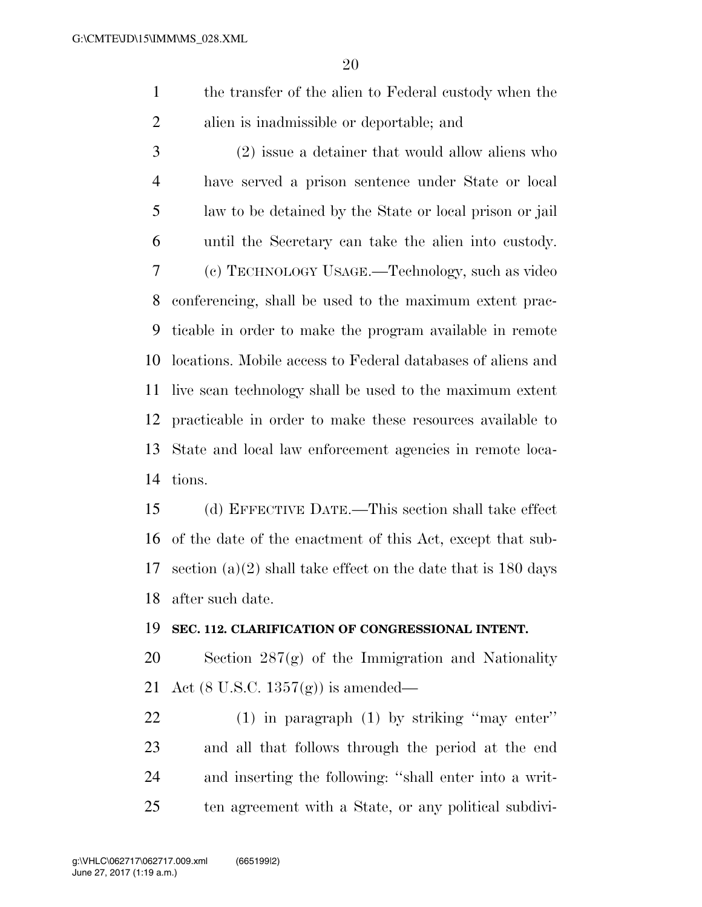the transfer of the alien to Federal custody when the alien is inadmissible or deportable; and

 (2) issue a detainer that would allow aliens who have served a prison sentence under State or local law to be detained by the State or local prison or jail until the Secretary can take the alien into custody. (c) TECHNOLOGY USAGE.—Technology, such as video conferencing, shall be used to the maximum extent prac- ticable in order to make the program available in remote locations. Mobile access to Federal databases of aliens and live scan technology shall be used to the maximum extent practicable in order to make these resources available to State and local law enforcement agencies in remote loca-tions.

 (d) EFFECTIVE DATE.—This section shall take effect of the date of the enactment of this Act, except that sub- section (a)(2) shall take effect on the date that is 180 days after such date.

#### **SEC. 112. CLARIFICATION OF CONGRESSIONAL INTENT.**

 Section 287(g) of the Immigration and Nationality Act (8 U.S.C. 1357(g)) is amended—

 (1) in paragraph (1) by striking ''may enter'' and all that follows through the period at the end and inserting the following: ''shall enter into a writ-ten agreement with a State, or any political subdivi-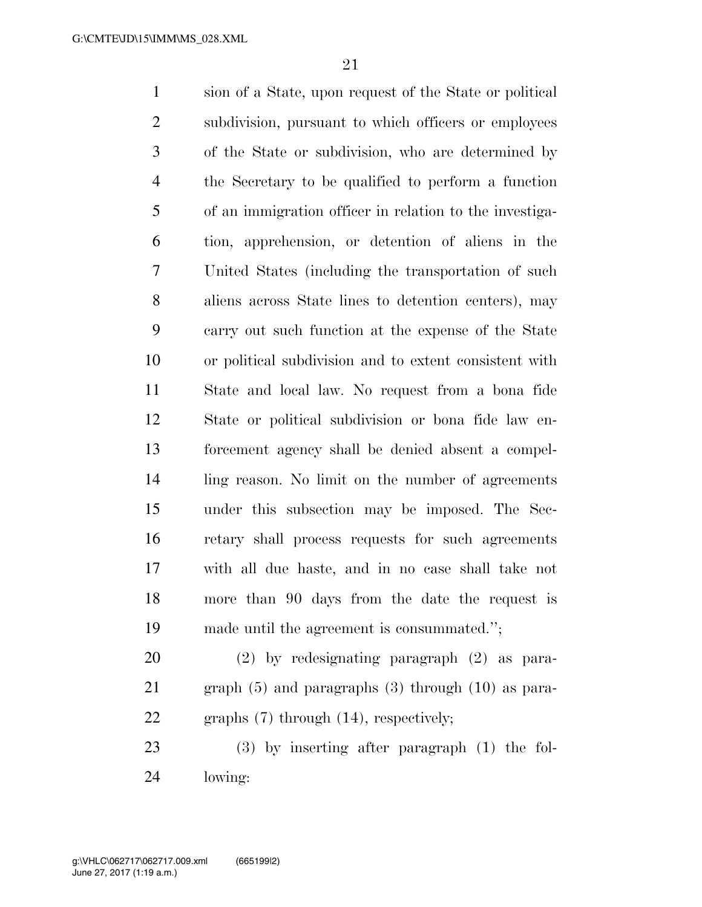sion of a State, upon request of the State or political subdivision, pursuant to which officers or employees of the State or subdivision, who are determined by the Secretary to be qualified to perform a function of an immigration officer in relation to the investiga- tion, apprehension, or detention of aliens in the United States (including the transportation of such aliens across State lines to detention centers), may carry out such function at the expense of the State or political subdivision and to extent consistent with State and local law. No request from a bona fide State or political subdivision or bona fide law en- forcement agency shall be denied absent a compel- ling reason. No limit on the number of agreements under this subsection may be imposed. The Sec- retary shall process requests for such agreements with all due haste, and in no case shall take not more than 90 days from the date the request is made until the agreement is consummated.''; (2) by redesignating paragraph (2) as para-

 graph (5) and paragraphs (3) through (10) as para-graphs (7) through (14), respectively;

 (3) by inserting after paragraph (1) the fol-lowing: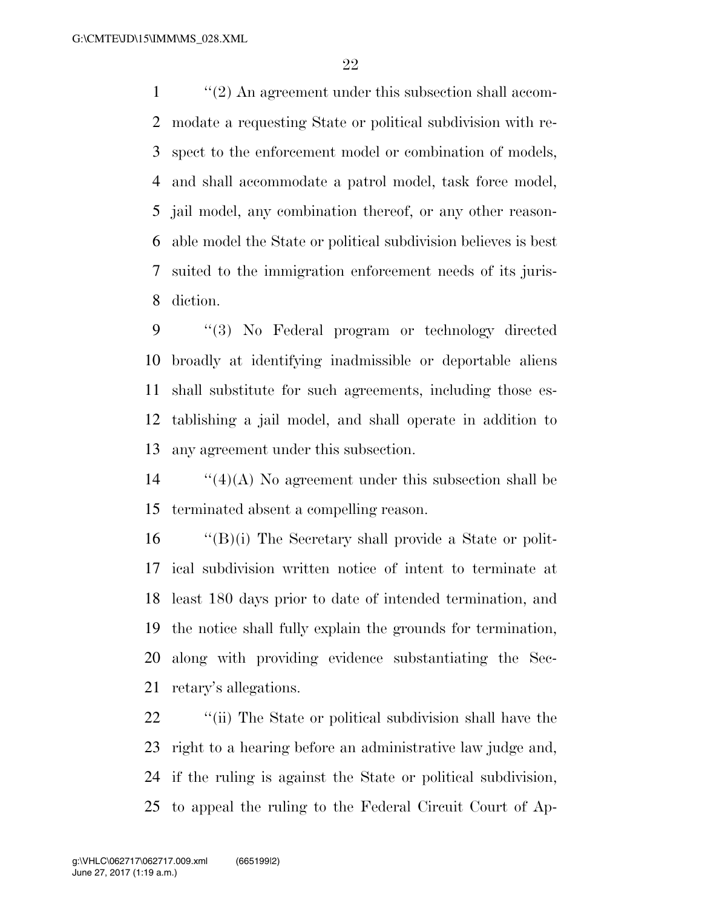''(2) An agreement under this subsection shall accom- modate a requesting State or political subdivision with re- spect to the enforcement model or combination of models, and shall accommodate a patrol model, task force model, jail model, any combination thereof, or any other reason- able model the State or political subdivision believes is best suited to the immigration enforcement needs of its juris-diction.

 ''(3) No Federal program or technology directed broadly at identifying inadmissible or deportable aliens shall substitute for such agreements, including those es- tablishing a jail model, and shall operate in addition to any agreement under this subsection.

 ''(4)(A) No agreement under this subsection shall be terminated absent a compelling reason.

 ''(B)(i) The Secretary shall provide a State or polit- ical subdivision written notice of intent to terminate at least 180 days prior to date of intended termination, and the notice shall fully explain the grounds for termination, along with providing evidence substantiating the Sec-retary's allegations.

22 ''(ii) The State or political subdivision shall have the right to a hearing before an administrative law judge and, if the ruling is against the State or political subdivision, to appeal the ruling to the Federal Circuit Court of Ap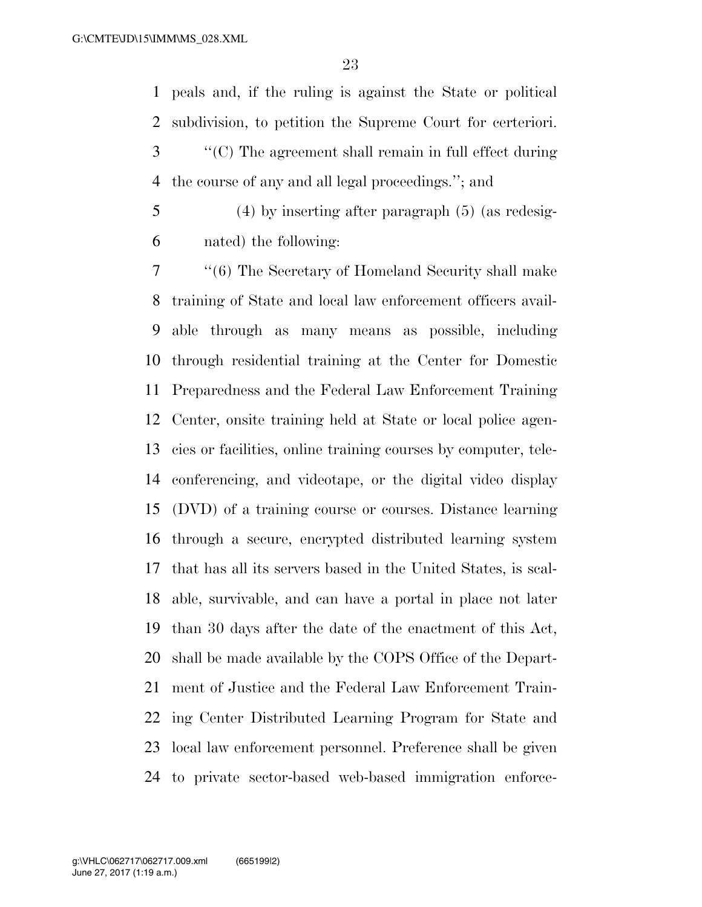peals and, if the ruling is against the State or political subdivision, to petition the Supreme Court for certeriori. ''(C) The agreement shall remain in full effect during the course of any and all legal proceedings.''; and

 (4) by inserting after paragraph (5) (as redesig-nated) the following:

 ''(6) The Secretary of Homeland Security shall make training of State and local law enforcement officers avail- able through as many means as possible, including through residential training at the Center for Domestic Preparedness and the Federal Law Enforcement Training Center, onsite training held at State or local police agen- cies or facilities, online training courses by computer, tele- conferencing, and videotape, or the digital video display (DVD) of a training course or courses. Distance learning through a secure, encrypted distributed learning system that has all its servers based in the United States, is scal- able, survivable, and can have a portal in place not later than 30 days after the date of the enactment of this Act, shall be made available by the COPS Office of the Depart- ment of Justice and the Federal Law Enforcement Train- ing Center Distributed Learning Program for State and local law enforcement personnel. Preference shall be given to private sector-based web-based immigration enforce-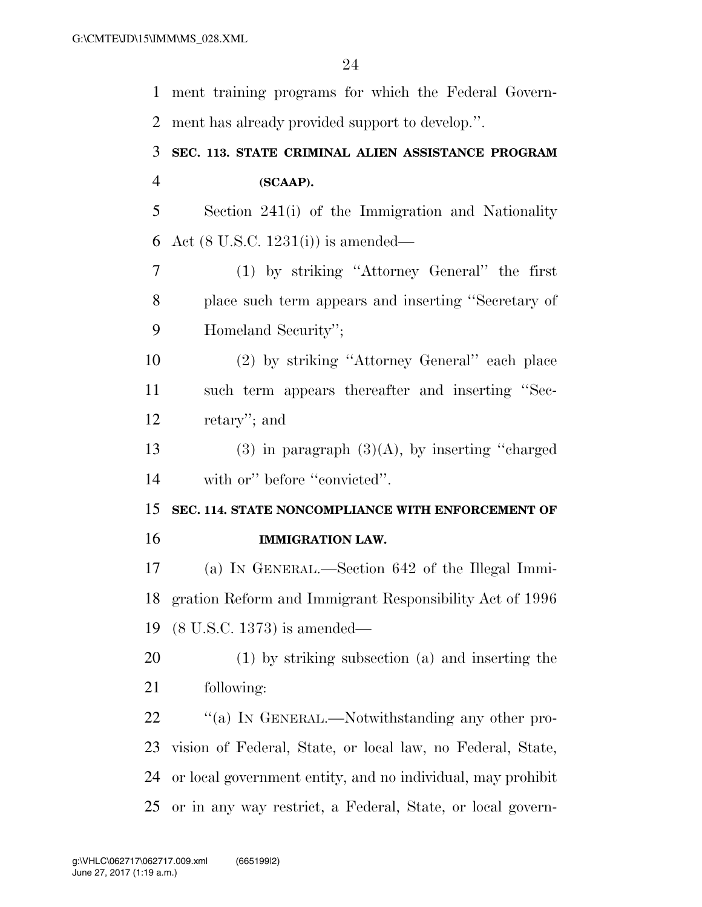| $\mathbf{1}$   | ment training programs for which the Federal Govern-        |
|----------------|-------------------------------------------------------------|
| 2              | ment has already provided support to develop.".             |
| 3              | SEC. 113. STATE CRIMINAL ALIEN ASSISTANCE PROGRAM           |
| $\overline{4}$ | (SCAAP).                                                    |
| 5              | Section 241(i) of the Immigration and Nationality           |
| 6              | Act $(8 \text{ U.S.C. } 1231(i))$ is amended—               |
| 7              | (1) by striking "Attorney General" the first                |
| 8              | place such term appears and inserting "Secretary of         |
| 9              | Homeland Security";                                         |
| 10             | (2) by striking "Attorney General" each place               |
| 11             | such term appears thereafter and inserting "Sec-            |
| 12             | retary"; and                                                |
| 13             | $(3)$ in paragraph $(3)(A)$ , by inserting "charged"        |
| 14             | with or" before "convicted".                                |
| 15             | SEC. 114. STATE NONCOMPLIANCE WITH ENFORCEMENT OF           |
| 16             | <b>IMMIGRATION LAW.</b>                                     |
| 17             | (a) IN GENERAL.—Section 642 of the Illegal Immi-            |
| 18             | gration Reform and Immigrant Responsibility Act of 1996     |
| 19             | $(8 \text{ U.S.C. } 1373)$ is amended—                      |
| 20             | (1) by striking subsection (a) and inserting the            |
| 21             | following:                                                  |
| 22             | "(a) In GENERAL.—Notwithstanding any other pro-             |
| 23             | vision of Federal, State, or local law, no Federal, State,  |
| 24             | or local government entity, and no individual, may prohibit |
| 25             | or in any way restrict, a Federal, State, or local govern-  |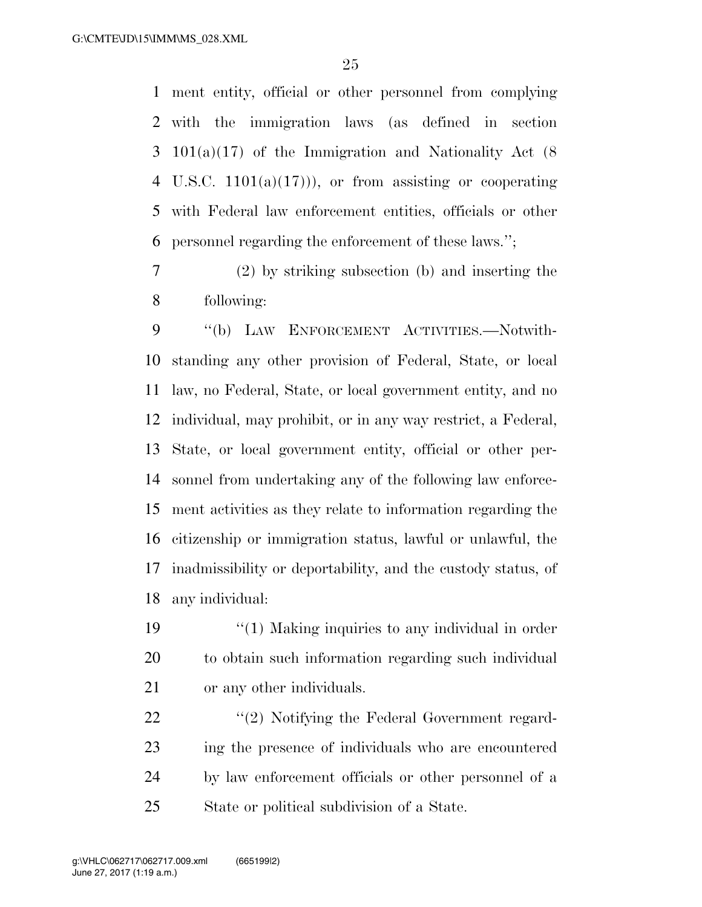ment entity, official or other personnel from complying with the immigration laws (as defined in section 101(a)(17) of the Immigration and Nationality Act (8 4 U.S.C.  $1101(a)(17)$ , or from assisting or cooperating with Federal law enforcement entities, officials or other personnel regarding the enforcement of these laws.'';

 (2) by striking subsection (b) and inserting the following:

 ''(b) LAW ENFORCEMENT ACTIVITIES.—Notwith- standing any other provision of Federal, State, or local law, no Federal, State, or local government entity, and no individual, may prohibit, or in any way restrict, a Federal, State, or local government entity, official or other per- sonnel from undertaking any of the following law enforce- ment activities as they relate to information regarding the citizenship or immigration status, lawful or unlawful, the inadmissibility or deportability, and the custody status, of any individual:

19 ''(1) Making inquiries to any individual in order to obtain such information regarding such individual or any other individuals.

22 "(2) Notifying the Federal Government regard- ing the presence of individuals who are encountered by law enforcement officials or other personnel of a State or political subdivision of a State.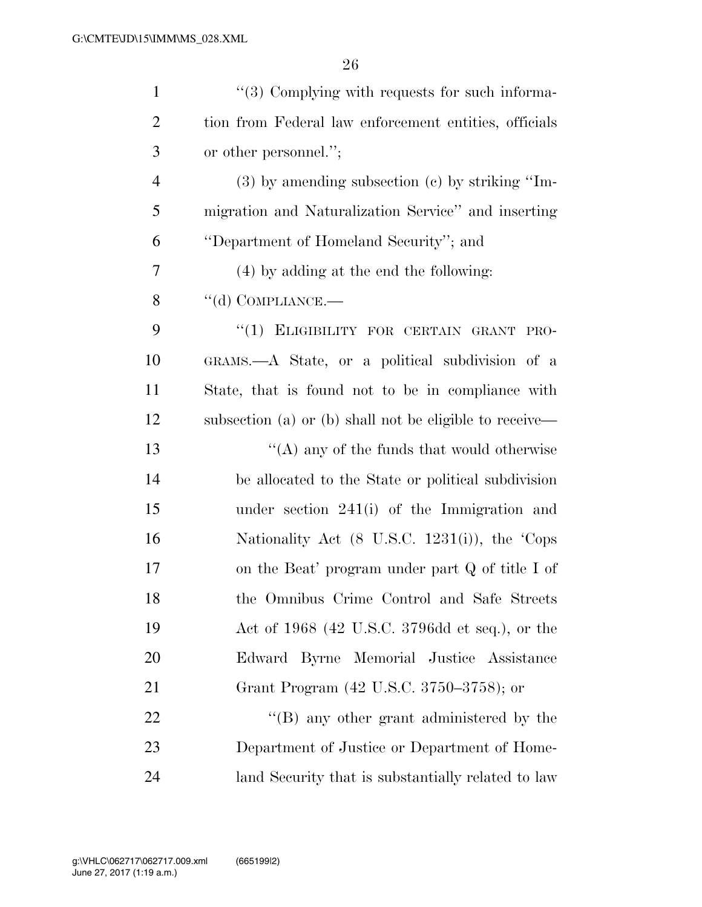| $\mathbf{1}$   | "(3) Complying with requests for such informa-             |
|----------------|------------------------------------------------------------|
| $\overline{2}$ | tion from Federal law enforcement entities, officials      |
| 3              | or other personnel.";                                      |
| $\overline{4}$ | $(3)$ by amending subsection $(e)$ by striking "Im-        |
| 5              | migration and Naturalization Service" and inserting        |
| 6              | "Department of Homeland Security"; and                     |
| 7              | (4) by adding at the end the following:                    |
| 8              | $\lq\lq$ COMPLIANCE.—                                      |
| 9              | "(1) ELIGIBILITY FOR CERTAIN GRANT PRO-                    |
| 10             | GRAMS.—A State, or a political subdivision of a            |
| 11             | State, that is found not to be in compliance with          |
| 12             | subsection (a) or (b) shall not be eligible to receive—    |
| 13             | "(A) any of the funds that would otherwise                 |
| 14             | be allocated to the State or political subdivision         |
| 15             | under section $241(i)$ of the Immigration and              |
| 16             | Nationality Act $(8 \text{ U.S.C. } 1231(i))$ , the 'Cops' |
| 17             | on the Beat' program under part $Q$ of title I of          |
| 18             | the Omnibus Crime Control and Safe Streets                 |
| 19             | Act of 1968 (42 U.S.C. 3796dd et seq.), or the             |
| 20             | Edward Byrne Memorial Justice Assistance                   |
| 21             | Grant Program (42 U.S.C. 3750–3758); or                    |
| 22             | $\lq\lq (B)$ any other grant administered by the           |
| 23             | Department of Justice or Department of Home-               |
| 24             | land Security that is substantially related to law         |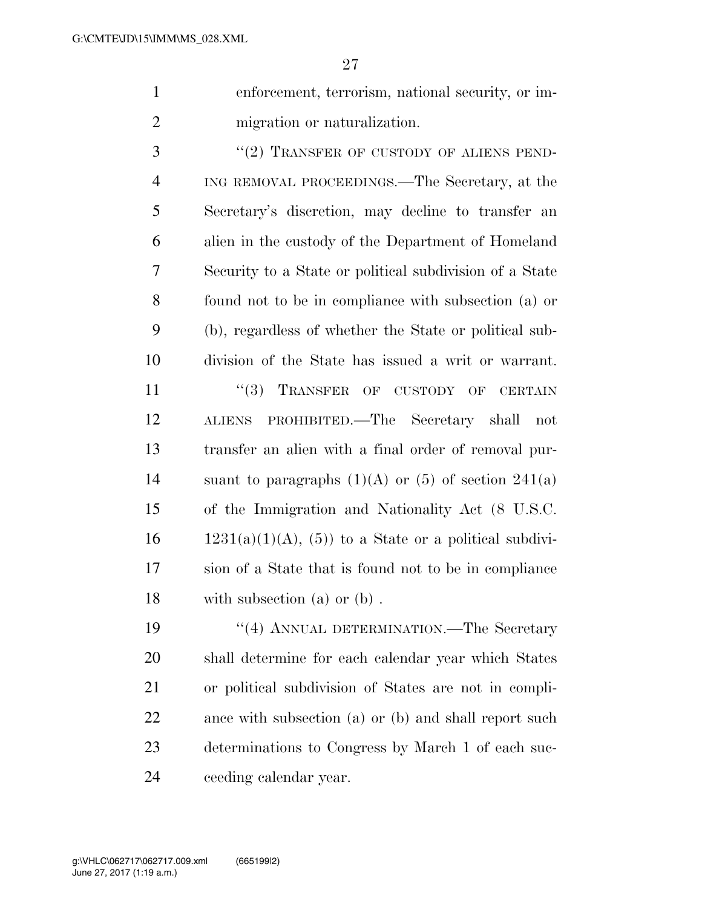enforcement, terrorism, national security, or im-migration or naturalization.

3 "(2) TRANSFER OF CUSTODY OF ALIENS PEND- ING REMOVAL PROCEEDINGS.—The Secretary, at the Secretary's discretion, may decline to transfer an alien in the custody of the Department of Homeland Security to a State or political subdivision of a State found not to be in compliance with subsection (a) or (b), regardless of whether the State or political sub-division of the State has issued a writ or warrant.

11 "(3) TRANSFER OF CUSTODY OF CERTAIN ALIENS PROHIBITED.—The Secretary shall not transfer an alien with a final order of removal pur-14 suant to paragraphs  $(1)(A)$  or  $(5)$  of section  $241(a)$  of the Immigration and Nationality Act (8 U.S.C.  $1231(a)(1)(A), (5)$  to a State or a political subdivi- sion of a State that is found not to be in compliance with subsection (a) or (b) .

 ''(4) ANNUAL DETERMINATION.—The Secretary shall determine for each calendar year which States or political subdivision of States are not in compli-22 ance with subsection (a) or (b) and shall report such determinations to Congress by March 1 of each suc-ceeding calendar year.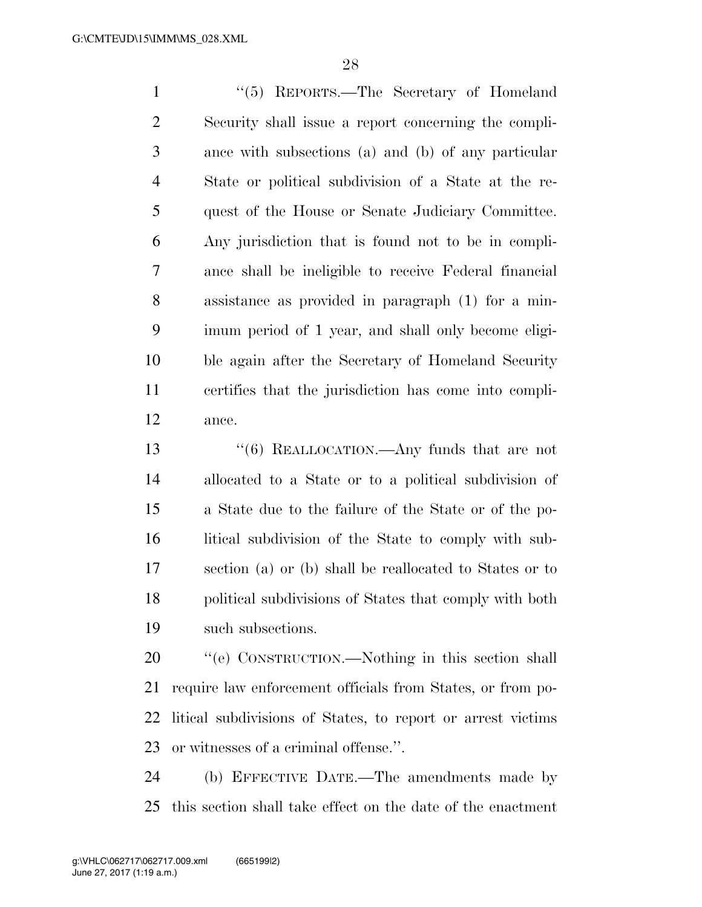''(5) REPORTS.—The Secretary of Homeland Security shall issue a report concerning the compli- ance with subsections (a) and (b) of any particular State or political subdivision of a State at the re- quest of the House or Senate Judiciary Committee. Any jurisdiction that is found not to be in compli- ance shall be ineligible to receive Federal financial assistance as provided in paragraph (1) for a min- imum period of 1 year, and shall only become eligi- ble again after the Secretary of Homeland Security certifies that the jurisdiction has come into compli-ance.

 ''(6) REALLOCATION.—Any funds that are not allocated to a State or to a political subdivision of a State due to the failure of the State or of the po- litical subdivision of the State to comply with sub- section (a) or (b) shall be reallocated to States or to political subdivisions of States that comply with both such subsections.

 ''(e) CONSTRUCTION.—Nothing in this section shall require law enforcement officials from States, or from po- litical subdivisions of States, to report or arrest victims or witnesses of a criminal offense.''.

 (b) EFFECTIVE DATE.—The amendments made by this section shall take effect on the date of the enactment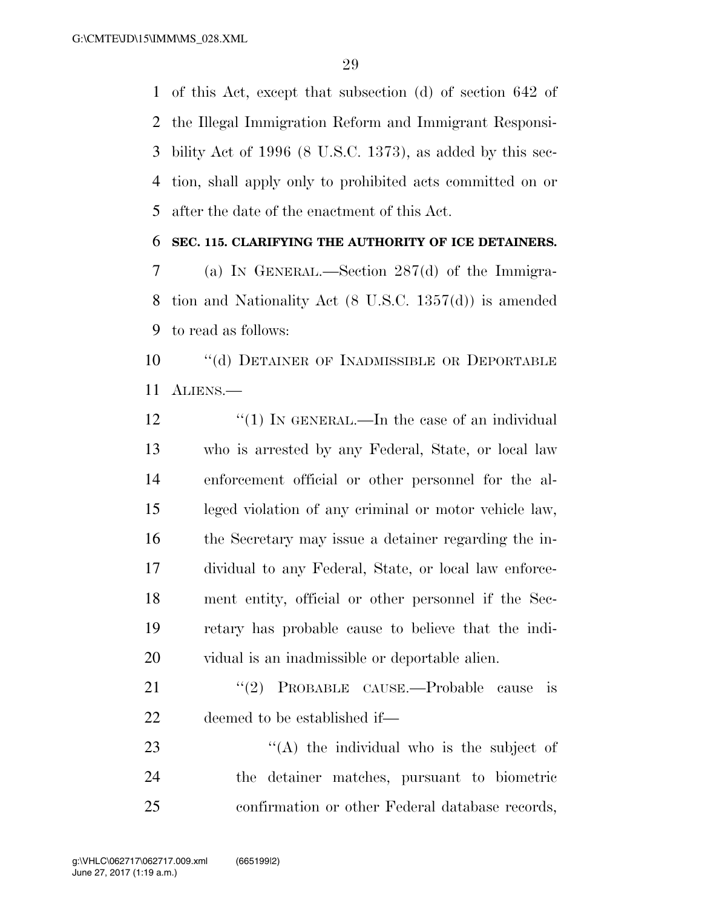of this Act, except that subsection (d) of section 642 of the Illegal Immigration Reform and Immigrant Responsi- bility Act of 1996 (8 U.S.C. 1373), as added by this sec- tion, shall apply only to prohibited acts committed on or after the date of the enactment of this Act.

### **SEC. 115. CLARIFYING THE AUTHORITY OF ICE DETAINERS.**

 (a) IN GENERAL.—Section 287(d) of the Immigra- tion and Nationality Act (8 U.S.C. 1357(d)) is amended to read as follows:

 ''(d) DETAINER OF INADMISSIBLE OR DEPORTABLE ALIENS.—

12 "(1) IN GENERAL.—In the case of an individual who is arrested by any Federal, State, or local law enforcement official or other personnel for the al- leged violation of any criminal or motor vehicle law, the Secretary may issue a detainer regarding the in- dividual to any Federal, State, or local law enforce- ment entity, official or other personnel if the Sec- retary has probable cause to believe that the indi-vidual is an inadmissible or deportable alien.

21 "(2) PROBABLE CAUSE.—Probable cause is deemed to be established if—

23 ''(A) the individual who is the subject of the detainer matches, pursuant to biometric confirmation or other Federal database records,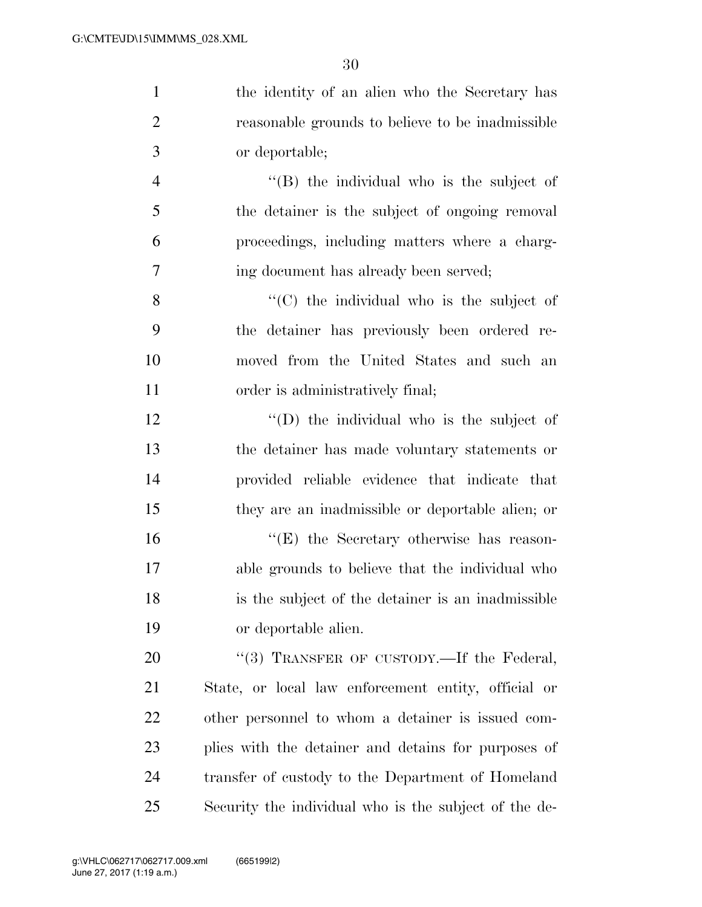| $\mathbf{1}$   | the identity of an alien who the Secretary has        |
|----------------|-------------------------------------------------------|
| $\overline{2}$ | reasonable grounds to believe to be inadmissible      |
| 3              | or deportable;                                        |
| $\overline{4}$ | $\lq\lq$ (B) the individual who is the subject of     |
| 5              | the detainer is the subject of ongoing removal        |
| 6              | proceedings, including matters where a charg-         |
| 7              | ing document has already been served;                 |
| 8              | $\cdot$ (C) the individual who is the subject of      |
| 9              | the detainer has previously been ordered re-          |
| 10             | moved from the United States and such an              |
| 11             | order is administratively final;                      |
| 12             | $\lq\lq$ the individual who is the subject of         |
| 13             | the detainer has made voluntary statements or         |
| 14             | provided reliable evidence that indicate that         |
| 15             | they are an inadmissible or deportable alien; or      |
| 16             | $\lq\lq(E)$ the Secretary otherwise has reason-       |
| 17             | able grounds to believe that the individual who       |
| 18             | is the subject of the detainer is an inadmissible     |
| 19             | or deportable alien.                                  |
| 20             | "(3) TRANSFER OF CUSTODY.—If the Federal,             |
| 21             | State, or local law enforcement entity, official or   |
| 22             | other personnel to whom a detainer is issued com-     |
| 23             | plies with the detainer and detains for purposes of   |
| 24             | transfer of custody to the Department of Homeland     |
| 25             | Security the individual who is the subject of the de- |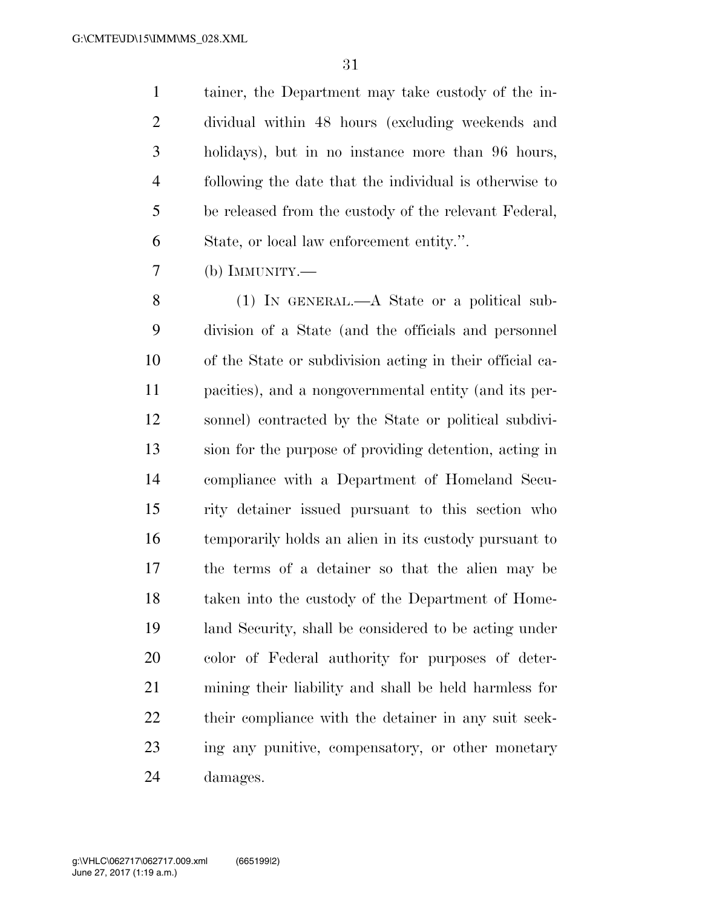tainer, the Department may take custody of the in- dividual within 48 hours (excluding weekends and holidays), but in no instance more than 96 hours, following the date that the individual is otherwise to be released from the custody of the relevant Federal, State, or local law enforcement entity.''.

(b) IMMUNITY.—

 (1) IN GENERAL.—A State or a political sub- division of a State (and the officials and personnel of the State or subdivision acting in their official ca- pacities), and a nongovernmental entity (and its per- sonnel) contracted by the State or political subdivi- sion for the purpose of providing detention, acting in compliance with a Department of Homeland Secu- rity detainer issued pursuant to this section who temporarily holds an alien in its custody pursuant to the terms of a detainer so that the alien may be taken into the custody of the Department of Home- land Security, shall be considered to be acting under color of Federal authority for purposes of deter- mining their liability and shall be held harmless for their compliance with the detainer in any suit seek- ing any punitive, compensatory, or other monetary damages.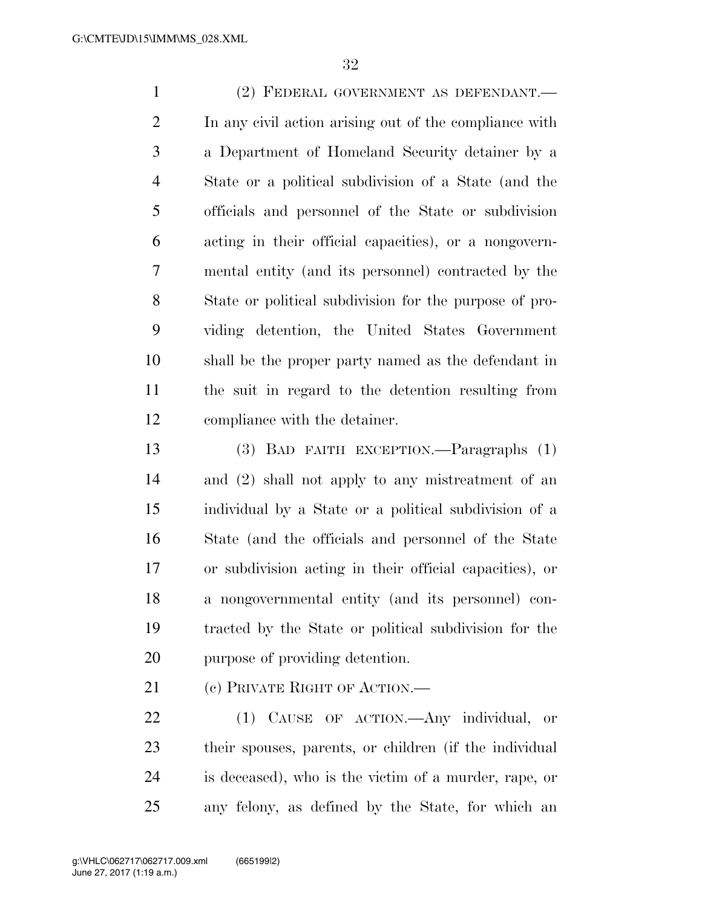(2) FEDERAL GOVERNMENT AS DEFENDANT.— In any civil action arising out of the compliance with a Department of Homeland Security detainer by a State or a political subdivision of a State (and the officials and personnel of the State or subdivision acting in their official capacities), or a nongovern- mental entity (and its personnel) contracted by the State or political subdivision for the purpose of pro- viding detention, the United States Government shall be the proper party named as the defendant in the suit in regard to the detention resulting from compliance with the detainer.

 (3) BAD FAITH EXCEPTION.—Paragraphs (1) and (2) shall not apply to any mistreatment of an individual by a State or a political subdivision of a State (and the officials and personnel of the State or subdivision acting in their official capacities), or a nongovernmental entity (and its personnel) con- tracted by the State or political subdivision for the purpose of providing detention.

21 (c) PRIVATE RIGHT OF ACTION.—

 (1) CAUSE OF ACTION.—Any individual, or their spouses, parents, or children (if the individual is deceased), who is the victim of a murder, rape, or any felony, as defined by the State, for which an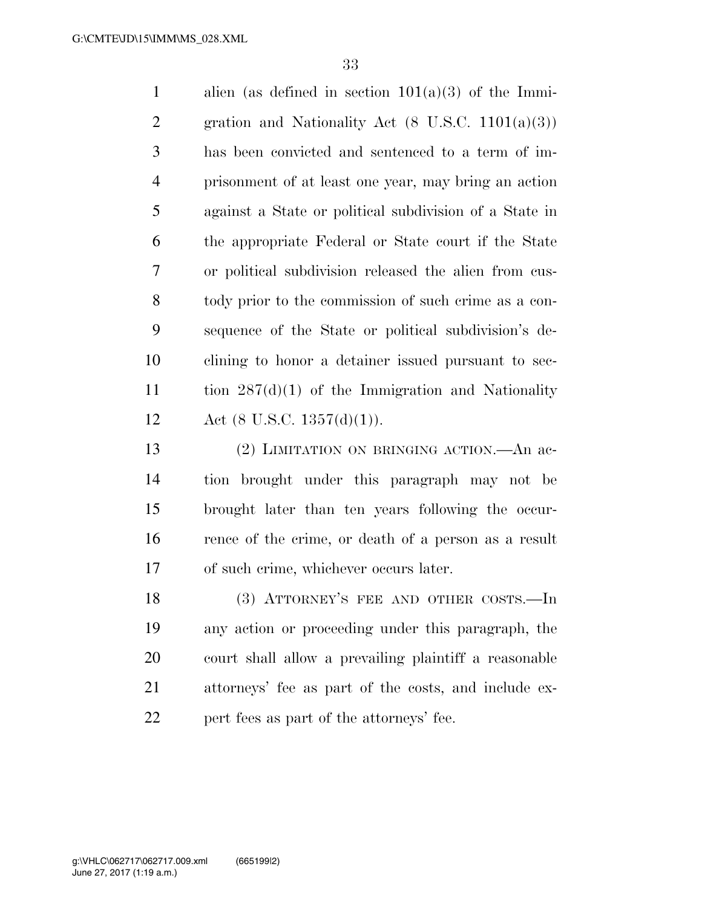1 alien (as defined in section  $101(a)(3)$  of the Immi-2 gration and Nationality Act  $(8 \text{ U.S.C. } 1101(a)(3))$  has been convicted and sentenced to a term of im- prisonment of at least one year, may bring an action against a State or political subdivision of a State in the appropriate Federal or State court if the State or political subdivision released the alien from cus- tody prior to the commission of such crime as a con- sequence of the State or political subdivision's de- clining to honor a detainer issued pursuant to sec- tion 287(d)(1) of the Immigration and Nationality 12 Act (8 U.S.C.  $1357(d)(1)$ ).

 (2) LIMITATION ON BRINGING ACTION.—An ac- tion brought under this paragraph may not be brought later than ten years following the occur- rence of the crime, or death of a person as a result of such crime, whichever occurs later.

18 (3) ATTORNEY'S FEE AND OTHER COSTS.—In any action or proceeding under this paragraph, the court shall allow a prevailing plaintiff a reasonable attorneys' fee as part of the costs, and include ex-22 pert fees as part of the attorneys' fee.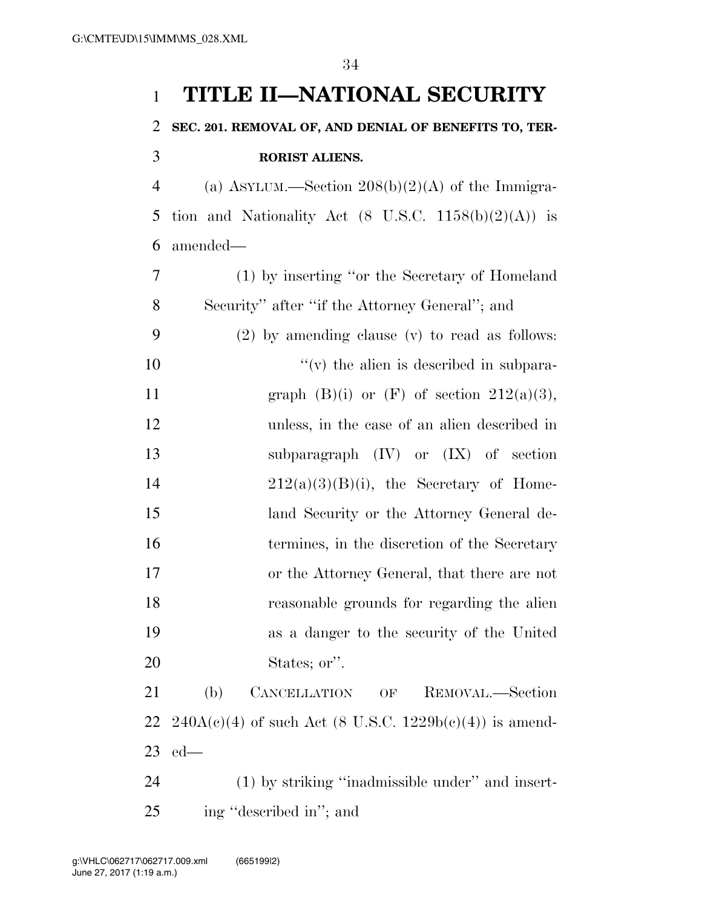## **TITLE II—NATIONAL SECURITY**

## **SEC. 201. REMOVAL OF, AND DENIAL OF BENEFITS TO, TER-RORIST ALIENS.**

 (a) ASYLUM.—Section 208(b)(2)(A) of the Immigra-5 tion and Nationality Act  $(8 \text{ U.S.C. } 1158(b)(2)(\text{A}))$  is amended—

| 7  | (1) by inserting "or the Secretary of Homeland                                      |
|----|-------------------------------------------------------------------------------------|
| 8  | Security" after "if the Attorney General"; and                                      |
| 9  | $(2)$ by amending clause $(v)$ to read as follows:                                  |
| 10 | $f'(v)$ the alien is described in subpara-                                          |
| 11 | graph $(B)(i)$ or $(F)$ of section $212(a)(3)$ ,                                    |
| 12 | unless, in the case of an alien described in                                        |
| 13 | subparagraph $(IV)$ or $(IX)$ of section                                            |
| 14 | $212(a)(3)(B)(i)$ , the Secretary of Home-                                          |
| 15 | land Security or the Attorney General de-                                           |
| 16 | termines, in the discretion of the Secretary                                        |
| 17 | or the Attorney General, that there are not                                         |
| 18 | reasonable grounds for regarding the alien                                          |
| 19 | as a danger to the security of the United                                           |
| 20 | States; or".                                                                        |
| 21 | (b)<br>CANCELLATION<br>REMOVAL.—Section<br>$\mathrm{OF}% \left( \mathcal{N}\right)$ |
| 22 | $240A(e)(4)$ of such Act (8 U.S.C. $1229b(e)(4)$ ) is amend-                        |
| 23 | $ed$ —                                                                              |
| 24 | (1) by striking "inadmissible under" and insert-                                    |
|    |                                                                                     |

ing ''described in''; and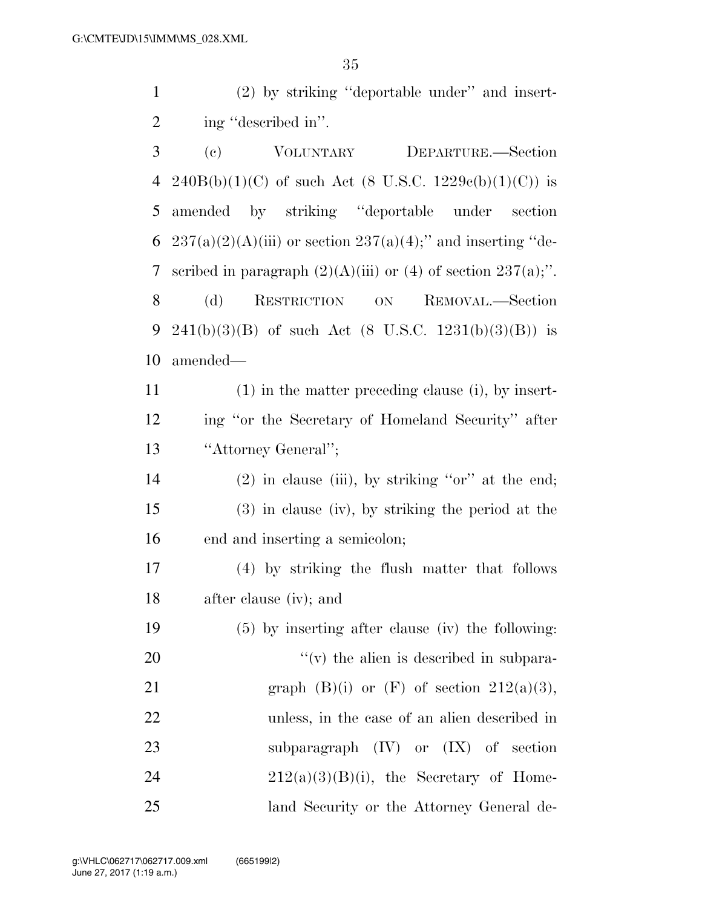(2) by striking ''deportable under'' and insert-ing ''described in''.

| 3  | $\left( \mathrm{e}\right)$<br>VOLUNTARY<br>DEPARTURE.-Section       |
|----|---------------------------------------------------------------------|
| 4  | $240B(b)(1)(C)$ of such Act (8 U.S.C. 1229c(b)(1)(C)) is            |
| 5  | amended by striking "deportable under<br>section                    |
| 6  | $237(a)(2)(A)(iii)$ or section $237(a)(4)$ ;" and inserting "de-    |
| 7  | scribed in paragraph $(2)(A)(iii)$ or $(4)$ of section $237(a)$ ;". |
| 8  | (d)<br>RESTRICTION ON<br>REMOVAL.—Section                           |
| 9  | $241(b)(3)(B)$ of such Act $(8 \text{ U.S.C. } 1231(b)(3)(B))$ is   |
| 10 | amended—                                                            |
| 11 | $(1)$ in the matter preceding clause (i), by insert-                |
| 12 | ing "or the Secretary of Homeland Security" after                   |
| 13 | "Attorney General";                                                 |
| 14 | $(2)$ in clause (iii), by striking "or" at the end;                 |
| 15 | $(3)$ in clause (iv), by striking the period at the                 |
| 16 | end and inserting a semicolon;                                      |
| 17 | (4) by striking the flush matter that follows                       |
| 18 | after clause (iv); and                                              |
| 19 | $(5)$ by inserting after clause (iv) the following:                 |
| 20 | $f'(v)$ the alien is described in subpara-                          |
| 21 | graph $(B)(i)$ or $(F)$ of section $212(a)(3)$ ,                    |
| 22 | unless, in the case of an alien described in                        |
| 23 | subparagraph $(IV)$ or $(IX)$ of section                            |
| 24 | $212(a)(3)(B)(i)$ , the Secretary of Home-                          |
| 25 | land Security or the Attorney General de-                           |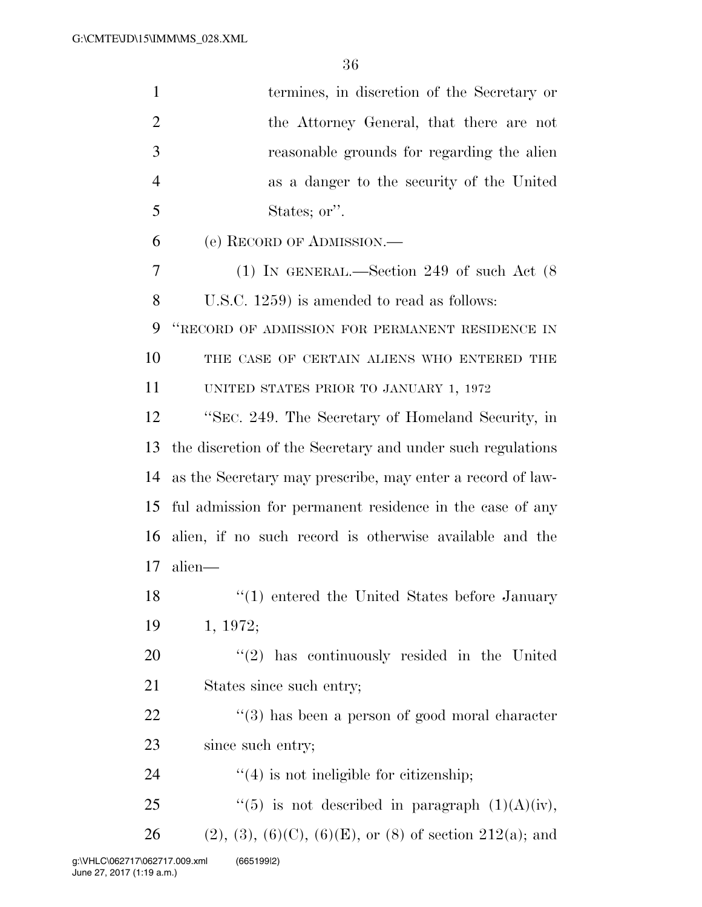| $\mathbf{1}$   | termines, in discretion of the Secretary or                    |
|----------------|----------------------------------------------------------------|
| $\overline{2}$ | the Attorney General, that there are not                       |
| 3              | reasonable grounds for regarding the alien                     |
| $\overline{4}$ | as a danger to the security of the United                      |
| 5              | States; or".                                                   |
| 6              | (e) RECORD OF ADMISSION.—                                      |
| 7              | (1) IN GENERAL.—Section 249 of such Act $(8)$                  |
| 8              | U.S.C. 1259) is amended to read as follows:                    |
| 9              | "RECORD OF ADMISSION FOR PERMANENT RESIDENCE IN                |
| 10             | THE CASE OF CERTAIN ALIENS WHO ENTERED THE                     |
| 11             | UNITED STATES PRIOR TO JANUARY 1, 1972                         |
| 12             | "SEC. 249. The Secretary of Homeland Security, in              |
| 13             | the discretion of the Secretary and under such regulations     |
| 14             | as the Secretary may prescribe, may enter a record of law-     |
| 15             | ful admission for permanent residence in the case of any       |
| 16             | alien, if no such record is otherwise available and the        |
| 17             | alien-                                                         |
| 18             | $\lq(1)$ entered the United States before January              |
| 19             | 1, 1972;                                                       |
| 20             | $\lq(2)$ has continuously resided in the United                |
| 21             | States since such entry;                                       |
| 22             | $(3)$ has been a person of good moral character                |
| 23             | since such entry;                                              |
| 24             | $\lq(4)$ is not ineligible for citizenship;                    |
| 25             | "(5) is not described in paragraph $(1)(A)(iv)$ ,              |
| 26             | $(2), (3), (6)(C), (6)(E),$ or $(8)$ of section $212(a)$ ; and |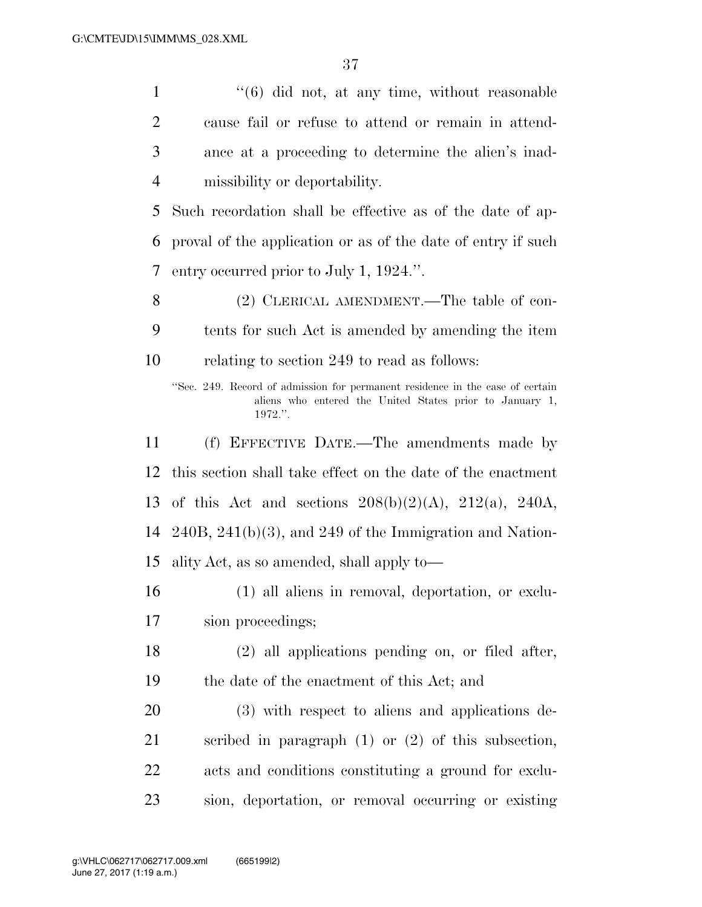1 ''(6) did not, at any time, without reasonable

 cause fail or refuse to attend or remain in attend- ance at a proceeding to determine the alien's inad- missibility or deportability. Such recordation shall be effective as of the date of ap- proval of the application or as of the date of entry if such entry occurred prior to July 1, 1924.''. (2) CLERICAL AMENDMENT.—The table of con- tents for such Act is amended by amending the item relating to section 249 to read as follows: ''Sec. 249. Record of admission for permanent residence in the case of certain aliens who entered the United States prior to January 1, 1972.''. (f) EFFECTIVE DATE.—The amendments made by this section shall take effect on the date of the enactment of this Act and sections 208(b)(2)(A), 212(a), 240A, 240B, 241(b)(3), and 249 of the Immigration and Nation- ality Act, as so amended, shall apply to— (1) all aliens in removal, deportation, or exclu- sion proceedings; (2) all applications pending on, or filed after, the date of the enactment of this Act; and (3) with respect to aliens and applications de- scribed in paragraph (1) or (2) of this subsection, acts and conditions constituting a ground for exclu-sion, deportation, or removal occurring or existing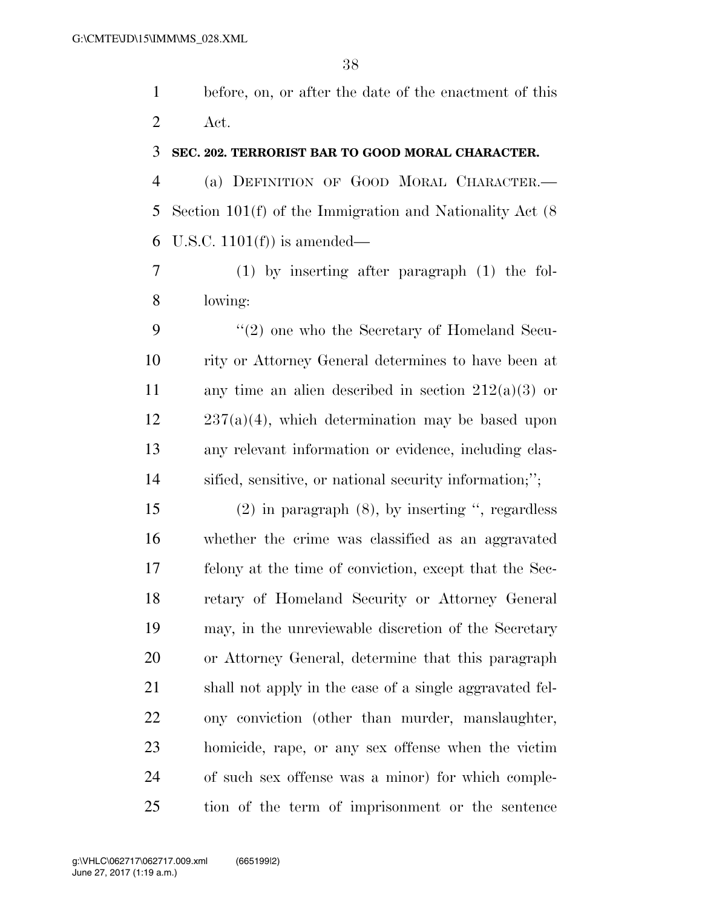before, on, or after the date of the enactment of this Act.

### **SEC. 202. TERRORIST BAR TO GOOD MORAL CHARACTER.**

 (a) DEFINITION OF GOOD MORAL CHARACTER.— Section 101(f) of the Immigration and Nationality Act (8 6 U.S.C.  $1101(f)$  is amended—

 (1) by inserting after paragraph (1) the fol-lowing:

9 "(2) one who the Secretary of Homeland Secu- rity or Attorney General determines to have been at 11 any time an alien described in section  $212(a)(3)$  or  $12 \qquad 237(a)(4)$ , which determination may be based upon any relevant information or evidence, including clas-sified, sensitive, or national security information;'';

 (2) in paragraph (8), by inserting '', regardless whether the crime was classified as an aggravated felony at the time of conviction, except that the Sec- retary of Homeland Security or Attorney General may, in the unreviewable discretion of the Secretary or Attorney General, determine that this paragraph shall not apply in the case of a single aggravated fel- ony conviction (other than murder, manslaughter, homicide, rape, or any sex offense when the victim of such sex offense was a minor) for which comple-tion of the term of imprisonment or the sentence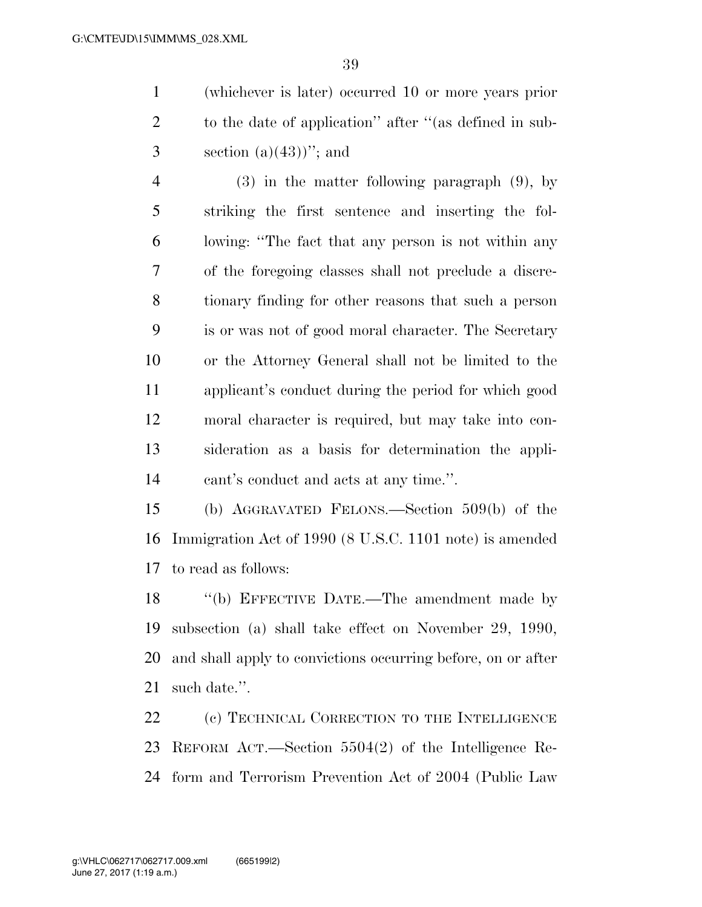(whichever is later) occurred 10 or more years prior to the date of application'' after ''(as defined in sub-3 section  $(a)(43)$ "; and

 (3) in the matter following paragraph (9), by striking the first sentence and inserting the fol- lowing: ''The fact that any person is not within any of the foregoing classes shall not preclude a discre- tionary finding for other reasons that such a person is or was not of good moral character. The Secretary or the Attorney General shall not be limited to the applicant's conduct during the period for which good moral character is required, but may take into con- sideration as a basis for determination the appli-cant's conduct and acts at any time.''.

 (b) AGGRAVATED FELONS.—Section 509(b) of the Immigration Act of 1990 (8 U.S.C. 1101 note) is amended to read as follows:

18 "(b) EFFECTIVE DATE.—The amendment made by subsection (a) shall take effect on November 29, 1990, and shall apply to convictions occurring before, on or after such date.''.

 (c) TECHNICAL CORRECTION TO THE INTELLIGENCE REFORM ACT.—Section 5504(2) of the Intelligence Re-form and Terrorism Prevention Act of 2004 (Public Law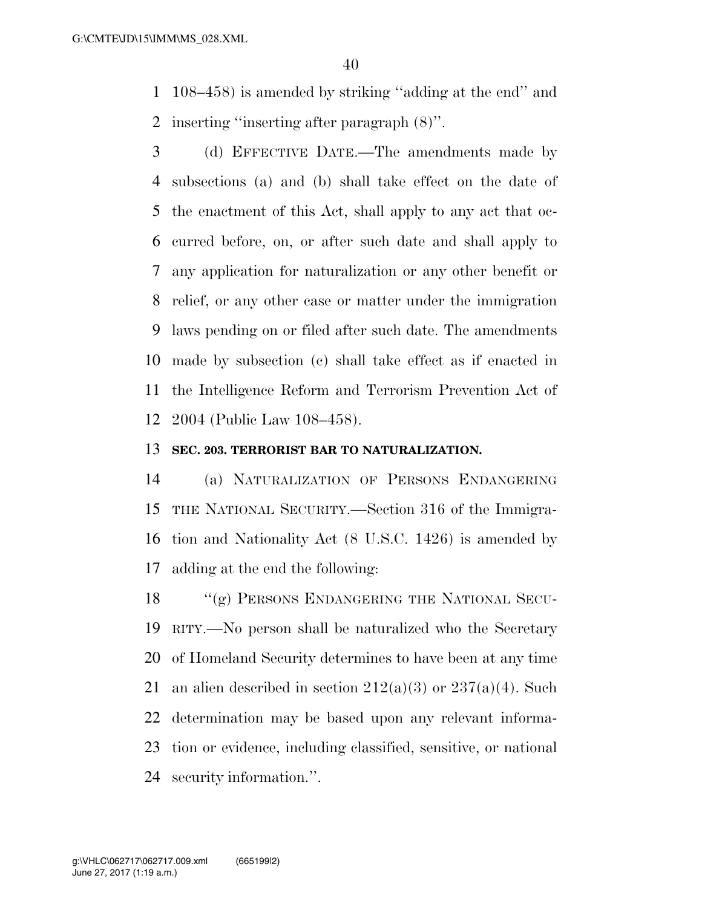108–458) is amended by striking ''adding at the end'' and inserting ''inserting after paragraph (8)''.

 (d) EFFECTIVE DATE.—The amendments made by subsections (a) and (b) shall take effect on the date of the enactment of this Act, shall apply to any act that oc- curred before, on, or after such date and shall apply to any application for naturalization or any other benefit or relief, or any other case or matter under the immigration laws pending on or filed after such date. The amendments made by subsection (c) shall take effect as if enacted in the Intelligence Reform and Terrorism Prevention Act of 2004 (Public Law 108–458).

### **SEC. 203. TERRORIST BAR TO NATURALIZATION.**

 (a) NATURALIZATION OF PERSONS ENDANGERING THE NATIONAL SECURITY.—Section 316 of the Immigra- tion and Nationality Act (8 U.S.C. 1426) is amended by adding at the end the following:

18 "(g) PERSONS ENDANGERING THE NATIONAL SECU- RITY.—No person shall be naturalized who the Secretary of Homeland Security determines to have been at any time 21 an alien described in section  $212(a)(3)$  or  $237(a)(4)$ . Such determination may be based upon any relevant informa- tion or evidence, including classified, sensitive, or national security information.''.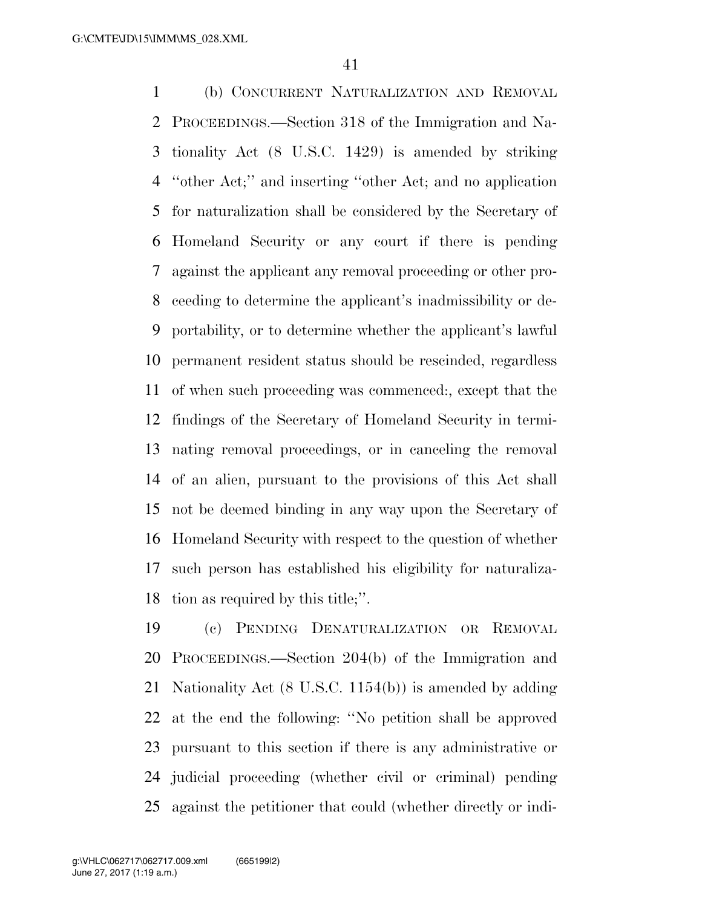(b) CONCURRENT NATURALIZATION AND REMOVAL PROCEEDINGS.—Section 318 of the Immigration and Na- tionality Act (8 U.S.C. 1429) is amended by striking ''other Act;'' and inserting ''other Act; and no application for naturalization shall be considered by the Secretary of Homeland Security or any court if there is pending against the applicant any removal proceeding or other pro- ceeding to determine the applicant's inadmissibility or de- portability, or to determine whether the applicant's lawful permanent resident status should be rescinded, regardless of when such proceeding was commenced:, except that the findings of the Secretary of Homeland Security in termi- nating removal proceedings, or in canceling the removal of an alien, pursuant to the provisions of this Act shall not be deemed binding in any way upon the Secretary of Homeland Security with respect to the question of whether such person has established his eligibility for naturaliza-tion as required by this title;''.

 (c) PENDING DENATURALIZATION OR REMOVAL PROCEEDINGS.—Section 204(b) of the Immigration and Nationality Act (8 U.S.C. 1154(b)) is amended by adding at the end the following: ''No petition shall be approved pursuant to this section if there is any administrative or judicial proceeding (whether civil or criminal) pending against the petitioner that could (whether directly or indi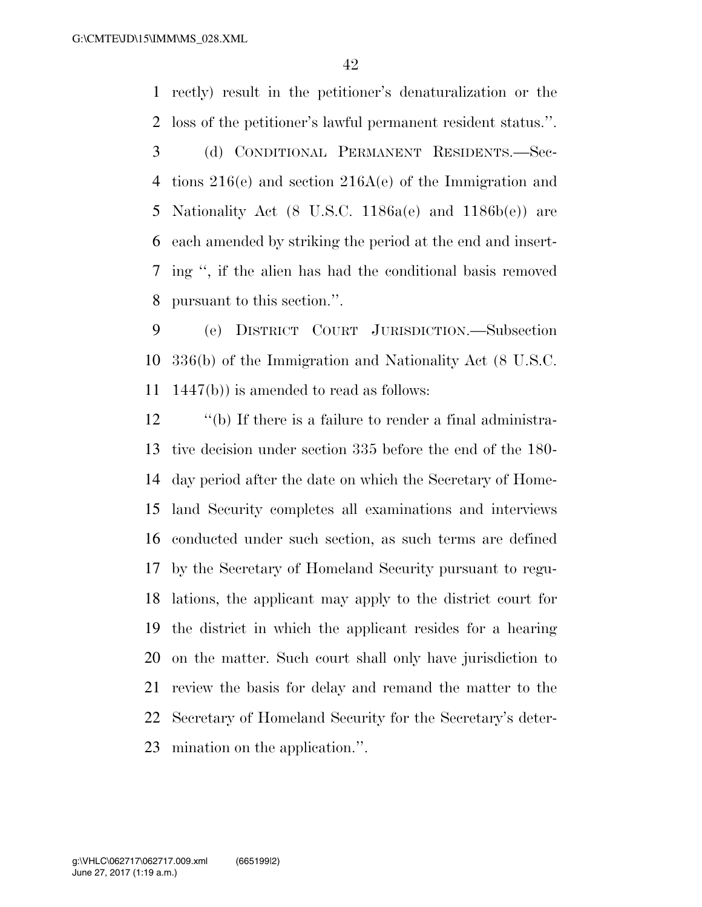rectly) result in the petitioner's denaturalization or the loss of the petitioner's lawful permanent resident status.''.

 (d) CONDITIONAL PERMANENT RESIDENTS.—Sec- tions 216(e) and section 216A(e) of the Immigration and Nationality Act (8 U.S.C. 1186a(e) and 1186b(e)) are each amended by striking the period at the end and insert- ing '', if the alien has had the conditional basis removed pursuant to this section.''.

 (e) DISTRICT COURT JURISDICTION.—Subsection 336(b) of the Immigration and Nationality Act (8 U.S.C. 1447(b)) is amended to read as follows:

 ''(b) If there is a failure to render a final administra- tive decision under section 335 before the end of the 180- day period after the date on which the Secretary of Home- land Security completes all examinations and interviews conducted under such section, as such terms are defined by the Secretary of Homeland Security pursuant to regu- lations, the applicant may apply to the district court for the district in which the applicant resides for a hearing on the matter. Such court shall only have jurisdiction to review the basis for delay and remand the matter to the Secretary of Homeland Security for the Secretary's deter-mination on the application.''.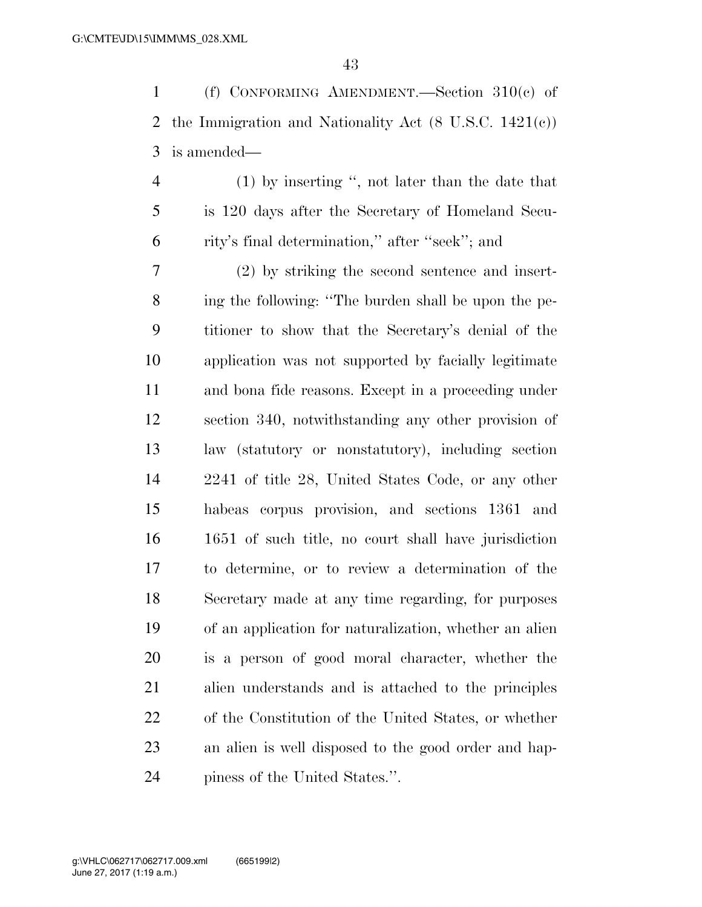(f) CONFORMING AMENDMENT.—Section 310(c) of the Immigration and Nationality Act (8 U.S.C. 1421(c)) is amended—

 (1) by inserting '', not later than the date that is 120 days after the Secretary of Homeland Secu-rity's final determination,'' after ''seek''; and

 (2) by striking the second sentence and insert- ing the following: ''The burden shall be upon the pe- titioner to show that the Secretary's denial of the application was not supported by facially legitimate and bona fide reasons. Except in a proceeding under section 340, notwithstanding any other provision of law (statutory or nonstatutory), including section 2241 of title 28, United States Code, or any other habeas corpus provision, and sections 1361 and 1651 of such title, no court shall have jurisdiction to determine, or to review a determination of the Secretary made at any time regarding, for purposes of an application for naturalization, whether an alien is a person of good moral character, whether the alien understands and is attached to the principles of the Constitution of the United States, or whether an alien is well disposed to the good order and hap-piness of the United States.''.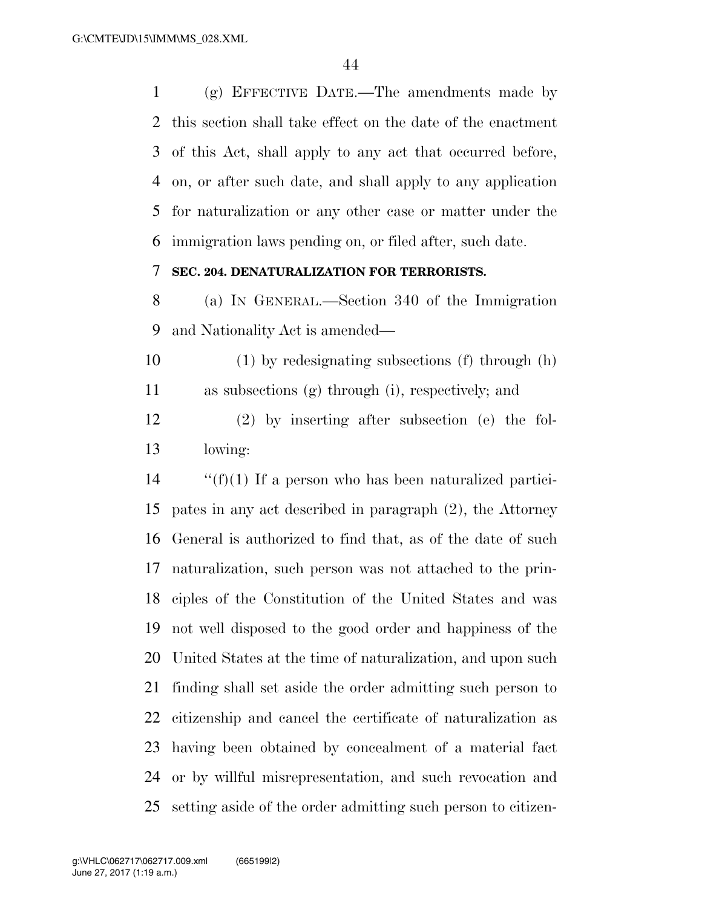(g) EFFECTIVE DATE.—The amendments made by this section shall take effect on the date of the enactment of this Act, shall apply to any act that occurred before, on, or after such date, and shall apply to any application for naturalization or any other case or matter under the immigration laws pending on, or filed after, such date.

### **SEC. 204. DENATURALIZATION FOR TERRORISTS.**

 (a) IN GENERAL.—Section 340 of the Immigration and Nationality Act is amended—

 (1) by redesignating subsections (f) through (h) as subsections (g) through (i), respectively; and

 (2) by inserting after subsection (e) the fol-lowing:

 ''(f)(1) If a person who has been naturalized partici- pates in any act described in paragraph (2), the Attorney General is authorized to find that, as of the date of such naturalization, such person was not attached to the prin- ciples of the Constitution of the United States and was not well disposed to the good order and happiness of the United States at the time of naturalization, and upon such finding shall set aside the order admitting such person to citizenship and cancel the certificate of naturalization as having been obtained by concealment of a material fact or by willful misrepresentation, and such revocation and setting aside of the order admitting such person to citizen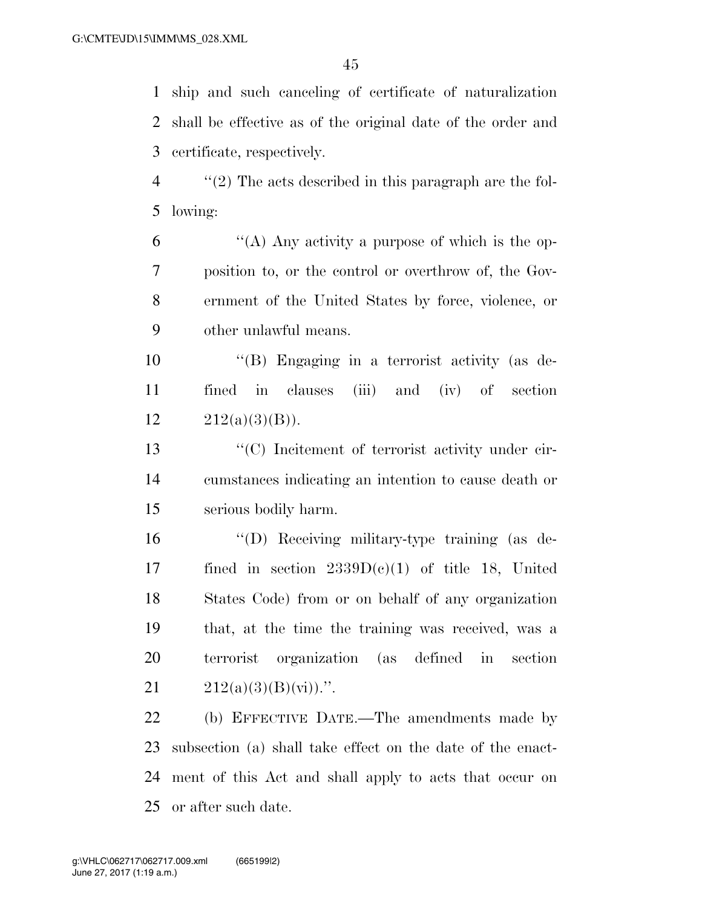ship and such canceling of certificate of naturalization shall be effective as of the original date of the order and certificate, respectively.

 ''(2) The acts described in this paragraph are the fol-lowing:

 $(4)$  Any activity a purpose of which is the op- position to, or the control or overthrow of, the Gov- ernment of the United States by force, violence, or other unlawful means.

 ''(B) Engaging in a terrorist activity (as de- fined in clauses (iii) and (iv) of section 12  $212(a)(3)(B)$ .

 ''(C) Incitement of terrorist activity under cir- cumstances indicating an intention to cause death or serious bodily harm.

 ''(D) Receiving military-type training (as de-17 fined in section  $2339D(e)(1)$  of title 18, United States Code) from or on behalf of any organization that, at the time the training was received, was a terrorist organization (as defined in section  $212(a)(3)(B)(\overline{v})$ .

 (b) EFFECTIVE DATE.—The amendments made by subsection (a) shall take effect on the date of the enact- ment of this Act and shall apply to acts that occur on or after such date.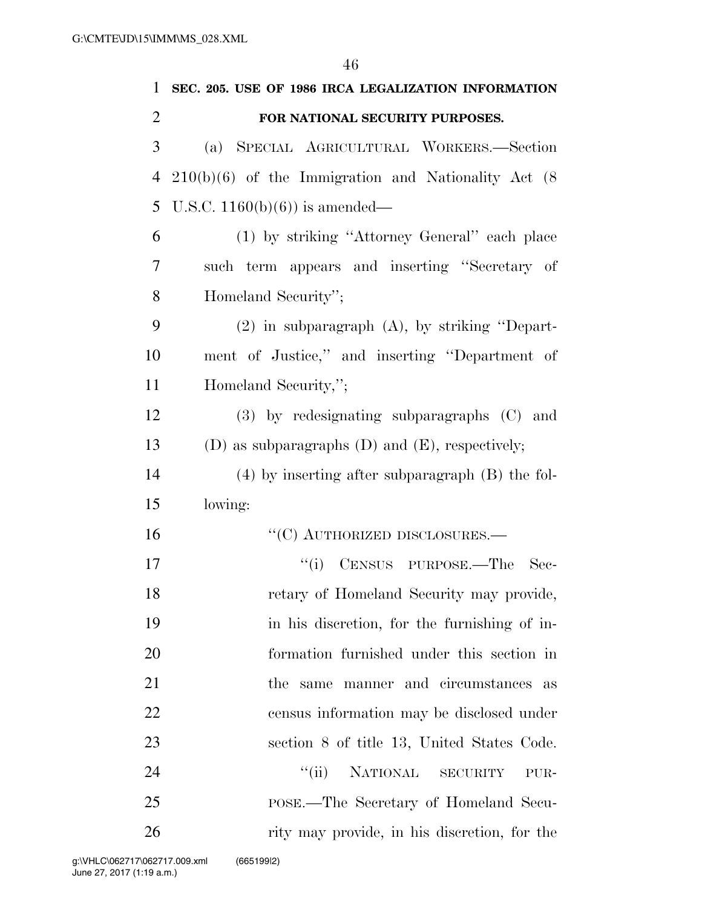| $\mathbf{1}$   | SEC. 205. USE OF 1986 IRCA LEGALIZATION INFORMATION      |
|----------------|----------------------------------------------------------|
| $\overline{2}$ | FOR NATIONAL SECURITY PURPOSES.                          |
| 3              | (a) SPECIAL AGRICULTURAL WORKERS.—Section                |
| 4              | $210(b)(6)$ of the Immigration and Nationality Act $(8)$ |
| 5              | U.S.C. $1160(b)(6)$ is amended—                          |
| 6              | (1) by striking "Attorney General" each place            |
| 7              | such term appears and inserting "Secretary of            |
| 8              | Homeland Security";                                      |
| 9              | $(2)$ in subparagraph $(A)$ , by striking "Depart-       |
| 10             | ment of Justice," and inserting "Department of           |
| 11             | Homeland Security,";                                     |
| 12             | $(3)$ by redesignating subparagraphs $(C)$ and           |
| 13             | (D) as subparagraphs (D) and (E), respectively;          |
| 14             | $(4)$ by inserting after subparagraph $(B)$ the fol-     |
| 15             | lowing:                                                  |
| 16             | $``(C)$ AUTHORIZED DISCLOSURES.—                         |
| 17             | "(i) CENSUS PURPOSE.—The<br>Sec-                         |
| 18             | retary of Homeland Security may provide,                 |
| 19             | in his discretion, for the furnishing of in-             |
| 20             | formation furnished under this section in                |
| 21             | the same manner and circumstances<br>as                  |
| 22             | census information may be disclosed under                |
| 23             | section 8 of title 13, United States Code.               |
| 24             | ``(ii)<br>NATIONAL SECURITY<br>PUR-                      |
| 25             | POSE.—The Secretary of Homeland Secu-                    |
| 26             | rity may provide, in his discretion, for the             |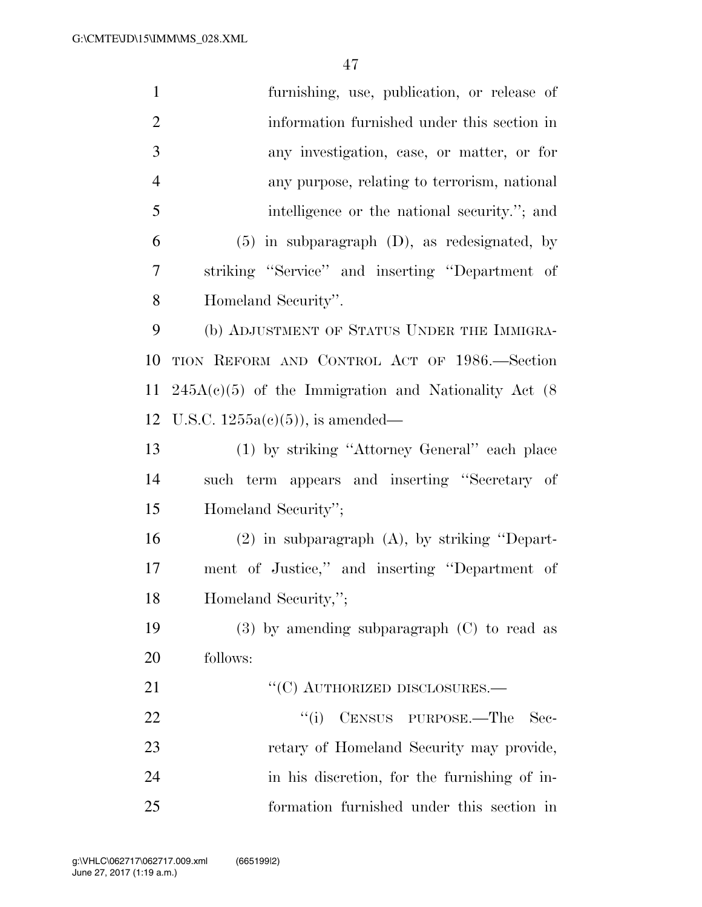| $\mathbf{1}$   | furnishing, use, publication, or release of               |
|----------------|-----------------------------------------------------------|
| $\overline{2}$ | information furnished under this section in               |
| 3              | any investigation, case, or matter, or for                |
| $\overline{4}$ | any purpose, relating to terrorism, national              |
| 5              | intelligence or the national security."; and              |
| 6              | $(5)$ in subparagraph $(D)$ , as redesignated, by         |
| 7              | striking "Service" and inserting "Department of           |
| 8              | Homeland Security".                                       |
| 9              | (b) ADJUSTMENT OF STATUS UNDER THE IMMIGRA-               |
| 10             | TION REFORM AND CONTROL ACT OF 1986. Section              |
| <sup>11</sup>  | $245A(c)(5)$ of the Immigration and Nationality Act $(8)$ |
| 12             | U.S.C. $1255a(c)(5)$ , is amended—                        |
| 13             | (1) by striking "Attorney General" each place             |
| 14             | such term appears and inserting "Secretary of             |
| 15             | Homeland Security";                                       |
| 16             | $(2)$ in subparagraph $(A)$ , by striking "Depart-        |
| 17             | ment of Justice," and inserting "Department of            |
| 18             | Homeland Security,";                                      |
| 19             | $(3)$ by amending subparagraph $(C)$ to read as           |
| 20             | follows:                                                  |
| 21             | $``$ (C) AUTHORIZED DISCLOSURES.—                         |
| 22             | CENSUS PURPOSE.—The<br>``(i)<br>Sec-                      |
| 23             | retary of Homeland Security may provide,                  |
| 24             | in his discretion, for the furnishing of in-              |
| 25             | formation furnished under this section in                 |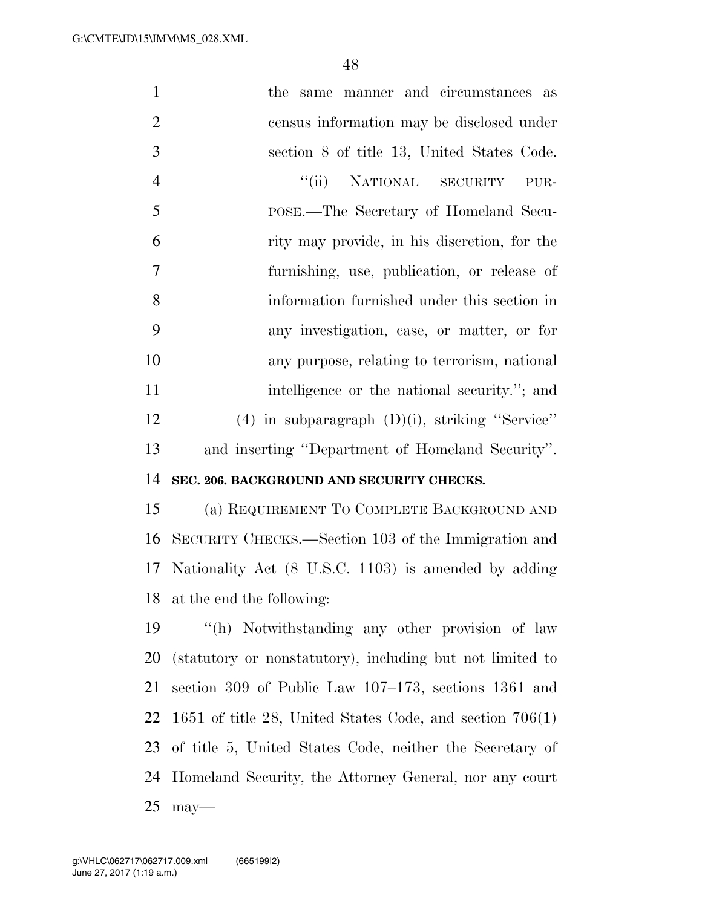| $\mathbf{1}$   | the same manner and circumstances as                       |
|----------------|------------------------------------------------------------|
| $\overline{2}$ | census information may be disclosed under                  |
| 3              | section 8 of title 13, United States Code.                 |
| $\overline{4}$ | "(ii) NATIONAL SECURITY<br>PUR-                            |
| 5              | POSE.—The Secretary of Homeland Secu-                      |
| 6              | rity may provide, in his discretion, for the               |
| 7              | furnishing, use, publication, or release of                |
| 8              | information furnished under this section in                |
| 9              | any investigation, case, or matter, or for                 |
| 10             | any purpose, relating to terrorism, national               |
| 11             | intelligence or the national security."; and               |
| 12             | $(4)$ in subparagraph $(D)(i)$ , striking "Service"        |
| 13             | and inserting "Department of Homeland Security".           |
|                |                                                            |
| 14             | SEC. 206. BACKGROUND AND SECURITY CHECKS.                  |
| 15             | (a) REQUIREMENT TO COMPLETE BACKGROUND AND                 |
| 16             | SECURITY CHECKS.—Section 103 of the Immigration and        |
| 17             | Nationality Act (8 U.S.C. 1103) is amended by adding       |
| 18             | at the end the following:                                  |
| 19             | "(h) Notwithstanding any other provision of law            |
| 20             | (statutory or nonstatutory), including but not limited to  |
| 21             | section 309 of Public Law 107–173, sections 1361 and       |
| 22             | 1651 of title 28, United States Code, and section $706(1)$ |
| 23             | of title 5, United States Code, neither the Secretary of   |

may—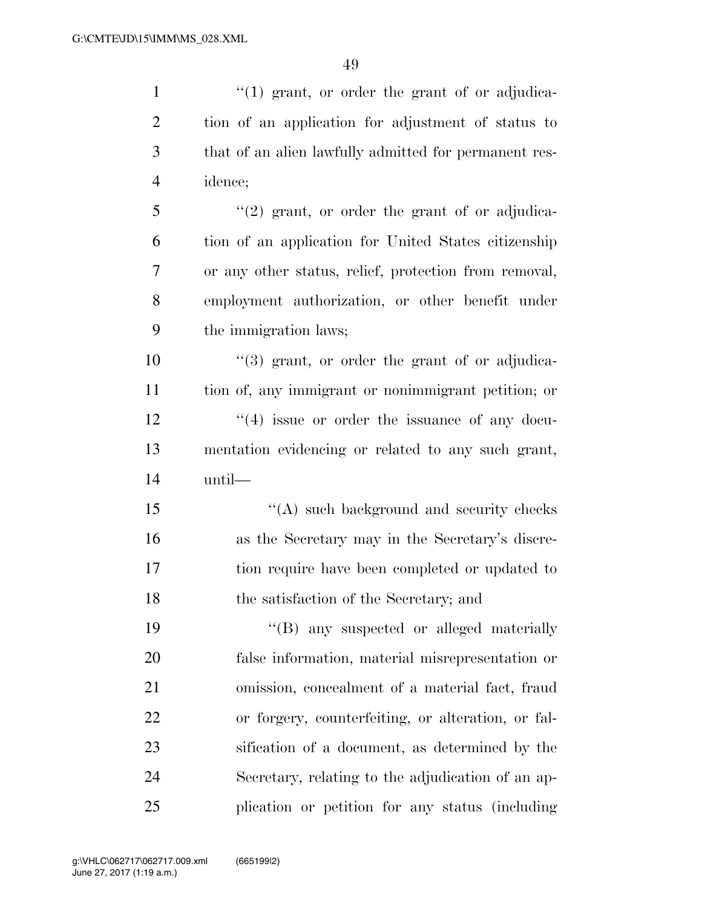| $\mathbf{1}$   | "(1) grant, or order the grant of or adjudica-        |
|----------------|-------------------------------------------------------|
| $\overline{2}$ | tion of an application for adjustment of status to    |
| 3              | that of an alien lawfully admitted for permanent res- |
| $\overline{4}$ | idence;                                               |
| 5              | $\lq(2)$ grant, or order the grant of or adjudica-    |
| 6              | tion of an application for United States citizenship  |
| 7              | or any other status, relief, protection from removal, |
| $8\,$          | employment authorization, or other benefit under      |
| 9              | the immigration laws;                                 |
| 10             | $\cdot$ (3) grant, or order the grant of or adjudica- |
| 11             | tion of, any immigrant or nonimmigrant petition; or   |
| 12             | $\cdot$ (4) issue or order the issuance of any docu-  |
| 13             | mentation evidencing or related to any such grant,    |
| 14             | until—                                                |
| 15             | $\lq\lq$ such background and security checks          |
| 16             | as the Secretary may in the Secretary's discre-       |
| 17             | tion require have been completed or updated to        |
| 18             | the satisfaction of the Secretary; and                |
| 19             | "(B) any suspected or alleged materially              |
| 20             | false information, material misrepresentation or      |
| 21             | omission, concealment of a material fact, fraud       |
| 22             | or forgery, counterfeiting, or alteration, or fal-    |
| 23             | sification of a document, as determined by the        |
| 24             | Secretary, relating to the adjudication of an ap-     |
| 25             | plication or petition for any status (including       |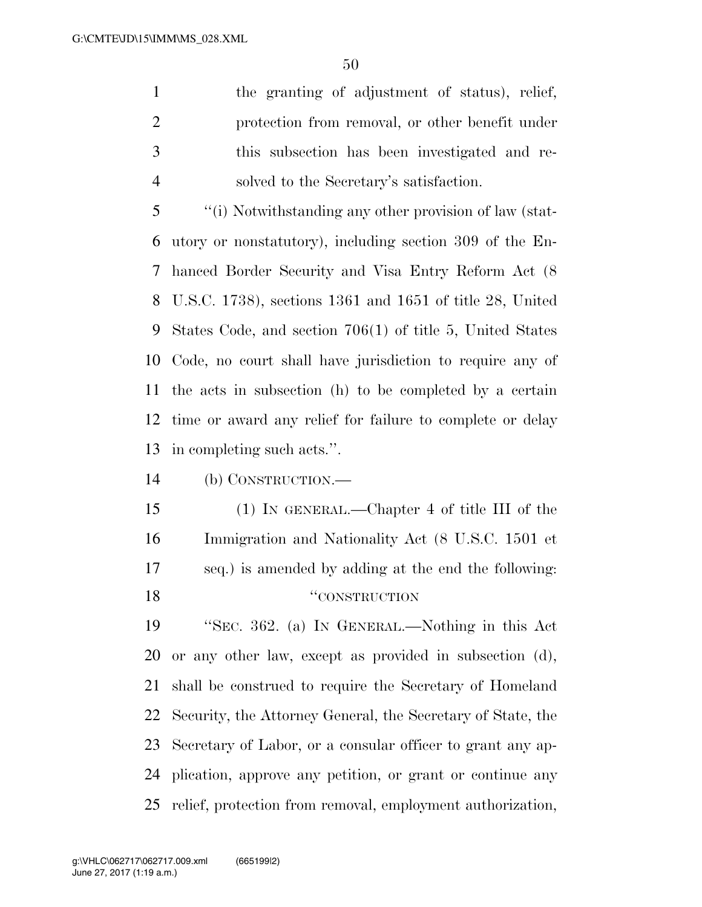the granting of adjustment of status), relief, protection from removal, or other benefit under this subsection has been investigated and re-solved to the Secretary's satisfaction.

 ''(i) Notwithstanding any other provision of law (stat- utory or nonstatutory), including section 309 of the En- hanced Border Security and Visa Entry Reform Act (8 U.S.C. 1738), sections 1361 and 1651 of title 28, United States Code, and section 706(1) of title 5, United States Code, no court shall have jurisdiction to require any of the acts in subsection (h) to be completed by a certain time or award any relief for failure to complete or delay in completing such acts.''.

(b) CONSTRUCTION.—

 (1) IN GENERAL.—Chapter 4 of title III of the Immigration and Nationality Act (8 U.S.C. 1501 et seq.) is amended by adding at the end the following: 18 "CONSTRUCTION"

 ''SEC. 362. (a) IN GENERAL.—Nothing in this Act or any other law, except as provided in subsection (d), shall be construed to require the Secretary of Homeland Security, the Attorney General, the Secretary of State, the Secretary of Labor, or a consular officer to grant any ap- plication, approve any petition, or grant or continue any relief, protection from removal, employment authorization,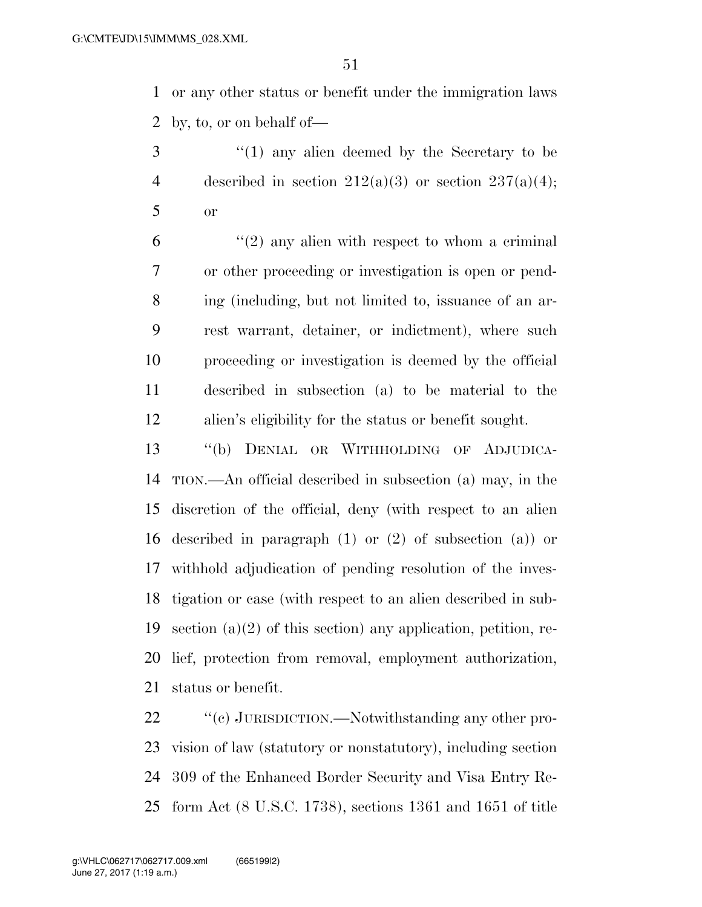or any other status or benefit under the immigration laws by, to, or on behalf of—

 ''(1) any alien deemed by the Secretary to be 4 described in section  $212(a)(3)$  or section  $237(a)(4)$ ; or

 ''(2) any alien with respect to whom a criminal or other proceeding or investigation is open or pend- ing (including, but not limited to, issuance of an ar- rest warrant, detainer, or indictment), where such proceeding or investigation is deemed by the official described in subsection (a) to be material to the alien's eligibility for the status or benefit sought.

 ''(b) DENIAL OR WITHHOLDING OF ADJUDICA- TION.—An official described in subsection (a) may, in the discretion of the official, deny (with respect to an alien described in paragraph (1) or (2) of subsection (a)) or withhold adjudication of pending resolution of the inves- tigation or case (with respect to an alien described in sub-19 section (a)(2) of this section) any application, petition, re- lief, protection from removal, employment authorization, status or benefit.

 $\cdot$  "(c) JURISDICTION.—Notwithstanding any other pro- vision of law (statutory or nonstatutory), including section 309 of the Enhanced Border Security and Visa Entry Re-form Act (8 U.S.C. 1738), sections 1361 and 1651 of title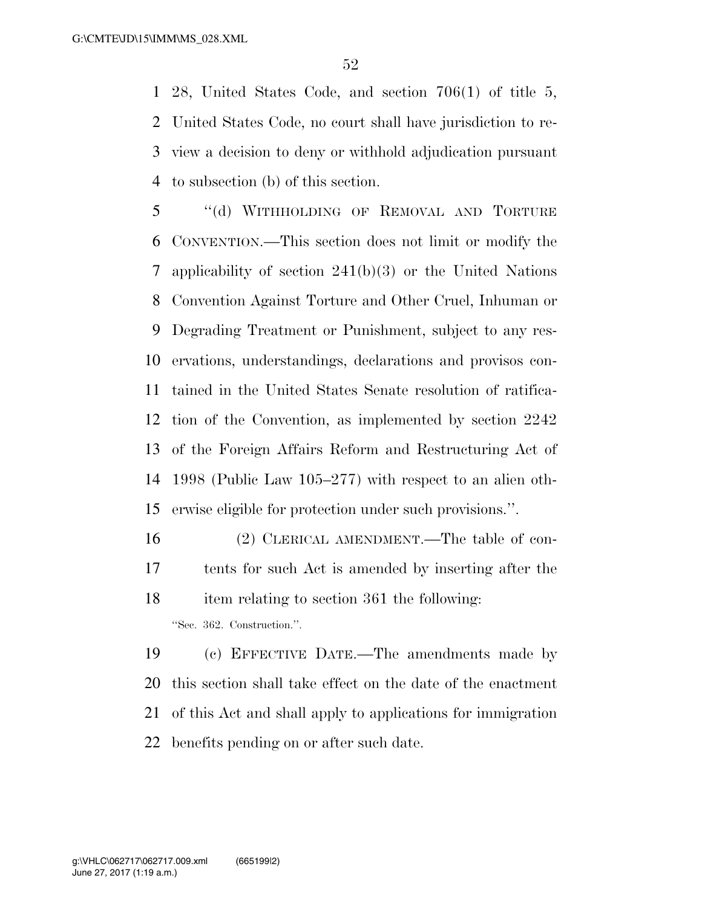28, United States Code, and section 706(1) of title 5, United States Code, no court shall have jurisdiction to re- view a decision to deny or withhold adjudication pursuant to subsection (b) of this section.

 ''(d) WITHHOLDING OF REMOVAL AND TORTURE CONVENTION.—This section does not limit or modify the applicability of section 241(b)(3) or the United Nations Convention Against Torture and Other Cruel, Inhuman or Degrading Treatment or Punishment, subject to any res- ervations, understandings, declarations and provisos con- tained in the United States Senate resolution of ratifica- tion of the Convention, as implemented by section 2242 of the Foreign Affairs Reform and Restructuring Act of 1998 (Public Law 105–277) with respect to an alien oth-erwise eligible for protection under such provisions.''.

 (2) CLERICAL AMENDMENT.—The table of con- tents for such Act is amended by inserting after the item relating to section 361 the following: ''Sec. 362. Construction.''.

 (c) EFFECTIVE DATE.—The amendments made by this section shall take effect on the date of the enactment of this Act and shall apply to applications for immigration benefits pending on or after such date.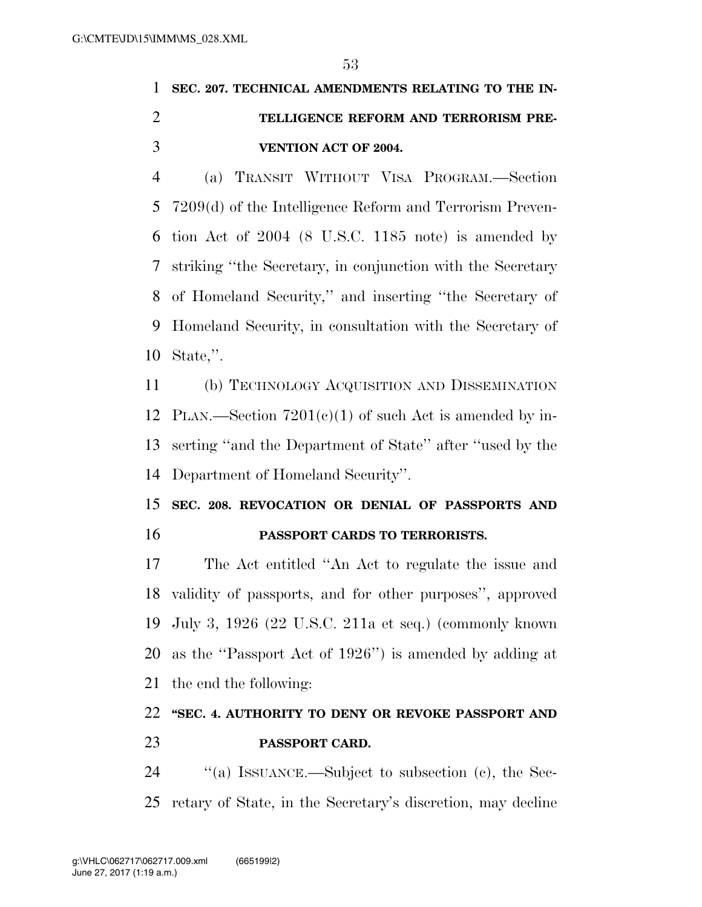## **SEC. 207. TECHNICAL AMENDMENTS RELATING TO THE IN- TELLIGENCE REFORM AND TERRORISM PRE-VENTION ACT OF 2004.**

 (a) TRANSIT WITHOUT VISA PROGRAM.—Section 7209(d) of the Intelligence Reform and Terrorism Preven- tion Act of 2004 (8 U.S.C. 1185 note) is amended by striking ''the Secretary, in conjunction with the Secretary of Homeland Security,'' and inserting ''the Secretary of Homeland Security, in consultation with the Secretary of State,''.

 (b) TECHNOLOGY ACQUISITION AND DISSEMINATION 12 PLAN.—Section  $7201(c)(1)$  of such Act is amended by in- serting ''and the Department of State'' after ''used by the Department of Homeland Security''.

## **SEC. 208. REVOCATION OR DENIAL OF PASSPORTS AND PASSPORT CARDS TO TERRORISTS.**

 The Act entitled ''An Act to regulate the issue and validity of passports, and for other purposes'', approved July 3, 1926 (22 U.S.C. 211a et seq.) (commonly known as the ''Passport Act of 1926'') is amended by adding at the end the following:

## **''SEC. 4. AUTHORITY TO DENY OR REVOKE PASSPORT AND PASSPORT CARD.**

24 "(a) ISSUANCE.—Subject to subsection (c), the Sec-retary of State, in the Secretary's discretion, may decline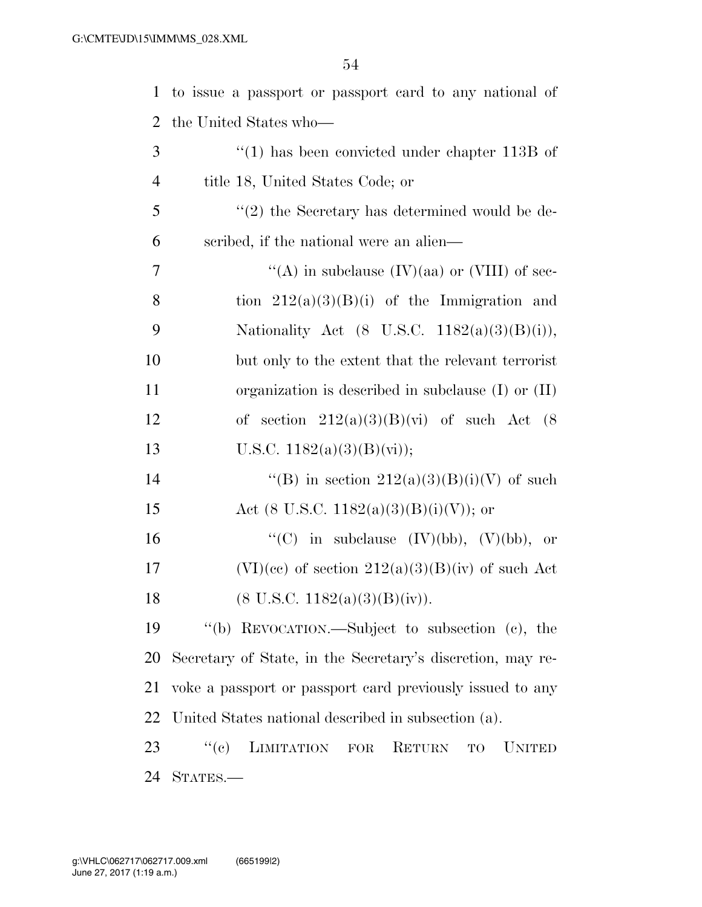| $\mathbf{1}$   | to issue a passport or passport card to any national of    |
|----------------|------------------------------------------------------------|
| 2              | the United States who—                                     |
| 3              | $\cdot$ (1) has been convicted under chapter 113B of       |
| $\overline{4}$ | title 18, United States Code; or                           |
| 5              | $\lq(2)$ the Secretary has determined would be de-         |
| 6              | scribed, if the national were an alien—                    |
| 7              | "(A) in subclause $(IV)(aa)$ or $(VIII)$ of sec-           |
| 8              | tion $212(a)(3)(B)(i)$ of the Immigration and              |
| 9              | Nationality Act $(8 \text{ U.S.C. } 1182(a)(3)(B)(i)),$    |
| 10             | but only to the extent that the relevant terrorist         |
| 11             | organization is described in subclause $(I)$ or $(II)$     |
| 12             | of section $212(a)(3)(B)(vi)$ of such Act $(8)$            |
| 13             | U.S.C. $1182(a)(3)(B)(vi)$ ;                               |
| 14             | "(B) in section $212(a)(3)(B)(i)(V)$ of such               |
| 15             | Act (8 U.S.C. 1182(a)(3)(B)(i)(V)); or                     |
| 16             | "(C) in subclause $(IV)(bb)$ , $(V)(bb)$ , or              |
| 17             | $(VI)(ce)$ of section $212(a)(3)(B)(iv)$ of such Act       |
| 18             | $(8 \text{ U.S.C. } 1182(a)(3)(B)(iv)).$                   |
| 19             | "(b) REVOCATION.—Subject to subsection (c), the            |
| 20             | Secretary of State, in the Secretary's discretion, may re- |
| 21             | voke a passport or passport card previously issued to any  |
| 22             | United States national described in subsection (a).        |
| 23             | LIMITATION FOR<br>``(e)<br>RETURN<br>UNITED<br><b>TO</b>   |
| 24             | STATES.—                                                   |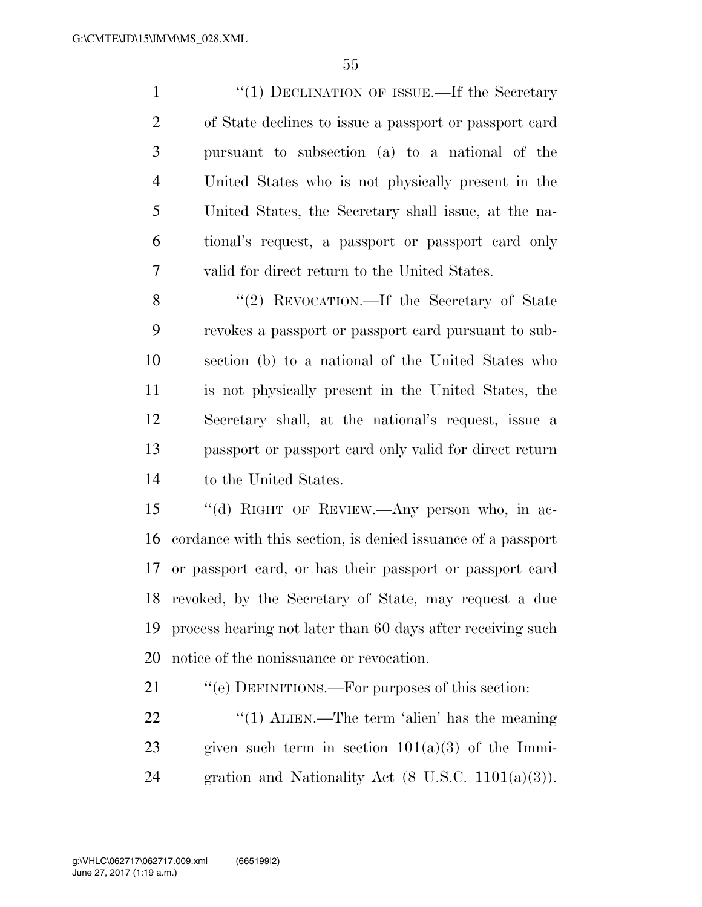1 "(1) DECLINATION OF ISSUE.—If the Secretary of State declines to issue a passport or passport card pursuant to subsection (a) to a national of the United States who is not physically present in the United States, the Secretary shall issue, at the na- tional's request, a passport or passport card only valid for direct return to the United States.

8 "(2) REVOCATION.—If the Secretary of State revokes a passport or passport card pursuant to sub- section (b) to a national of the United States who is not physically present in the United States, the Secretary shall, at the national's request, issue a passport or passport card only valid for direct return to the United States.

 ''(d) RIGHT OF REVIEW.—Any person who, in ac- cordance with this section, is denied issuance of a passport or passport card, or has their passport or passport card revoked, by the Secretary of State, may request a due process hearing not later than 60 days after receiving such notice of the nonissuance or revocation.

21 ""(e) DEFINITIONS.—For purposes of this section:

22  $\frac{1}{2}$   $\frac{1}{2}$   $\frac{1}{2}$   $\frac{1}{2}$   $\frac{1}{2}$   $\frac{1}{2}$   $\frac{1}{2}$   $\frac{1}{2}$   $\frac{1}{2}$   $\frac{1}{2}$   $\frac{1}{2}$   $\frac{1}{2}$   $\frac{1}{2}$   $\frac{1}{2}$   $\frac{1}{2}$   $\frac{1}{2}$   $\frac{1}{2}$   $\frac{1}{2}$   $\frac{1}{2}$   $\frac{1}{2}$   $\frac{1}{2}$   $\frac{1}{2}$ 23 given such term in section  $101(a)(3)$  of the Immi-24 gration and Nationality Act  $(8 \text{ U.S.C. } 1101(a)(3))$ .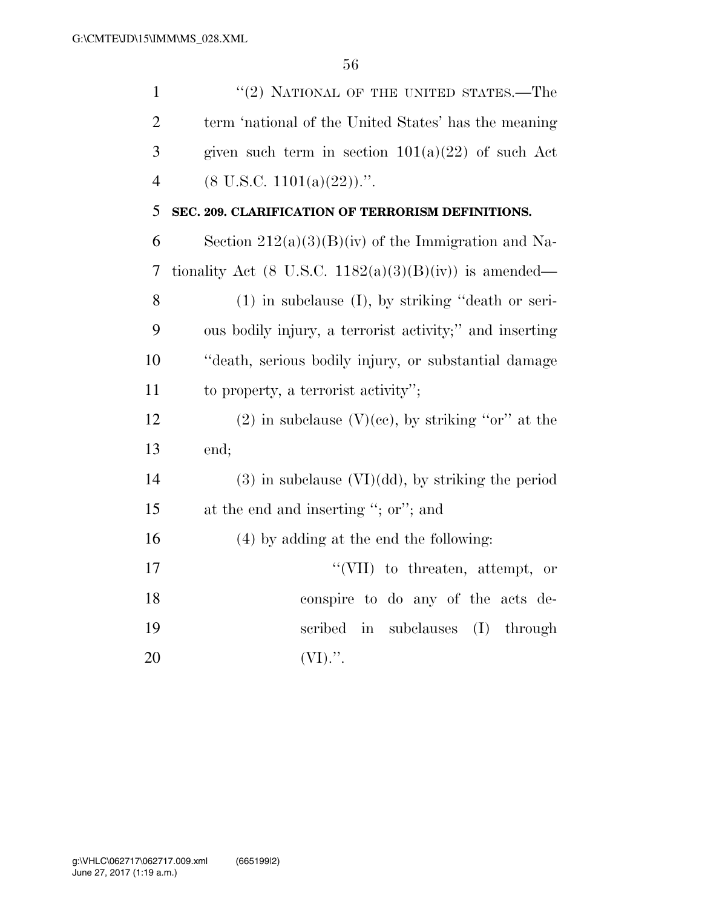| $\mathbf{1}$   | "(2) NATIONAL OF THE UNITED STATES.—The                           |
|----------------|-------------------------------------------------------------------|
| $\overline{2}$ | term 'national of the United States' has the meaning              |
| 3              | given such term in section $101(a)(22)$ of such Act               |
| $\overline{4}$ | $(8 \text{ U.S.C. } 1101(a)(22))$ .".                             |
| 5              | SEC. 209. CLARIFICATION OF TERRORISM DEFINITIONS.                 |
| 6              | Section $212(a)(3)(B)(iv)$ of the Immigration and Na-             |
| 7              | tionality Act $(8 \text{ U.S.C. } 1182(a)(3)(B)(iv))$ is amended— |
| 8              | $(1)$ in subclause $(I)$ , by striking "death or seri-            |
| 9              | ous bodily injury, a terrorist activity;" and inserting           |
| 10             | "death, serious bodily injury, or substantial damage              |
| 11             | to property, a terrorist activity";                               |
| 12             | $(2)$ in subclause $(V)(ee)$ , by striking "or" at the            |
| 13             | end;                                                              |
| 14             | $(3)$ in subclause $(VI)(dd)$ , by striking the period            |
| 15             | at the end and inserting "; or"; and                              |
| 16             | $(4)$ by adding at the end the following:                         |
| 17             | "(VII) to threaten, attempt, or                                   |
| 18             | conspire to do any of the acts de-                                |
| 19             | subclauses<br>$(I)$ through<br>scribed<br>$\operatorname{in}$     |
| 20             | $(VI)$ .".                                                        |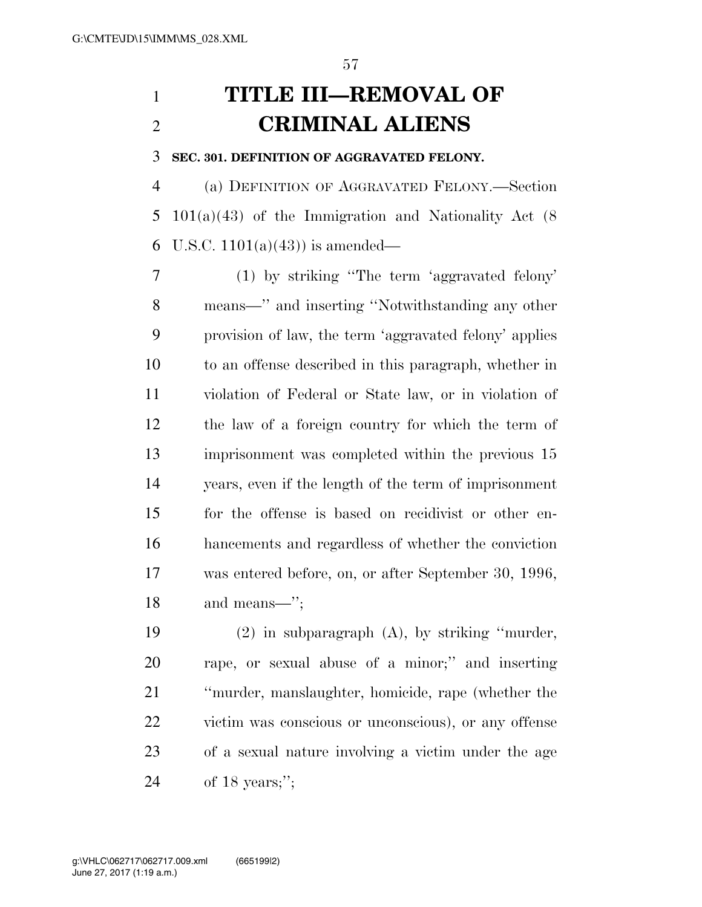# **TITLE III—REMOVAL OF CRIMINAL ALIENS**

### **SEC. 301. DEFINITION OF AGGRAVATED FELONY.**

 (a) DEFINITION OF AGGRAVATED FELONY.—Section 101(a)(43) of the Immigration and Nationality Act (8 6 U.S.C.  $1101(a)(43)$  is amended—

 (1) by striking ''The term 'aggravated felony' means—'' and inserting ''Notwithstanding any other provision of law, the term 'aggravated felony' applies to an offense described in this paragraph, whether in violation of Federal or State law, or in violation of the law of a foreign country for which the term of imprisonment was completed within the previous 15 years, even if the length of the term of imprisonment for the offense is based on recidivist or other en- hancements and regardless of whether the conviction was entered before, on, or after September 30, 1996, and means—'';

 (2) in subparagraph (A), by striking ''murder, rape, or sexual abuse of a minor;'' and inserting ''murder, manslaughter, homicide, rape (whether the victim was conscious or unconscious), or any offense of a sexual nature involving a victim under the age of 18 years;'';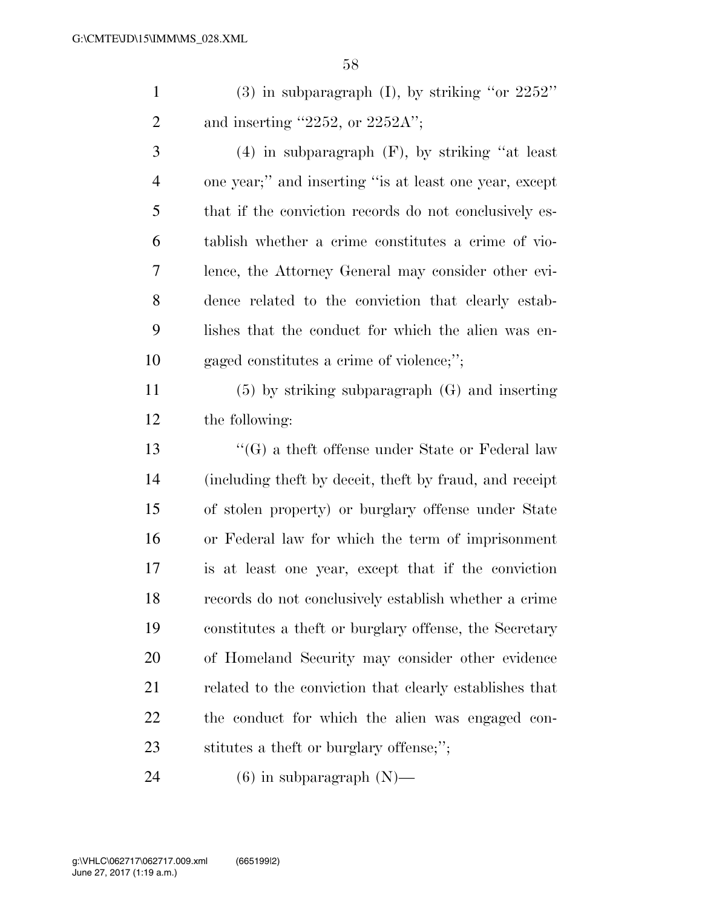1 (3) in subparagraph (I), by striking "or " 2 and inserting  $"2252$ , or  $2252A"$ ;

 (4) in subparagraph (F), by striking ''at least one year;'' and inserting ''is at least one year, except that if the conviction records do not conclusively es- tablish whether a crime constitutes a crime of vio- lence, the Attorney General may consider other evi- dence related to the conviction that clearly estab- lishes that the conduct for which the alien was en-gaged constitutes a crime of violence;'';

 (5) by striking subparagraph (G) and inserting the following:

 ''(G) a theft offense under State or Federal law (including theft by deceit, theft by fraud, and receipt of stolen property) or burglary offense under State or Federal law for which the term of imprisonment is at least one year, except that if the conviction records do not conclusively establish whether a crime constitutes a theft or burglary offense, the Secretary of Homeland Security may consider other evidence related to the conviction that clearly establishes that the conduct for which the alien was engaged con-stitutes a theft or burglary offense;'';

24 (6) in subparagraph  $(N)$ —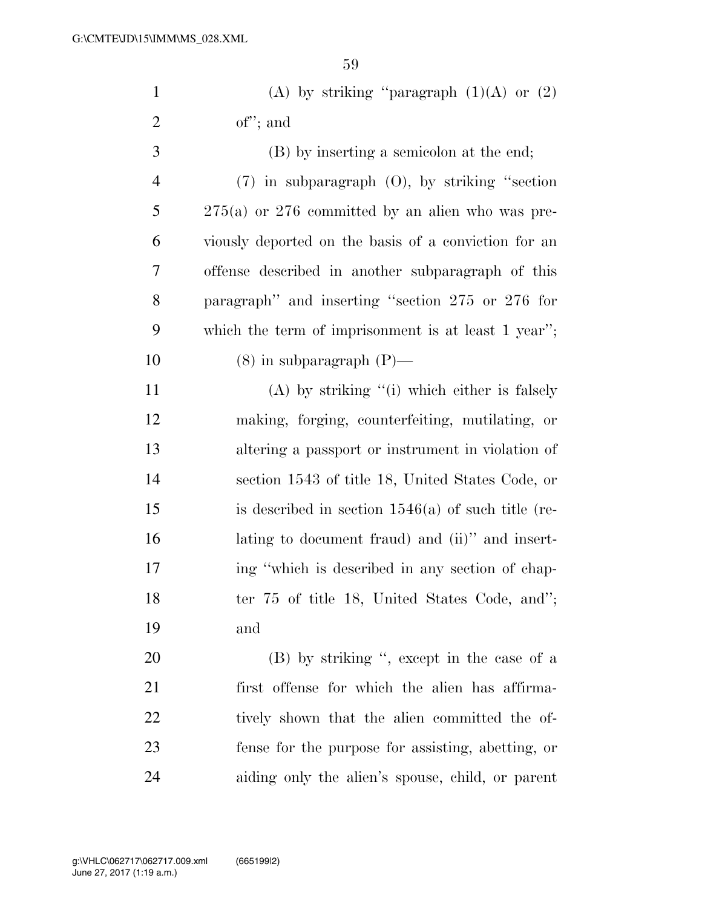| $\mathbf{1}$   | (A) by striking "paragraph $(1)(A)$ or $(2)$         |
|----------------|------------------------------------------------------|
| $\overline{2}$ | $of$ "; and                                          |
| 3              | (B) by inserting a semicolon at the end;             |
| $\overline{4}$ | $(7)$ in subparagraph $(0)$ , by striking "section   |
| 5              | $275(a)$ or 276 committed by an alien who was pre-   |
| 6              | viously deported on the basis of a conviction for an |
| 7              | offense described in another subparagraph of this    |
| 8              | paragraph" and inserting "section 275 or 276 for     |
| 9              | which the term of imprisonment is at least 1 year";  |
| 10             | $(8)$ in subparagraph $(P)$ —                        |
| 11             | $(A)$ by striking "(i) which either is falsely       |
| 12             | making, forging, counterfeiting, mutilating, or      |
| 13             | altering a passport or instrument in violation of    |
| 14             | section 1543 of title 18, United States Code, or     |
| 15             | is described in section $1546(a)$ of such title (re- |
| 16             | lating to document fraud) and (ii)" and insert-      |
| 17             | ing "which is described in any section of chap-      |
| 18             | ter 75 of title 18, United States Code, and";        |
| 19             | and                                                  |
| 20             | (B) by striking ", except in the case of a           |
| 21             | first offense for which the alien has affirma-       |
| 22             | tively shown that the alien committed the of-        |
| 23             | fense for the purpose for assisting, abetting, or    |
| 24             | aiding only the alien's spouse, child, or parent     |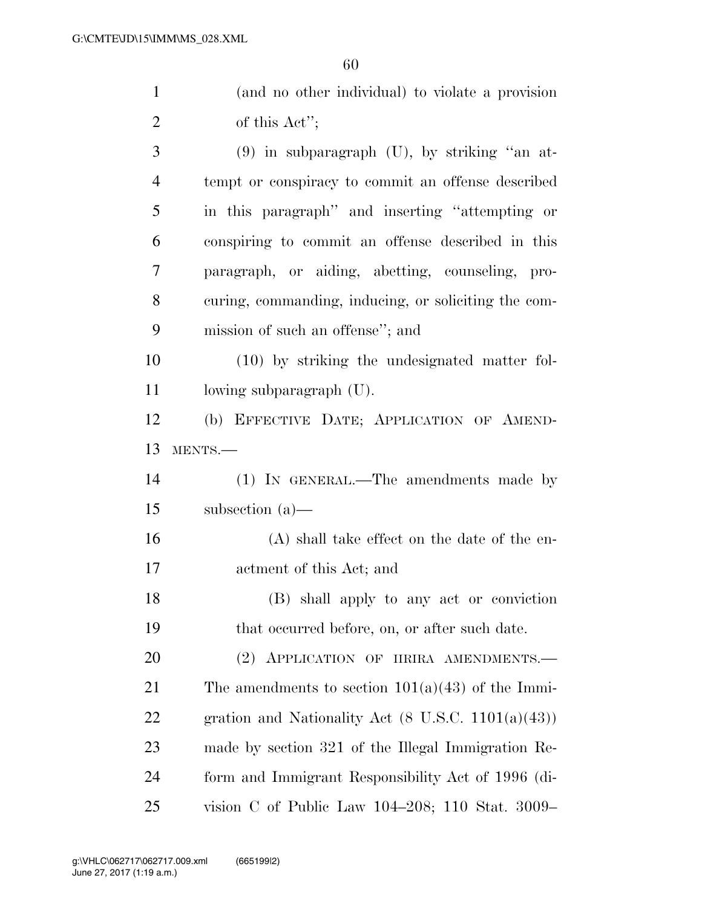| $\mathbf{1}$   | (and no other individual) to violate a provision              |
|----------------|---------------------------------------------------------------|
| $\overline{2}$ | of this Act";                                                 |
| 3              | $(9)$ in subparagraph $(U)$ , by striking "an at-             |
| $\overline{4}$ | tempt or conspiracy to commit an offense described            |
| 5              | in this paragraph" and inserting "attempting or               |
| 6              | conspiring to commit an offense described in this             |
| 7              | paragraph, or aiding, abetting, counseling, pro-              |
| 8              | curing, commanding, inducing, or soliciting the com-          |
| 9              | mission of such an offense"; and                              |
| 10             | $(10)$ by striking the undesignated matter fol-               |
| 11             | lowing subparagraph (U).                                      |
| 12             | (b) EFFECTIVE DATE; APPLICATION OF AMEND-                     |
| 13             | MENTS.-                                                       |
| 14             | (1) IN GENERAL.—The amendments made by                        |
| 15             | subsection $(a)$ —                                            |
| 16             | (A) shall take effect on the date of the en-                  |
| 17             | actment of this Act; and                                      |
| 18             | (B) shall apply to any act or conviction                      |
| 19             | that occurred before, on, or after such date.                 |
| 20             | (2) APPLICATION OF IIRIRA AMENDMENTS.                         |
| 21             | The amendments to section $101(a)(43)$ of the Immi-           |
| 22             | gration and Nationality Act $(8 \text{ U.S.C. } 1101(a)(43))$ |
| 23             | made by section 321 of the Illegal Immigration Re-            |
| 24             | form and Immigrant Responsibility Act of 1996 (di-            |
| 25             | vision C of Public Law 104–208; 110 Stat. 3009–               |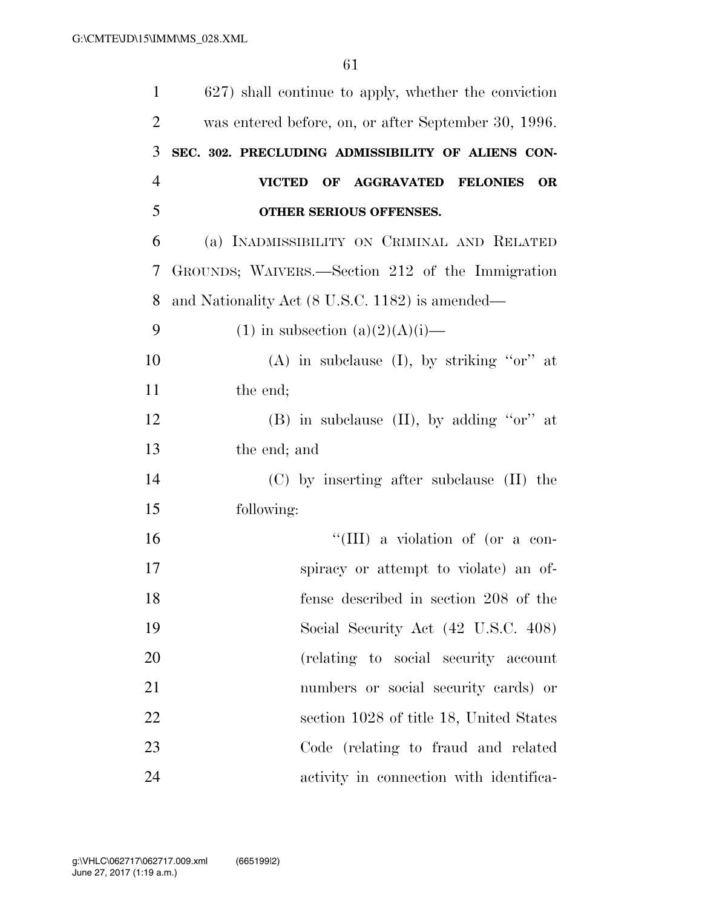| $\mathbf{1}$   | 627) shall continue to apply, whether the conviction |
|----------------|------------------------------------------------------|
| $\overline{2}$ | was entered before, on, or after September 30, 1996. |
| 3              | SEC. 302. PRECLUDING ADMISSIBILITY OF ALIENS CON-    |
| $\overline{4}$ | <b>VICTED</b><br>OF AGGRAVATED FELONIES<br><b>OR</b> |
| 5              | OTHER SERIOUS OFFENSES.                              |
| 6              | (a) INADMISSIBILITY ON CRIMINAL AND RELATED          |
| 7              | GROUNDS; WAIVERS.—Section 212 of the Immigration     |
| 8              | and Nationality Act (8 U.S.C. 1182) is amended—      |
| 9              | $(1)$ in subsection $(a)(2)(A)(i)$ —                 |
| 10             | (A) in subclause (I), by striking " $or$ " at        |
| 11             | the end;                                             |
| 12             | (B) in subclause $(II)$ , by adding "or" at          |
| 13             | the end; and                                         |
| 14             | $(C)$ by inserting after subclause $(II)$ the        |
| 15             | following:                                           |
| 16             | "(III) a violation of (or a con-                     |
| 17             | spiracy or attempt to violate) an of-                |
| 18             | fense described in section 208 of the                |
| 19             | Social Security Act (42 U.S.C. 408)                  |
| 20             | (relating to social security account                 |
| 21             | numbers or social security cards) or                 |
| 22             | section 1028 of title 18, United States              |
| 23             | Code (relating to fraud and related                  |
| 24             | activity in connection with identifica-              |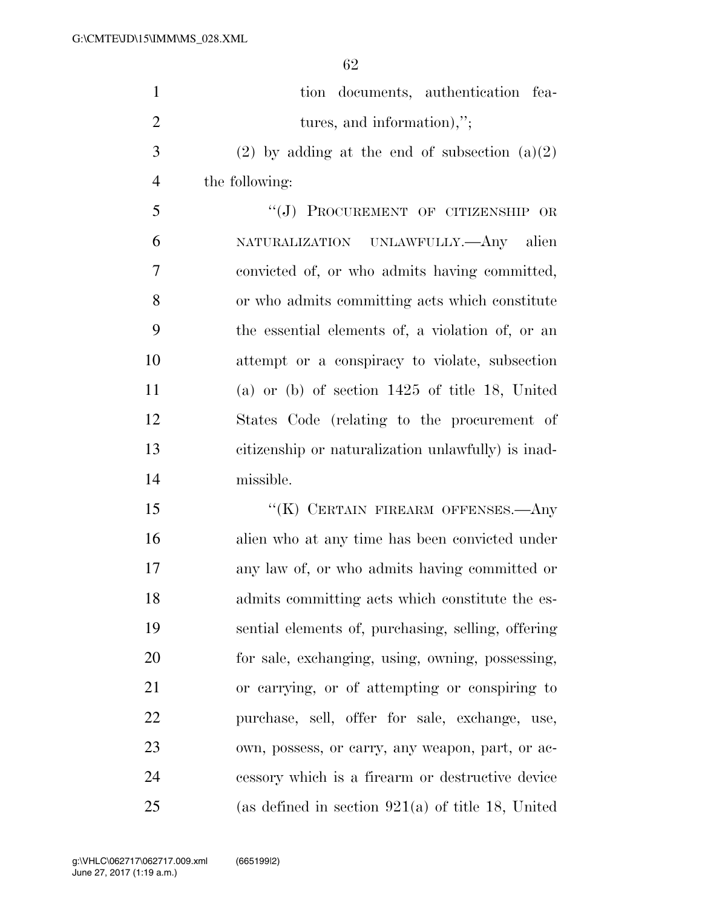| $\mathbf{1}$   | tion documents, authentication fea-                 |
|----------------|-----------------------------------------------------|
| $\overline{2}$ | tures, and information),";                          |
| 3              | $(2)$ by adding at the end of subsection $(a)(2)$   |
| $\overline{4}$ | the following:                                      |
| 5              | "(J) PROCUREMENT OF CITIZENSHIP OR                  |
| 6              | NATURALIZATION UNLAWFULLY.—Any alien                |
| $\overline{7}$ | convicted of, or who admits having committed,       |
| 8              | or who admits committing acts which constitute      |
| 9              | the essential elements of, a violation of, or an    |
| 10             | attempt or a conspiracy to violate, subsection      |
| 11             | (a) or (b) of section $1425$ of title 18, United    |
| 12             | States Code (relating to the procurement of         |
| 13             | citizenship or naturalization unlawfully) is inad-  |
| 14             | missible.                                           |
| 15             | "(K) CERTAIN FIREARM OFFENSES.—Any                  |
| 16             | alien who at any time has been convicted under      |
| 17             | any law of, or who admits having committed or       |
| 18             | admits committing acts which constitute the es-     |
| 19             | sential elements of, purchasing, selling, offering  |
| 20             | for sale, exchanging, using, owning, possessing,    |
| 21             | or carrying, or of attempting or conspiring to      |
| 22             | purchase, sell, offer for sale, exchange, use,      |
| 23             | own, possess, or carry, any weapon, part, or ac-    |
| 24             | cessory which is a firearm or destructive device    |
| 25             | (as defined in section $921(a)$ of title 18, United |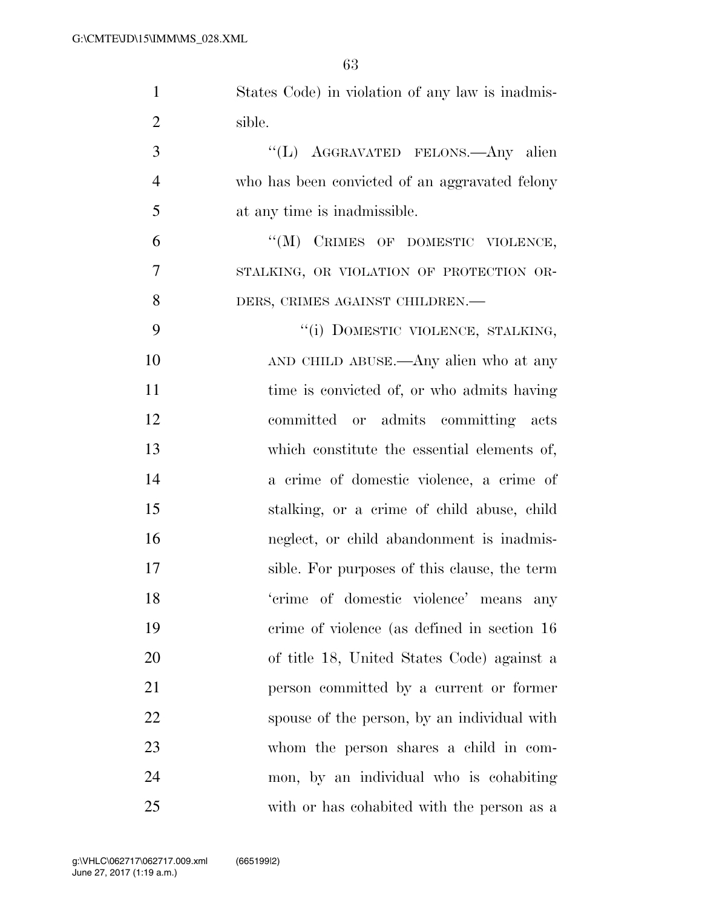| $\mathbf{1}$   | States Code) in violation of any law is inadmis- |
|----------------|--------------------------------------------------|
| $\overline{2}$ | sible.                                           |
| 3              | "(L) AGGRAVATED FELONS. Any alien                |
| $\overline{4}$ | who has been convicted of an aggravated felony   |
| 5              | at any time is inadmissible.                     |
| 6              | "(M) CRIMES OF DOMESTIC VIOLENCE,                |
| 7              | STALKING, OR VIOLATION OF PROTECTION OR-         |
| 8              | DERS, CRIMES AGAINST CHILDREN.-                  |
| 9              | "(i) DOMESTIC VIOLENCE, STALKING,                |
| 10             | AND CHILD ABUSE.—Any alien who at any            |
| 11             | time is convicted of, or who admits having       |
| 12             | committed or admits committing acts              |
| 13             | which constitute the essential elements of,      |
| 14             | a crime of domestic violence, a crime of         |
| 15             | stalking, or a crime of child abuse, child       |
| 16             | neglect, or child abandonment is inadmis-        |
| 17             | sible. For purposes of this clause, the term     |
| 18             | 'crime of domestic violence' means any           |
| 19             | crime of violence (as defined in section 16)     |
| 20             | of title 18, United States Code) against a       |
| 21             | person committed by a current or former          |
| 22             | spouse of the person, by an individual with      |
| 23             | whom the person shares a child in com-           |
| 24             | mon, by an individual who is cohabiting          |
| 25             | with or has cohabited with the person as a       |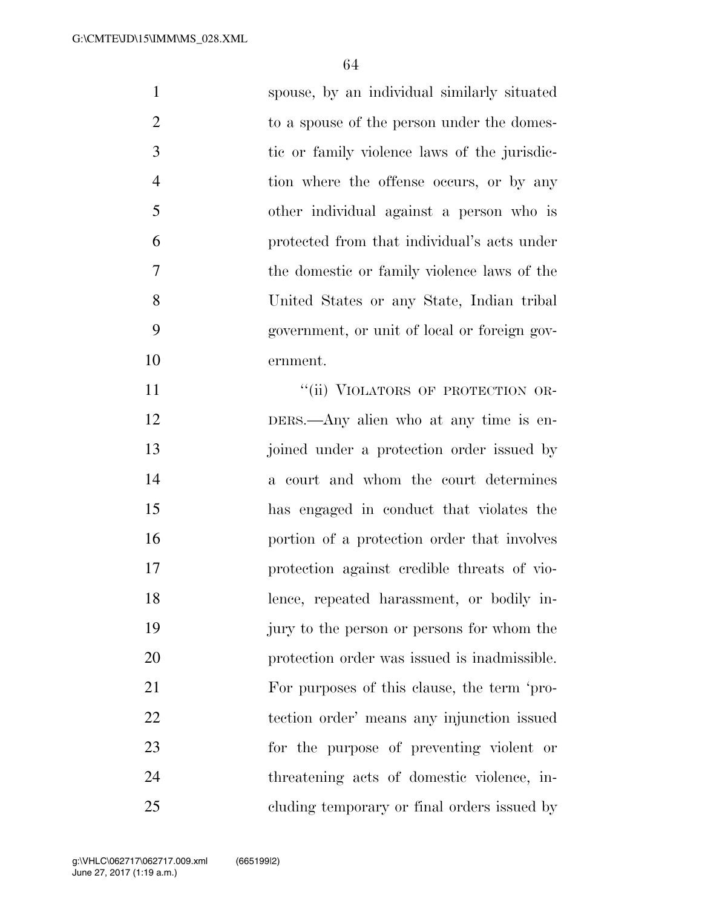| $\mathbf{1}$   | spouse, by an individual similarly situated  |
|----------------|----------------------------------------------|
| $\overline{2}$ | to a spouse of the person under the domes-   |
| 3              | tic or family violence laws of the jurisdic- |
| $\overline{4}$ | tion where the offense occurs, or by any     |
| 5              | other individual against a person who is     |
| 6              | protected from that individual's acts under  |
| $\tau$         | the domestic or family violence laws of the  |
| 8              | United States or any State, Indian tribal    |
| 9              | government, or unit of local or foreign gov- |
| 10             | ernment.                                     |
| 11             | "(ii) VIOLATORS OF PROTECTION OR-            |
| 12             | DERS.—Any alien who at any time is en-       |
| 13             | joined under a protection order issued by    |
| 14             | a court and whom the court determines        |
| 15             | has engaged in conduct that violates the     |
| 16             | portion of a protection order that involves  |
| 17             | protection against credible threats of vio-  |
| 18             | lence, repeated harassment, or bodily in-    |
| 19             | jury to the person or persons for whom the   |
| 20             | protection order was issued is inadmissible. |
| 21             | For purposes of this clause, the term 'pro-  |
| 22             | tection order' means any injunction issued   |
| 23             | for the purpose of preventing violent or     |
| 24             | threatening acts of domestic violence, in-   |
| 25             | cluding temporary or final orders issued by  |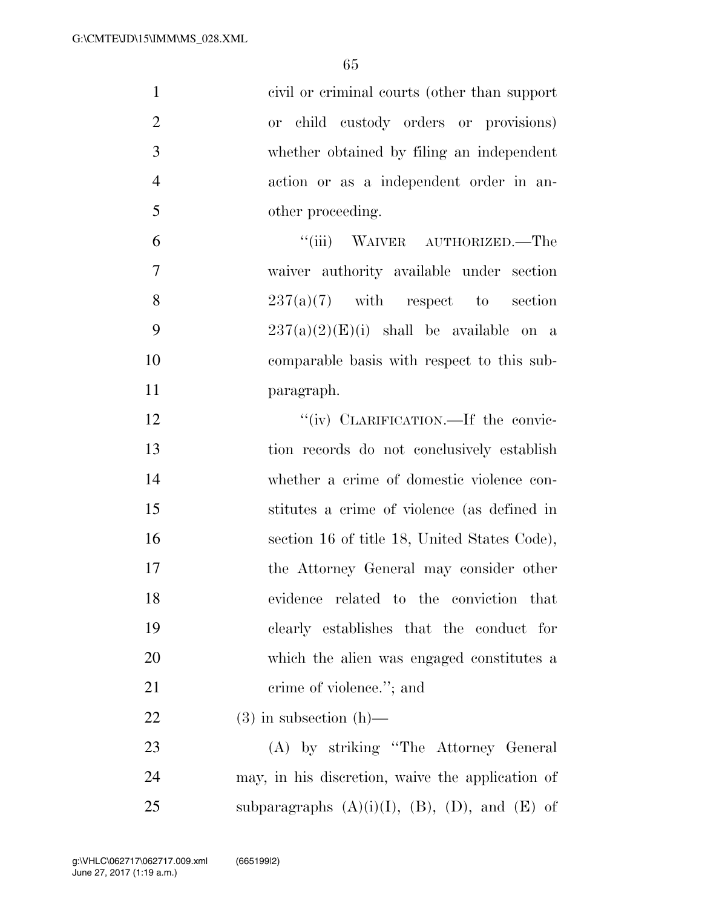| $\mathbf{1}$     | civil or criminal courts (other than support)            |
|------------------|----------------------------------------------------------|
| $\overline{2}$   | or child custody orders or provisions)                   |
| 3                | whether obtained by filing an independent                |
| $\overline{4}$   | action or as a independent order in an-                  |
| 5                | other proceeding.                                        |
| 6                | "(iii) WAIVER AUTHORIZED.—The                            |
| $\boldsymbol{7}$ | waiver authority available under section                 |
| 8                | $237(a)(7)$ with respect to section                      |
| 9                | $237(a)(2)(E)(i)$ shall be available on a                |
| 10               | comparable basis with respect to this sub-               |
| 11               | paragraph.                                               |
| 12               | "(iv) CLARIFICATION.—If the convic-                      |
| 13               | tion records do not conclusively establish               |
| 14               | whether a crime of domestic violence con-                |
| 15               | stitutes a crime of violence (as defined in              |
| 16               | section 16 of title 18, United States Code),             |
| 17               | the Attorney General may consider other                  |
| 18               | evidence related to the conviction that                  |
| 19               | clearly establishes that the conduct for                 |
| 20               | which the alien was engaged constitutes a                |
| 21               | crime of violence."; and                                 |
| 22               | $(3)$ in subsection $(h)$ —                              |
| 23               | (A) by striking "The Attorney General                    |
| 24               | may, in his discretion, waive the application of         |
| 25               | subparagraphs $(A)(i)(I)$ , $(B)$ , $(D)$ , and $(E)$ of |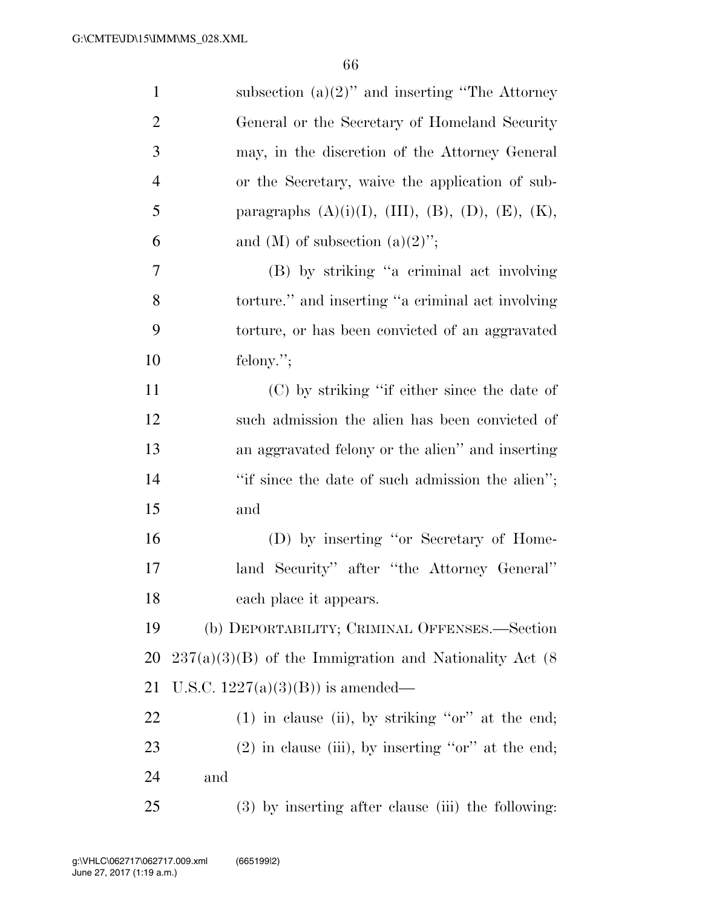| $\mathbf{1}$   | subsection $(a)(2)$ " and inserting "The Attorney"                 |
|----------------|--------------------------------------------------------------------|
| $\overline{2}$ | General or the Secretary of Homeland Security                      |
| 3              | may, in the discretion of the Attorney General                     |
| $\overline{4}$ | or the Secretary, waive the application of sub-                    |
| 5              | paragraphs $(A)(i)(I)$ , $(III)$ , $(B)$ , $(D)$ , $(E)$ , $(K)$ , |
| 6              | and (M) of subsection $(a)(2)$ ";                                  |
| 7              | (B) by striking "a criminal act involving                          |
| 8              | torture." and inserting "a criminal act involving                  |
| 9              | torture, or has been convicted of an aggravated                    |
| 10             | felony.";                                                          |
| 11             | (C) by striking "if either since the date of                       |
| 12             | such admission the alien has been convicted of                     |
| 13             | an aggravated felony or the alien" and inserting                   |
| 14             | "if since the date of such admission the alien";                   |
| 15             | and                                                                |
| 16             | (D) by inserting "or Secretary of Home-                            |
| 17             | land Security" after "the Attorney General"                        |
| 18             | each place it appears.                                             |
| 19             | (b) DEPORTABILITY; CRIMINAL OFFENSES.—Section                      |
| 20             | $237(a)(3)(B)$ of the Immigration and Nationality Act (8)          |
| 21             | U.S.C. $1227(a)(3)(B)$ is amended—                                 |
| <u>22</u>      | $(1)$ in clause (ii), by striking "or" at the end;                 |
| 23             | $(2)$ in clause (iii), by inserting "or" at the end;               |
| 24             | and                                                                |
| 25             | (3) by inserting after clause (iii) the following:                 |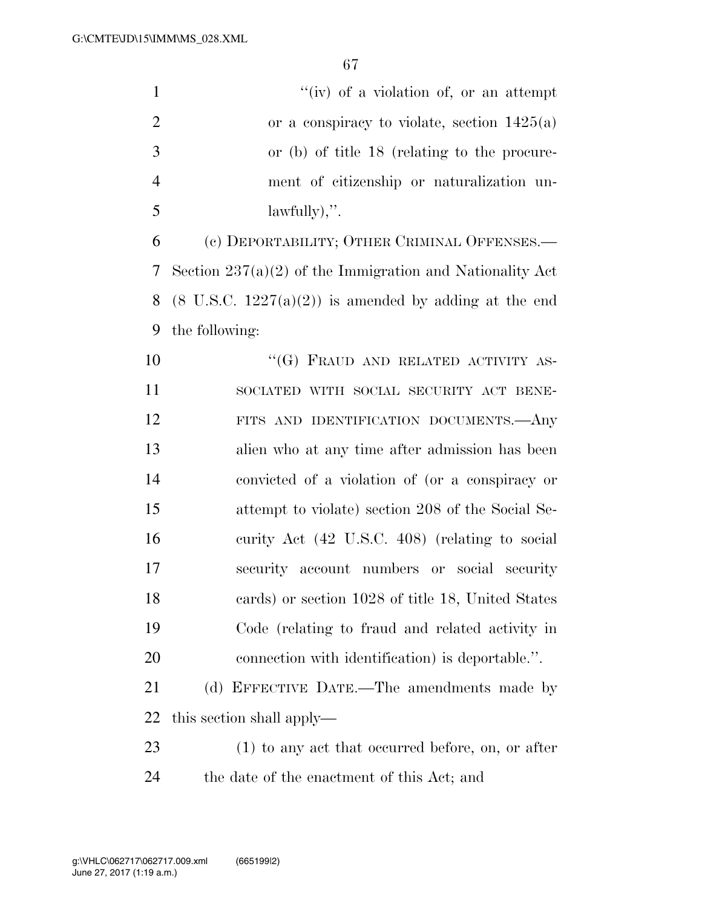| $\mathbf{1}$   | $``(iv)$ of a violation of, or an attempt                        |
|----------------|------------------------------------------------------------------|
| $\overline{2}$ | or a conspiracy to violate, section $1425(a)$                    |
| 3              | or (b) of title 18 (relating to the procure-                     |
| $\overline{4}$ | ment of citizenship or naturalization un-                        |
| 5              | $lawfully$ ,".                                                   |
| 6              | (c) DEPORTABILITY; OTHER CRIMINAL OFFENSES.—                     |
| 7              | Section $237(a)(2)$ of the Immigration and Nationality Act       |
| 8              | $(8 \text{ U.S.C. } 1227(a)(2))$ is amended by adding at the end |
| 9              | the following:                                                   |
| 10             | "(G) FRAUD AND RELATED ACTIVITY AS-                              |
| 11             | SOCIATED WITH SOCIAL SECURITY ACT BENE-                          |
| 12             | FITS AND IDENTIFICATION DOCUMENTS.- Any                          |
| 13             | alien who at any time after admission has been                   |
| 14             | convicted of a violation of (or a conspiracy or                  |
| 15             | attempt to violate) section 208 of the Social Se-                |
| 16             | curity Act (42 U.S.C. 408) (relating to social                   |
| 17             | security account numbers or social security                      |
| 18             | cards) or section 1028 of title 18, United States                |
| 19             | Code (relating to fraud and related activity in                  |
| 20             | connection with identification) is deportable.".                 |
| 21             | (d) EFFECTIVE DATE.—The amendments made by                       |
| 22             | this section shall apply—                                        |
| 23             | $(1)$ to any act that occurred before, on, or after              |
| 24             | the date of the enactment of this Act; and                       |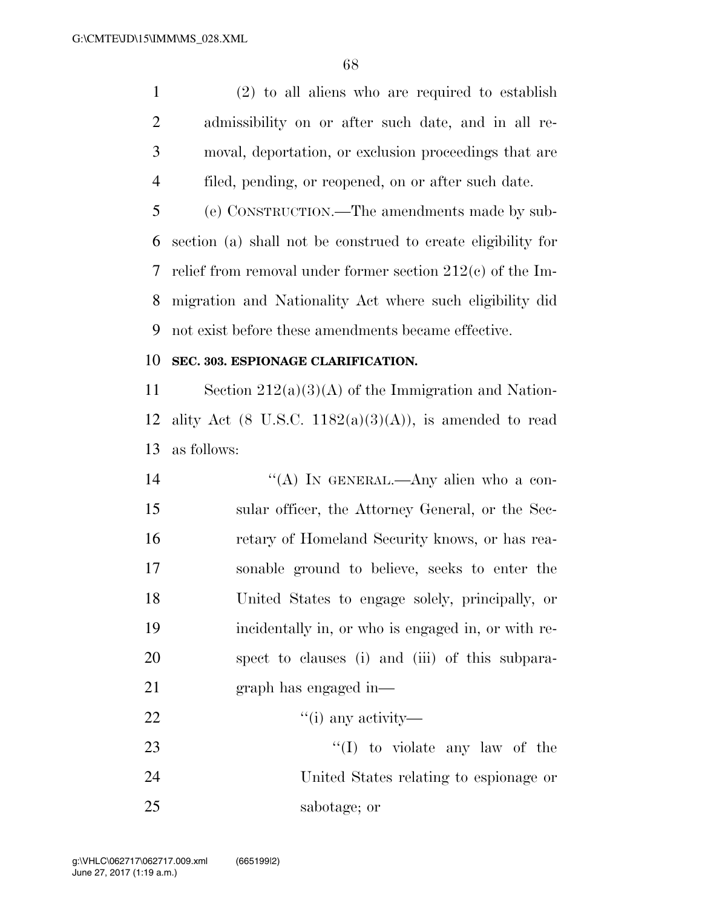(2) to all aliens who are required to establish admissibility on or after such date, and in all re- moval, deportation, or exclusion proceedings that are filed, pending, or reopened, on or after such date.

 (e) CONSTRUCTION.—The amendments made by sub- section (a) shall not be construed to create eligibility for relief from removal under former section 212(c) of the Im- migration and Nationality Act where such eligibility did not exist before these amendments became effective.

### **SEC. 303. ESPIONAGE CLARIFICATION.**

11 Section  $212(a)(3)(A)$  of the Immigration and Nation-12 ality Act  $(8 \text{ U.S.C. } 1182(a)(3)(A))$ , is amended to read as follows:

14 "(A) IN GENERAL.—Any alien who a con- sular officer, the Attorney General, or the Sec- retary of Homeland Security knows, or has rea- sonable ground to believe, seeks to enter the United States to engage solely, principally, or incidentally in, or who is engaged in, or with re- spect to clauses (i) and (iii) of this subpara- graph has engaged in—  $\qquad \qquad \text{(i) any activity}$ 

23 ''(I) to violate any law of the United States relating to espionage or sabotage; or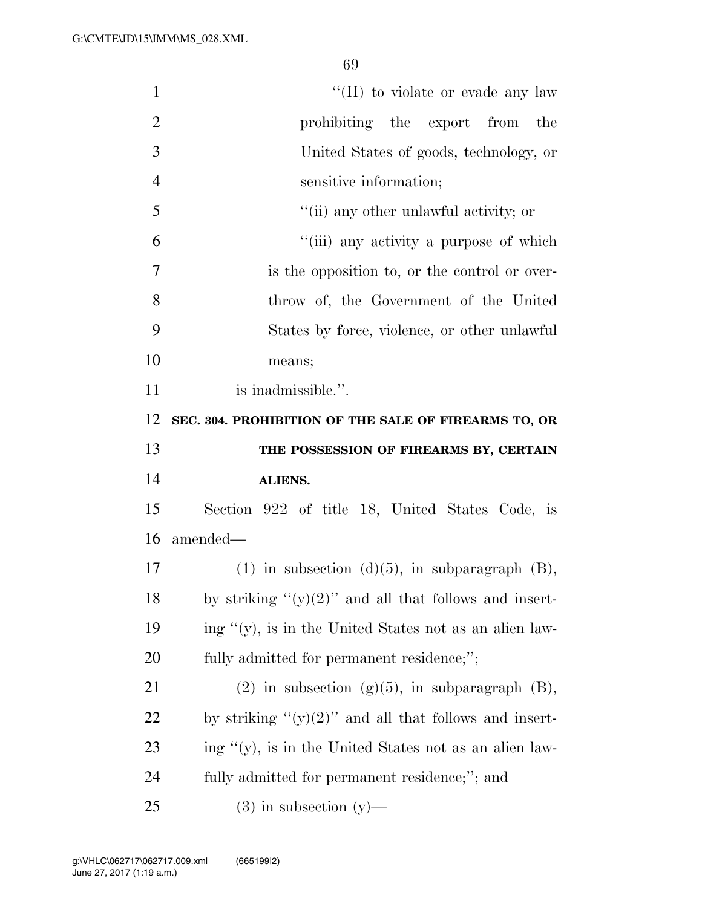| $\mathbf{1}$   | "(II) to violate or evade any law                          |
|----------------|------------------------------------------------------------|
| $\overline{2}$ | prohibiting the export from<br>the                         |
| 3              | United States of goods, technology, or                     |
| $\overline{4}$ | sensitive information;                                     |
| 5              | "(ii) any other unlawful activity; or                      |
| 6              | "(iii) any activity a purpose of which                     |
| 7              | is the opposition to, or the control or over-              |
| 8              | throw of, the Government of the United                     |
| 9              | States by force, violence, or other unlawful               |
| 10             | means;                                                     |
| 11             | is inadmissible.".                                         |
| 12             | SEC. 304. PROHIBITION OF THE SALE OF FIREARMS TO, OR       |
|                |                                                            |
| 13             | THE POSSESSION OF FIREARMS BY, CERTAIN                     |
| 14             | ALIENS.                                                    |
| 15             | Section 922 of title 18, United States Code, is            |
| 16             | amended—                                                   |
| 17             | $(1)$ in subsection $(d)(5)$ , in subparagraph $(B)$ ,     |
| 18             | by striking " $(y)(2)$ " and all that follows and insert-  |
| 19             | ing " $(y)$ , is in the United States not as an alien law- |
| <b>20</b>      | fully admitted for permanent residence;";                  |
| 21             | (2) in subsection (g)(5), in subparagraph $(B)$ ,          |
| <u>22</u>      | by striking " $(y)(2)$ " and all that follows and insert-  |
| 23             | ing "(y), is in the United States not as an alien law-     |
| 24             | fully admitted for permanent residence;"; and              |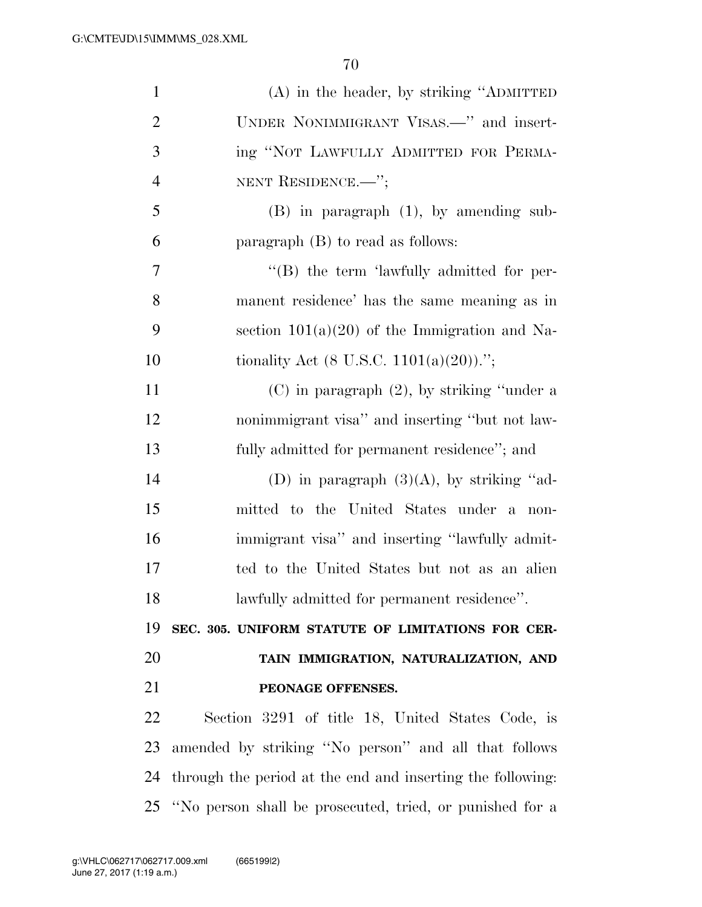| $\mathbf{1}$   | (A) in the header, by striking "ADMITTED                    |
|----------------|-------------------------------------------------------------|
| $\overline{2}$ | UNDER NONIMMIGRANT VISAS.—" and insert-                     |
| 3              | ing "NOT LAWFULLY ADMITTED FOR PERMA-                       |
| $\overline{4}$ | NENT RESIDENCE. <sup>"</sup> ;                              |
| 5              | $(B)$ in paragraph $(1)$ , by amending sub-                 |
| 6              | paragraph $(B)$ to read as follows:                         |
| $\overline{7}$ | "(B) the term 'lawfully admitted for per-                   |
| 8              | manent residence' has the same meaning as in                |
| 9              | section $101(a)(20)$ of the Immigration and Na-             |
| 10             | tionality Act $(8 \text{ U.S.C. } 1101(a)(20))$ .";         |
| 11             | $(C)$ in paragraph $(2)$ , by striking "under a             |
| 12             | nonimmigrant visa" and inserting "but not law-              |
| 13             | fully admitted for permanent residence"; and                |
| 14             | (D) in paragraph $(3)(A)$ , by striking "ad-                |
| 15             | mitted to the United States under a non-                    |
| 16             | immigrant visa" and inserting "lawfully admit-              |
| 17             | ted to the United States but not as an alien                |
| 18             | lawfully admitted for permanent residence".                 |
| 19             | SEC. 305. UNIFORM STATUTE OF LIMITATIONS FOR CER-           |
| 20             | TAIN IMMIGRATION, NATURALIZATION, AND                       |
| 21             | PEONAGE OFFENSES.                                           |
| 22             | Section 3291 of title 18, United States Code, is            |
| 23             | amended by striking "No person" and all that follows        |
| 24             | through the period at the end and inserting the following:  |
|                | 25 "No person shall be prosecuted, tried, or punished for a |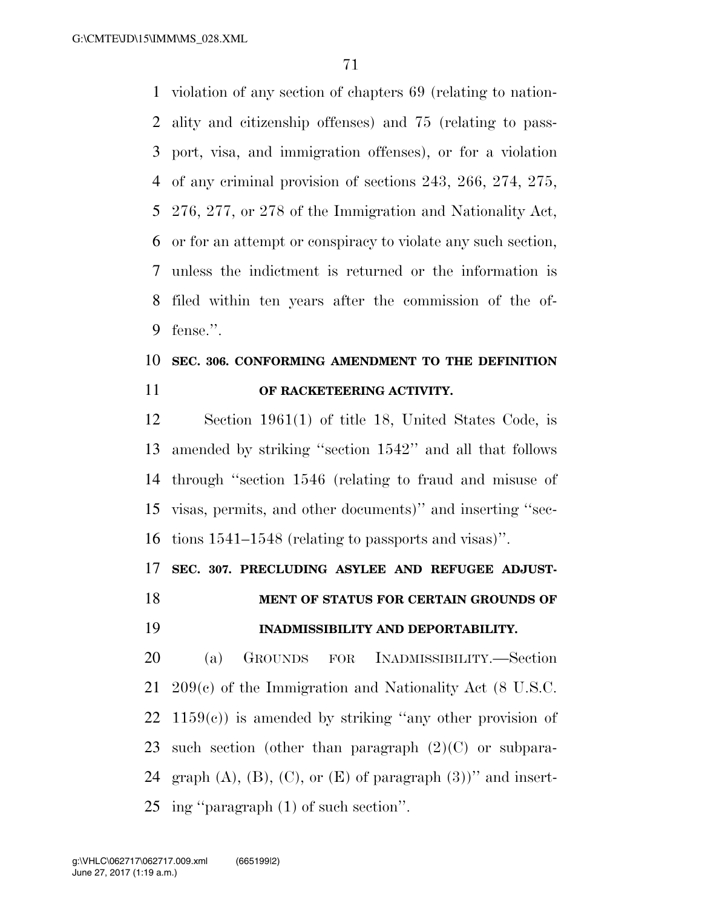G:\CMTE\JD\15\IMM\MS\_028.XML

 violation of any section of chapters 69 (relating to nation- ality and citizenship offenses) and 75 (relating to pass- port, visa, and immigration offenses), or for a violation of any criminal provision of sections 243, 266, 274, 275, 276, 277, or 278 of the Immigration and Nationality Act, or for an attempt or conspiracy to violate any such section, unless the indictment is returned or the information is filed within ten years after the commission of the of-fense.''.

## **SEC. 306. CONFORMING AMENDMENT TO THE DEFINITION OF RACKETEERING ACTIVITY.**

 Section 1961(1) of title 18, United States Code, is amended by striking ''section 1542'' and all that follows through ''section 1546 (relating to fraud and misuse of visas, permits, and other documents)'' and inserting ''sec-tions 1541–1548 (relating to passports and visas)''.

**SEC. 307. PRECLUDING ASYLEE AND REFUGEE ADJUST-**

## **MENT OF STATUS FOR CERTAIN GROUNDS OF INADMISSIBILITY AND DEPORTABILITY.**

 (a) GROUNDS FOR INADMISSIBILITY.—Section 209(c) of the Immigration and Nationality Act (8 U.S.C.  $1159(c)$  is amended by striking "any other provision of 23 such section (other than paragraph  $(2)(C)$  or subpara-24 graph  $(A)$ ,  $(B)$ ,  $(C)$ , or  $(E)$  of paragraph  $(3)$ )" and insert-ing ''paragraph (1) of such section''.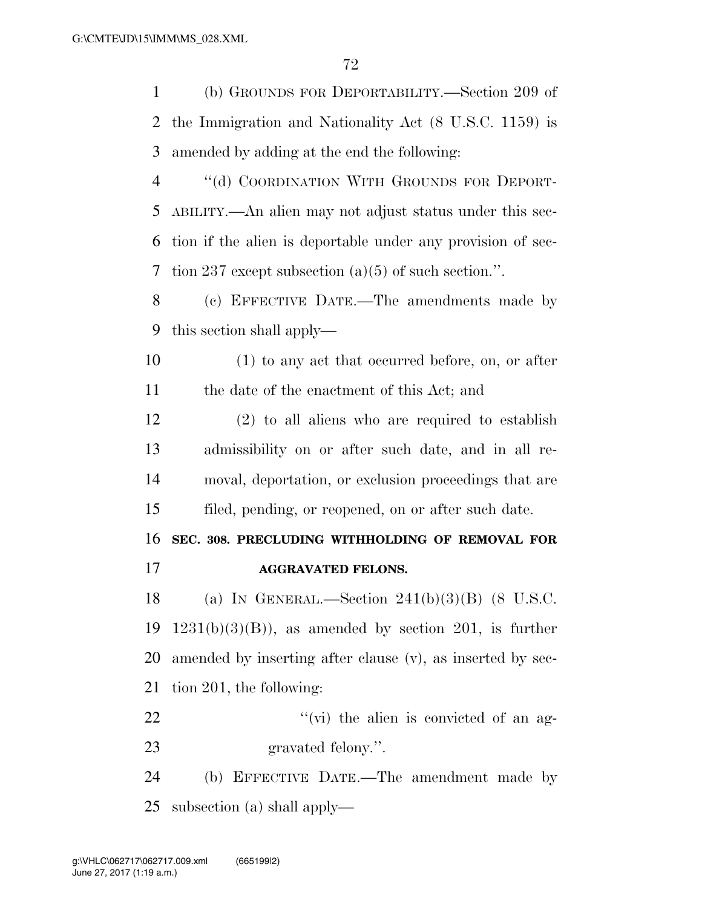(b) GROUNDS FOR DEPORTABILITY.—Section 209 of the Immigration and Nationality Act (8 U.S.C. 1159) is amended by adding at the end the following: 4 "(d) COORDINATION WITH GROUNDS FOR DEPORT- ABILITY.—An alien may not adjust status under this sec- tion if the alien is deportable under any provision of sec- tion 237 except subsection (a)(5) of such section.''. (c) EFFECTIVE DATE.—The amendments made by this section shall apply— (1) to any act that occurred before, on, or after the date of the enactment of this Act; and (2) to all aliens who are required to establish admissibility on or after such date, and in all re- moval, deportation, or exclusion proceedings that are filed, pending, or reopened, on or after such date. **SEC. 308. PRECLUDING WITHHOLDING OF REMOVAL FOR AGGRAVATED FELONS.**  18 (a) IN GENERAL.—Section  $241(b)(3)(B)$  (8 U.S.C. 19 1231(b)(3)(B)), as amended by section 201, is further amended by inserting after clause (v), as inserted by sec- tion 201, the following:  $''(\vec{v})$  the alien is convicted of an ag- gravated felony.''. (b) EFFECTIVE DATE.—The amendment made by

subsection (a) shall apply—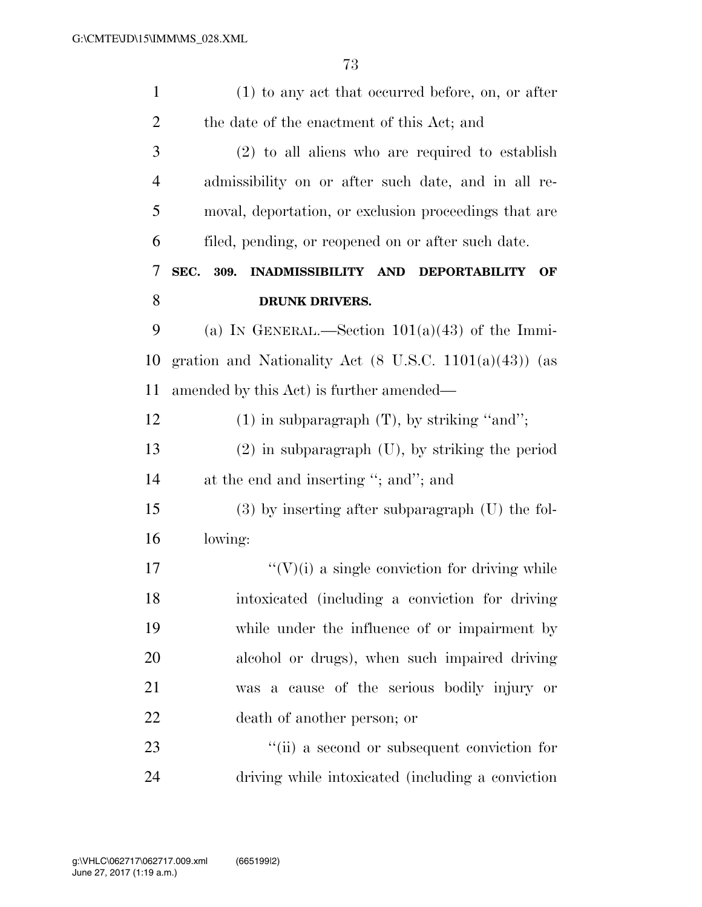| $\mathbf{1}$   | $(1)$ to any act that occurred before, on, or after                                |
|----------------|------------------------------------------------------------------------------------|
| $\overline{2}$ | the date of the enactment of this Act; and                                         |
| 3              | $(2)$ to all aliens who are required to establish                                  |
| $\overline{4}$ | admissibility on or after such date, and in all re-                                |
| 5              | moval, deportation, or exclusion proceedings that are                              |
| 6              | filed, pending, or reopened on or after such date.                                 |
| 7              | 309.<br><b>INADMISSIBILITY</b><br><b>AND</b><br>SEC.<br><b>DEPORTABILITY</b><br>OF |
| 8              | <b>DRUNK DRIVERS.</b>                                                              |
| 9              | (a) IN GENERAL.—Section $101(a)(43)$ of the Immi-                                  |
| 10             | gration and Nationality Act $(8 \text{ U.S.C. } 1101(a)(43))$ (as                  |
| 11             | amended by this Act) is further amended—                                           |
| 12             | $(1)$ in subparagraph $(T)$ , by striking "and";                                   |
| 13             | $(2)$ in subparagraph $(U)$ , by striking the period                               |
| 14             | at the end and inserting "; and"; and                                              |
| 15             | $(3)$ by inserting after subparagraph $(U)$ the fol-                               |
| 16             | lowing:                                                                            |
| 17             | $\lq\lq(V)(i)$ a single conviction for driving while                               |
| 18             | intoxicated (including a conviction for driving)                                   |
| 19             | while under the influence of or impairment by                                      |
| 20             | alcohol or drugs), when such impaired driving                                      |
| 21             | was a cause of the serious bodily injury or                                        |
| 22             | death of another person; or                                                        |
| 23             | "(ii) a second or subsequent conviction for                                        |
| 24             | driving while intoxicated (including a conviction                                  |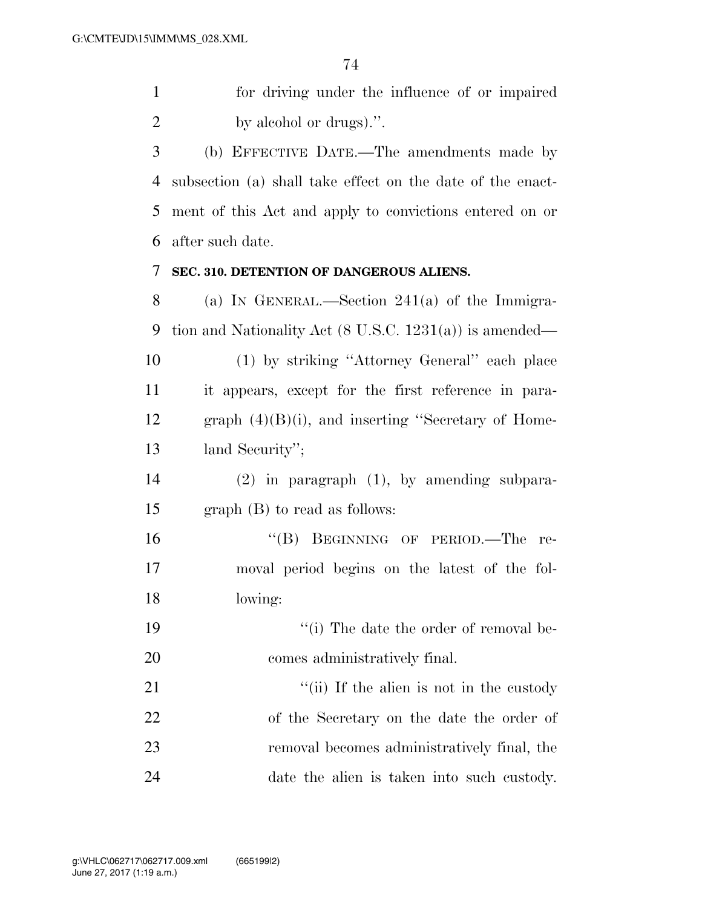for driving under the influence of or impaired 2 by alcohol or drugs).".

 (b) EFFECTIVE DATE.—The amendments made by subsection (a) shall take effect on the date of the enact- ment of this Act and apply to convictions entered on or after such date.

## **SEC. 310. DETENTION OF DANGEROUS ALIENS.**

 (a) IN GENERAL.—Section 241(a) of the Immigra- tion and Nationality Act (8 U.S.C. 1231(a)) is amended— (1) by striking ''Attorney General'' each place it appears, except for the first reference in para- graph (4)(B)(i), and inserting ''Secretary of Home-land Security'';

 (2) in paragraph (1), by amending subpara-graph (B) to read as follows:

 ''(B) BEGINNING OF PERIOD.—The re- moval period begins on the latest of the fol-lowing:

19 ''(i) The date the order of removal be-comes administratively final.

21 ''(ii) If the alien is not in the custody of the Secretary on the date the order of removal becomes administratively final, the date the alien is taken into such custody.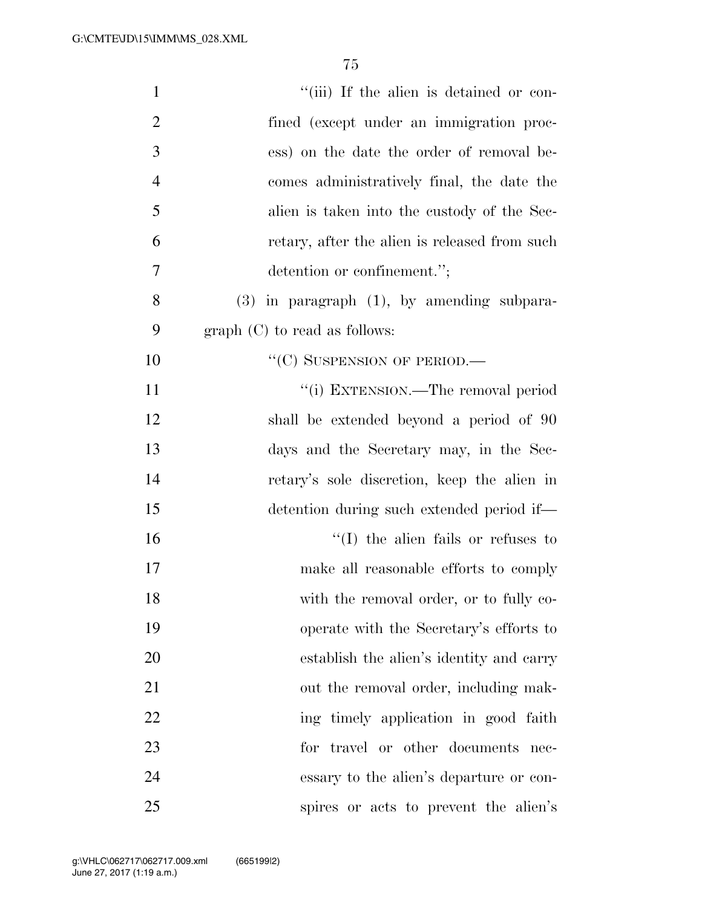| "(iii) If the alien is detained or con-<br>$\mathbf{1}$      |
|--------------------------------------------------------------|
| $\overline{2}$<br>fined (except under an immigration proc-   |
| $\mathfrak{Z}$<br>ess) on the date the order of removal be-  |
| $\overline{4}$<br>comes administratively final, the date the |
| 5<br>alien is taken into the custody of the Sec-             |
| 6<br>retary, after the alien is released from such           |
| 7<br>detention or confinement.";                             |
| 8<br>$(3)$ in paragraph $(1)$ , by amending subpara-         |
| 9<br>$graph (C)$ to read as follows:                         |
| $``(C)$ SUSPENSION OF PERIOD.—<br>10                         |
| 11<br>"(i) EXTENSION.—The removal period                     |
| 12<br>shall be extended beyond a period of 90                |
| 13<br>days and the Secretary may, in the Sec-                |
| 14<br>retary's sole discretion, keep the alien in            |
| 15<br>detention during such extended period if—              |
| 16<br>$\lq\lq$ (I) the alien fails or refuses to             |
| 17<br>make all reasonable efforts to comply                  |
| 18<br>with the removal order, or to fully co-                |
| 19<br>operate with the Secretary's efforts to                |
| 20<br>establish the alien's identity and carry               |
| 21<br>out the removal order, including mak-                  |
| 22<br>ing timely application in good faith                   |
| 23<br>for travel or other documents nec-                     |
| 24<br>essary to the alien's departure or con-                |
| 25<br>spires or acts to prevent the alien's                  |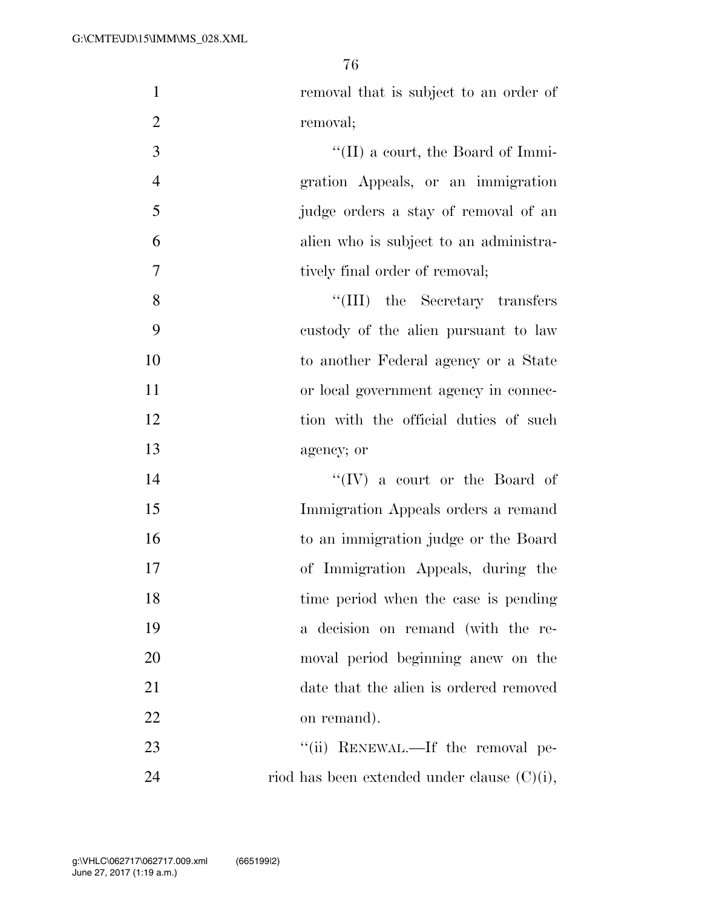1 removal that is subject to an order of

| $\overline{2}$ | removal;                                       |
|----------------|------------------------------------------------|
| 3              | $\lq\lq$ (II) a court, the Board of Immi-      |
| $\overline{4}$ | gration Appeals, or an immigration             |
| 5              | judge orders a stay of removal of an           |
| 6              | alien who is subject to an administra-         |
| 7              | tively final order of removal;                 |
| 8              | "(III) the Secretary transfers                 |
| 9              | custody of the alien pursuant to law           |
| 10             | to another Federal agency or a State           |
| 11             | or local government agency in connec-          |
| 12             | tion with the official duties of such          |
| 13             | agency; or                                     |
| 14             | "(IV) a court or the Board of                  |
| 15             | Immigration Appeals orders a remand            |
| 16             | to an immigration judge or the Board           |
| 17             | of Immigration Appeals, during the             |
| 18             | time period when the case is pending           |
| 19             | a decision on remand (with the re-             |
| 20             | moval period beginning anew on the             |
| 21             | date that the alien is ordered removed         |
| 22             | on remand).                                    |
| 23             | "(ii) RENEWAL.—If the removal pe-              |
| 24             | riod has been extended under clause $(C)(i)$ , |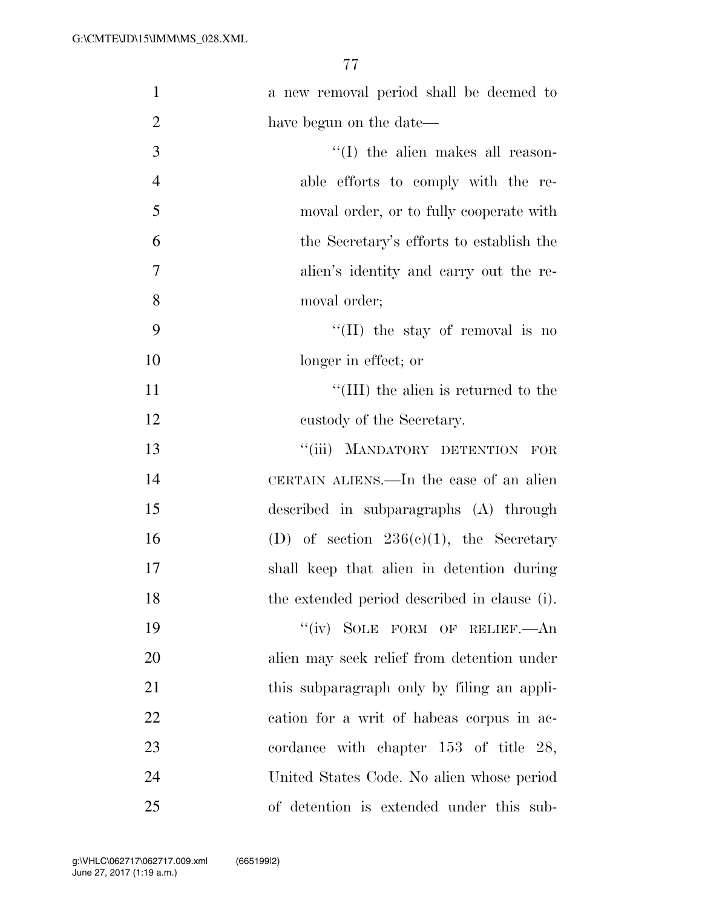| $\mathbf{1}$   | a new removal period shall be deemed to      |
|----------------|----------------------------------------------|
| $\overline{2}$ | have begun on the date—                      |
| 3              | $\lq\lq$ the alien makes all reason-         |
| $\overline{4}$ | able efforts to comply with the re-          |
| 5              | moval order, or to fully cooperate with      |
| 6              | the Secretary's efforts to establish the     |
| $\overline{7}$ | alien's identity and carry out the re-       |
| 8              | moval order;                                 |
| 9              | $\lq\lq$ (II) the stay of removal is no      |
| 10             | longer in effect; or                         |
| 11             | $\lq\lq$ (III) the alien is returned to the  |
| 12             | custody of the Secretary.                    |
| 13             | "(iii) MANDATORY DETENTION FOR               |
| 14             | CERTAIN ALIENS.—In the case of an alien      |
| 15             | described in subparagraphs (A) through       |
| 16             | (D) of section $236(e)(1)$ , the Secretary   |
| 17             | shall keep that alien in detention during    |
| 18             | the extended period described in clause (i). |
| 19             | "(iv) SOLE FORM OF RELIEF.—An                |
| 20             | alien may seek relief from detention under   |
| 21             | this subparagraph only by filing an appli-   |
| 22             | cation for a writ of habeas corpus in ac-    |
| 23             | cordance with chapter $153$ of title $28$ ,  |
| 24             | United States Code. No alien whose period    |
| 25             | of detention is extended under this sub-     |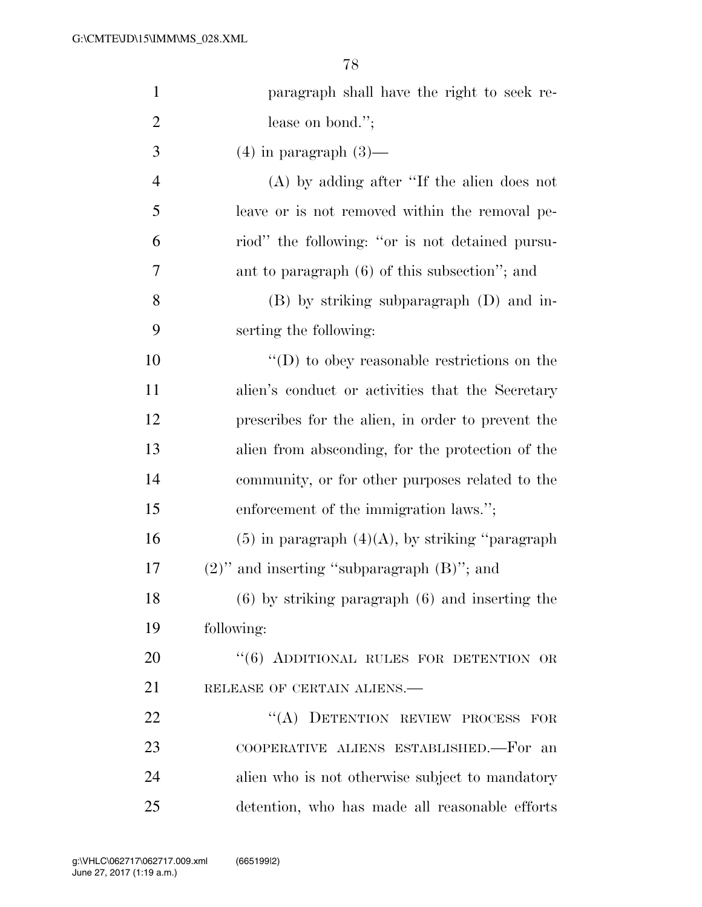| $\mathbf{1}$   | paragraph shall have the right to seek re-            |
|----------------|-------------------------------------------------------|
| $\overline{2}$ | lease on bond.";                                      |
| 3              | $(4)$ in paragraph $(3)$ —                            |
| $\overline{4}$ | $(A)$ by adding after "If the alien does not          |
| 5              | leave or is not removed within the removal pe-        |
| 6              | riod" the following: "or is not detained pursu-       |
| 7              | ant to paragraph $(6)$ of this subsection"; and       |
| 8              | $(B)$ by striking subparagraph $(D)$ and in-          |
| 9              | serting the following:                                |
| 10             | $\lq\lq$ to obey reasonable restrictions on the       |
| 11             | alien's conduct or activities that the Secretary      |
| 12             | prescribes for the alien, in order to prevent the     |
| 13             | alien from absconding, for the protection of the      |
| 14             | community, or for other purposes related to the       |
| 15             | enforcement of the immigration laws.";                |
| 16             | $(5)$ in paragraph $(4)(A)$ , by striking "paragraph" |
| 17             | $(2)$ " and inserting "subparagraph $(B)$ "; and      |
| 18             | $(6)$ by striking paragraph $(6)$ and inserting the   |
| 19             | following:                                            |
| 20             | "(6) ADDITIONAL RULES FOR DETENTION OR                |
| 21             | RELEASE OF CERTAIN ALIENS.                            |
| 22             | "(A) DETENTION REVIEW PROCESS FOR                     |
| 23             | COOPERATIVE ALIENS ESTABLISHED.—For an                |
| 24             | alien who is not otherwise subject to mandatory       |
| 25             | detention, who has made all reasonable efforts        |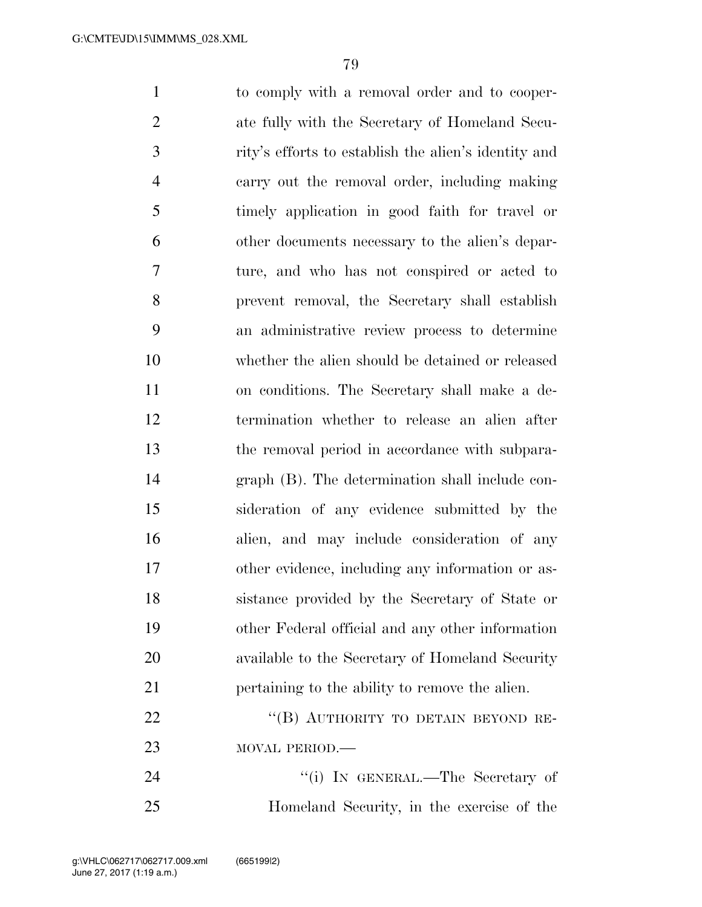to comply with a removal order and to cooper- ate fully with the Secretary of Homeland Secu- rity's efforts to establish the alien's identity and carry out the removal order, including making timely application in good faith for travel or other documents necessary to the alien's depar- ture, and who has not conspired or acted to prevent removal, the Secretary shall establish an administrative review process to determine whether the alien should be detained or released on conditions. The Secretary shall make a de- termination whether to release an alien after the removal period in accordance with subpara- graph (B). The determination shall include con- sideration of any evidence submitted by the alien, and may include consideration of any other evidence, including any information or as- sistance provided by the Secretary of State or other Federal official and any other information available to the Secretary of Homeland Security pertaining to the ability to remove the alien. 22 "(B) AUTHORITY TO DETAIN BEYOND RE-23 MOVAL PERIOD.— 24 ''(i) IN GENERAL.—The Secretary of Homeland Security, in the exercise of the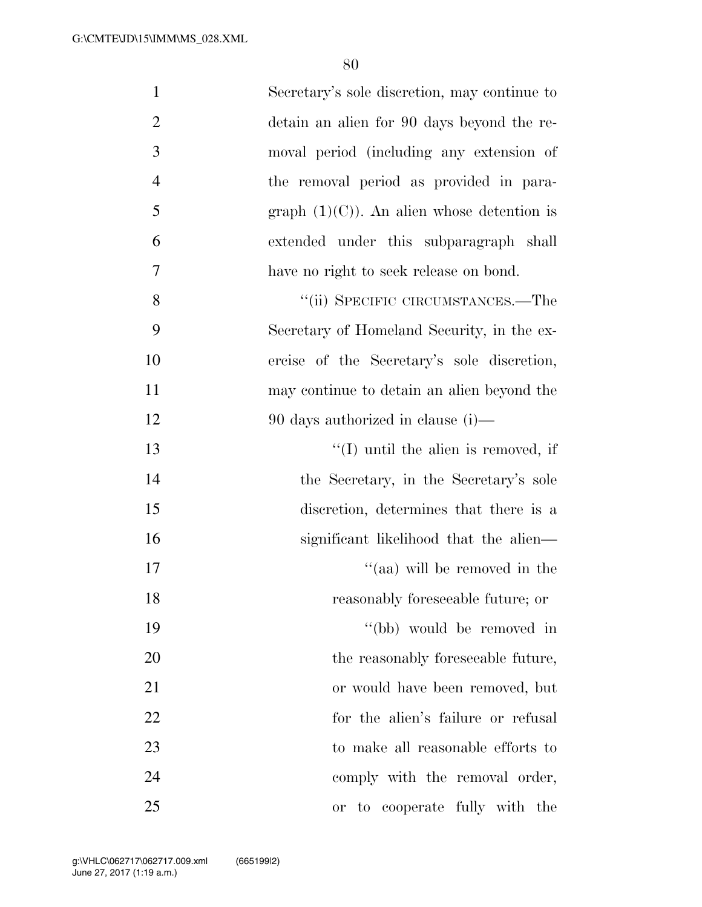| $\mathbf{1}$   | Secretary's sole discretion, may continue to  |
|----------------|-----------------------------------------------|
| $\overline{2}$ | detain an alien for 90 days beyond the re-    |
| $\mathfrak{Z}$ | moval period (including any extension of      |
| $\overline{4}$ | the removal period as provided in para-       |
| 5              | graph $(1)(C)$ ). An alien whose detention is |
| 6              | extended under this subparagraph shall        |
| 7              | have no right to seek release on bond.        |
| 8              | "(ii) SPECIFIC CIRCUMSTANCES.—The             |
| 9              | Secretary of Homeland Security, in the ex-    |
| 10             | ercise of the Secretary's sole discretion,    |
| 11             | may continue to detain an alien beyond the    |
| 12             | 90 days authorized in clause $(i)$ —          |
| 13             | "(I) until the alien is removed, if           |
| 14             | the Secretary, in the Secretary's sole        |
| 15             | discretion, determines that there is a        |
| 16             | significant likelihood that the alien—        |
| 17             | "(aa) will be removed in the                  |
| 18             | reasonably foreseeable future; or             |
| 19             | "(bb) would be removed in                     |
| 20             | the reasonably foreseeable future,            |
| 21             | or would have been removed, but               |
| 22             | for the alien's failure or refusal            |
| 23             | to make all reasonable efforts to             |
| 24             | comply with the removal order,                |
| 25             | to cooperate fully with the<br><b>or</b>      |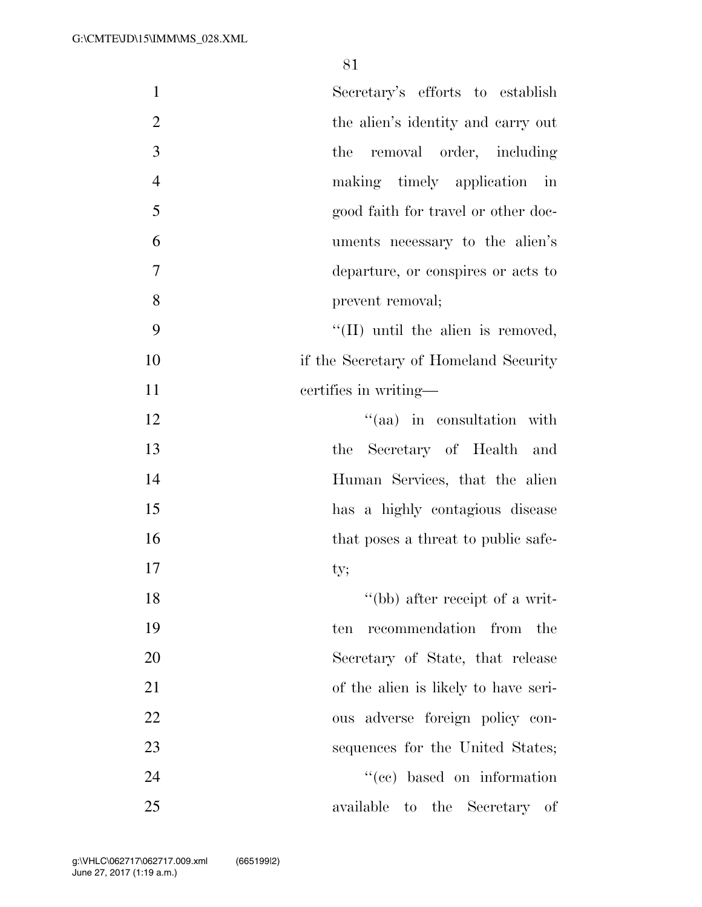| $\mathbf{1}$<br>Secretary's efforts to establish     |                        |
|------------------------------------------------------|------------------------|
| $\overline{2}$<br>the alien's identity and carry out |                        |
| 3<br>the removal order, including                    |                        |
| $\overline{4}$<br>making timely application          | $\overline{\text{in}}$ |
| 5<br>good faith for travel or other doc-             |                        |
| 6<br>uments necessary to the alien's                 |                        |
| 7<br>departure, or conspires or acts to              |                        |
| 8<br>prevent removal;                                |                        |
| 9<br>$\lq\lq$ (II) until the alien is removed,       |                        |
| 10<br>if the Secretary of Homeland Security          |                        |
| 11<br>certifies in writing—                          |                        |
| 12<br>$\lq(aa)$ in consultation with                 |                        |
| 13<br>the Secretary of Health and                    |                        |
| 14<br>Human Services, that the alien                 |                        |
| 15<br>has a highly contagious disease                |                        |
| 16<br>that poses a threat to public safe-            |                        |
| 17<br>ty;                                            |                        |
| 18<br>"(bb) after receipt of a writ-                 |                        |
| 19<br>recommendation<br>from<br>ten<br>the           |                        |
| 20<br>Secretary of State, that release               |                        |
| 21<br>of the alien is likely to have seri-           |                        |
| 22<br>ous adverse foreign policy con-                |                        |
| 23<br>sequences for the United States;               |                        |
| 24<br>"(cc) based on information                     |                        |
| 25<br>available<br>to the Secretary of               |                        |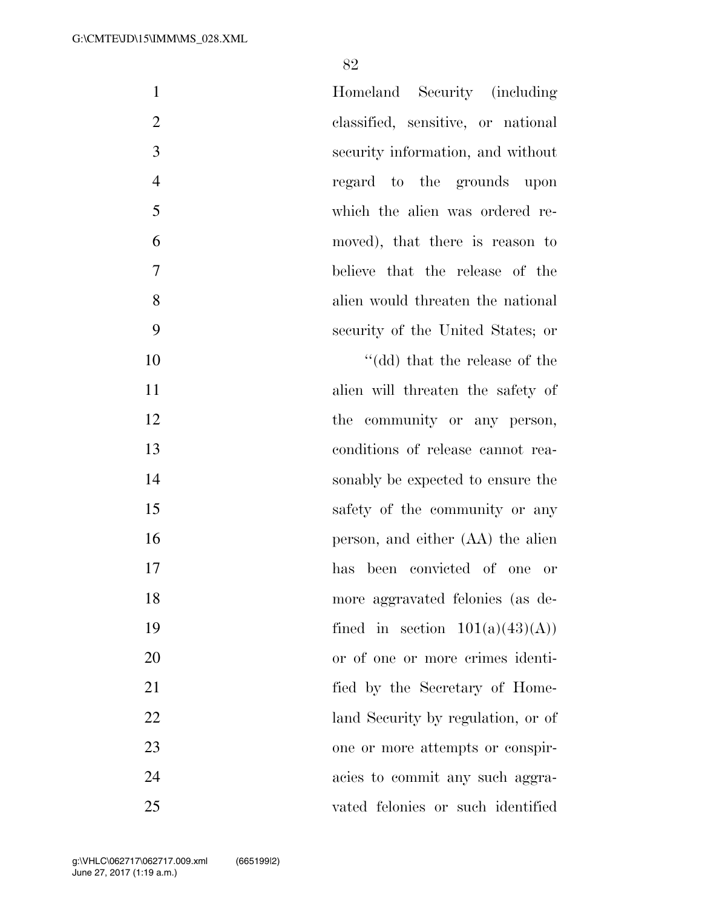| $\mathbf{1}$   | Homeland Security (including       |
|----------------|------------------------------------|
| $\overline{2}$ | classified, sensitive, or national |
| $\mathfrak{Z}$ | security information, and without  |
| $\overline{4}$ | regard to the grounds upon         |
| 5              | which the alien was ordered re-    |
| 6              | moved), that there is reason to    |
| $\tau$         | believe that the release of the    |
| 8              | alien would threaten the national  |
| 9              | security of the United States; or  |
| 10             | $"$ (dd) that the release of the   |
| 11             | alien will threaten the safety of  |
| 12             | the community or any person,       |
| 13             | conditions of release cannot rea-  |
| 14             | sonably be expected to ensure the  |
| 15             | safety of the community or any     |
| 16             | person, and either (AA) the alien  |
| 17             | has been convicted of one or       |
| 18             | more aggravated felonies (as de-   |
| 19             | fined in section $101(a)(43)(A)$   |
| 20             | or of one or more crimes identi-   |
| 21             | fied by the Secretary of Home-     |
| 22             | land Security by regulation, or of |
| 23             | one or more attempts or conspir-   |
| 24             | acies to commit any such aggra-    |
| 25             | vated felonies or such identified  |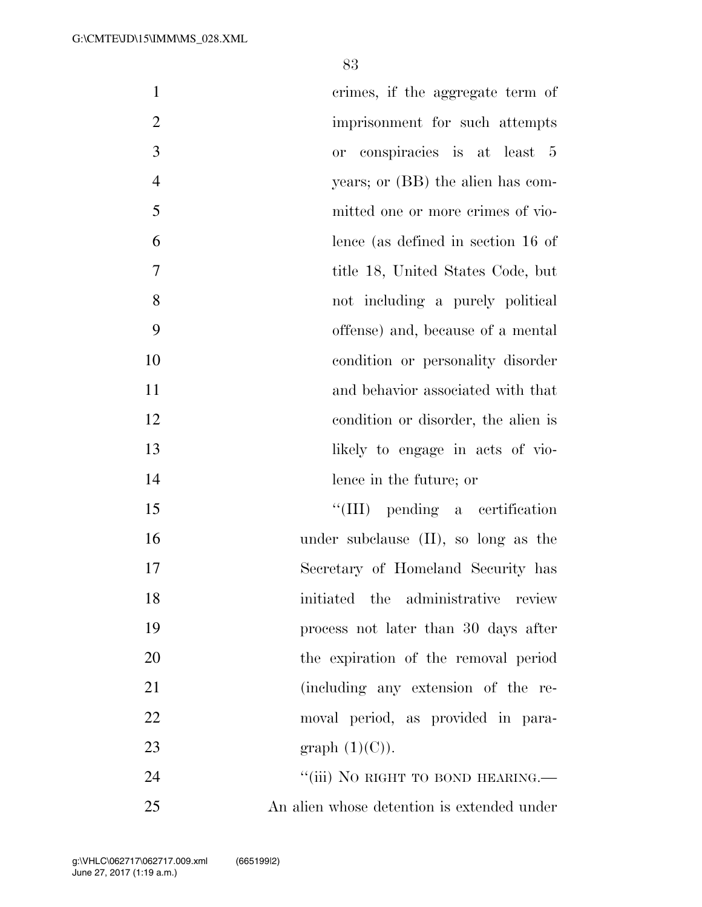| $\mathbf{1}$   | crimes, if the aggregate term of           |
|----------------|--------------------------------------------|
| $\overline{2}$ | imprisonment for such attempts             |
| 3              | or conspiracies is at least 5              |
| $\overline{4}$ | years; or (BB) the alien has com-          |
| 5              | mitted one or more crimes of vio-          |
| 6              | lence (as defined in section 16 of         |
| 7              | title 18, United States Code, but          |
| 8              | not including a purely political           |
| 9              | offense) and, because of a mental          |
| 10             | condition or personality disorder          |
| 11             | and behavior associated with that          |
| 12             | condition or disorder, the alien is        |
| 13             | likely to engage in acts of vio-           |
| 14             | lence in the future; or                    |
| 15             | $\lq\lq$ (III) pending a certification     |
| 16             | under subclause $(II)$ , so long as the    |
| 17             | Secretary of Homeland Security has         |
| 18             | initiated the administrative review        |
| 19             | process not later than 30 days after       |
| 20             | the expiration of the removal period       |
| 21             | (including any extension of the re-        |
| 22             | moval period, as provided in para-         |
| 23             | graph $(1)(C)$ ).                          |
| 24             | "(iii) NO RIGHT TO BOND HEARING.—          |
| 25             | An alien whose detention is extended under |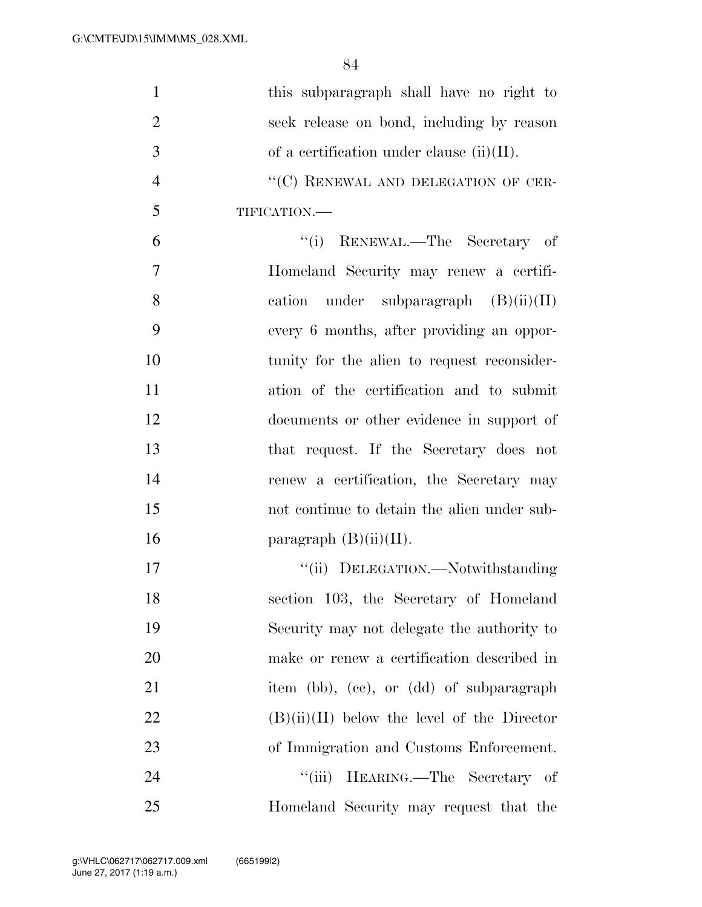| $\mathbf{1}$   | this subparagraph shall have no right to      |
|----------------|-----------------------------------------------|
| $\overline{2}$ | seek release on bond, including by reason     |
| 3              | of a certification under clause $(ii)(II)$ .  |
| $\overline{4}$ | "(C) RENEWAL AND DELEGATION OF CER-           |
| 5              | TIFICATION.-                                  |
| 6              | "(i) RENEWAL.—The Secretary of                |
| 7              | Homeland Security may renew a certifi-        |
| 8              | cation under subparagraph $(B)(ii)(II)$       |
| 9              | every 6 months, after providing an oppor-     |
| 10             | tunity for the alien to request reconsider-   |
| 11             | ation of the certification and to submit      |
| 12             | documents or other evidence in support of     |
| 13             | that request. If the Secretary does not       |
| 14             | renew a certification, the Secretary may      |
| 15             | not continue to detain the alien under sub-   |
| 16             | paragraph $(B)(ii)(II)$ .                     |
| 17             | "(ii) DELEGATION.—Notwithstanding             |
| 18             | section 103, the Secretary of Homeland        |
| 19             | Security may not delegate the authority to    |
| 20             | make or renew a certification described in    |
| 21             | item (bb), (cc), or (dd) of subparagraph      |
| 22             | $(B)(ii)(II)$ below the level of the Director |
| 23             | of Immigration and Customs Enforcement.       |
| 24             | "(iii) HEARING.—The Secretary of              |
| 25             | Homeland Security may request that the        |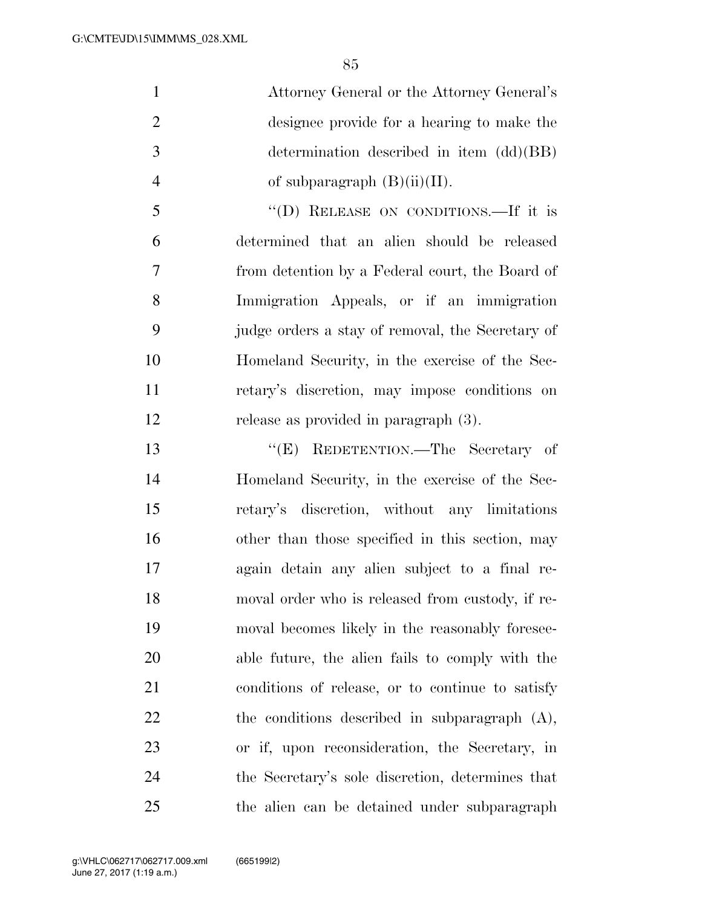Attorney General or the Attorney General's designee provide for a hearing to make the determination described in item (dd)(BB) 4 of subparagraph  $(B)(ii)(II)$ .

 ''(D) RELEASE ON CONDITIONS.—If it is determined that an alien should be released from detention by a Federal court, the Board of Immigration Appeals, or if an immigration judge orders a stay of removal, the Secretary of Homeland Security, in the exercise of the Sec- retary's discretion, may impose conditions on release as provided in paragraph (3).

 ''(E) REDETENTION.—The Secretary of Homeland Security, in the exercise of the Sec- retary's discretion, without any limitations other than those specified in this section, may again detain any alien subject to a final re- moval order who is released from custody, if re- moval becomes likely in the reasonably foresee- able future, the alien fails to comply with the conditions of release, or to continue to satisfy the conditions described in subparagraph (A), or if, upon reconsideration, the Secretary, in the Secretary's sole discretion, determines that the alien can be detained under subparagraph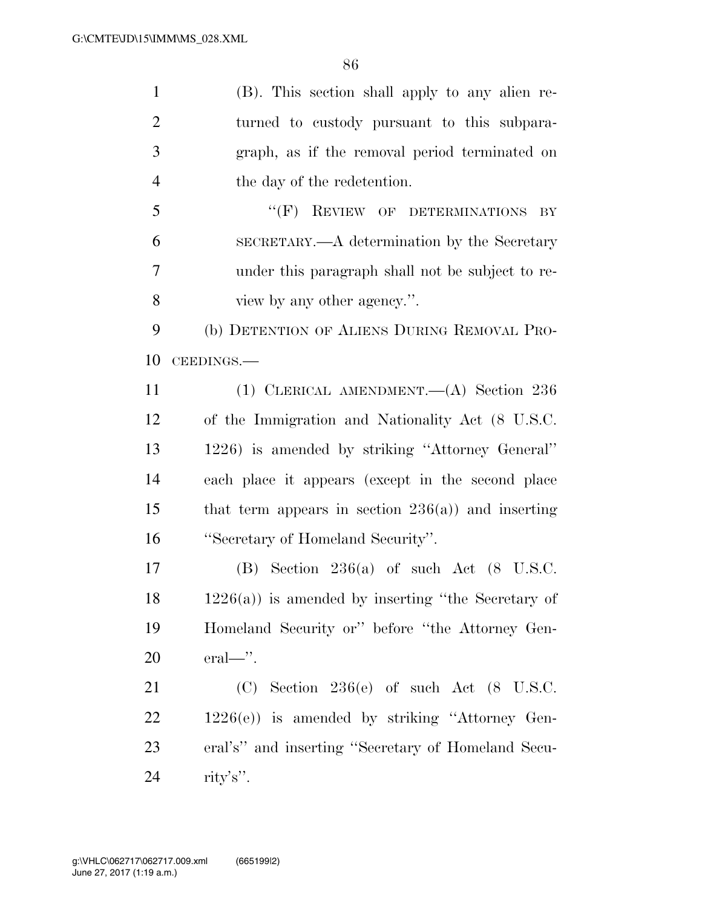| $\mathbf{1}$   | (B). This section shall apply to any alien re-        |
|----------------|-------------------------------------------------------|
| $\overline{2}$ | turned to custody pursuant to this subpara-           |
| 3              | graph, as if the removal period terminated on         |
| $\overline{4}$ | the day of the redetention.                           |
| 5              | "(F) REVIEW OF DETERMINATIONS<br>BY                   |
| 6              | SECRETARY.—A determination by the Secretary           |
| 7              | under this paragraph shall not be subject to re-      |
| 8              | view by any other agency.".                           |
| 9              | (b) DETENTION OF ALIENS DURING REMOVAL PRO-           |
| 10             | CEEDINGS.-                                            |
| 11             | (1) CLERICAL AMENDMENT. $(A)$ Section 236             |
| 12             | of the Immigration and Nationality Act (8 U.S.C.      |
| 13             | 1226) is amended by striking "Attorney General"       |
| 14             | each place it appears (except in the second place     |
| 15             | that term appears in section $236(a)$ and inserting   |
| 16             | "Secretary of Homeland Security".                     |
| 17             | $(B)$ Section 236(a) of such Act $(8 \text{ U.S.C.})$ |
| 18             | $1226(a)$ ) is amended by inserting "the Secretary of |
| 19             | Homeland Security or" before "the Attorney Gen-       |
| 20             | eral—".                                               |
| 21             | $(C)$ Section 236(e) of such Act (8 U.S.C.            |
| 22             | $1226(e)$ ) is amended by striking "Attorney Gen-     |
| 23             | eral's" and inserting "Secretary of Homeland Secu-    |
| 24             | rity's".                                              |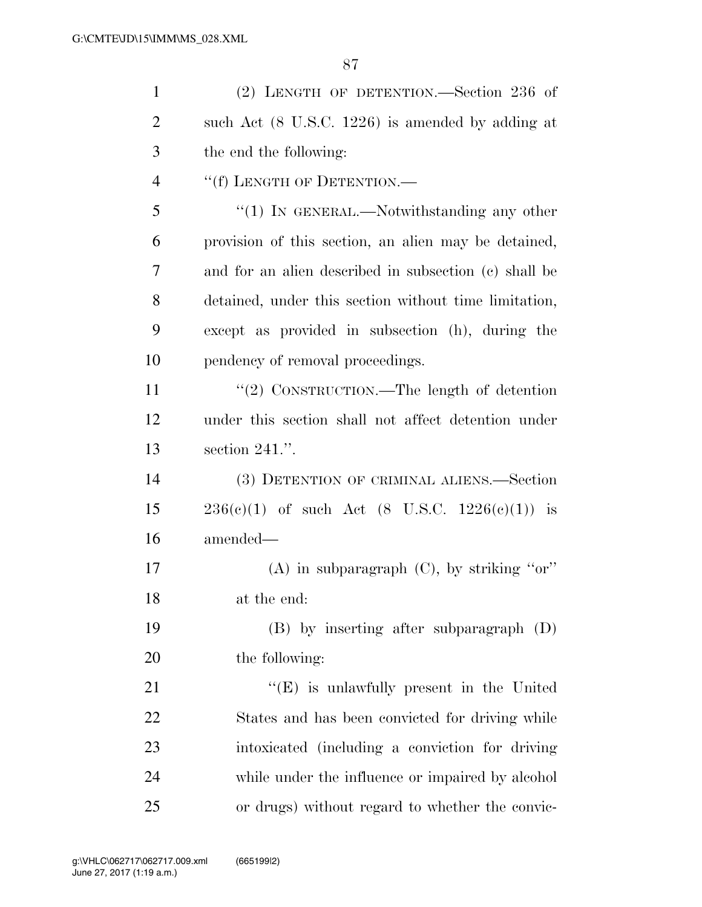| $\mathbf{1}$   | (2) LENGTH OF DETENTION.—Section 236 of                     |
|----------------|-------------------------------------------------------------|
| $\overline{2}$ | such Act $(8 \text{ U.S.C. } 1226)$ is amended by adding at |
| 3              | the end the following:                                      |
| $\overline{4}$ | "(f) LENGTH OF DETENTION.—                                  |
| 5              | " $(1)$ IN GENERAL.—Notwithstanding any other               |
| 6              | provision of this section, an alien may be detained,        |
| $\overline{7}$ | and for an alien described in subsection (c) shall be       |
| 8              | detained, under this section without time limitation,       |
| 9              | except as provided in subsection (h), during the            |
| 10             | pendency of removal proceedings.                            |
| 11             | "(2) CONSTRUCTION.—The length of detention                  |
| 12             | under this section shall not affect detention under         |
| 13             | section $241$ .".                                           |
| 14             | (3) DETENTION OF CRIMINAL ALIENS.—Section                   |
| 15             | $236(e)(1)$ of such Act $(8 \text{ U.S.C. } 1226(e)(1))$ is |
| 16             | amended—                                                    |
| 17             | (A) in subparagraph $(C)$ , by striking "or"                |
| 18             | at the end:                                                 |
| 19             | $(B)$ by inserting after subparagraph $(D)$                 |
| 20             | the following:                                              |
| 21             | $\lq\lq(E)$ is unlawfully present in the United             |
| 22             | States and has been convicted for driving while             |
| 23             | intoxicated (including a conviction for driving             |
| 24             | while under the influence or impaired by alcohol            |
| 25             | or drugs) without regard to whether the convic-             |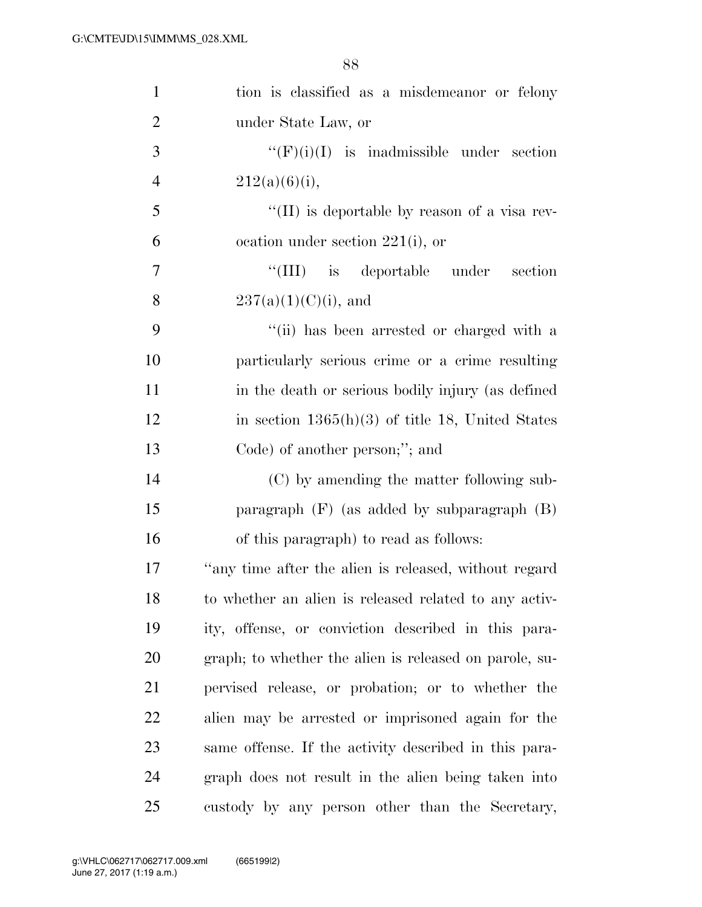| $\mathbf{1}$   | tion is classified as a misdemeanor or felony          |
|----------------|--------------------------------------------------------|
| $\overline{2}$ | under State Law, or                                    |
| 3              | " $(F)(i)(I)$ is inadmissible under section            |
| $\overline{4}$ | $212(a)(6)(i)$ ,                                       |
| 5              | $\lq\lq$ (II) is deportable by reason of a visa rev-   |
| 6              | ocation under section $221(i)$ , or                    |
| $\overline{7}$ | "(III) is deportable under section                     |
| 8              | $237(a)(1)(C)(i)$ , and                                |
| 9              | "(ii) has been arrested or charged with a              |
| 10             | particularly serious crime or a crime resulting        |
| 11             | in the death or serious bodily injury (as defined      |
| 12             | in section $1365(h)(3)$ of title 18, United States     |
| 13             | Code) of another person;"; and                         |
| 14             | (C) by amending the matter following sub-              |
| 15             | paragraph $(F)$ (as added by subparagraph $(B)$ )      |
| 16             | of this paragraph) to read as follows:                 |
| 17             | "any time after the alien is released, without regard  |
| 18             | to whether an alien is released related to any activ-  |
| 19             | ity, offense, or conviction described in this para-    |
| 20             | graph; to whether the alien is released on parole, su- |
| 21             | pervised release, or probation; or to whether the      |
| <u>22</u>      | alien may be arrested or imprisoned again for the      |
| 23             | same offense. If the activity described in this para-  |
| 24             | graph does not result in the alien being taken into    |
| 25             | custody by any person other than the Secretary,        |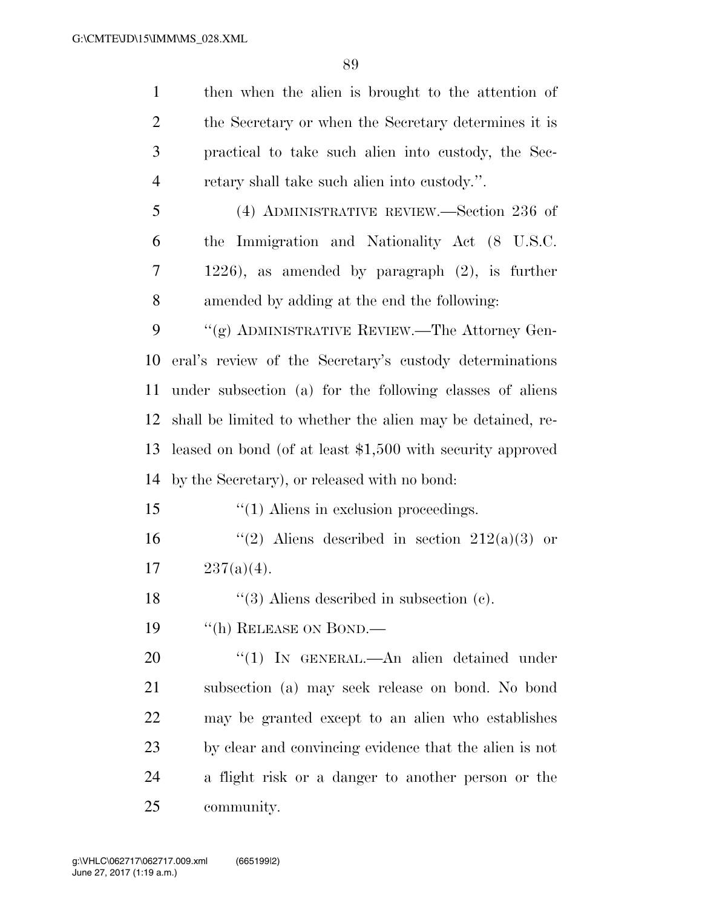then when the alien is brought to the attention of the Secretary or when the Secretary determines it is practical to take such alien into custody, the Sec- retary shall take such alien into custody.''. (4) ADMINISTRATIVE REVIEW.—Section 236 of the Immigration and Nationality Act (8 U.S.C. 1226), as amended by paragraph (2), is further amended by adding at the end the following: 9 "(g) ADMINISTRATIVE REVIEW.—The Attorney Gen- eral's review of the Secretary's custody determinations under subsection (a) for the following classes of aliens shall be limited to whether the alien may be detained, re- leased on bond (of at least \$1,500 with security approved by the Secretary), or released with no bond: ''(1) Aliens in exclusion proceedings.  $\frac{1}{2}$   $(2)$  Aliens described in section 212(a)(3) or  $237(a)(4)$ . 18 ''(3) Aliens described in subsection (c). 19 "(h) RELEASE ON BOND.— 20 "(1) In GENERAL.—An alien detained under subsection (a) may seek release on bond. No bond may be granted except to an alien who establishes by clear and convincing evidence that the alien is not a flight risk or a danger to another person or the

community.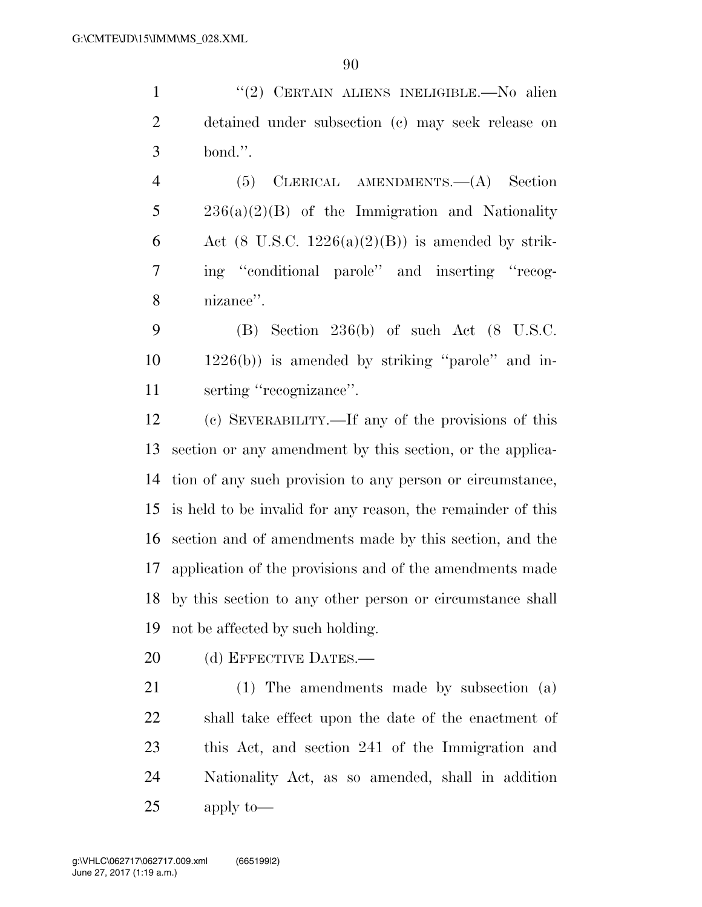''(2) CERTAIN ALIENS INELIGIBLE.—No alien detained under subsection (c) may seek release on bond.''.

 (5) CLERICAL AMENDMENTS.—(A) Section 236(a)(2)(B) of the Immigration and Nationality 6 Act (8 U.S.C.  $1226(a)(2)(B)$ ) is amended by strik- ing ''conditional parole'' and inserting ''recog-nizance''.

 (B) Section 236(b) of such Act (8 U.S.C.  $10 \qquad 1226(b)$  is amended by striking "parole" and in-serting ''recognizance''.

 (c) SEVERABILITY.—If any of the provisions of this section or any amendment by this section, or the applica- tion of any such provision to any person or circumstance, is held to be invalid for any reason, the remainder of this section and of amendments made by this section, and the application of the provisions and of the amendments made by this section to any other person or circumstance shall not be affected by such holding.

20 (d) EFFECTIVE DATES.—

 (1) The amendments made by subsection (a) shall take effect upon the date of the enactment of this Act, and section 241 of the Immigration and Nationality Act, as so amended, shall in addition apply to—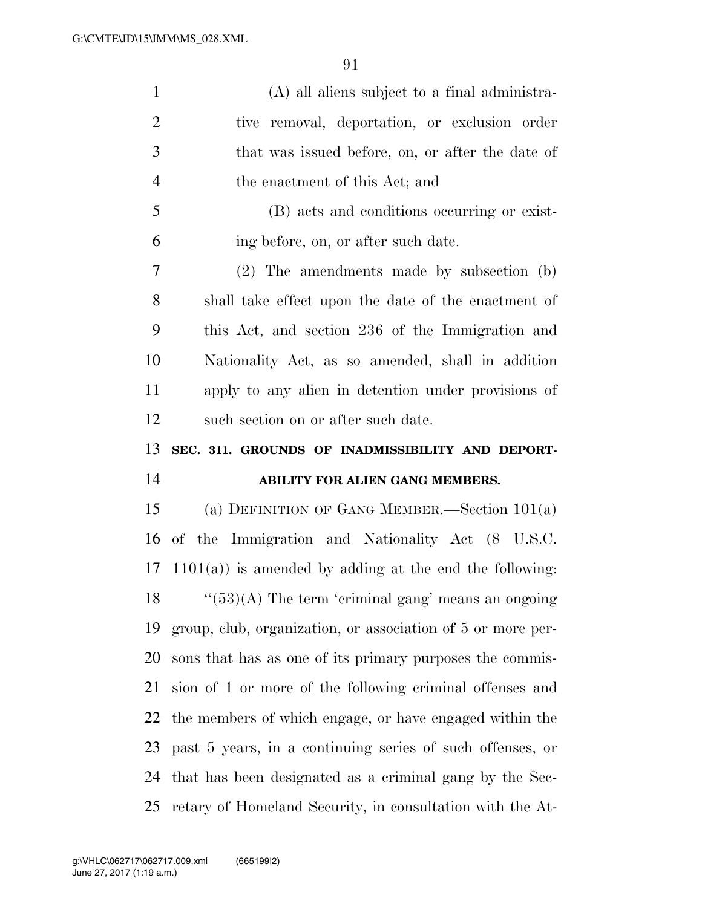| $\mathbf{1}$   | (A) all aliens subject to a final administra-               |
|----------------|-------------------------------------------------------------|
| $\mathfrak{2}$ | tive removal, deportation, or exclusion order               |
| 3              | that was issued before, on, or after the date of            |
| $\overline{4}$ | the enactment of this Act; and                              |
| 5              | (B) acts and conditions occurring or exist-                 |
| 6              | ing before, on, or after such date.                         |
| 7              | $(2)$ The amendments made by subsection $(b)$               |
| 8              | shall take effect upon the date of the enactment of         |
| 9              | this Act, and section 236 of the Immigration and            |
| 10             | Nationality Act, as so amended, shall in addition           |
| 11             | apply to any alien in detention under provisions of         |
| 12             | such section on or after such date.                         |
|                |                                                             |
| 13             | SEC. 311. GROUNDS OF INADMISSIBILITY AND DEPORT-            |
|                | ABILITY FOR ALIEN GANG MEMBERS.                             |
|                | (a) DEFINITION OF GANG MEMBER.—Section $101(a)$             |
| 14<br>15<br>16 | of the Immigration and Nationality Act (8 U.S.C.            |
|                | 17 1101(a)) is amended by adding at the end the following:  |
|                | $18$ "(53)(A) The term 'criminal gang' means an ongoing     |
| 19             | group, club, organization, or association of 5 or more per- |
| 20             | sons that has as one of its primary purposes the commis-    |
| 21             | sion of 1 or more of the following criminal offenses and    |
| 22             | the members of which engage, or have engaged within the     |
| 23             | past 5 years, in a continuing series of such offenses, or   |
| 24             | that has been designated as a criminal gang by the Sec-     |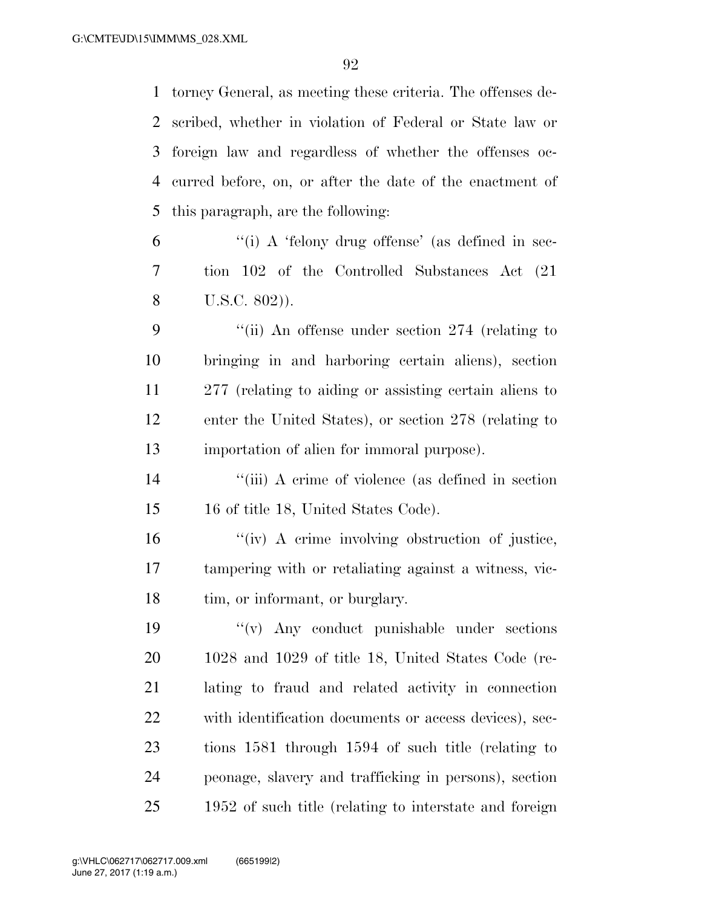torney General, as meeting these criteria. The offenses de- scribed, whether in violation of Federal or State law or foreign law and regardless of whether the offenses oc- curred before, on, or after the date of the enactment of this paragraph, are the following:

 ''(i) A 'felony drug offense' (as defined in sec- tion 102 of the Controlled Substances Act (21 U.S.C. 802)).

 ''(ii) An offense under section 274 (relating to bringing in and harboring certain aliens), section 277 (relating to aiding or assisting certain aliens to enter the United States), or section 278 (relating to importation of alien for immoral purpose).

 ''(iii) A crime of violence (as defined in section 16 of title 18, United States Code).

16  $\frac{1}{\sqrt{1-\frac{1}{\sqrt{1-\frac{1}{\sqrt{1-\frac{1}{\sqrt{1-\frac{1}{\sqrt{1-\frac{1}{\sqrt{1-\frac{1}{\sqrt{1-\frac{1}{\sqrt{1-\frac{1}{\sqrt{1-\frac{1}{\sqrt{1-\frac{1}{\sqrt{1-\frac{1}{\sqrt{1-\frac{1}{\sqrt{1-\frac{1}{\sqrt{1-\frac{1}{\sqrt{1-\frac{1}{\sqrt{1-\frac{1}{\sqrt{1-\frac{1}{\sqrt{1-\frac{1}{\sqrt{1-\frac{1}{\sqrt{1-\frac{1}{\sqrt{1-\frac{1}{\sqrt{1-\frac{1}{\sqrt{1-\frac{1}{\sqrt{1-\frac$  tampering with or retaliating against a witness, vic-18 tim, or informant, or burglary.

 ''(v) Any conduct punishable under sections 1028 and 1029 of title 18, United States Code (re- lating to fraud and related activity in connection with identification documents or access devices), sec- tions 1581 through 1594 of such title (relating to peonage, slavery and trafficking in persons), section 1952 of such title (relating to interstate and foreign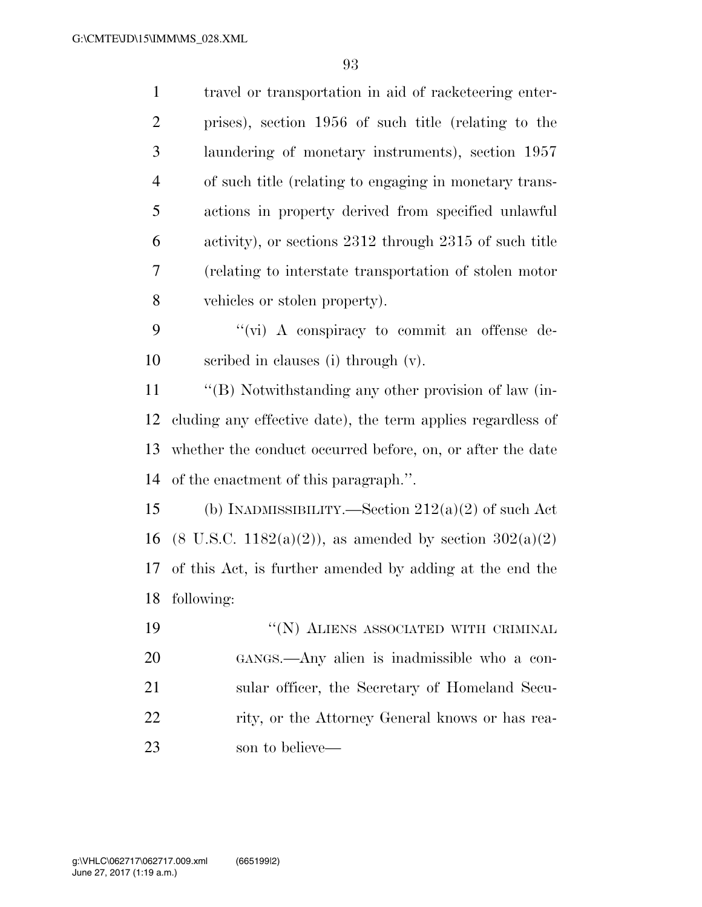| $\mathbf{1}$   | travel or transportation in aid of racketeering enter-               |
|----------------|----------------------------------------------------------------------|
| $\overline{2}$ | prises), section 1956 of such title (relating to the                 |
| 3              | laundering of monetary instruments), section 1957                    |
| $\overline{4}$ | of such title (relating to engaging in monetary trans-               |
| 5              | actions in property derived from specified unlawful                  |
| 6              | activity), or sections 2312 through 2315 of such title               |
| 7              | (relating to interstate transportation of stolen motor               |
| 8              | vehicles or stolen property).                                        |
| 9              | "(vi) A conspiracy to commit an offense de-                          |
| 10             | scribed in clauses (i) through (v).                                  |
| 11             | "(B) Notwithstanding any other provision of law (in-                 |
| 12             | cluding any effective date), the term applies regardless of          |
| 13             | whether the conduct occurred before, on, or after the date           |
| 14             | of the enactment of this paragraph.".                                |
| 15             | (b) INADMISSIBILITY.—Section $212(a)(2)$ of such Act                 |
| 16             | $(8 \text{ U.S.C. } 1182(a)(2))$ , as amended by section $302(a)(2)$ |
| 17             | of this Act, is further amended by adding at the end the             |
|                | 18 following:                                                        |
| 19             | $\lq\lq(N)$ ALIENS ASSOCIATED WITH CRIMINAL                          |
| 20             | GANGS.—Any alien is inadmissible who a con-                          |
| 21             | sular officer, the Secretary of Homeland Secu-                       |
| 22             | rity, or the Attorney General knows or has rea-                      |
| 23             | son to believe—                                                      |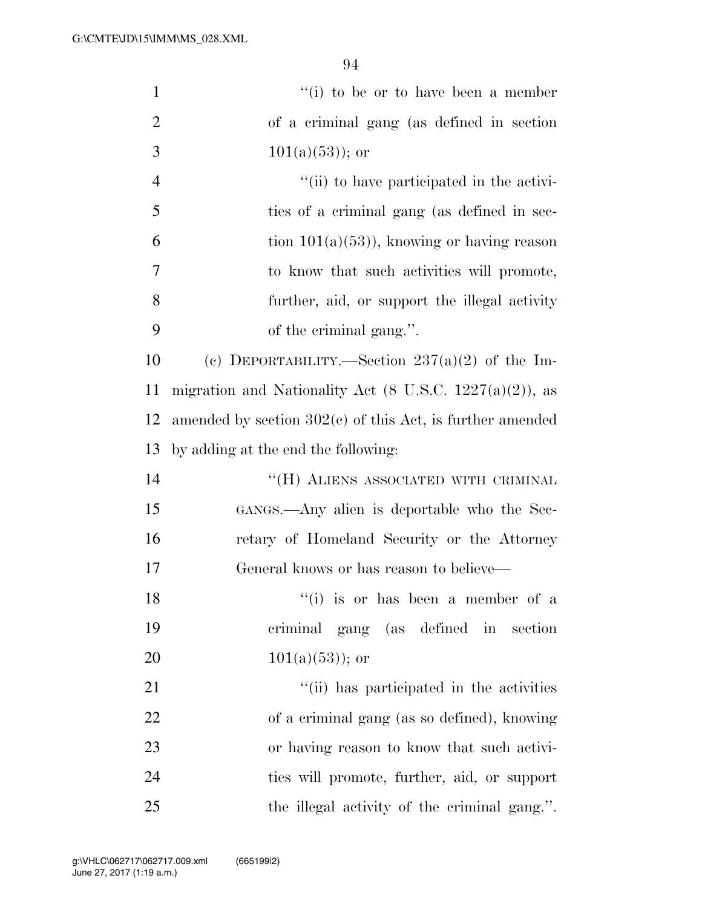| $\mathbf{1}$   | $f(i)$ to be or to have been a member                               |
|----------------|---------------------------------------------------------------------|
| $\overline{2}$ | of a criminal gang (as defined in section                           |
| 3              | $101(a)(53)$ ; or                                                   |
| $\overline{4}$ | "(ii) to have participated in the activi-                           |
| 5              | ties of a criminal gang (as defined in sec-                         |
| 6              | tion $101(a)(53)$ , knowing or having reason                        |
| $\overline{7}$ | to know that such activities will promote,                          |
| 8              | further, aid, or support the illegal activity                       |
| 9              | of the criminal gang.".                                             |
| 10             | (c) DEPORTABILITY.—Section $237(a)(2)$ of the Im-                   |
| 11             | migration and Nationality Act $(8 \text{ U.S.C. } 1227(a)(2))$ , as |
| 12             | amended by section $302(e)$ of this Act, is further amended         |
| 13             | by adding at the end the following:                                 |
| 14             | $\lq\lq (H)$ ALIENS ASSOCIATED WITH CRIMINAL                        |
| 15             | GANGS.—Any alien is deportable who the Sec-                         |
| 16             | retary of Homeland Security or the Attorney                         |
| 17             | General knows or has reason to believe—                             |
| 18             | "(i) is or has been a member of a                                   |
| 19             | criminal gang (as defined in section                                |
| 20             | $101(a)(53)$ ; or                                                   |
| 21             | "(ii) has participated in the activities                            |
| 22             | of a criminal gang (as so defined), knowing                         |
| 23             | or having reason to know that such activi-                          |
| 24             | ties will promote, further, aid, or support                         |
| $25\,$         | the illegal activity of the criminal gang.".                        |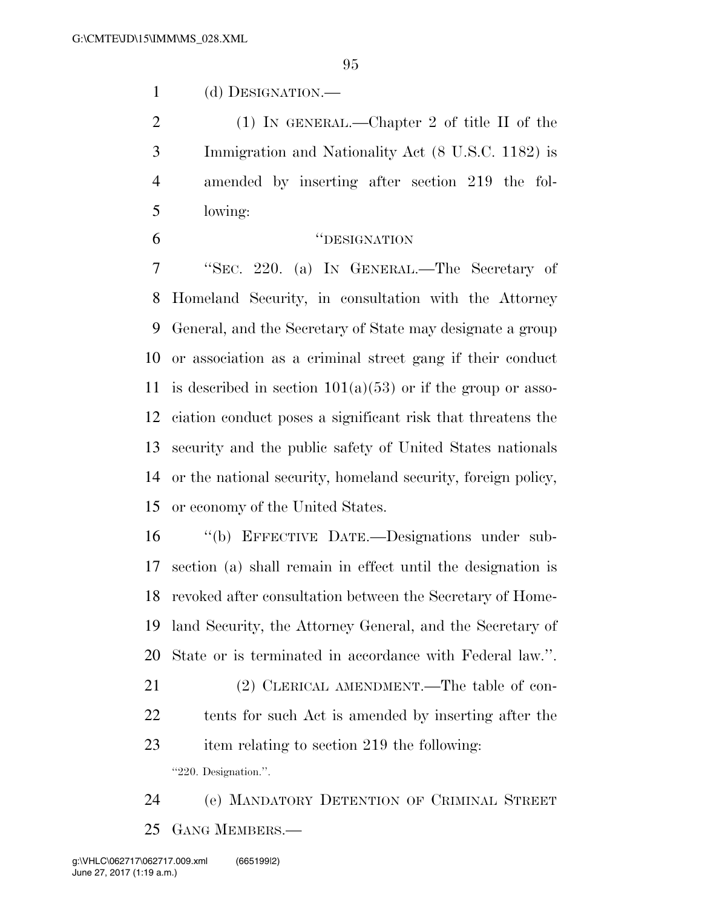(d) DESIGNATION.—

 (1) IN GENERAL.—Chapter 2 of title II of the Immigration and Nationality Act (8 U.S.C. 1182) is amended by inserting after section 219 the fol-lowing:

## ''DESIGNATION

 ''SEC. 220. (a) IN GENERAL.—The Secretary of Homeland Security, in consultation with the Attorney General, and the Secretary of State may designate a group or association as a criminal street gang if their conduct 11 is described in section  $101(a)(53)$  or if the group or asso- ciation conduct poses a significant risk that threatens the security and the public safety of United States nationals or the national security, homeland security, foreign policy, or economy of the United States.

 ''(b) EFFECTIVE DATE.—Designations under sub- section (a) shall remain in effect until the designation is revoked after consultation between the Secretary of Home- land Security, the Attorney General, and the Secretary of State or is terminated in accordance with Federal law.''.

21 (2) CLERICAL AMENDMENT.—The table of con- tents for such Act is amended by inserting after the item relating to section 219 the following:

''220. Designation.''.

 (e) MANDATORY DETENTION OF CRIMINAL STREET GANG MEMBERS.—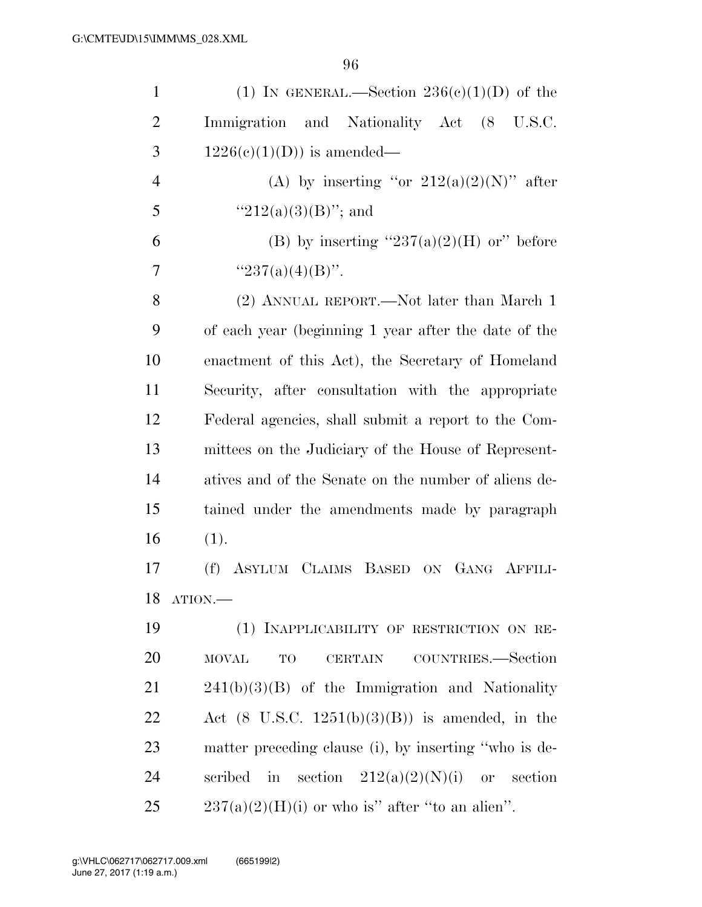| $\mathbf{1}$   | (1) IN GENERAL.—Section $236(e)(1)(D)$ of the              |
|----------------|------------------------------------------------------------|
| $\overline{2}$ | Immigration and Nationality Act (8 U.S.C.                  |
| 3              | $1226(e)(1)(D)$ is amended—                                |
| $\overline{4}$ | (A) by inserting "or $212(a)(2)(N)$ " after                |
| 5              | " $212(a)(3)(B)$ "; and                                    |
| 6              | (B) by inserting " $237(a)(2)(H)$ or" before               |
| 7              | " $237(a)(4)(B)$ ".                                        |
| 8              | (2) ANNUAL REPORT.—Not later than March 1                  |
| 9              | of each year (beginning 1 year after the date of the       |
| 10             | enactment of this Act), the Secretary of Homeland          |
| 11             | Security, after consultation with the appropriate          |
| 12             | Federal agencies, shall submit a report to the Com-        |
| 13             | mittees on the Judiciary of the House of Represent-        |
| 14             | atives and of the Senate on the number of aliens de-       |
| 15             | tained under the amendments made by paragraph              |
| 16             | (1).                                                       |
| 17             | ASYLUM CLAIMS BASED ON GANG AFFILI-<br>(f)                 |
| 18             | ATION.                                                     |
| 19             | (1) INAPPLICABILITY OF RESTRICTION ON RE-                  |
| 20             | COUNTRIES.—Section<br><b>MOVAL</b><br>TO<br><b>CERTAIN</b> |
| 21             | $241(b)(3)(B)$ of the Immigration and Nationality          |
| 22             | Act $(8 \text{ U.S.C. } 1251(b)(3)(B))$ is amended, in the |
| 23             | matter preceding clause (i), by inserting "who is de-      |
| 24             | in section $212(a)(2)(N)(i)$<br>scribed<br>or section      |
| 25             | $237(a)(2)(H)(i)$ or who is" after "to an alien".          |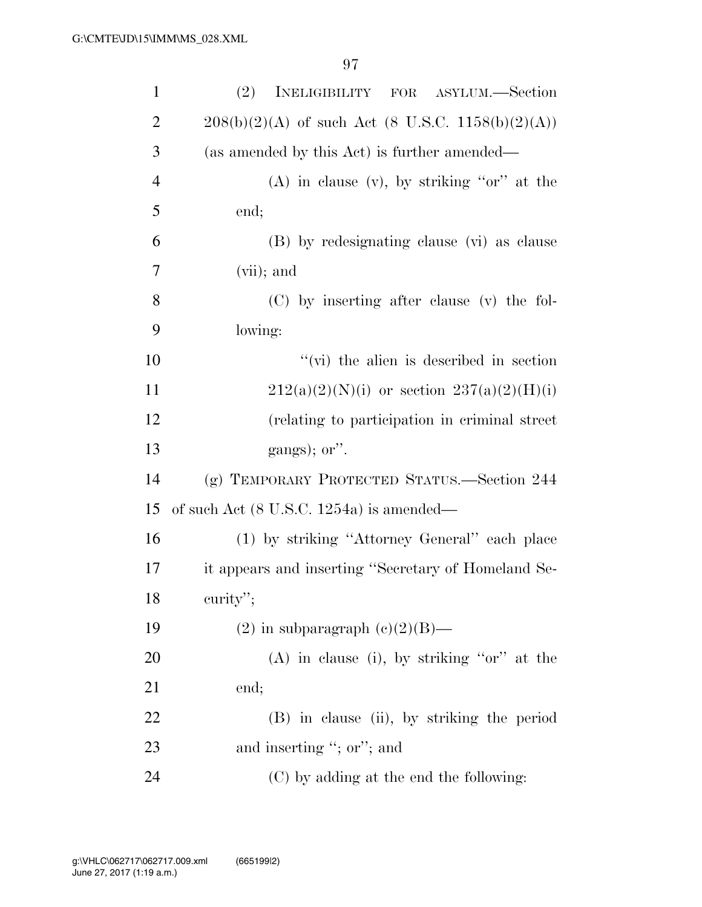| $\mathbf{1}$   | (2)<br>INELIGIBILITY FOR ASYLUM.—Section            |
|----------------|-----------------------------------------------------|
| $\overline{2}$ | $208(b)(2)(A)$ of such Act (8 U.S.C. 1158(b)(2)(A)) |
| 3              | (as amended by this Act) is further amended—        |
| $\overline{4}$ | $(A)$ in clause $(v)$ , by striking "or" at the     |
| 5              | end;                                                |
| 6              | (B) by redesignating clause (vi) as clause          |
| 7              | $(vii)$ ; and                                       |
| 8              | (C) by inserting after clause (v) the fol-          |
| 9              | lowing:                                             |
| 10             | $\lq\lq$ (vi) the alien is described in section     |
| 11             | $212(a)(2)(N)(i)$ or section $237(a)(2)(H)(i)$      |
| 12             | (relating to participation in criminal street)      |
| 13             | gangs); or".                                        |
| 14             | (g) TEMPORARY PROTECTED STATUS.—Section 244         |
| 15             | of such Act $(8 \text{ U.S.C. } 1254a)$ is amended— |
| 16             | (1) by striking "Attorney General" each place       |
| 17             | it appears and inserting "Secretary of Homeland Se- |
| 18             | curity";                                            |
| 19             | $(2)$ in subparagraph $(e)(2)(B)$ —                 |
| 20             | $(A)$ in clause (i), by striking "or" at the        |
| 21             | end;                                                |
| 22             | (B) in clause (ii), by striking the period          |
| 23             | and inserting "; or"; and                           |
| 24             | (C) by adding at the end the following:             |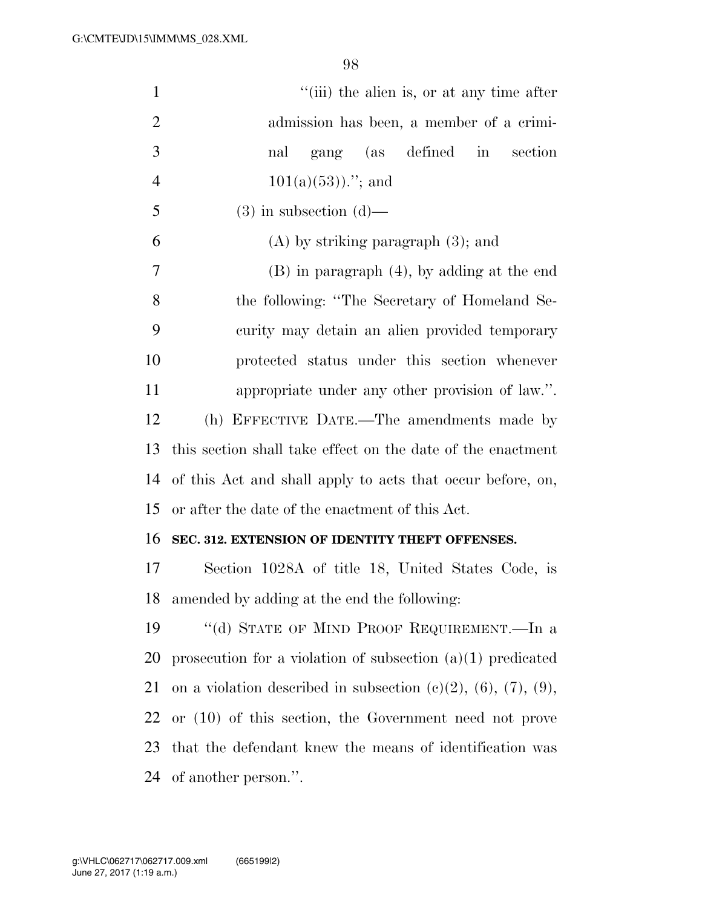| $\mathbf{1}$   | "(iii) the alien is, or at any time after                     |
|----------------|---------------------------------------------------------------|
| $\overline{2}$ | admission has been, a member of a crimi-                      |
| 3              | gang (as defined in<br>section<br>nal                         |
| $\overline{4}$ | $101(a)(53))$ ."; and                                         |
| 5              | $(3)$ in subsection $(d)$ —                                   |
| 6              | $(A)$ by striking paragraph $(3)$ ; and                       |
| 7              | $(B)$ in paragraph $(4)$ , by adding at the end               |
| 8              | the following: "The Secretary of Homeland Se-                 |
| 9              | curity may detain an alien provided temporary                 |
| 10             | protected status under this section whenever                  |
| 11             | appropriate under any other provision of law.".               |
| 12             | (h) EFFECTIVE DATE.—The amendments made by                    |
| 13             | this section shall take effect on the date of the enactment   |
| 14             | of this Act and shall apply to acts that occur before, on,    |
| 15             | or after the date of the enactment of this Act.               |
| 16             | SEC. 312. EXTENSION OF IDENTITY THEFT OFFENSES.               |
| 17             | Section 1028A of title 18, United States Code, is             |
| 18             | amended by adding at the end the following:                   |
| 19             | "(d) STATE OF MIND PROOF REQUIREMENT.—In a                    |
| 20             | prosecution for a violation of subsection $(a)(1)$ predicated |
| 21             | on a violation described in subsection (c)(2), (6), (7), (9), |
| 22             | or $(10)$ of this section, the Government need not prove      |
| 23             | that the defendant knew the means of identification was       |
| 24             | of another person.".                                          |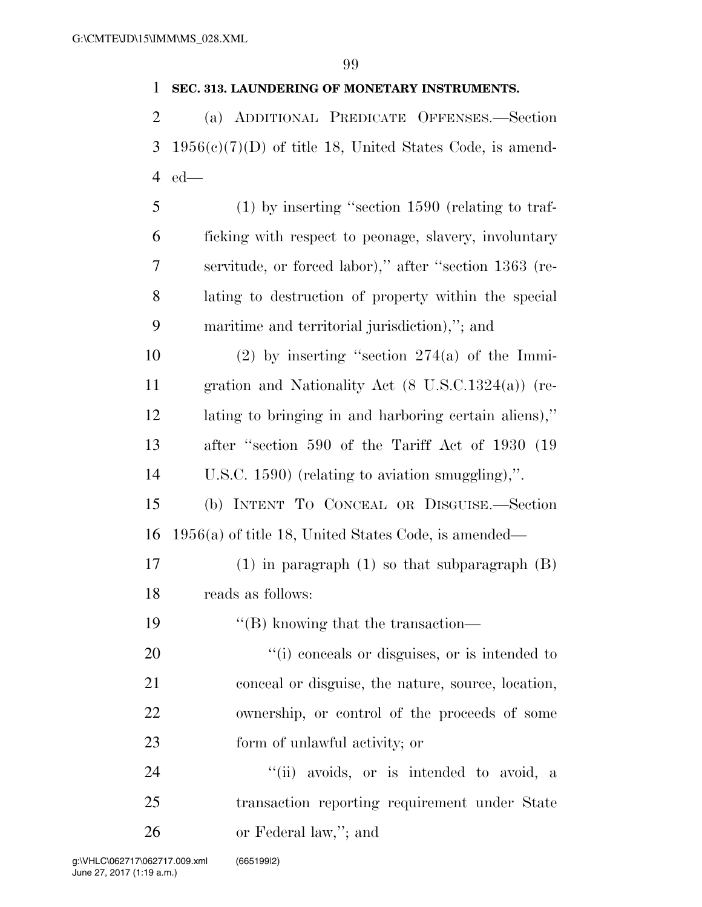## **SEC. 313. LAUNDERING OF MONETARY INSTRUMENTS.**

 (a) ADDITIONAL PREDICATE OFFENSES.—Section 1956(c)(7)(D) of title 18, United States Code, is amend-ed—

 (1) by inserting ''section 1590 (relating to traf- ficking with respect to peonage, slavery, involuntary servitude, or forced labor),'' after ''section 1363 (re- lating to destruction of property within the special maritime and territorial jurisdiction),''; and

10 (2) by inserting "section  $274(a)$  of the Immi- gration and Nationality Act (8 U.S.C.1324(a)) (re- lating to bringing in and harboring certain aliens),'' after ''section 590 of the Tariff Act of 1930 (19 U.S.C. 1590) (relating to aviation smuggling),''.

 (b) INTENT TO CONCEAL OR DISGUISE.—Section 1956(a) of title 18, United States Code, is amended—

 (1) in paragraph (1) so that subparagraph (B) reads as follows:

''(B) knowing that the transaction—

 $\frac{1}{20}$  (i) conceals or disguises, or is intended to conceal or disguise, the nature, source, location, ownership, or control of the proceeds of some form of unlawful activity; or

24 "(ii) avoids, or is intended to avoid, a transaction reporting requirement under State or Federal law,''; and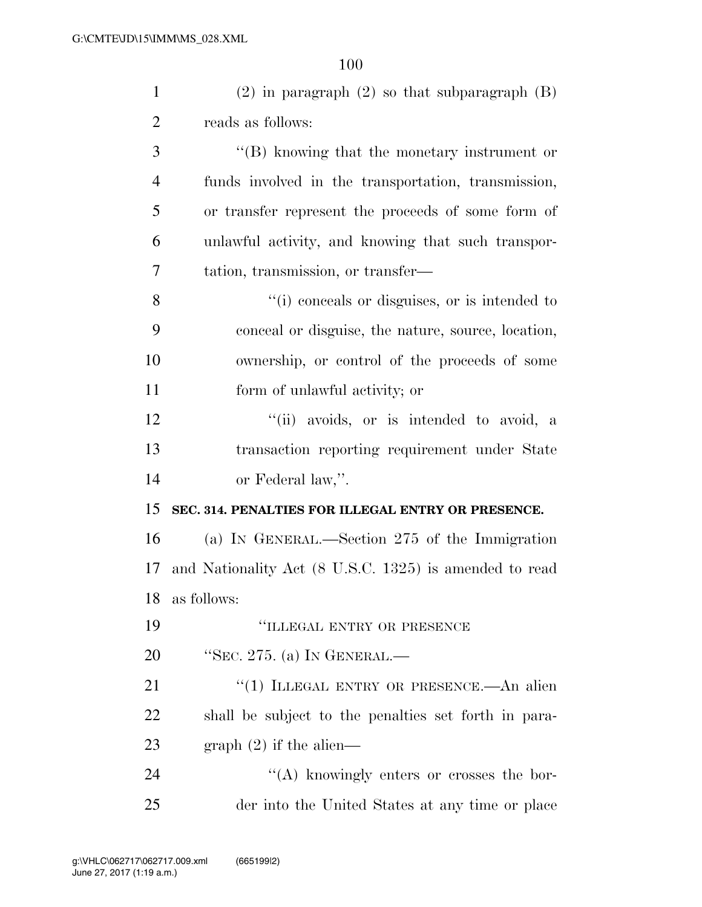| $\mathbf{1}$   | $(2)$ in paragraph $(2)$ so that subparagraph $(B)$    |
|----------------|--------------------------------------------------------|
| $\overline{2}$ | reads as follows:                                      |
| 3              | $\lq\lq$ knowing that the monetary instrument or       |
| $\overline{4}$ | funds involved in the transportation, transmission,    |
| 5              | or transfer represent the proceeds of some form of     |
| 6              | unlawful activity, and knowing that such transpor-     |
| 7              | tation, transmission, or transfer—                     |
| 8              | "(i) conceals or disguises, or is intended to          |
| 9              | conceal or disguise, the nature, source, location,     |
| 10             | ownership, or control of the proceeds of some          |
| 11             | form of unlawful activity; or                          |
| 12             | "(ii) avoids, or is intended to avoid, a               |
| 13             | transaction reporting requirement under State          |
| 14             | or Federal law,".                                      |
| 15             | SEC. 314. PENALTIES FOR ILLEGAL ENTRY OR PRESENCE.     |
| 16             | (a) IN GENERAL.—Section 275 of the Immigration         |
| 17             | and Nationality Act (8 U.S.C. 1325) is amended to read |
|                | 18 as follows:                                         |
| 19             | "ILLEGAL ENTRY OR PRESENCE                             |
| 20             | "SEC. 275. (a) IN GENERAL.—                            |
| 21             | "(1) ILLEGAL ENTRY OR PRESENCE.—An alien               |
| 22             | shall be subject to the penalties set forth in para-   |
| 23             | graph $(2)$ if the alien—                              |

24 ''(A) knowingly enters or crosses the bor-der into the United States at any time or place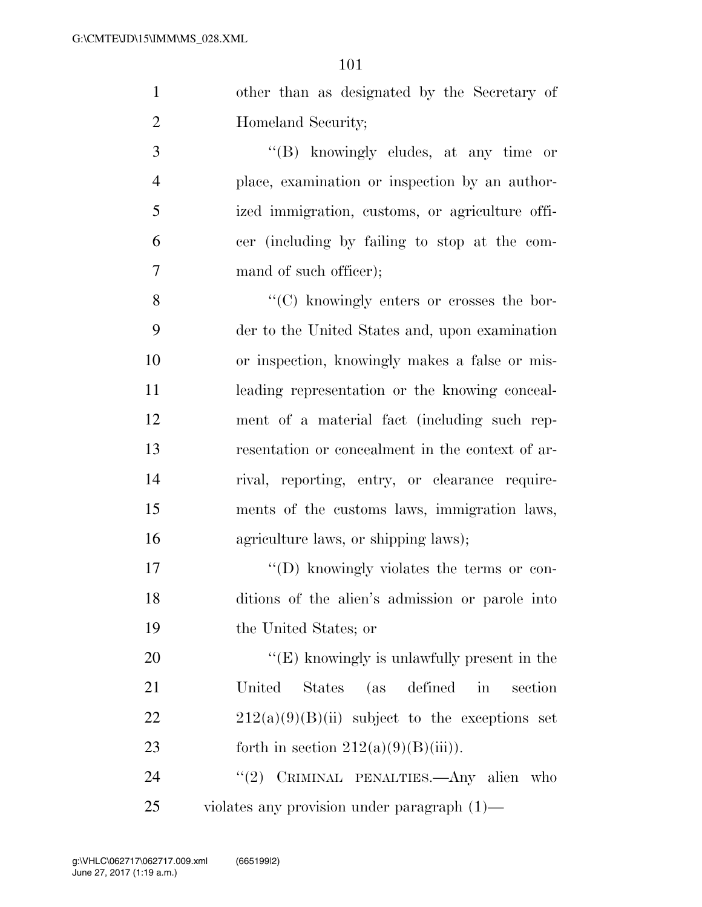| other than as designated by the Secretary of  |
|-----------------------------------------------|
| Homeland Security;                            |
| $\lq\lq$ (B) knowingly eludes, at any time or |

 place, examination or inspection by an author- ized immigration, customs, or agriculture offi- cer (including by failing to stop at the com-7 mand of such officer);

8 ''(C) knowingly enters or crosses the bor- der to the United States and, upon examination or inspection, knowingly makes a false or mis- leading representation or the knowing conceal- ment of a material fact (including such rep- resentation or concealment in the context of ar- rival, reporting, entry, or clearance require- ments of the customs laws, immigration laws, agriculture laws, or shipping laws);

17  $\langle \text{`}(D) \rangle$  knowingly violates the terms or con- ditions of the alien's admission or parole into the United States; or

 ''(E) knowingly is unlawfully present in the United States (as defined in section 22 212(a)(9)(B)(ii) subject to the exceptions set 23 forth in section  $212(a)(9)(B)(iii)$ .

24 "(2) CRIMINAL PENALTIES.—Any alien who violates any provision under paragraph (1)—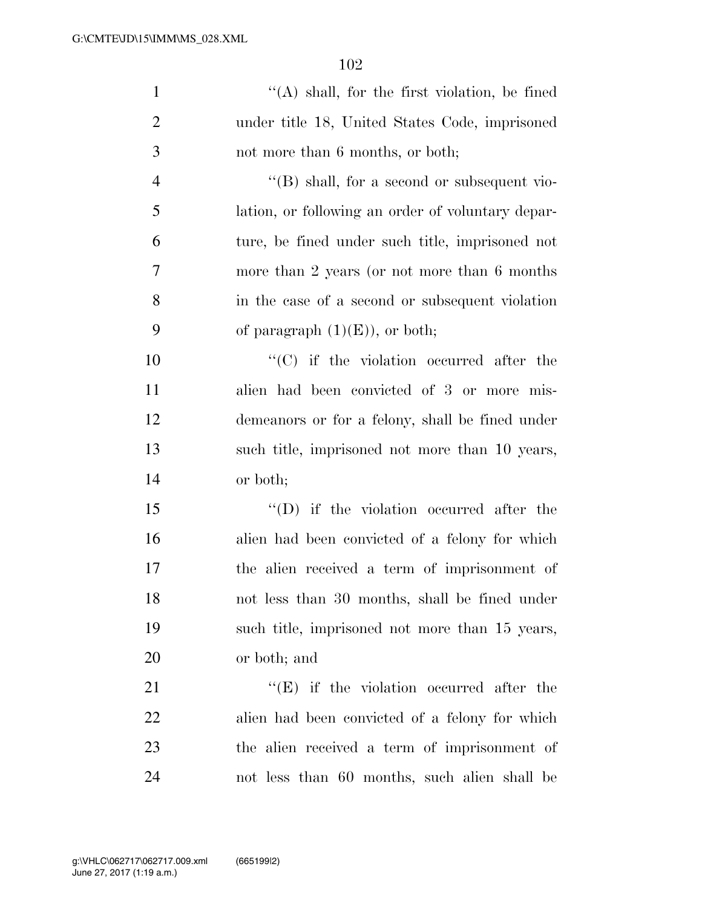| $\mathbf{1}$   | $\lq\lq$ shall, for the first violation, be fined   |
|----------------|-----------------------------------------------------|
| $\overline{2}$ | under title 18, United States Code, imprisoned      |
| 3              | not more than 6 months, or both;                    |
| $\overline{4}$ | $\lq\lq (B)$ shall, for a second or subsequent vio- |
| 5              | lation, or following an order of voluntary depar-   |
| 6              | ture, be fined under such title, imprisoned not     |
| $\overline{7}$ | more than 2 years (or not more than 6 months)       |
| 8              | in the case of a second or subsequent violation     |
| 9              | of paragraph $(1)(E)$ , or both;                    |
| 10             | $\lq\lq$ (C) if the violation occurred after the    |
| 11             | alien had been convicted of 3 or more mis-          |
| 12             | demeanors or for a felony, shall be fined under     |
| 13             | such title, imprisoned not more than 10 years,      |
| 14             | or both;                                            |
| 15             | $\lq\lq$ (D) if the violation occurred after the    |
| 16             | alien had been convicted of a felony for which      |
| 17             | the alien received a term of imprisonment of        |
| 18             | not less than 30 months, shall be fined under       |
| 19             | such title, imprisoned not more than 15 years,      |
| 20             | or both; and                                        |
| 21             | $\lq\lq(E)$ if the violation occurred after the     |
| 22             | alien had been convicted of a felony for which      |
| 23             | the alien received a term of imprisonment of        |
| 24             | not less than 60 months, such alien shall be        |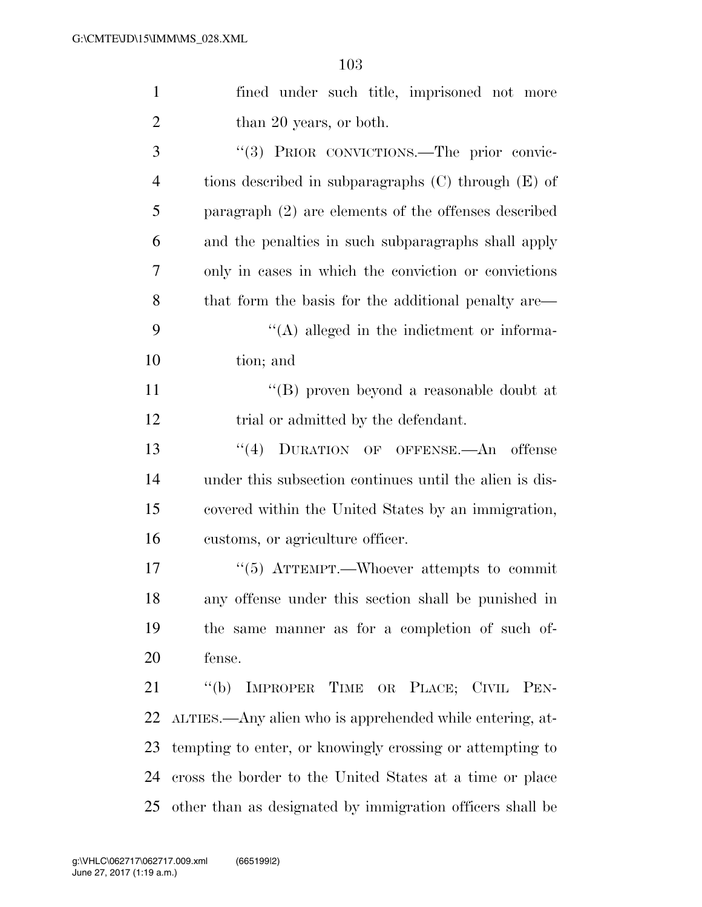| $\mathbf{1}$   | fined under such title, imprisoned not more               |
|----------------|-----------------------------------------------------------|
| $\overline{2}$ | than 20 years, or both.                                   |
| 3              | "(3) PRIOR CONVICTIONS.—The prior convic-                 |
| $\overline{4}$ | tions described in subparagraphs $(C)$ through $(E)$ of   |
| 5              | paragraph $(2)$ are elements of the offenses described    |
| 6              | and the penalties in such subparagraphs shall apply       |
| 7              | only in cases in which the conviction or convictions      |
| 8              | that form the basis for the additional penalty are—       |
| 9              | $\lq\lq$ alleged in the indictment or informa-            |
| 10             | tion; and                                                 |
| 11             | $``(B)$ proven beyond a reasonable doubt at               |
| 12             | trial or admitted by the defendant.                       |
| 13             | "(4) DURATION OF OFFENSE.—An offense                      |
| 14             | under this subsection continues until the alien is dis-   |
| 15             | covered within the United States by an immigration,       |
| 16             | customs, or agriculture officer.                          |
| 17             | "(5) ATTEMPT.—Whoever attempts to commit                  |
| 18             | any offense under this section shall be punished in       |
| 19             | the same manner as for a completion of such of-           |
| 20             | fense.                                                    |
| 21             | "(b) IMPROPER TIME OR PLACE; CIVIL PEN-                   |
| 22             | ALTIES.—Any alien who is apprehended while entering, at-  |
| 23             | tempting to enter, or knowingly crossing or attempting to |
| 24             | cross the border to the United States at a time or place  |
| 25             | other than as designated by immigration officers shall be |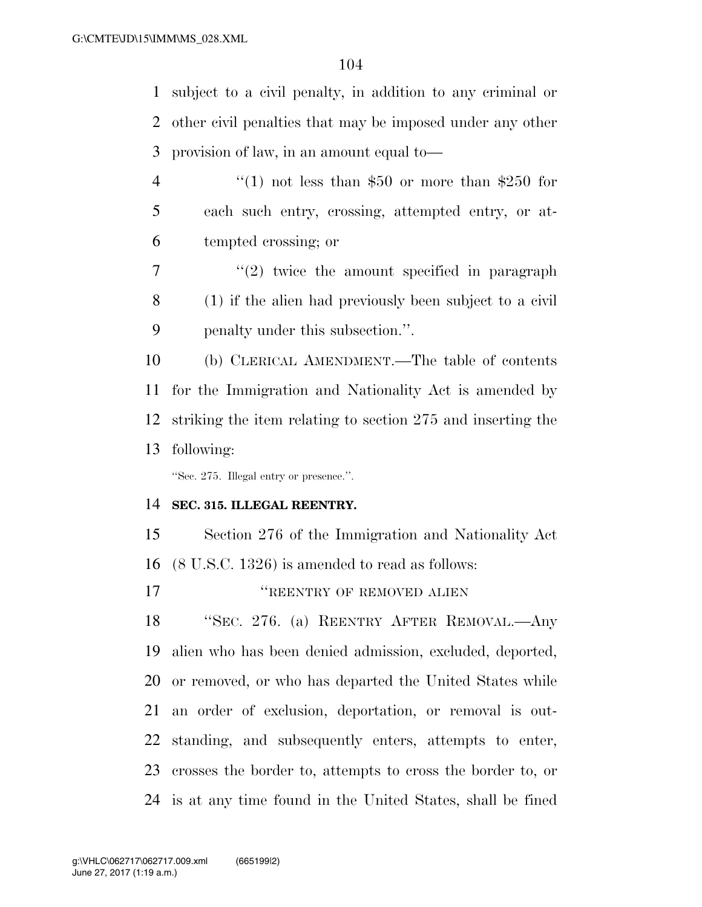subject to a civil penalty, in addition to any criminal or other civil penalties that may be imposed under any other provision of law, in an amount equal to—

- 4  $\frac{4}{1}$  not less than \$50 or more than \$250 for each such entry, crossing, attempted entry, or at-tempted crossing; or
- $7 \t$  ''(2) twice the amount specified in paragraph (1) if the alien had previously been subject to a civil penalty under this subsection.''.

 (b) CLERICAL AMENDMENT.—The table of contents for the Immigration and Nationality Act is amended by striking the item relating to section 275 and inserting the following:

''Sec. 275. Illegal entry or presence.''.

## **SEC. 315. ILLEGAL REENTRY.**

 Section 276 of the Immigration and Nationality Act (8 U.S.C. 1326) is amended to read as follows:

*''REENTRY OF REMOVED ALIEN* 

 ''SEC. 276. (a) REENTRY AFTER REMOVAL.—Any alien who has been denied admission, excluded, deported, or removed, or who has departed the United States while an order of exclusion, deportation, or removal is out- standing, and subsequently enters, attempts to enter, crosses the border to, attempts to cross the border to, or is at any time found in the United States, shall be fined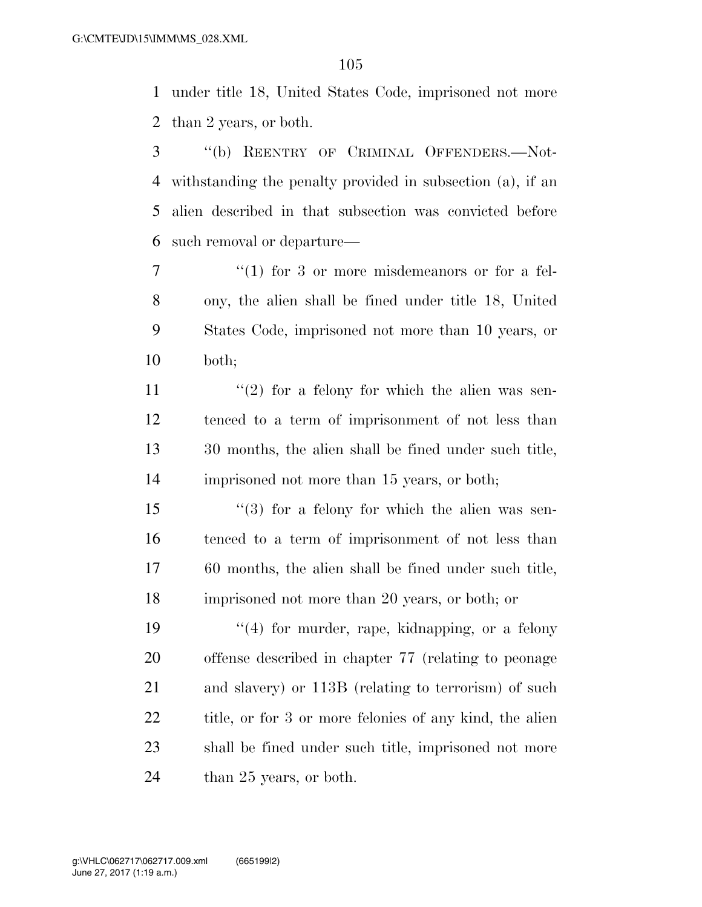under title 18, United States Code, imprisoned not more than 2 years, or both.

 ''(b) REENTRY OF CRIMINAL OFFENDERS.—Not- withstanding the penalty provided in subsection (a), if an alien described in that subsection was convicted before such removal or departure—

 $\frac{1}{1}$  for 3 or more misdemeanors or for a fel- ony, the alien shall be fined under title 18, United States Code, imprisoned not more than 10 years, or both;

 $\frac{1}{2}$  for a felony for which the alien was sen- tenced to a term of imprisonment of not less than 30 months, the alien shall be fined under such title, imprisoned not more than 15 years, or both;

15 ''(3) for a felony for which the alien was sen- tenced to a term of imprisonment of not less than 60 months, the alien shall be fined under such title, imprisoned not more than 20 years, or both; or

 $\frac{1}{2}$  (4) for murder, rape, kidnapping, or a felony offense described in chapter 77 (relating to peonage and slavery) or 113B (relating to terrorism) of such 22 title, or for 3 or more felonies of any kind, the alien shall be fined under such title, imprisoned not more 24 than 25 years, or both.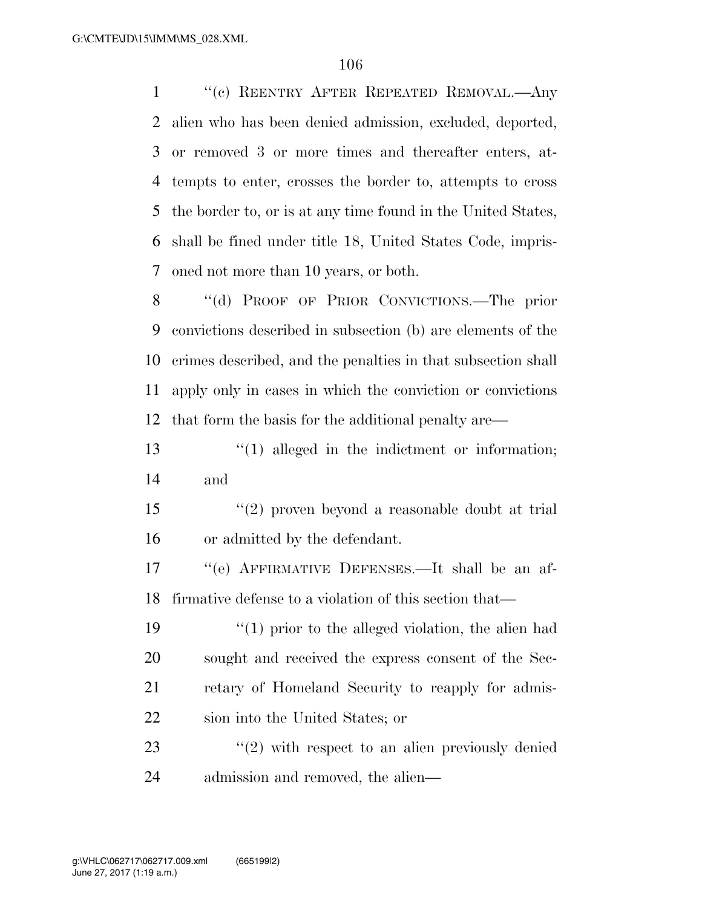''(c) REENTRY AFTER REPEATED REMOVAL.—Any alien who has been denied admission, excluded, deported, or removed 3 or more times and thereafter enters, at- tempts to enter, crosses the border to, attempts to cross the border to, or is at any time found in the United States, shall be fined under title 18, United States Code, impris-oned not more than 10 years, or both.

8 "(d) PROOF OF PRIOR CONVICTIONS.—The prior convictions described in subsection (b) are elements of the crimes described, and the penalties in that subsection shall apply only in cases in which the conviction or convictions that form the basis for the additional penalty are—

 ''(1) alleged in the indictment or information; and

 ''(2) proven beyond a reasonable doubt at trial or admitted by the defendant.

 ''(e) AFFIRMATIVE DEFENSES.—It shall be an af-firmative defense to a violation of this section that—

 $\frac{1}{2}$  (1) prior to the alleged violation, the alien had sought and received the express consent of the Sec- retary of Homeland Security to reapply for admis-sion into the United States; or

23 ''(2) with respect to an alien previously denied admission and removed, the alien—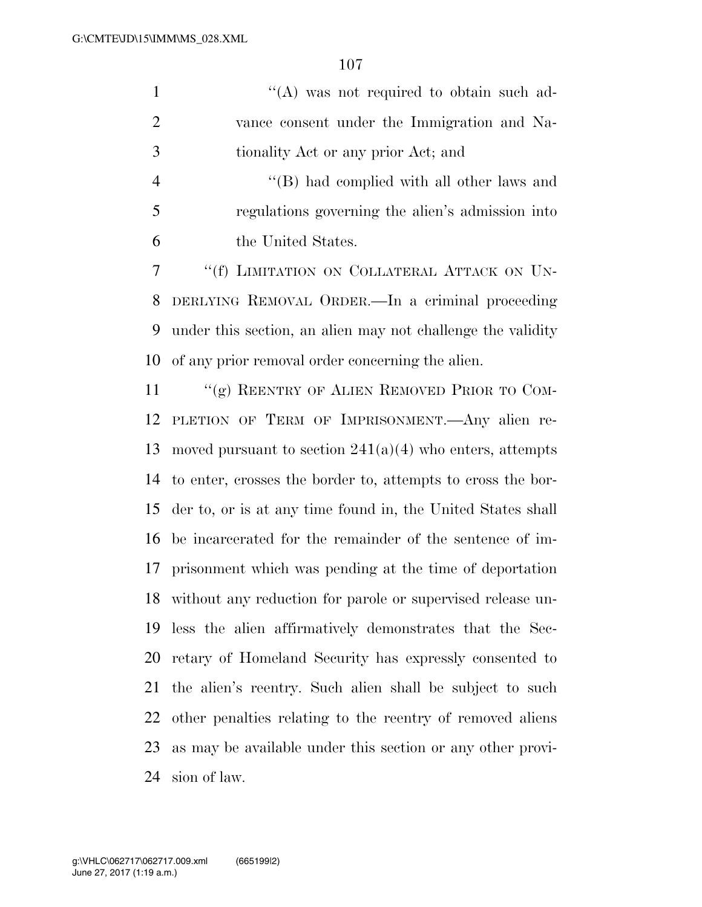| $\mathbf{1}$   | "(A) was not required to obtain such ad-                      |
|----------------|---------------------------------------------------------------|
| $\overline{2}$ | vance consent under the Immigration and Na-                   |
| 3              | tionality Act or any prior Act; and                           |
| $\overline{4}$ | "(B) had complied with all other laws and                     |
| 5              | regulations governing the alien's admission into              |
| 6              | the United States.                                            |
| 7              | "(f) LIMITATION ON COLLATERAL ATTACK ON UN-                   |
| 8              | DERLYING REMOVAL ORDER.—In a criminal proceeding              |
| 9              | under this section, an alien may not challenge the validity   |
| 10             | of any prior removal order concerning the alien.              |
| 11             | "(g) REENTRY OF ALIEN REMOVED PRIOR TO COM-                   |
| 12             | PLETION OF TERM OF IMPRISONMENT. Any alien re-                |
| 13             | moved pursuant to section $241(a)(4)$ who enters, attempts    |
| 14             | to enter, crosses the border to, attempts to cross the bor-   |
| 15             | der to, or is at any time found in, the United States shall   |
| 16             | be incarcerated for the remainder of the sentence of im-      |
| 17             | prisonment which was pending at the time of deportation       |
|                | 18 without any reduction for parole or supervised release un- |
| 19             | less the alien affirmatively demonstrates that the Sec-       |
| 20             | retary of Homeland Security has expressly consented to        |
| 21             | the alien's reentry. Such alien shall be subject to such      |
| 22             | other penalties relating to the reentry of removed aliens     |

as may be available under this section or any other provi-

sion of law.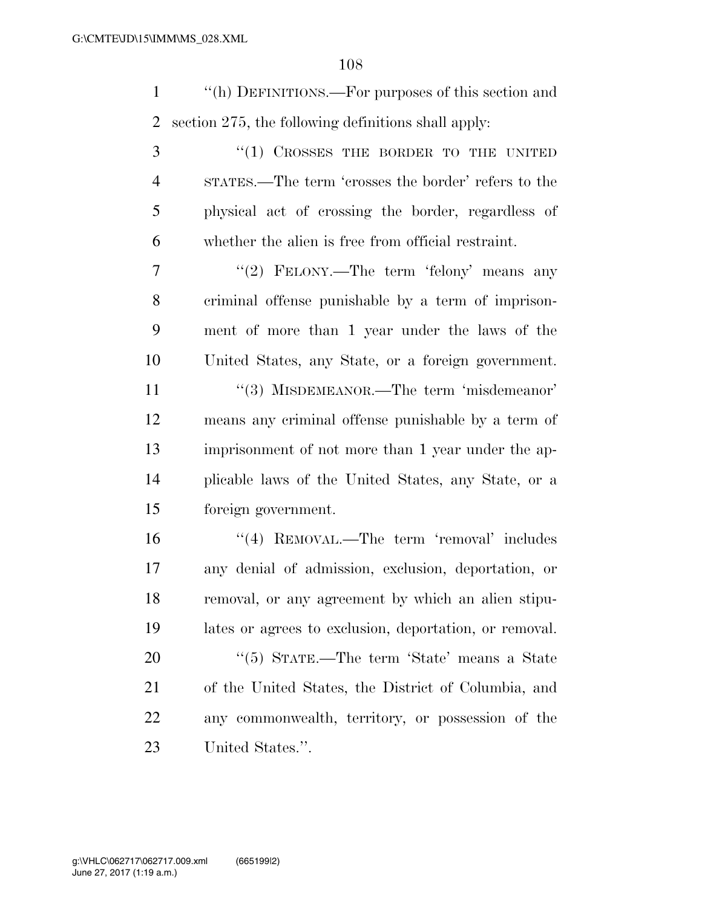''(h) DEFINITIONS.—For purposes of this section and section 275, the following definitions shall apply:

3 "(1) CROSSES THE BORDER TO THE UNITED STATES.—The term 'crosses the border' refers to the physical act of crossing the border, regardless of whether the alien is free from official restraint.

7 "'(2) FELONY.—The term 'felony' means any criminal offense punishable by a term of imprison- ment of more than 1 year under the laws of the United States, any State, or a foreign government.

11 ''(3) MISDEMEANOR.—The term 'misdemeanor' means any criminal offense punishable by a term of imprisonment of not more than 1 year under the ap- plicable laws of the United States, any State, or a foreign government.

16 ''(4) REMOVAL.—The term 'removal' includes any denial of admission, exclusion, deportation, or removal, or any agreement by which an alien stipu- lates or agrees to exclusion, deportation, or removal. 20 "(5) STATE.—The term 'State' means a State

 of the United States, the District of Columbia, and any commonwealth, territory, or possession of the United States.''.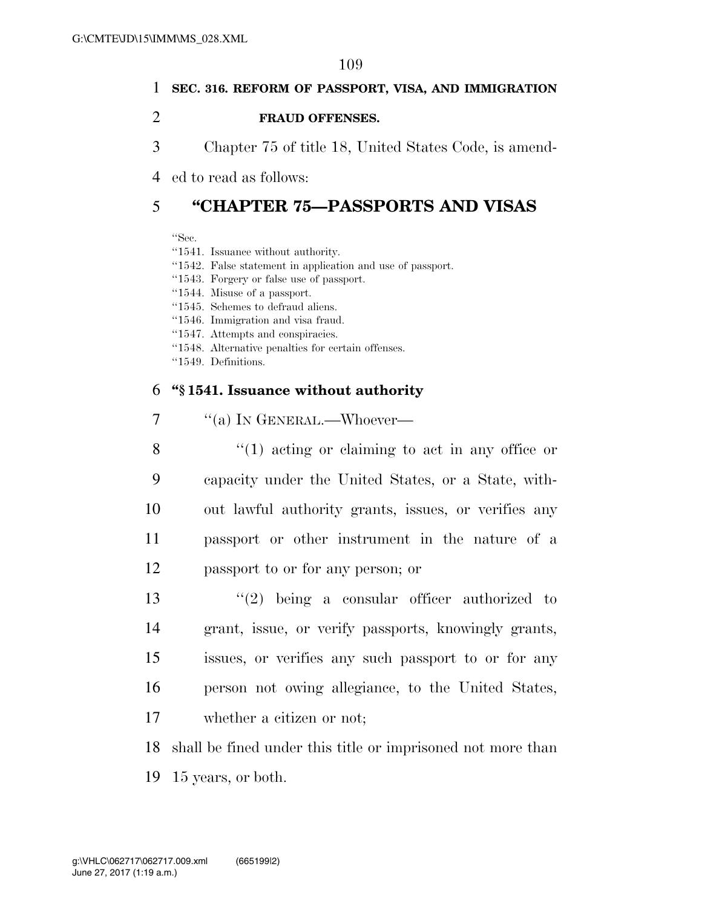# 1 **SEC. 316. REFORM OF PASSPORT, VISA, AND IMMIGRATION**

### 2 **FRAUD OFFENSES.**

3 Chapter 75 of title 18, United States Code, is amend-

4 ed to read as follows:

# 5 **''CHAPTER 75—PASSPORTS AND VISAS**

''Sec.

''1541. Issuance without authority.

- ''1542. False statement in application and use of passport.
- ''1543. Forgery or false use of passport.
- ''1544. Misuse of a passport.
- ''1545. Schemes to defraud aliens.
- ''1546. Immigration and visa fraud.
- ''1547. Attempts and conspiracies.
- ''1548. Alternative penalties for certain offenses.
- ''1549. Definitions.

### 6 **''§ 1541. Issuance without authority**

| 7 |  |  | "(a) IN GENERAL.—Whoever— |
|---|--|--|---------------------------|
|---|--|--|---------------------------|

8 ''(1) acting or claiming to act in any office or capacity under the United States, or a State, with- out lawful authority grants, issues, or verifies any passport or other instrument in the nature of a passport to or for any person; or

 ''(2) being a consular officer authorized to grant, issue, or verify passports, knowingly grants, issues, or verifies any such passport to or for any person not owing allegiance, to the United States, whether a citizen or not;

18 shall be fined under this title or imprisoned not more than

19 15 years, or both.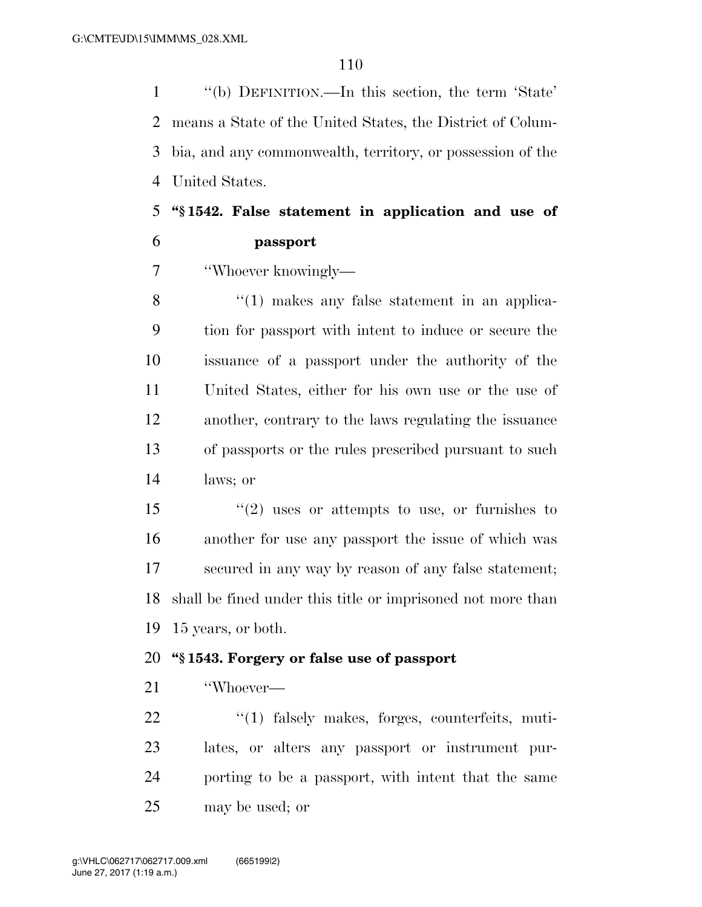''(b) DEFINITION.—In this section, the term 'State' means a State of the United States, the District of Colum- bia, and any commonwealth, territory, or possession of the United States.

# **''§ 1542. False statement in application and use of passport**

''Whoever knowingly—

8 ''(1) makes any false statement in an applica- tion for passport with intent to induce or secure the issuance of a passport under the authority of the United States, either for his own use or the use of another, contrary to the laws regulating the issuance of passports or the rules prescribed pursuant to such laws; or

 ''(2) uses or attempts to use, or furnishes to another for use any passport the issue of which was secured in any way by reason of any false statement; shall be fined under this title or imprisoned not more than 15 years, or both.

### **''§ 1543. Forgery or false use of passport**

''Whoever—

 $\frac{1}{2}$  (1) falsely makes, forges, counterfeits, muti- lates, or alters any passport or instrument pur- porting to be a passport, with intent that the same may be used; or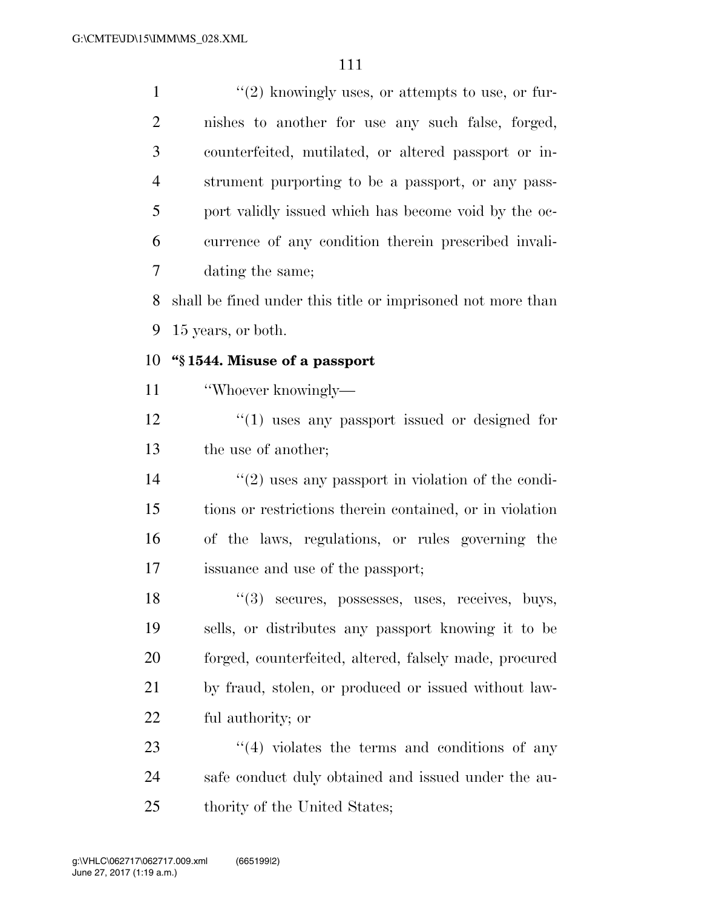$\mathcal{L}(2)$  knowingly uses, or attempts to use, or fur- nishes to another for use any such false, forged, counterfeited, mutilated, or altered passport or in- strument purporting to be a passport, or any pass- port validly issued which has become void by the oc- currence of any condition therein prescribed invali- dating the same; shall be fined under this title or imprisoned not more than 15 years, or both.

# **''§ 1544. Misuse of a passport**

''Whoever knowingly—

12  $\frac{1}{2}$  (1) uses any passport issued or designed for the use of another;

 $\frac{14}{2}$  ''(2) uses any passport in violation of the condi- tions or restrictions therein contained, or in violation of the laws, regulations, or rules governing the issuance and use of the passport;

18 ''(3) secures, possesses, uses, receives, buys, sells, or distributes any passport knowing it to be forged, counterfeited, altered, falsely made, procured by fraud, stolen, or produced or issued without law-ful authority; or

 ''(4) violates the terms and conditions of any safe conduct duly obtained and issued under the au-thority of the United States;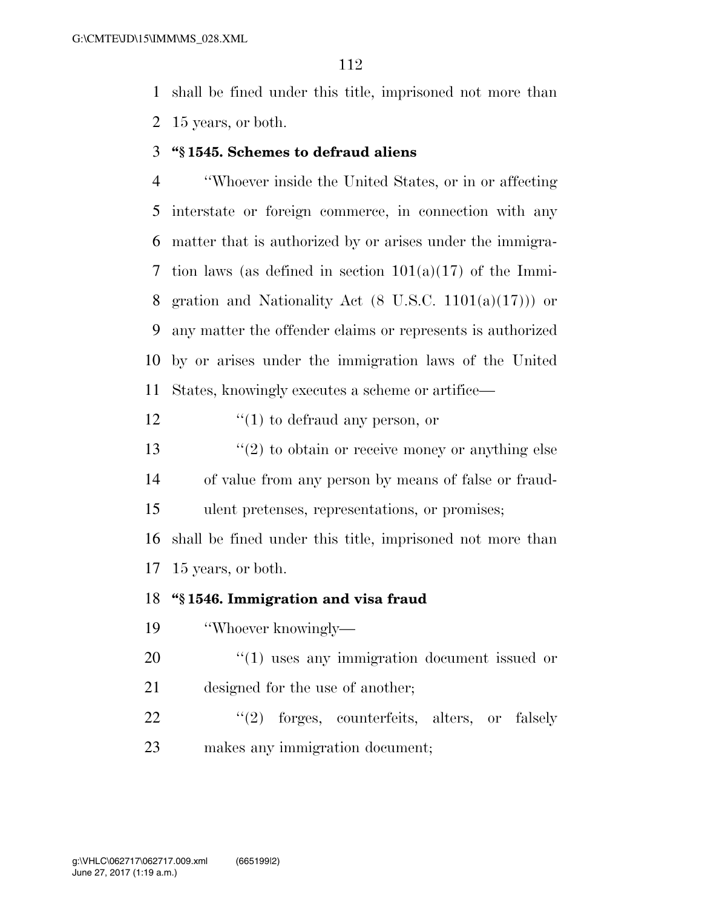shall be fined under this title, imprisoned not more than 15 years, or both.

### **''§ 1545. Schemes to defraud aliens**

 ''Whoever inside the United States, or in or affecting interstate or foreign commerce, in connection with any matter that is authorized by or arises under the immigra-7 tion laws (as defined in section  $101(a)(17)$  of the Immi-8 gration and Nationality Act  $(8 \text{ U.S.C. } 1101(a)(17))$  or any matter the offender claims or represents is authorized by or arises under the immigration laws of the United States, knowingly executes a scheme or artifice—

12  $\frac{1}{2}$  (1) to defraud any person, or

 $\frac{13}{2}$  ''(2) to obtain or receive money or anything else of value from any person by means of false or fraud-ulent pretenses, representations, or promises;

 shall be fined under this title, imprisoned not more than 15 years, or both.

## **''§ 1546. Immigration and visa fraud**

- ''Whoever knowingly—
- 20  $\frac{1}{20}$  (1) uses any immigration document issued or designed for the use of another;
- 22 "(2) forges, counterfeits, alters, or falsely makes any immigration document;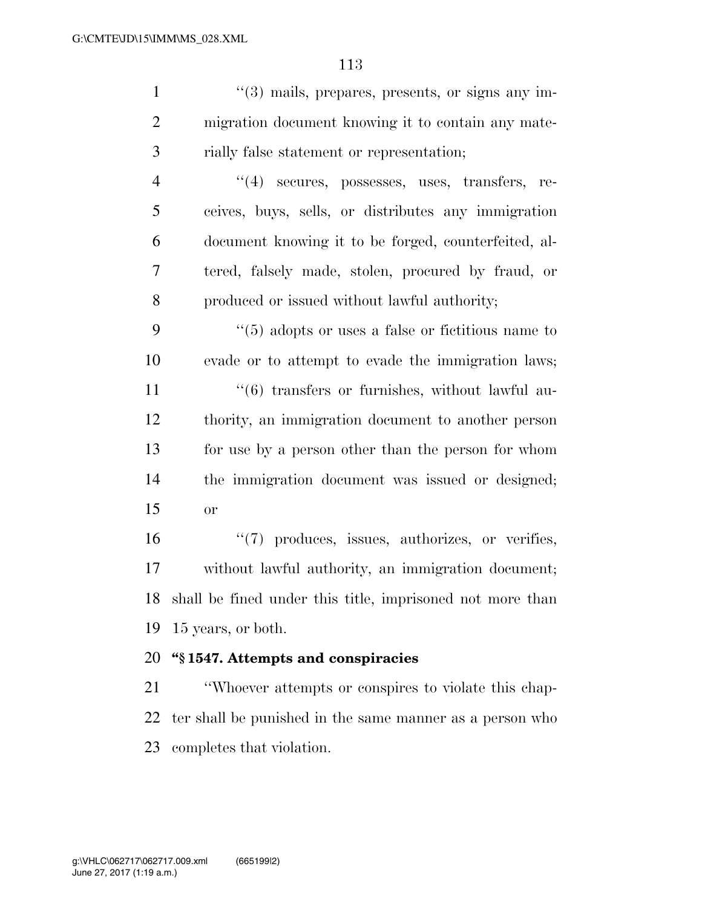|   | $\lq(3)$ mails, prepares, presents, or signs any im- |
|---|------------------------------------------------------|
| 2 | migration document knowing it to contain any mate-   |
| 3 | rially false statement or representation;            |
| 4 | $(4)$ secures, possesses, uses, transfers, re-       |
| 5 | ceives, buys, sells, or distributes any immigration  |
| 6 | document knowing it to be forged, counterfeited, al- |
| 7 | tered, falsely made, stolen, procured by fraud, or   |
| 8 | produced or issued without lawful authority;         |

 ''(5) adopts or uses a false or fictitious name to evade or to attempt to evade the immigration laws; 11 ''(6) transfers or furnishes, without lawful au- thority, an immigration document to another person for use by a person other than the person for whom the immigration document was issued or designed; or

 $(7)$  produces, issues, authorizes, or verifies, without lawful authority, an immigration document; shall be fined under this title, imprisoned not more than 15 years, or both.

## **''§ 1547. Attempts and conspiracies**

 ''Whoever attempts or conspires to violate this chap- ter shall be punished in the same manner as a person who completes that violation.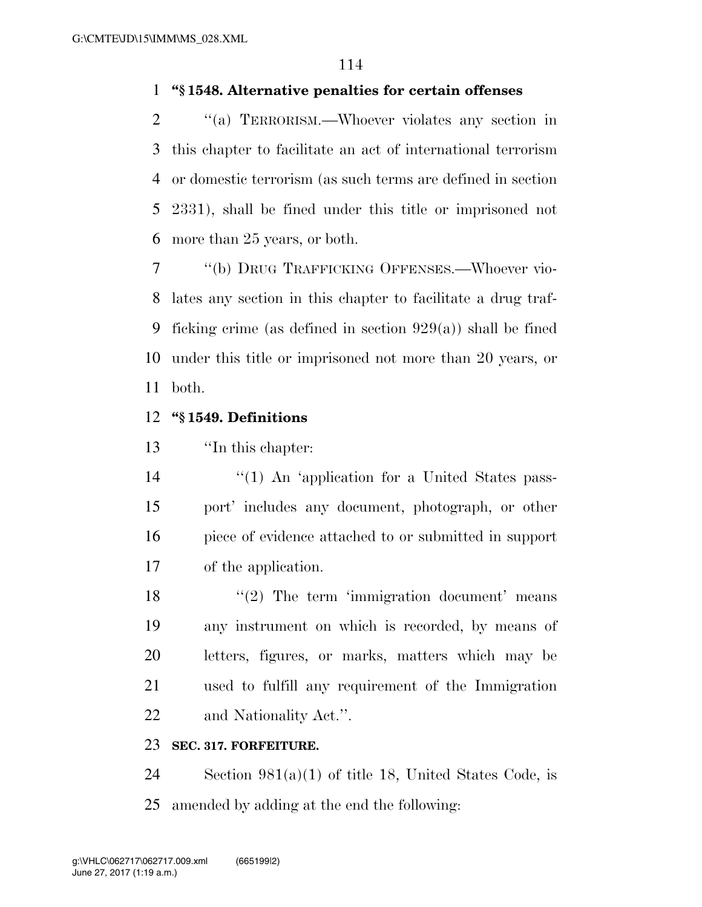# **''§ 1548. Alternative penalties for certain offenses**

 ''(a) TERRORISM.—Whoever violates any section in this chapter to facilitate an act of international terrorism or domestic terrorism (as such terms are defined in section 2331), shall be fined under this title or imprisoned not more than 25 years, or both.

 ''(b) DRUG TRAFFICKING OFFENSES.—Whoever vio- lates any section in this chapter to facilitate a drug traf- ficking crime (as defined in section 929(a)) shall be fined under this title or imprisoned not more than 20 years, or both.

### **''§ 1549. Definitions**

''In this chapter:

14 ''(1) An 'application for a United States pass- port' includes any document, photograph, or other piece of evidence attached to or submitted in support of the application.

18 ''(2) The term 'immigration document' means any instrument on which is recorded, by means of letters, figures, or marks, matters which may be used to fulfill any requirement of the Immigration and Nationality Act.''.

### **SEC. 317. FORFEITURE.**

 Section 981(a)(1) of title 18, United States Code, is amended by adding at the end the following: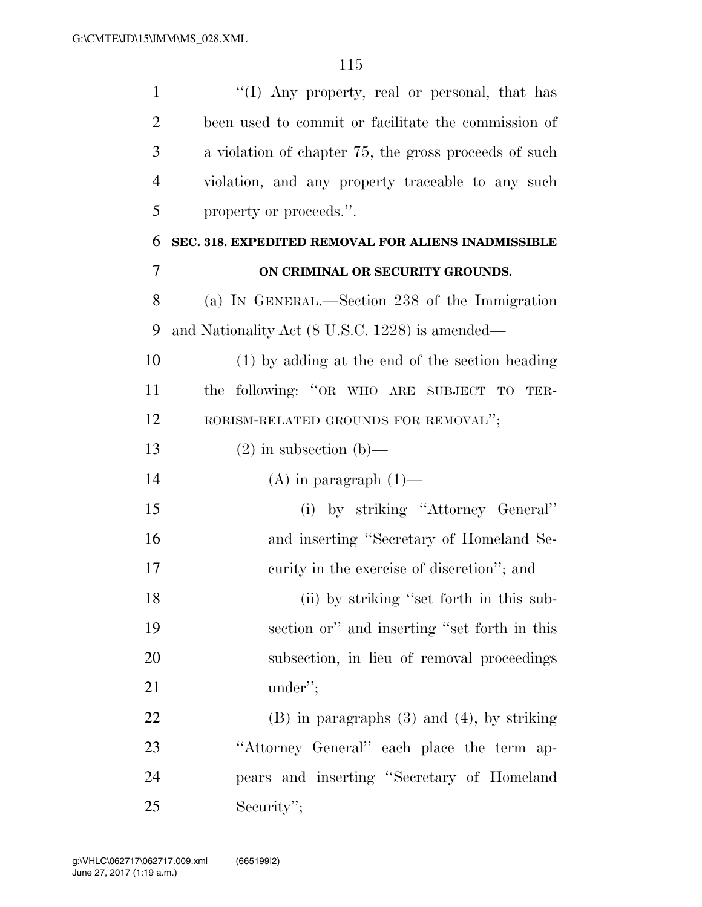| $\mathbf{1}$   | "(I) Any property, real or personal, that has         |
|----------------|-------------------------------------------------------|
| $\overline{2}$ | been used to commit or facilitate the commission of   |
| 3              | a violation of chapter 75, the gross proceeds of such |
| $\overline{4}$ | violation, and any property traceable to any such     |
| 5              | property or proceeds.".                               |
| 6              | SEC. 318. EXPEDITED REMOVAL FOR ALIENS INADMISSIBLE   |
| $\overline{7}$ | ON CRIMINAL OR SECURITY GROUNDS.                      |
| 8              | (a) IN GENERAL.—Section 238 of the Immigration        |
| 9              | and Nationality Act (8 U.S.C. 1228) is amended—       |
| 10             | $(1)$ by adding at the end of the section heading     |
| 11             | the following: "OR WHO ARE SUBJECT TO<br>TER-         |
| 12             | RORISM-RELATED GROUNDS FOR REMOVAL";                  |
| 13             | $(2)$ in subsection $(b)$ —                           |
| 14             | $(A)$ in paragraph $(1)$ —                            |
| 15             | (i) by striking "Attorney General"                    |
| 16             | and inserting "Secretary of Homeland Se-              |
| 17             | curity in the exercise of discretion"; and            |
| 18             | (ii) by striking "set forth in this sub-              |
| 19             | section or" and inserting "set forth in this          |
| 20             | subsection, in lieu of removal proceedings            |
| 21             | under";                                               |
| 22             | $(B)$ in paragraphs $(3)$ and $(4)$ , by striking     |
| 23             | "Attorney General" each place the term ap-            |
| 24             | pears and inserting "Secretary of Homeland            |
| 25             | Security";                                            |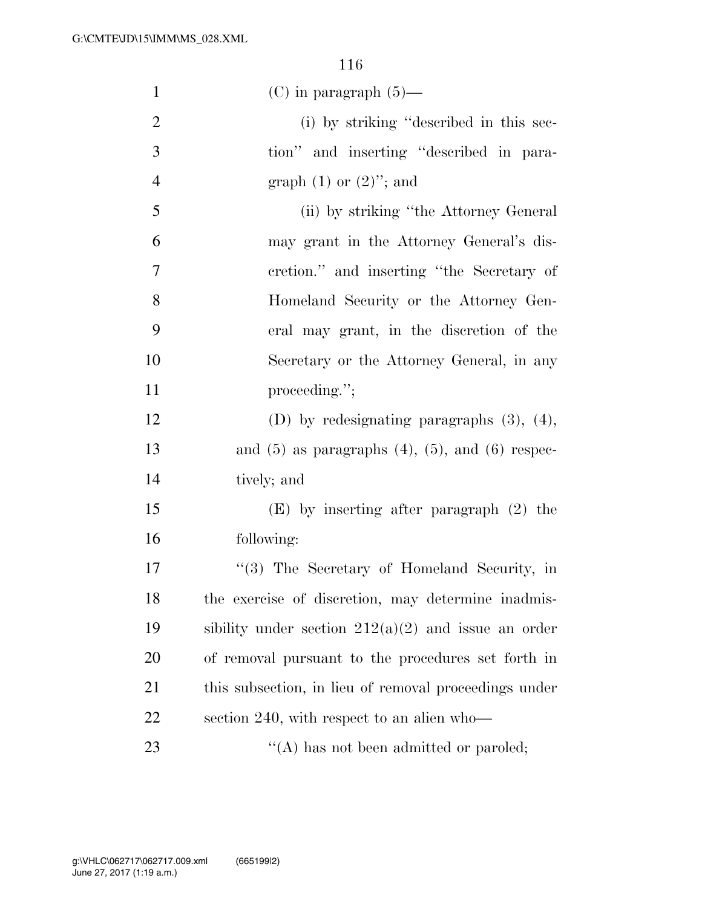| $\mathbf{1}$   | $(C)$ in paragraph $(5)$ —                                |
|----------------|-----------------------------------------------------------|
| $\overline{2}$ | (i) by striking "described in this sec-                   |
| 3              | tion" and inserting "described in para-                   |
| $\overline{4}$ | graph $(1)$ or $(2)$ "; and                               |
| 5              | (ii) by striking "the Attorney General                    |
| 6              | may grant in the Attorney General's dis-                  |
| 7              | cretion." and inserting "the Secretary of                 |
| 8              | Homeland Security or the Attorney Gen-                    |
| 9              | eral may grant, in the discretion of the                  |
| 10             | Secretary or the Attorney General, in any                 |
| 11             | proceeding.";                                             |
| 12             | (D) by redesignating paragraphs $(3)$ , $(4)$ ,           |
| 13             | and $(5)$ as paragraphs $(4)$ , $(5)$ , and $(6)$ respec- |
| 14             | tively; and                                               |
| 15             | $(E)$ by inserting after paragraph $(2)$ the              |
| 16             | following:                                                |
| 17             | "(3) The Secretary of Homeland Security, in               |
| 18             | the exercise of discretion, may determine inadmis-        |
| 19             | sibility under section $212(a)(2)$ and issue an order     |
| 20             | of removal pursuant to the procedures set forth in        |
| 21             | this subsection, in lieu of removal proceedings under     |
| 22             | section 240, with respect to an alien who-                |
| 23             | $\lq\lq$ has not been admitted or paroled;                |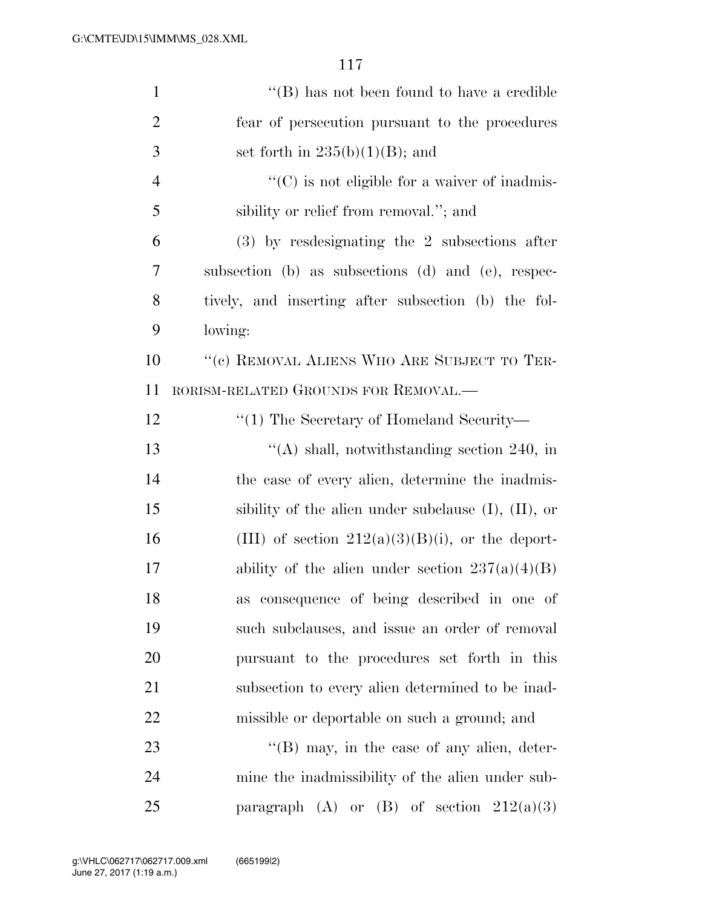| $\mathbf{1}$   | "(B) has not been found to have a credible                |
|----------------|-----------------------------------------------------------|
| $\overline{2}$ | fear of persecution pursuant to the procedures            |
| 3              | set forth in $235(b)(1)(B)$ ; and                         |
| $\overline{4}$ | $\lq\lq$ (C) is not eligible for a waiver of inadmis-     |
| 5              | sibility or relief from removal."; and                    |
| 6              | $(3)$ by resdesignating the 2 subsections after           |
| 7              | subsection (b) as subsections (d) and (e), respec-        |
| 8              | tively, and inserting after subsection (b) the fol-       |
| 9              | lowing:                                                   |
| 10             | "(c) REMOVAL ALIENS WHO ARE SUBJECT TO TER-               |
| 11             | RORISM-RELATED GROUNDS FOR REMOVAL.—                      |
| 12             | $\lq(1)$ The Secretary of Homeland Security—              |
| 13             | "(A) shall, notwithstanding section $240$ , in            |
| 14             | the case of every alien, determine the inadmis-           |
| 15             | sibility of the alien under subclause $(I)$ , $(II)$ , or |
| 16             | (III) of section $212(a)(3)(B)(i)$ , or the deport-       |
| 17             | ability of the alien under section $237(a)(4)(B)$         |
| 18             | as consequence of being described in one of               |
| 19             | such subclauses, and issue an order of removal            |
| 20             | pursuant to the procedures set forth in this              |
| 21             | subsection to every alien determined to be inad-          |
| 22             | missible or deportable on such a ground; and              |
| 23             | $\lq\lq$ (B) may, in the case of any alien, deter-        |
| 24             | mine the inadmissibility of the alien under sub-          |
| 25             | paragraph (A) or (B) of section $212(a)(3)$               |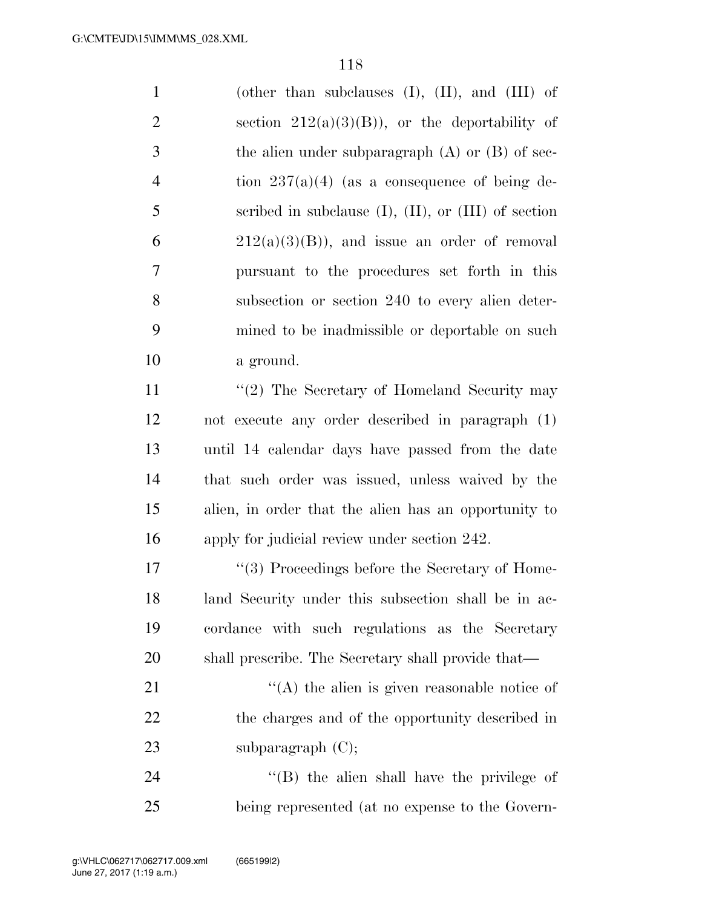| $\mathbf{1}$   | (other than subclauses $(I)$ , $(II)$ , and $(III)$ of      |
|----------------|-------------------------------------------------------------|
| $\overline{2}$ | section $212(a)(3)(B)$ , or the deportability of            |
| 3              | the alien under subparagraph $(A)$ or $(B)$ of sec-         |
| 4              | tion $237(a)(4)$ (as a consequence of being de-             |
| 5              | scribed in subclause $(I)$ , $(II)$ , or $(III)$ of section |
| 6              | $212(a)(3)(B)$ , and issue an order of removal              |
| 7              | pursuant to the procedures set forth in this                |
| 8              | subsection or section 240 to every alien deter-             |
| 9              | mined to be inadmissible or deportable on such              |
| 10             | a ground.                                                   |
| 11             | $\lq(2)$ The Secretary of Homeland Security may             |
| 12             | not execute any order described in paragraph (1)            |
| 13             | until 14 calendar days have passed from the date            |
| 14             | that such order was issued, unless waived by the            |
| 15             | alien, in order that the alien has an opportunity to        |
| 16             | apply for judicial review under section 242.                |
| 17             | "(3) Proceedings before the Secretary of Home-              |
| 18             | land Security under this subsection shall be in ac-         |
| 19             | cordance with such regulations as the Secretary             |
| 20             | shall prescribe. The Secretary shall provide that—          |
| 21             | $\lq\lq$ the alien is given reasonable notice of            |
| 22             | the charges and of the opportunity described in             |
| 23             | subparagraph $(C)$ ;                                        |
| 24             | $\lq\lq$ (B) the alien shall have the privilege of          |

being represented (at no expense to the Govern-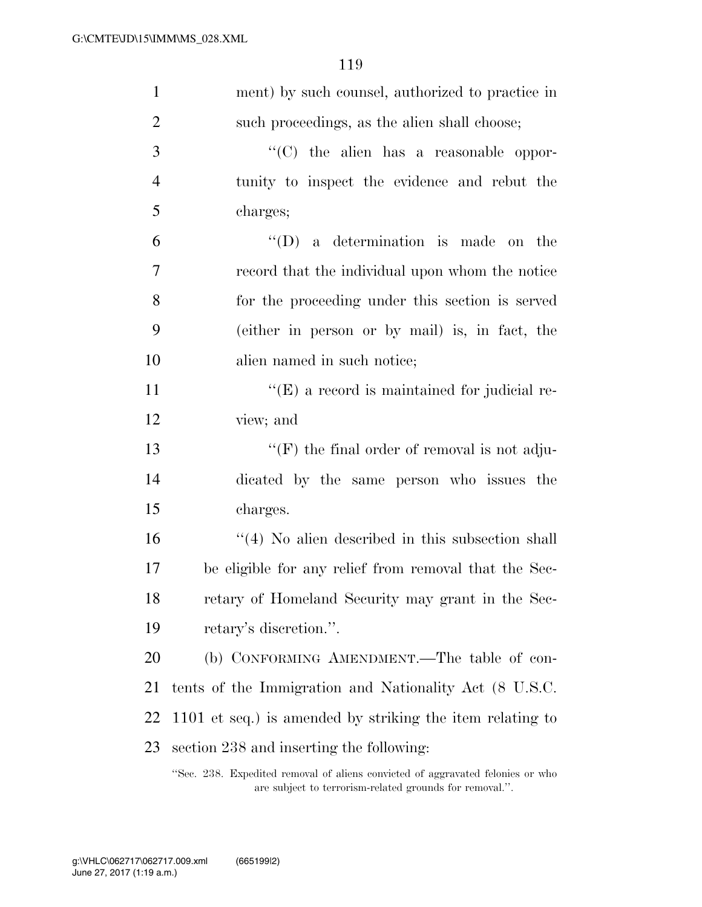| $\mathbf{1}$   | ment) by such counsel, authorized to practice in                               |
|----------------|--------------------------------------------------------------------------------|
| $\overline{2}$ | such proceedings, as the alien shall choose;                                   |
| 3              | "(C) the alien has a reasonable oppor-                                         |
| $\overline{4}$ | tunity to inspect the evidence and rebut the                                   |
| 5              | charges;                                                                       |
| 6              | $\lq\lq$ (D) a determination is made on the                                    |
| 7              | record that the individual upon whom the notice                                |
| 8              | for the proceeding under this section is served                                |
| 9              | (either in person or by mail) is, in fact, the                                 |
| 10             | alien named in such notice;                                                    |
| 11             | $\lq\lq(E)$ a record is maintained for judicial re-                            |
| 12             | view; and                                                                      |
| 13             | $\lq\lq(F)$ the final order of removal is not adju-                            |
| 14             | dicated by the same person who issues the                                      |
| 15             | charges.                                                                       |
| 16             | $\lq(4)$ No alien described in this subsection shall                           |
| 17             | be eligible for any relief from removal that the Sec-                          |
| 18             | retary of Homeland Security may grant in the Sec-                              |
| 19             | retary's discretion.".                                                         |
| <b>20</b>      | (b) CONFORMING AMENDMENT.—The table of con-                                    |
| 21             | tents of the Immigration and Nationality Act (8 U.S.C.                         |
| 22             | 1101 et seq.) is amended by striking the item relating to                      |
| 23             | section 238 and inserting the following:                                       |
|                | "Sec. 238. Expedited removal of aliens convicted of aggravated felonies or who |

are subject to terrorism-related grounds for removal.''.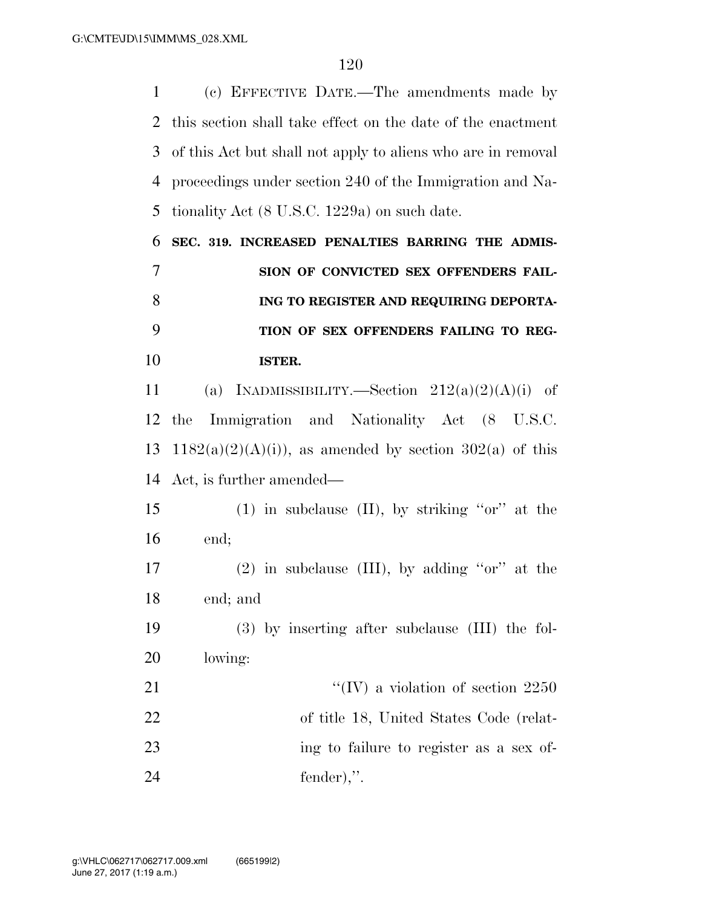(c) EFFECTIVE DATE.—The amendments made by this section shall take effect on the date of the enactment of this Act but shall not apply to aliens who are in removal proceedings under section 240 of the Immigration and Na- tionality Act (8 U.S.C. 1229a) on such date. **SEC. 319. INCREASED PENALTIES BARRING THE ADMIS- SION OF CONVICTED SEX OFFENDERS FAIL- ING TO REGISTER AND REQUIRING DEPORTA- TION OF SEX OFFENDERS FAILING TO REG- ISTER.**  11 (a) INADMISSIBILITY.—Section  $212(a)(2)(A)(i)$  of the Immigration and Nationality Act (8 U.S.C. 13 1182(a)(2)(A)(i)), as amended by section 302(a) of this Act, is further amended— (1) in subclause (II), by striking ''or'' at the end; 17 (2) in subclause  $(III)$ , by adding "or" at the end; and (3) by inserting after subclause (III) the fol- lowing:  $\text{``(IV)}$  a violation of section 2250 of title 18, United States Code (relat- ing to failure to register as a sex of-fender),''.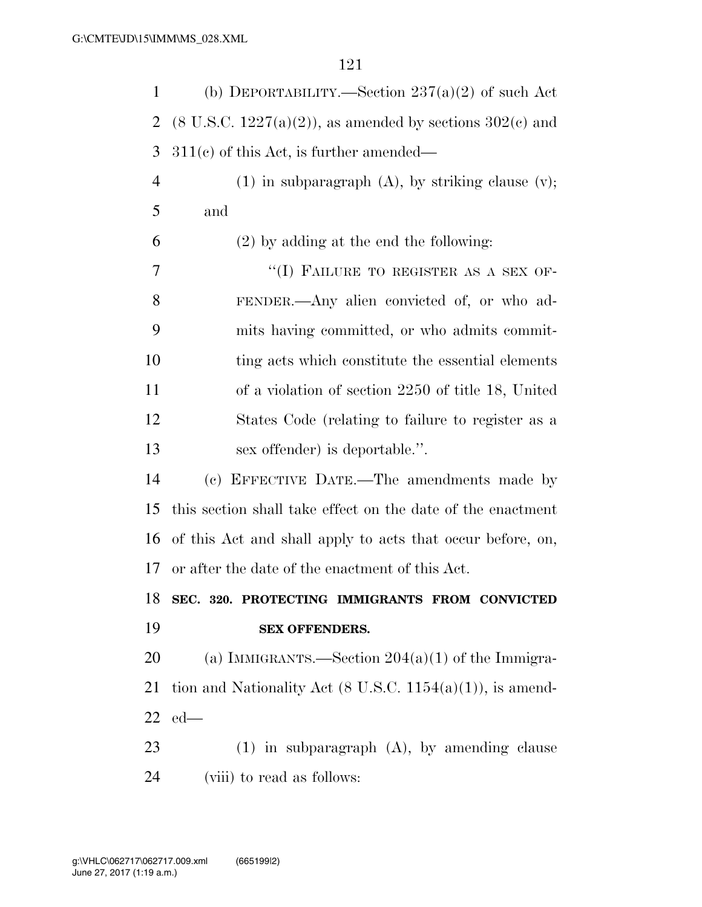| $\mathbf{1}$         | (b) DEPORTABILITY.—Section $237(a)(2)$ of such Act                     |
|----------------------|------------------------------------------------------------------------|
| 2                    | $(8 \text{ U.S.C. } 1227(a)(2))$ , as amended by sections $302(c)$ and |
| 3                    | $311(c)$ of this Act, is further amended—                              |
| $\overline{4}$       | $(1)$ in subparagraph $(A)$ , by striking clause $(v)$ ;               |
| 5                    | and                                                                    |
| 6                    | $(2)$ by adding at the end the following:                              |
| 7                    | "(I) FAILURE TO REGISTER AS A SEX OF-                                  |
| 8                    | FENDER.—Any alien convicted of, or who ad-                             |
| 9                    | mits having committed, or who admits commit-                           |
| 10                   | ting acts which constitute the essential elements                      |
| 11                   | of a violation of section 2250 of title 18, United                     |
| 12                   | States Code (relating to failure to register as a                      |
| 13                   | sex offender) is deportable.".                                         |
| 14                   | (c) EFFECTIVE DATE.—The amendments made by                             |
|                      |                                                                        |
| 15                   | this section shall take effect on the date of the enactment            |
| 16                   | of this Act and shall apply to acts that occur before, on,             |
|                      | or after the date of the enactment of this Act.                        |
|                      | SEC. 320. PROTECTING IMMIGRANTS FROM CONVICTED                         |
|                      | <b>SEX OFFENDERS.</b>                                                  |
| 17<br>18<br>19<br>20 | (a) IMMIGRANTS.—Section $204(a)(1)$ of the Immigra-                    |
| 21                   | tion and Nationality Act $(8 \text{ U.S.C. } 1154(a)(1))$ , is amend-  |
| 22                   | $ed$ —                                                                 |
| 23                   | $(1)$ in subparagraph $(A)$ , by amending clause                       |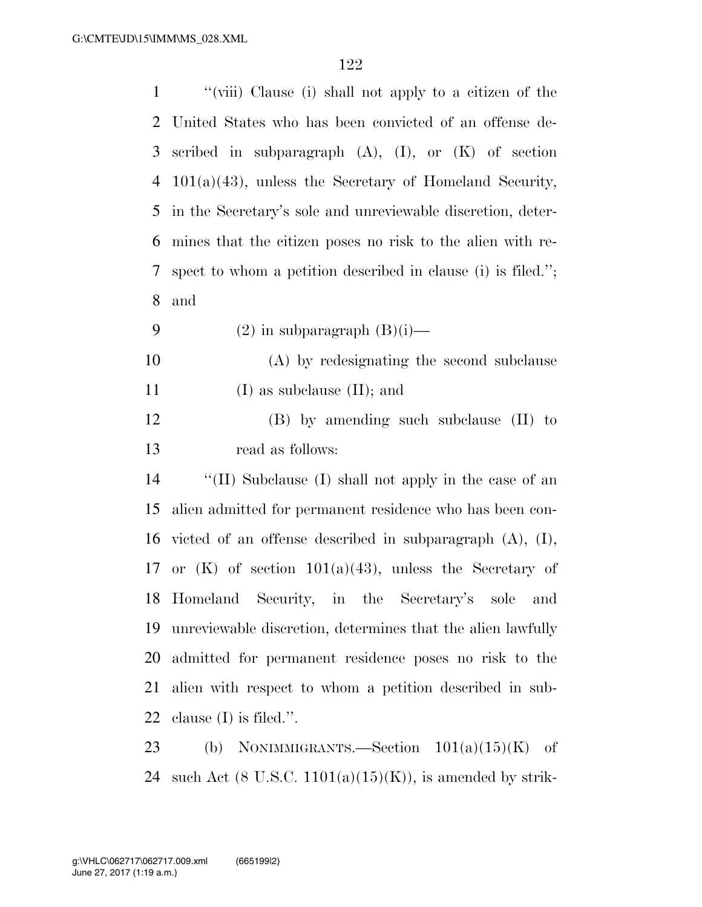| 1  | "(viii) Clause (i) shall not apply to a citizen of the         |
|----|----------------------------------------------------------------|
| 2  | United States who has been convicted of an offense de-         |
| 3  | scribed in subparagraph $(A)$ , $(I)$ , or $(K)$ of section    |
| 4  | $101(a)(43)$ , unless the Secretary of Homeland Security,      |
| 5  | in the Secretary's sole and unreviewable discretion, deter-    |
| 6  | mines that the citizen poses no risk to the alien with re-     |
| 7  | spect to whom a petition described in clause (i) is filed.";   |
| 8  | and                                                            |
| 9  | $(2)$ in subparagraph $(B)(i)$ —                               |
| 10 | (A) by redesignating the second subclause                      |
| 11 | $(I)$ as subclause $(II)$ ; and                                |
| 12 | $(B)$ by amending such subclause $(II)$ to                     |
| 13 | read as follows:                                               |
| 14 | "(II) Subclause (I) shall not apply in the case of an          |
| 15 | alien admitted for permanent residence who has been con-       |
| 16 | victed of an offense described in subparagraph $(A)$ , $(I)$ , |
| 17 | or $(K)$ of section 101(a)(43), unless the Secretary of        |
|    | 18 Homeland Security, in the Secretary's sole<br>and           |
| 19 | unreviewable discretion, determines that the alien lawfully    |
| 20 | admitted for permanent residence poses no risk to the          |
| 21 | alien with respect to whom a petition described in sub-        |
| 22 | clause $(I)$ is filed.".                                       |
| 23 | NONIMMIGRANTS.-Section $101(a)(15)(K)$<br>(b)<br>οf            |

24 such Act  $(8 \text{ U.S.C. } 1101(a)(15)(\text{K}))$ , is amended by strik-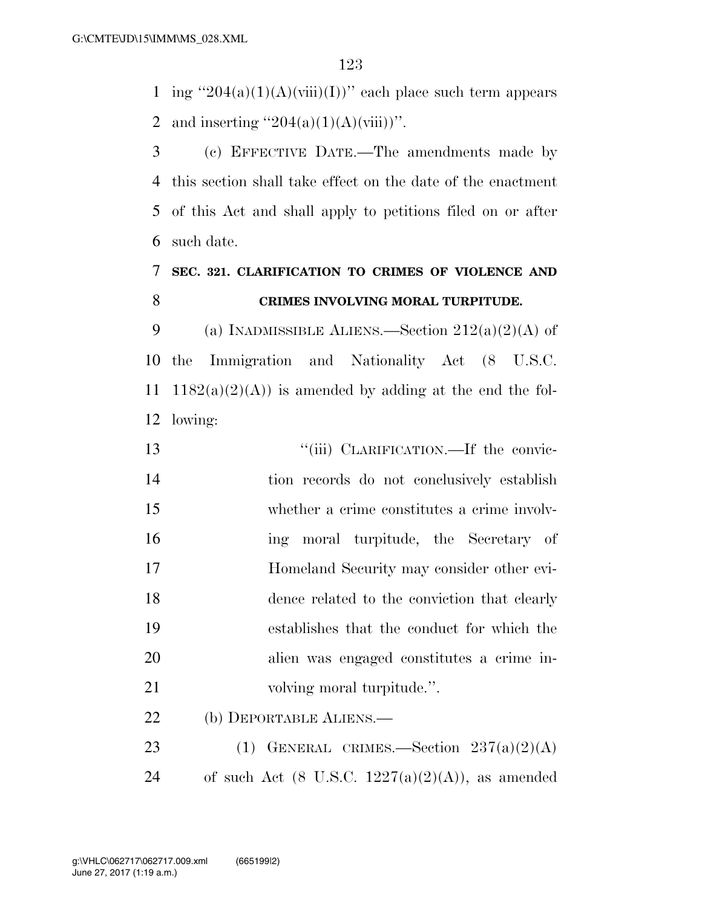1 ing  $"204(a)(1)(A)(viii)(I))"$  each place such term appears 2 and inserting  $"204(a)(1)(A)(viii))"$ .

 (c) EFFECTIVE DATE.—The amendments made by this section shall take effect on the date of the enactment of this Act and shall apply to petitions filed on or after such date.

# **SEC. 321. CLARIFICATION TO CRIMES OF VIOLENCE AND CRIMES INVOLVING MORAL TURPITUDE.**

9 (a) INADMISSIBLE ALIENS.—Section  $212(a)(2)(A)$  of the Immigration and Nationality Act (8 U.S.C. 11 1182(a)(2)(A)) is amended by adding at the end the fol-lowing:

 $"$ (iii) CLARIFICATION.—If the convic- tion records do not conclusively establish whether a crime constitutes a crime involv- ing moral turpitude, the Secretary of Homeland Security may consider other evi- dence related to the conviction that clearly establishes that the conduct for which the alien was engaged constitutes a crime in-21 volving moral turpitude.". (b) DEPORTABLE ALIENS.—

23 (1) GENERAL CRIMES.—Section  $237(a)(2)(A)$ 24 of such Act  $(8 \text{ U.S.C. } 1227(a)(2)(A))$ , as amended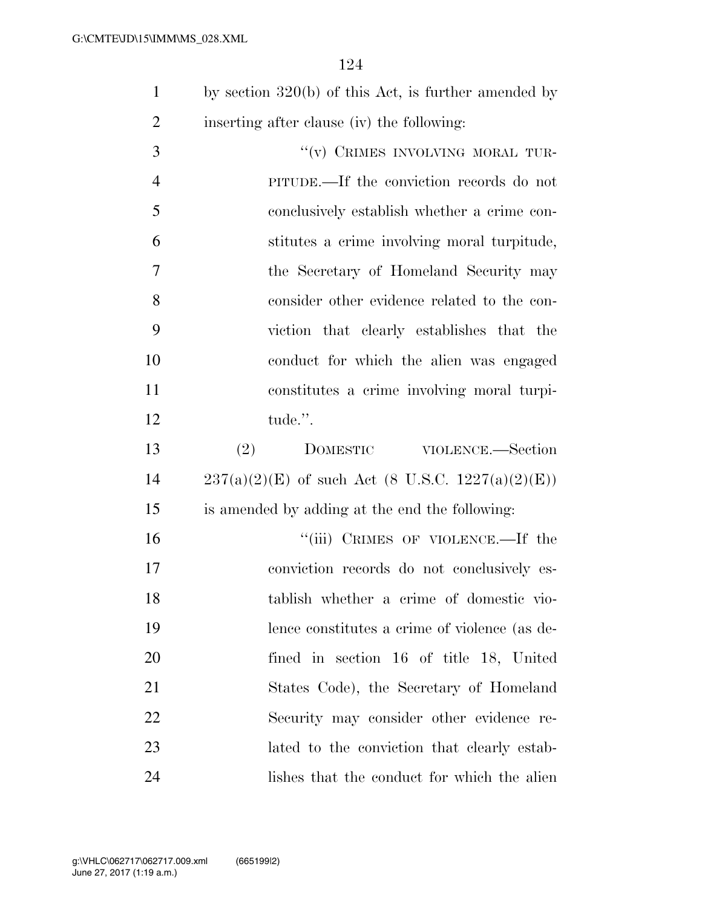|                | 124                                                    |
|----------------|--------------------------------------------------------|
| $\mathbf{1}$   | by section $320(b)$ of this Act, is further amended by |
| $\overline{2}$ | inserting after clause (iv) the following:             |
| 3              | "(v) CRIMES INVOLVING MORAL TUR-                       |
| $\overline{4}$ | PITUDE.—If the conviction records do not               |
| 5              | conclusively establish whether a crime con-            |
| 6              | stitutes a crime involving moral turpitude,            |
| 7              | the Secretary of Homeland Security may                 |
| 8              | consider other evidence related to the con-            |
| 9              | viction that clearly establishes that the              |
| 10             | conduct for which the alien was engaged                |
| 11             | constitutes a crime involving moral turpi-             |
| 12             | tude.".                                                |
| 13             | (2)<br>DOMESTIC VIOLENCE.—Section                      |
| 14             | $237(a)(2)(E)$ of such Act (8 U.S.C. 1227(a)(2)(E))    |
| 15             | is amended by adding at the end the following:         |
| 16             | "(iii) CRIMES OF VIOLENCE.—If the                      |
| $\overline{ }$ |                                                        |

 conviction records do not conclusively es- tablish whether a crime of domestic vio- lence constitutes a crime of violence (as de- fined in section 16 of title 18, United States Code), the Secretary of Homeland Security may consider other evidence re- lated to the conviction that clearly estab-24 lishes that the conduct for which the alien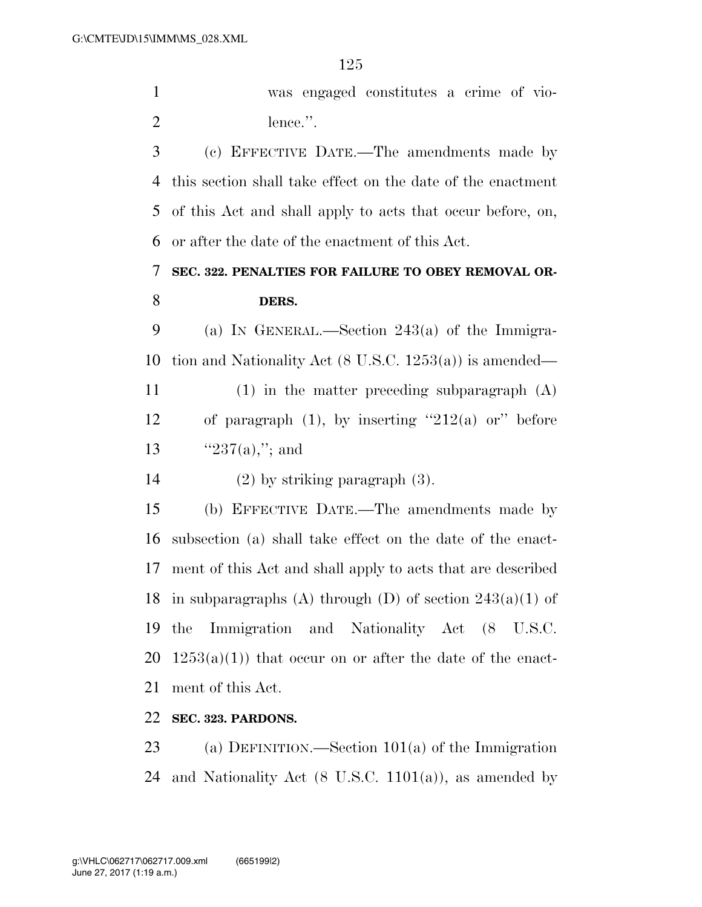was engaged constitutes a crime of vio-2 lence.".

 (c) EFFECTIVE DATE.—The amendments made by this section shall take effect on the date of the enactment of this Act and shall apply to acts that occur before, on, or after the date of the enactment of this Act.

 **SEC. 322. PENALTIES FOR FAILURE TO OBEY REMOVAL OR-DERS.** 

 (a) IN GENERAL.—Section 243(a) of the Immigra-tion and Nationality Act (8 U.S.C. 1253(a)) is amended—

 (1) in the matter preceding subparagraph (A) 12 of paragraph  $(1)$ , by inserting "212 $(a)$  or" before 13  $"237(a),"$ ; and

(2) by striking paragraph (3).

 (b) EFFECTIVE DATE.—The amendments made by subsection (a) shall take effect on the date of the enact- ment of this Act and shall apply to acts that are described 18 in subparagraphs (A) through (D) of section  $243(a)(1)$  of the Immigration and Nationality Act (8 U.S.C.  $1253(a)(1)$  that occur on or after the date of the enact-ment of this Act.

**SEC. 323. PARDONS.** 

 (a) DEFINITION.—Section 101(a) of the Immigration 24 and Nationality Act  $(8 \text{ U.S.C. } 1101(a))$ , as amended by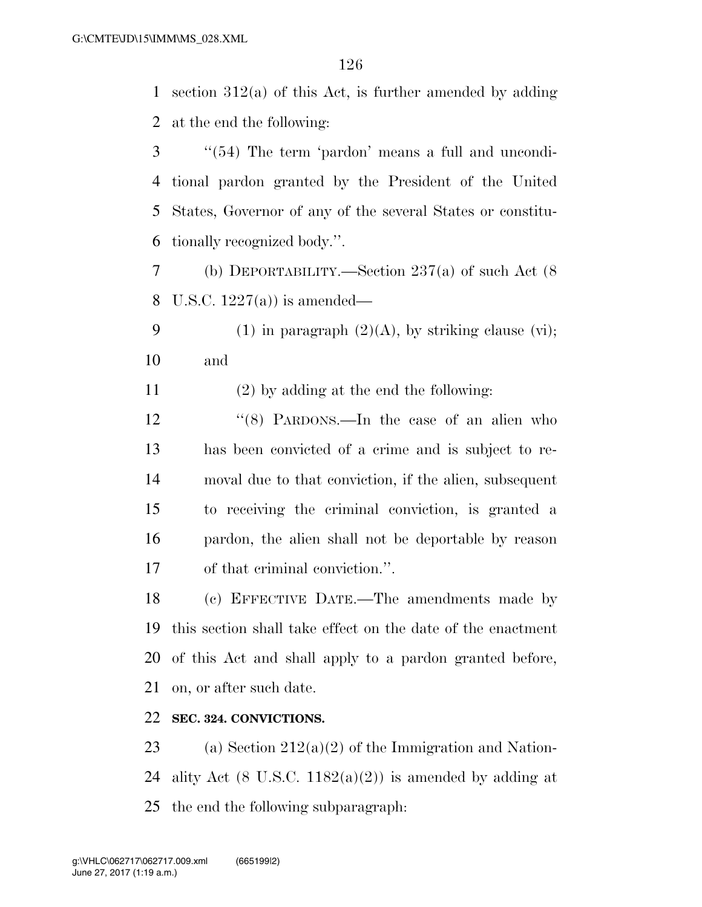section 312(a) of this Act, is further amended by adding at the end the following:

 ''(54) The term 'pardon' means a full and uncondi- tional pardon granted by the President of the United States, Governor of any of the several States or constitu-tionally recognized body.''.

 (b) DEPORTABILITY.—Section 237(a) of such Act (8 U.S.C. 1227(a)) is amended—

9 (1) in paragraph  $(2)(A)$ , by striking clause (vi); and

(2) by adding at the end the following:

12 "(8) PARDONS.—In the case of an alien who has been convicted of a crime and is subject to re- moval due to that conviction, if the alien, subsequent to receiving the criminal conviction, is granted a pardon, the alien shall not be deportable by reason of that criminal conviction.''.

 (c) EFFECTIVE DATE.—The amendments made by this section shall take effect on the date of the enactment of this Act and shall apply to a pardon granted before, on, or after such date.

# **SEC. 324. CONVICTIONS.**

23 (a) Section  $212(a)(2)$  of the Immigration and Nation-24 ality Act  $(8 \text{ U.S.C. } 1182(a)(2))$  is amended by adding at the end the following subparagraph: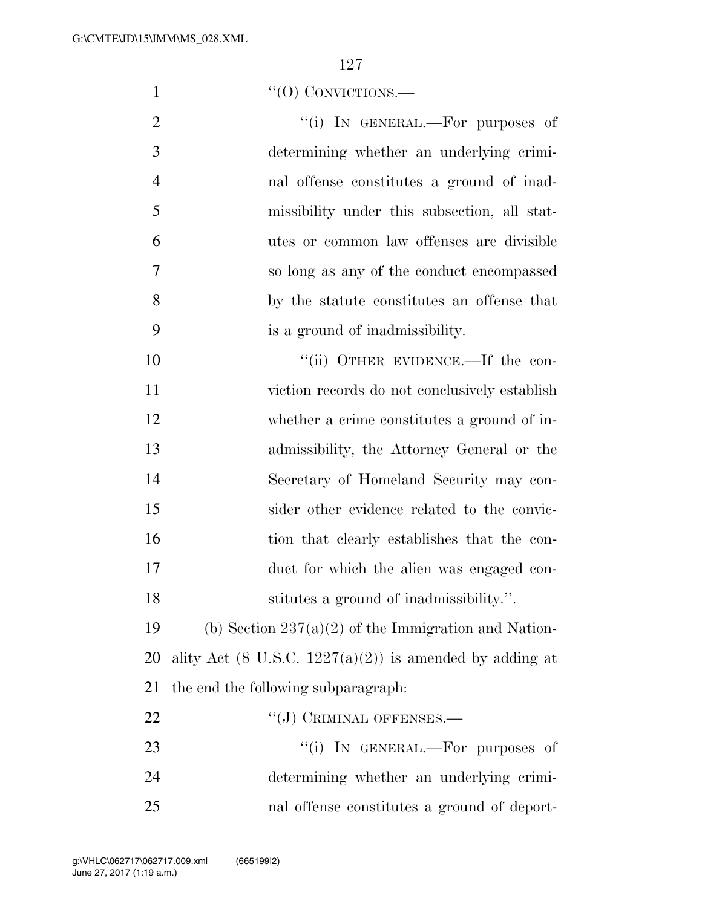1 "'(0) CONVICTIONS.

2 "(i) IN GENERAL.—For purposes of determining whether an underlying crimi- nal offense constitutes a ground of inad- missibility under this subsection, all stat- utes or common law offenses are divisible so long as any of the conduct encompassed by the statute constitutes an offense that is a ground of inadmissibility.

 $"$ (ii) OTHER EVIDENCE.—If the con- viction records do not conclusively establish whether a crime constitutes a ground of in- admissibility, the Attorney General or the Secretary of Homeland Security may con- sider other evidence related to the convic- tion that clearly establishes that the con- duct for which the alien was engaged con-stitutes a ground of inadmissibility.''.

19 (b) Section  $237(a)(2)$  of the Immigration and Nation-20 ality Act (8 U.S.C.  $1227(a)(2)$ ) is amended by adding at the end the following subparagraph:

22 "(J) CRIMINAL OFFENSES.—  $\frac{1}{1}$  In GENERAL.—For purposes of determining whether an underlying crimi-nal offense constitutes a ground of deport-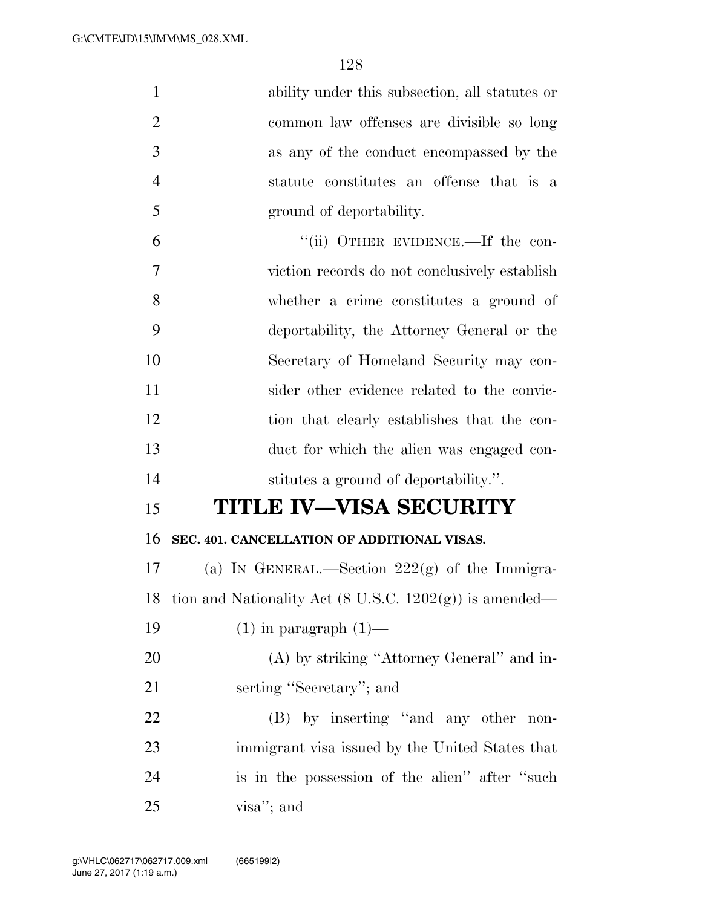| $\mathbf{1}$   | ability under this subsection, all statutes or                     |
|----------------|--------------------------------------------------------------------|
| $\overline{2}$ | common law offenses are divisible so long                          |
| 3              | as any of the conduct encompassed by the                           |
| $\overline{4}$ | statute constitutes an offense that is a                           |
| 5              | ground of deportability.                                           |
| 6              | "(ii) OTHER EVIDENCE.—If the con-                                  |
| 7              | viction records do not conclusively establish                      |
| 8              | whether a crime constitutes a ground of                            |
| 9              | deportability, the Attorney General or the                         |
| 10             | Secretary of Homeland Security may con-                            |
| 11             | sider other evidence related to the convic-                        |
| 12             | tion that clearly establishes that the con-                        |
| 13             | duct for which the alien was engaged con-                          |
| 14             | stitutes a ground of deportability.".                              |
| 15             | <b>TITLE IV–VISA SECURITY</b>                                      |
| 16             | SEC. 401. CANCELLATION OF ADDITIONAL VISAS.                        |
| 17             | (a) IN GENERAL.—Section $222(g)$ of the Immigra-                   |
| 18             | tion and Nationality Act $(8 \text{ U.S.C. } 1202(g))$ is amended— |
| 19             | $(1)$ in paragraph $(1)$ —                                         |
| 20             | (A) by striking "Attorney General" and in-                         |
| 21             | serting "Secretary"; and                                           |
| 22             | (B) by inserting "and any other non-                               |
| 23             | immigrant visa issued by the United States that                    |
| 24             | is in the possession of the alien" after "such"                    |
| 25             | visa"; and                                                         |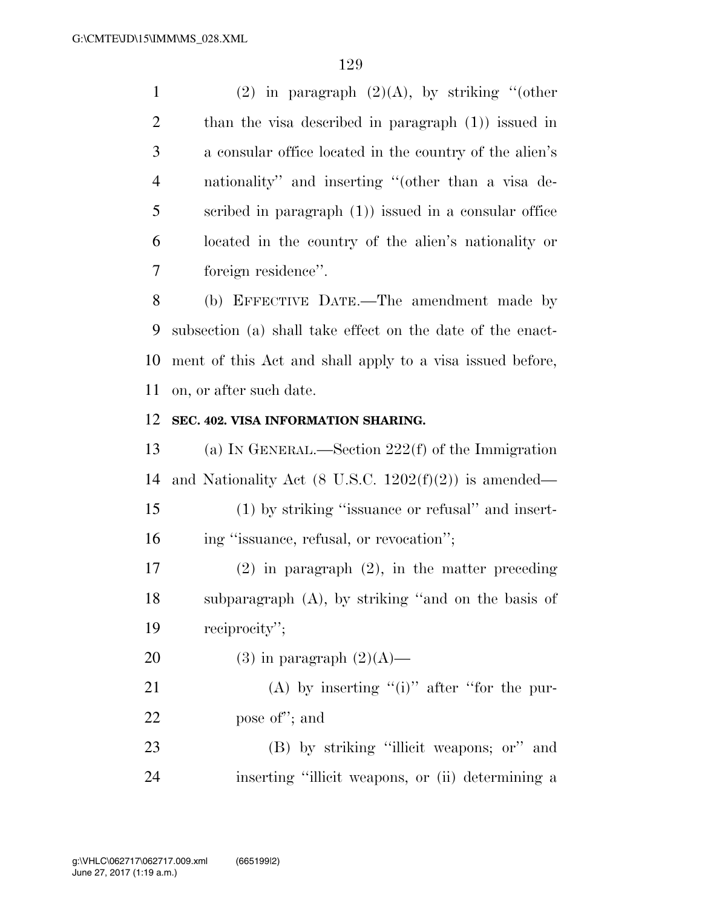1 (2) in paragraph  $(2)(A)$ , by striking "(other than the visa described in paragraph (1)) issued in a consular office located in the country of the alien's nationality'' and inserting ''(other than a visa de- scribed in paragraph (1)) issued in a consular office located in the country of the alien's nationality or foreign residence''.

 (b) EFFECTIVE DATE.—The amendment made by subsection (a) shall take effect on the date of the enact- ment of this Act and shall apply to a visa issued before, on, or after such date.

#### **SEC. 402. VISA INFORMATION SHARING.**

 (a) IN GENERAL.—Section 222(f) of the Immigration and Nationality Act (8 U.S.C. 1202(f)(2)) is amended— (1) by striking ''issuance or refusal'' and insert-16 ing "issuance, refusal, or revocation";

 (2) in paragraph (2), in the matter preceding subparagraph (A), by striking ''and on the basis of reciprocity'';

20 (3) in paragraph  $(2)(A)$ —

21 (A) by inserting "(i)" after "for the pur-pose of''; and

 (B) by striking ''illicit weapons; or'' and inserting ''illicit weapons, or (ii) determining a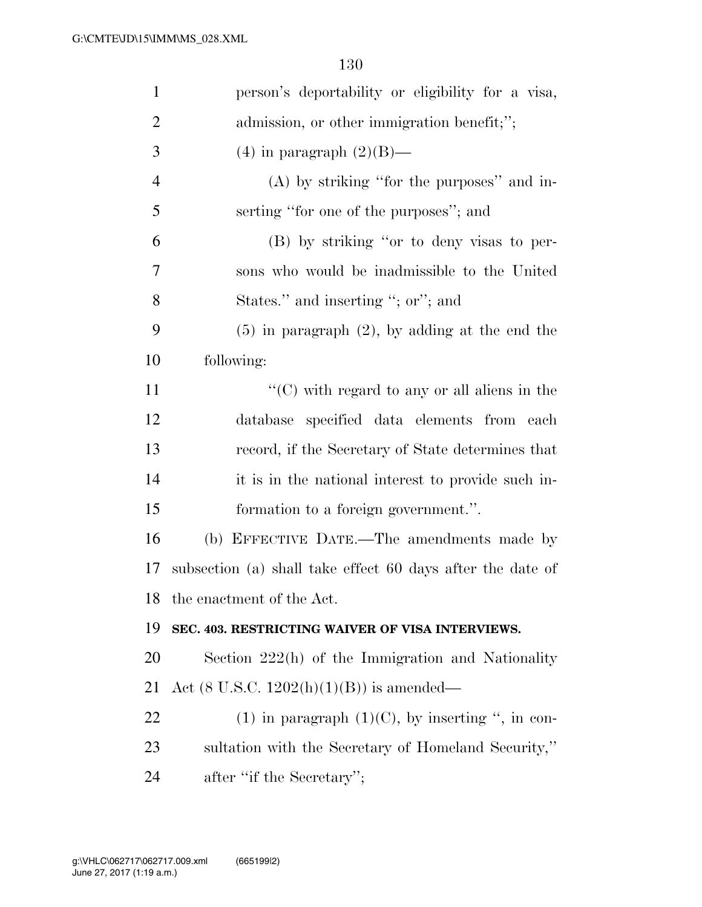| $\mathbf{1}$   | person's deportability or eligibility for a visa,                 |
|----------------|-------------------------------------------------------------------|
| $\overline{2}$ | admission, or other immigration benefit;";                        |
| 3              | $(4)$ in paragraph $(2)(B)$ —                                     |
| $\overline{4}$ | $(A)$ by striking "for the purposes" and in-                      |
| 5              | serting "for one of the purposes"; and                            |
| 6              | (B) by striking "or to deny visas to per-                         |
| 7              | sons who would be inadmissible to the United                      |
| 8              | States." and inserting "; or"; and                                |
| 9              | $(5)$ in paragraph $(2)$ , by adding at the end the               |
| 10             | following:                                                        |
| 11             | $\lq\lq$ <sup>c</sup> (C) with regard to any or all aliens in the |
| 12             | database specified data elements from each                        |
| 13             | record, if the Secretary of State determines that                 |
| 14             | it is in the national interest to provide such in-                |
| 15             | formation to a foreign government.".                              |
| 16             | (b) EFFECTIVE DATE.—The amendments made by                        |
| 17             | subsection (a) shall take effect 60 days after the date of        |
|                | 18 the enactment of the Act.                                      |
| 19             | SEC. 403. RESTRICTING WAIVER OF VISA INTERVIEWS.                  |
| 20             | Section 222(h) of the Immigration and Nationality                 |
| 21             | Act (8 U.S.C. $1202(h)(1)(B)$ ) is amended—                       |
| 22             | (1) in paragraph $(1)(C)$ , by inserting ", in con-               |
| 23             | sultation with the Secretary of Homeland Security,"               |
| 24             | after "if the Secretary";                                         |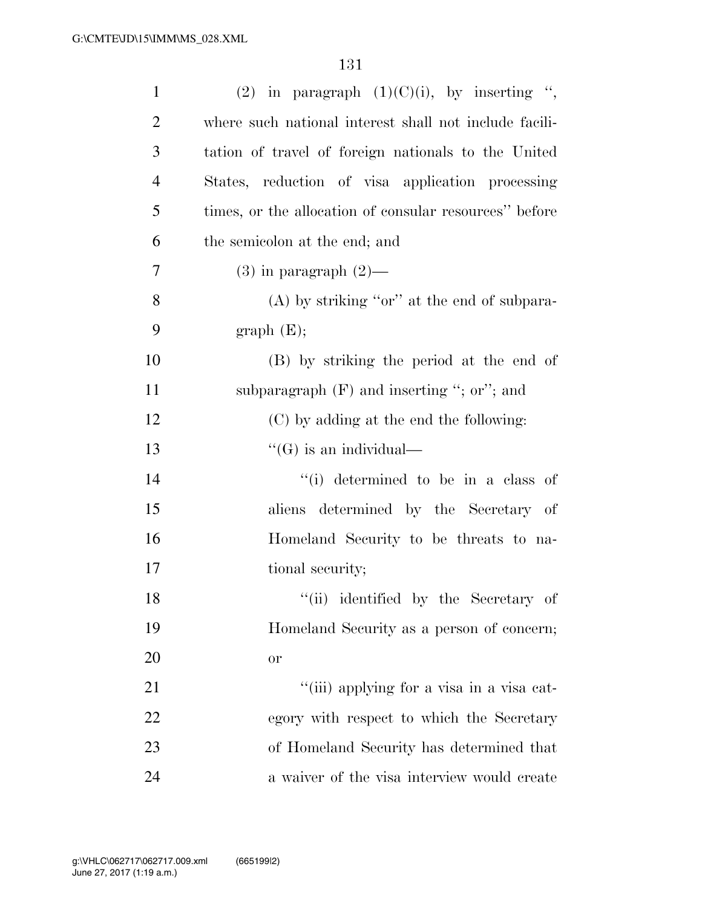| $\mathbf{1}$   | (2) in paragraph $(1)(C)(i)$ , by inserting ",         |
|----------------|--------------------------------------------------------|
| $\overline{2}$ | where such national interest shall not include facili- |
| 3              | tation of travel of foreign nationals to the United    |
| $\overline{4}$ | States, reduction of visa application processing       |
| 5              | times, or the allocation of consular resources" before |
| 6              | the semicolon at the end; and                          |
| 7              | $(3)$ in paragraph $(2)$ —                             |
| 8              | $(A)$ by striking "or" at the end of subpara-          |
| 9              | graph(E);                                              |
| 10             | (B) by striking the period at the end of               |
| 11             | subparagraph $(F)$ and inserting "; or"; and           |
| 12             | (C) by adding at the end the following:                |
| 13             | $\lq\lq (G)$ is an individual—                         |
| 14             | "(i) determined to be in a class of                    |
| 15             | aliens determined by the Secretary of                  |
| 16             | Homeland Security to be threats to na-                 |
| 17             | tional security;                                       |
| 18             | "(ii) identified by the Secretary of                   |
| 19             | Homeland Security as a person of concern;              |
| 20             | or                                                     |
| 21             | "(iii) applying for a visa in a visa cat-              |
| 22             | egory with respect to which the Secretary              |
| 23             | of Homeland Security has determined that               |
| 24             | a waiver of the visa interview would create            |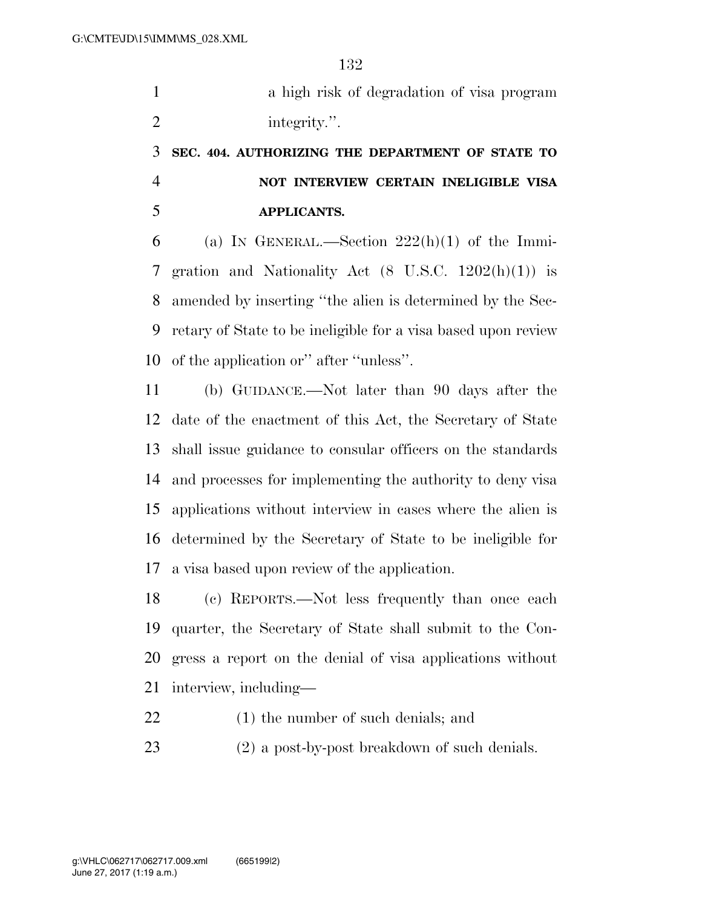a high risk of degradation of visa program 2 integrity.".

# **SEC. 404. AUTHORIZING THE DEPARTMENT OF STATE TO NOT INTERVIEW CERTAIN INELIGIBLE VISA APPLICANTS.**

6 (a) IN GENERAL.—Section  $222(h)(1)$  of the Immi- gration and Nationality Act (8 U.S.C. 1202(h)(1)) is amended by inserting ''the alien is determined by the Sec- retary of State to be ineligible for a visa based upon review of the application or'' after ''unless''.

 (b) GUIDANCE.—Not later than 90 days after the date of the enactment of this Act, the Secretary of State shall issue guidance to consular officers on the standards and processes for implementing the authority to deny visa applications without interview in cases where the alien is determined by the Secretary of State to be ineligible for a visa based upon review of the application.

 (c) REPORTS.—Not less frequently than once each quarter, the Secretary of State shall submit to the Con- gress a report on the denial of visa applications without interview, including—

- (1) the number of such denials; and
- (2) a post-by-post breakdown of such denials.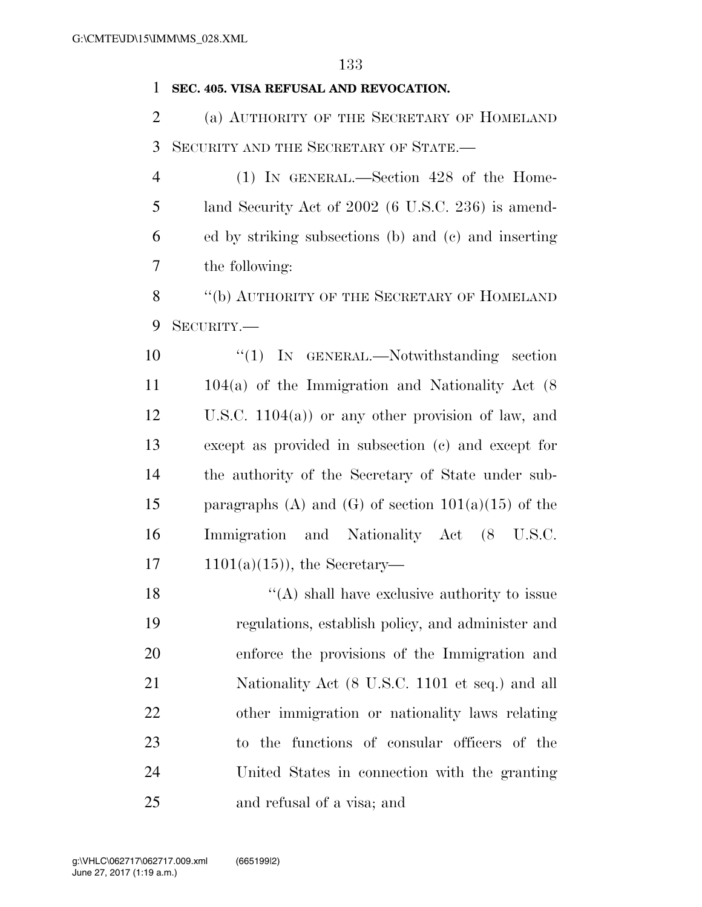#### **SEC. 405. VISA REFUSAL AND REVOCATION.**

 (a) AUTHORITY OF THE SECRETARY OF HOMELAND SECURITY AND THE SECRETARY OF STATE.—

 (1) IN GENERAL.—Section 428 of the Home- land Security Act of 2002 (6 U.S.C. 236) is amend- ed by striking subsections (b) and (c) and inserting the following:

8 "(b) AUTHORITY OF THE SECRETARY OF HOMELAND SECURITY.—

10 "(1) IN GENERAL.—Notwithstanding section 104(a) of the Immigration and Nationality Act (8 U.S.C. 1104(a)) or any other provision of law, and except as provided in subsection (c) and except for the authority of the Secretary of State under sub-15 paragraphs (A) and (G) of section  $101(a)(15)$  of the Immigration and Nationality Act (8 U.S.C.  $1101(a)(15)$ , the Secretary—

18 ''(A) shall have exclusive authority to issue regulations, establish policy, and administer and enforce the provisions of the Immigration and 21 Nationality Act (8 U.S.C. 1101 et seq.) and all other immigration or nationality laws relating to the functions of consular officers of the United States in connection with the granting and refusal of a visa; and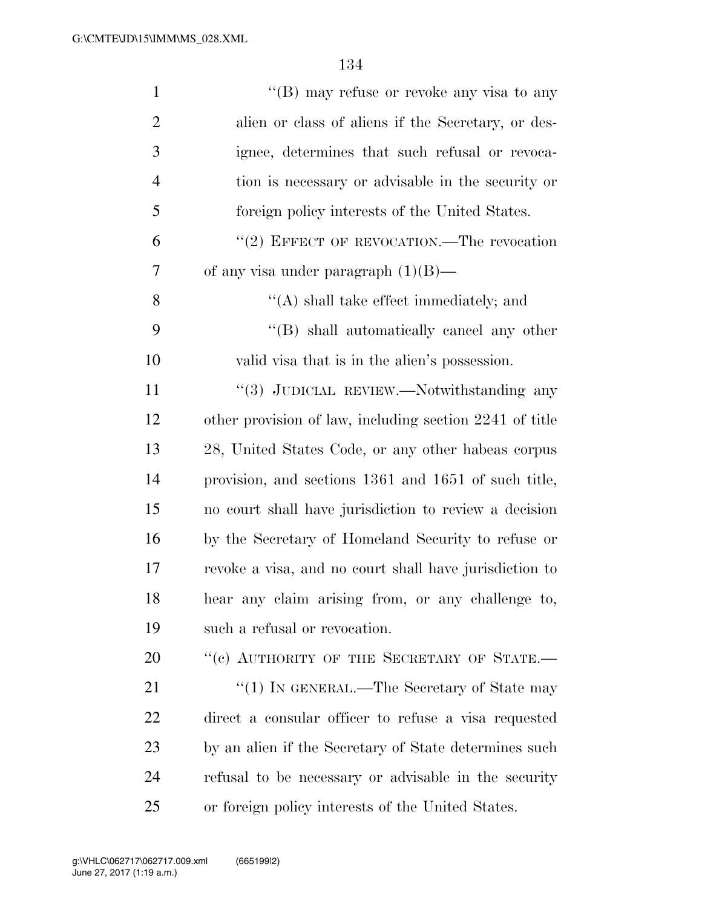| $\mathbf{1}$   | "(B) may refuse or revoke any visa to any               |
|----------------|---------------------------------------------------------|
| $\overline{2}$ | alien or class of aliens if the Secretary, or des-      |
| 3              | ignee, determines that such refusal or revoca-          |
| $\overline{4}$ | tion is necessary or advisable in the security or       |
| 5              | foreign policy interests of the United States.          |
| 6              | "(2) EFFECT OF REVOCATION.—The revocation               |
| 7              | of any visa under paragraph $(1)(B)$ —                  |
| 8              | $\lq\lq$ shall take effect immediately; and             |
| 9              | "(B) shall automatically cancel any other               |
| 10             | valid visa that is in the alien's possession.           |
| 11             | "(3) JUDICIAL REVIEW.—Notwithstanding any               |
| 12             | other provision of law, including section 2241 of title |
| 13             | 28, United States Code, or any other habeas corpus      |
| 14             | provision, and sections 1361 and 1651 of such title,    |
| 15             | no court shall have jurisdiction to review a decision   |
| 16             | by the Secretary of Homeland Security to refuse or      |
| 17             | revoke a visa, and no court shall have jurisdiction to  |
| 18             | hear any claim arising from, or any challenge to,       |
| 19             | such a refusal or revocation.                           |
| 20             | "(c) AUTHORITY OF THE SECRETARY OF STATE.-              |
| 21             | " $(1)$ In GENERAL.—The Secretary of State may          |
| 22             | direct a consular officer to refuse a visa requested    |
| 23             | by an alien if the Secretary of State determines such   |
| 24             | refusal to be necessary or advisable in the security    |
| 25             | or foreign policy interests of the United States.       |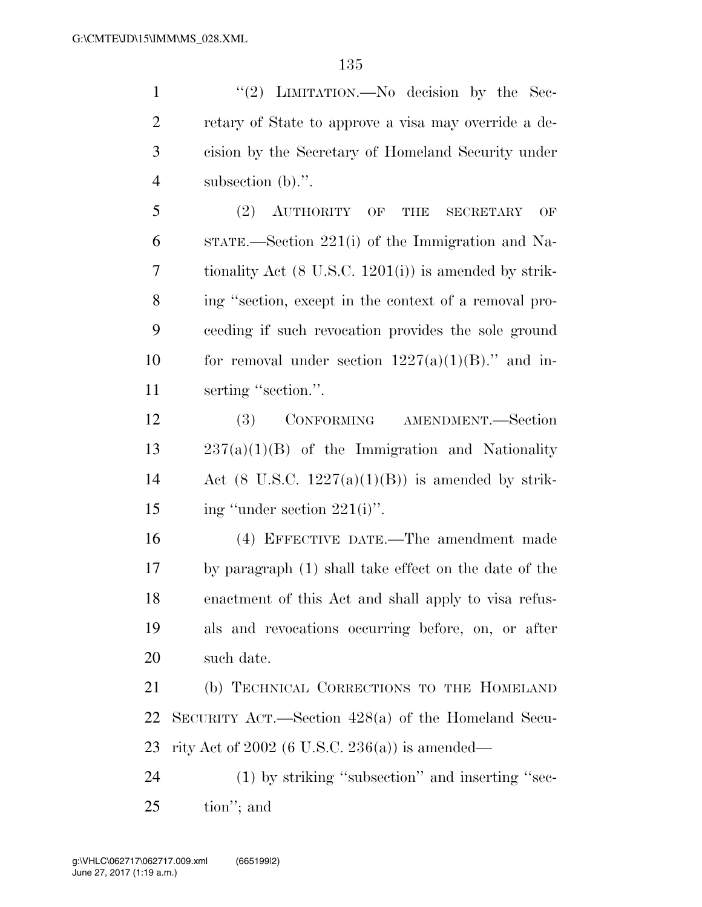1 ''(2) LIMITATION.—No decision by the Sec- retary of State to approve a visa may override a de- cision by the Secretary of Homeland Security under subsection (b).''.

 (2) AUTHORITY OF THE SECRETARY OF STATE.—Section 221(i) of the Immigration and Na- tionality Act (8 U.S.C. 1201(i)) is amended by strik- ing ''section, except in the context of a removal pro- ceeding if such revocation provides the sole ground 10 for removal under section  $1227(a)(1)(B)$ ." and in-11 serting "section.".

 (3) CONFORMING AMENDMENT.—Section 237(a)(1)(B) of the Immigration and Nationality 14 Act (8 U.S.C.  $1227(a)(1)(B)$ ) is amended by strik-15 ing "under section  $221(i)$ ".

 (4) EFFECTIVE DATE.—The amendment made by paragraph (1) shall take effect on the date of the enactment of this Act and shall apply to visa refus- als and revocations occurring before, on, or after such date.

 (b) TECHNICAL CORRECTIONS TO THE HOMELAND SECURITY ACT.—Section 428(a) of the Homeland Secu-rity Act of 2002 (6 U.S.C. 236(a)) is amended—

24 (1) by striking "subsection" and inserting "sec-tion''; and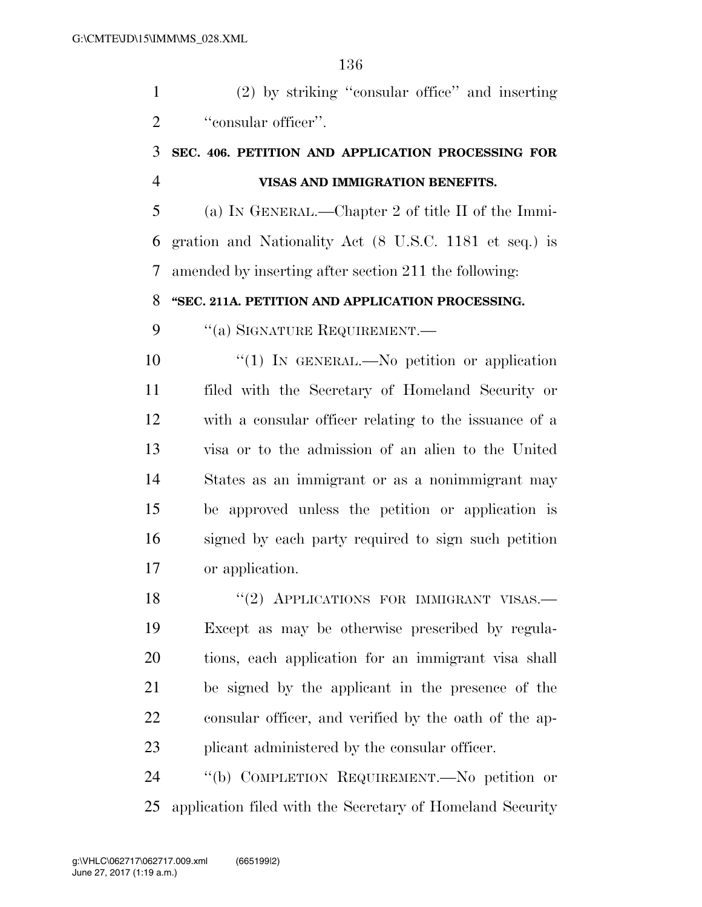(2) by striking ''consular office'' and inserting 2 "consular officer".

# **SEC. 406. PETITION AND APPLICATION PROCESSING FOR VISAS AND IMMIGRATION BENEFITS.**

 (a) IN GENERAL.—Chapter 2 of title II of the Immi- gration and Nationality Act (8 U.S.C. 1181 et seq.) is amended by inserting after section 211 the following:

# **''SEC. 211A. PETITION AND APPLICATION PROCESSING.**

9 "(a) SIGNATURE REQUIREMENT.—

 $\frac{10}{10}$  IN GENERAL.—No petition or application filed with the Secretary of Homeland Security or with a consular officer relating to the issuance of a visa or to the admission of an alien to the United States as an immigrant or as a nonimmigrant may be approved unless the petition or application is signed by each party required to sign such petition or application.

18 "(2) APPLICATIONS FOR IMMIGRANT VISAS. Except as may be otherwise prescribed by regula- tions, each application for an immigrant visa shall be signed by the applicant in the presence of the consular officer, and verified by the oath of the ap-plicant administered by the consular officer.

 ''(b) COMPLETION REQUIREMENT.—No petition or application filed with the Secretary of Homeland Security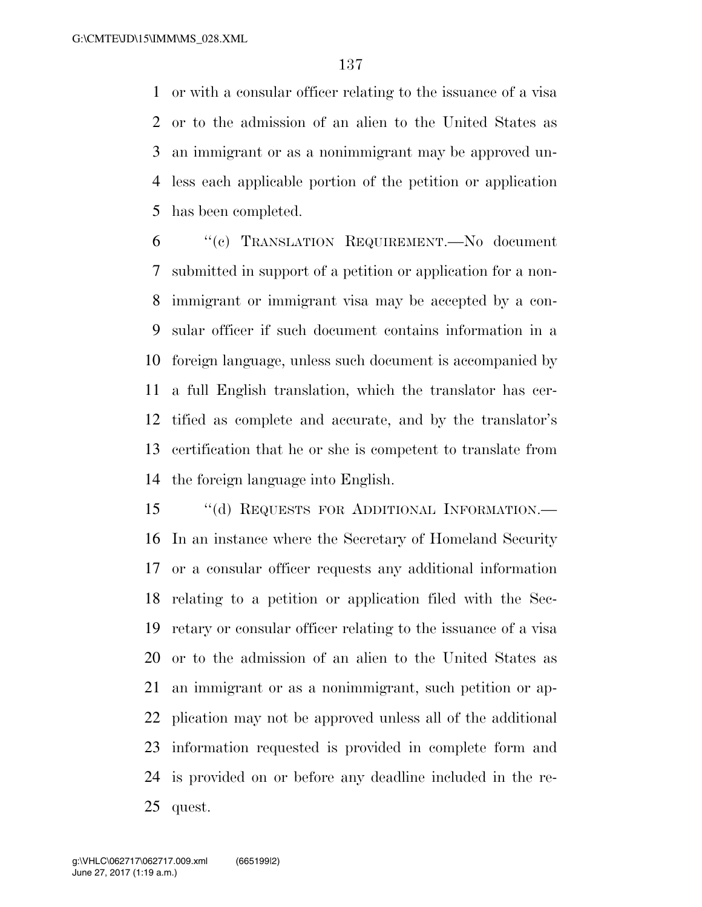or with a consular officer relating to the issuance of a visa or to the admission of an alien to the United States as an immigrant or as a nonimmigrant may be approved un- less each applicable portion of the petition or application has been completed.

 ''(c) TRANSLATION REQUIREMENT.—No document submitted in support of a petition or application for a non- immigrant or immigrant visa may be accepted by a con- sular officer if such document contains information in a foreign language, unless such document is accompanied by a full English translation, which the translator has cer- tified as complete and accurate, and by the translator's certification that he or she is competent to translate from the foreign language into English.

15 "(d) REQUESTS FOR ADDITIONAL INFORMATION.— In an instance where the Secretary of Homeland Security or a consular officer requests any additional information relating to a petition or application filed with the Sec- retary or consular officer relating to the issuance of a visa or to the admission of an alien to the United States as an immigrant or as a nonimmigrant, such petition or ap- plication may not be approved unless all of the additional information requested is provided in complete form and is provided on or before any deadline included in the re-quest.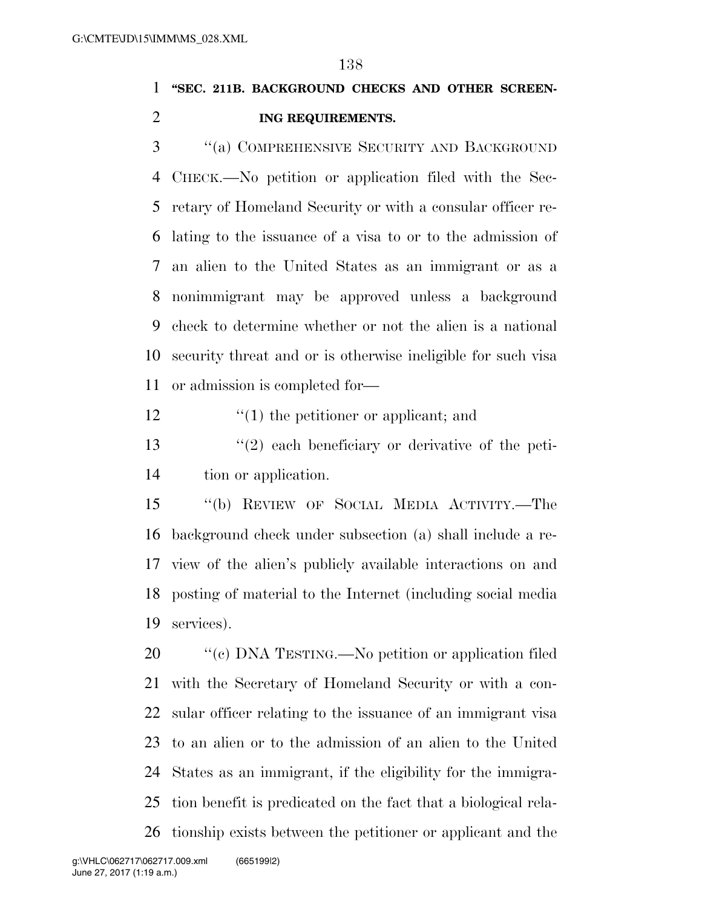# **''SEC. 211B. BACKGROUND CHECKS AND OTHER SCREEN-ING REQUIREMENTS.**

 ''(a) COMPREHENSIVE SECURITY AND BACKGROUND CHECK.—No petition or application filed with the Sec- retary of Homeland Security or with a consular officer re- lating to the issuance of a visa to or to the admission of an alien to the United States as an immigrant or as a nonimmigrant may be approved unless a background check to determine whether or not the alien is a national security threat and or is otherwise ineligible for such visa or admission is completed for—

''(1) the petitioner or applicant; and

 ''(2) each beneficiary or derivative of the peti-tion or application.

 ''(b) REVIEW OF SOCIAL MEDIA ACTIVITY.—The background check under subsection (a) shall include a re- view of the alien's publicly available interactions on and posting of material to the Internet (including social media services).

 $\degree$  (c) DNA TESTING.—No petition or application filed with the Secretary of Homeland Security or with a con- sular officer relating to the issuance of an immigrant visa to an alien or to the admission of an alien to the United States as an immigrant, if the eligibility for the immigra- tion benefit is predicated on the fact that a biological rela-tionship exists between the petitioner or applicant and the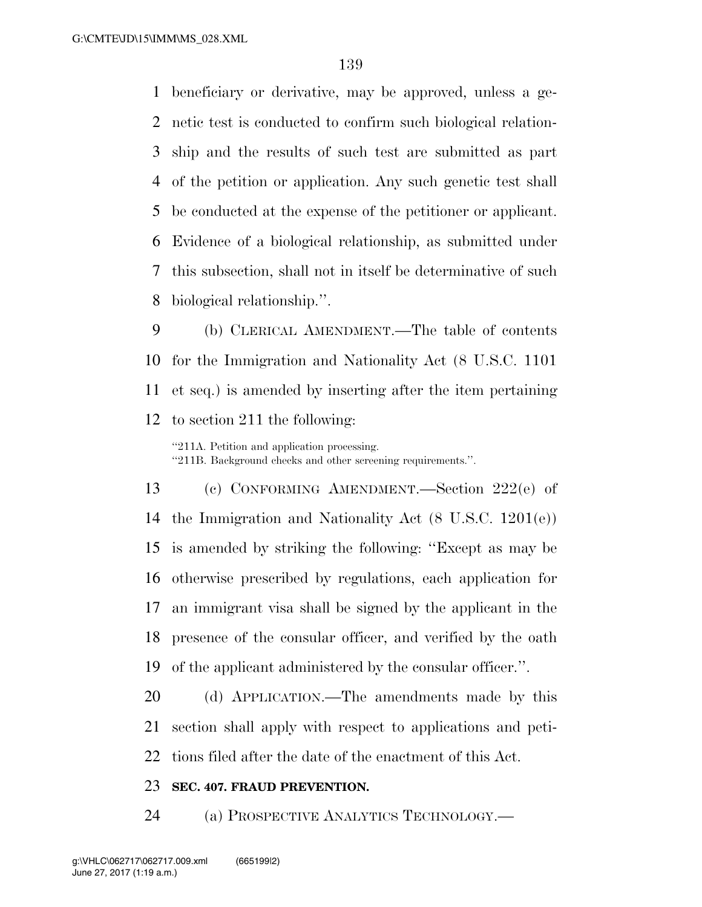beneficiary or derivative, may be approved, unless a ge- netic test is conducted to confirm such biological relation- ship and the results of such test are submitted as part of the petition or application. Any such genetic test shall be conducted at the expense of the petitioner or applicant. Evidence of a biological relationship, as submitted under this subsection, shall not in itself be determinative of such biological relationship.''.

 (b) CLERICAL AMENDMENT.—The table of contents for the Immigration and Nationality Act (8 U.S.C. 1101 et seq.) is amended by inserting after the item pertaining to section 211 the following:

''211A. Petition and application processing. ''211B. Background checks and other screening requirements.''.

 (c) CONFORMING AMENDMENT.—Section 222(e) of the Immigration and Nationality Act (8 U.S.C. 1201(e)) is amended by striking the following: ''Except as may be otherwise prescribed by regulations, each application for an immigrant visa shall be signed by the applicant in the presence of the consular officer, and verified by the oath of the applicant administered by the consular officer.''.

 (d) APPLICATION.—The amendments made by this section shall apply with respect to applications and peti-tions filed after the date of the enactment of this Act.

#### **SEC. 407. FRAUD PREVENTION.**

(a) PROSPECTIVE ANALYTICS TECHNOLOGY.—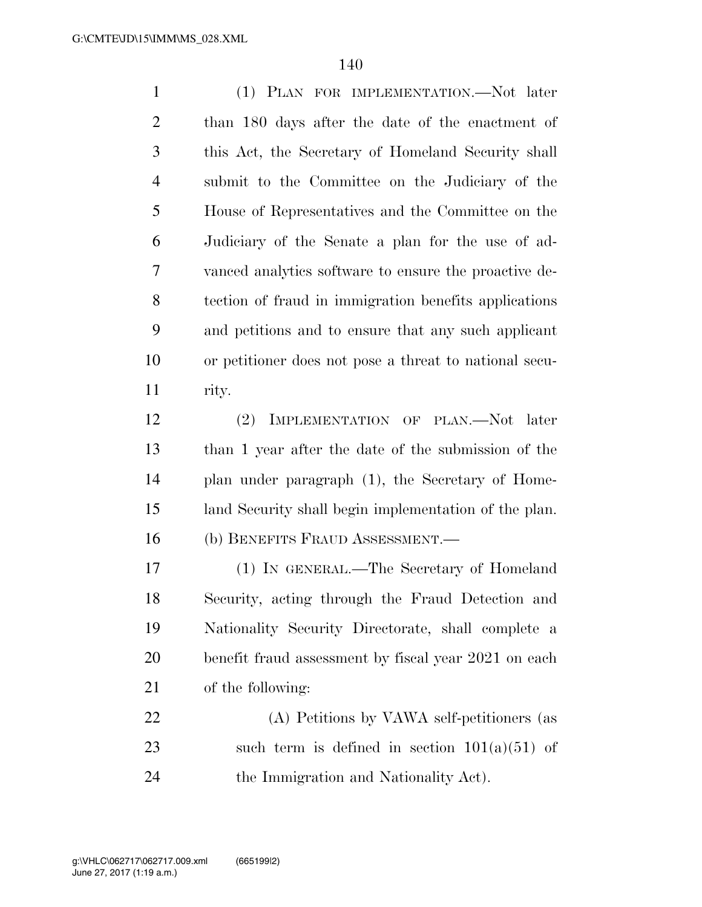(1) PLAN FOR IMPLEMENTATION.—Not later than 180 days after the date of the enactment of this Act, the Secretary of Homeland Security shall submit to the Committee on the Judiciary of the House of Representatives and the Committee on the Judiciary of the Senate a plan for the use of ad- vanced analytics software to ensure the proactive de- tection of fraud in immigration benefits applications and petitions and to ensure that any such applicant or petitioner does not pose a threat to national secu-rity.

 (2) IMPLEMENTATION OF PLAN.—Not later than 1 year after the date of the submission of the plan under paragraph (1), the Secretary of Home- land Security shall begin implementation of the plan. (b) BENEFITS FRAUD ASSESSMENT.—

 (1) IN GENERAL.—The Secretary of Homeland Security, acting through the Fraud Detection and Nationality Security Directorate, shall complete a benefit fraud assessment by fiscal year 2021 on each of the following:

 (A) Petitions by VAWA self-petitioners (as 23 such term is defined in section  $101(a)(51)$  of the Immigration and Nationality Act).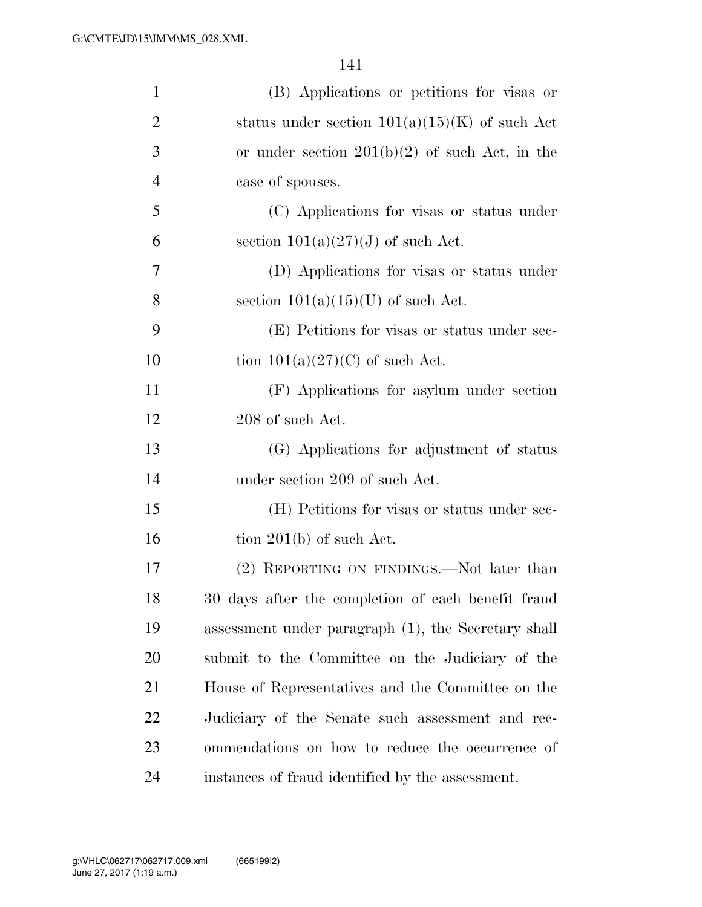| $\mathbf{1}$   | (B) Applications or petitions for visas or          |
|----------------|-----------------------------------------------------|
| $\overline{2}$ | status under section $101(a)(15)(K)$ of such Act    |
| 3              | or under section $201(b)(2)$ of such Act, in the    |
| $\overline{4}$ | case of spouses.                                    |
| 5              | (C) Applications for visas or status under          |
| 6              | section $101(a)(27)(J)$ of such Act.                |
| 7              | (D) Applications for visas or status under          |
| 8              | section $101(a)(15)(U)$ of such Act.                |
| 9              | (E) Petitions for visas or status under sec-        |
| 10             | tion $101(a)(27)(C)$ of such Act.                   |
| 11             | (F) Applications for asylum under section           |
| 12             | 208 of such Act.                                    |
| 13             | (G) Applications for adjustment of status           |
| 14             | under section 209 of such Act.                      |
| 15             | (H) Petitions for visas or status under sec-        |
| 16             | tion $201(b)$ of such Act.                          |
| 17             | (2) REPORTING ON FINDINGS.—Not later than           |
| 18             | 30 days after the completion of each benefit fraud  |
| 19             | assessment under paragraph (1), the Secretary shall |
| 20             | submit to the Committee on the Judiciary of the     |
| 21             | House of Representatives and the Committee on the   |
| 22             | Judiciary of the Senate such assessment and rec-    |
| 23             | ommendations on how to reduce the occurrence of     |
| 24             | instances of fraud identified by the assessment.    |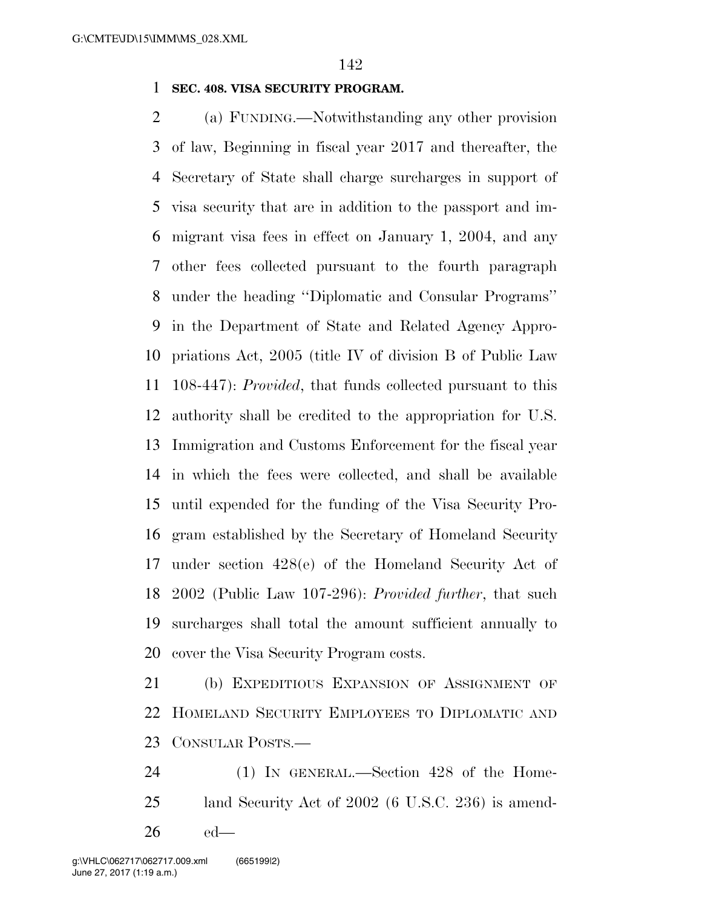### **SEC. 408. VISA SECURITY PROGRAM.**

 (a) FUNDING.—Notwithstanding any other provision of law, Beginning in fiscal year 2017 and thereafter, the Secretary of State shall charge surcharges in support of visa security that are in addition to the passport and im- migrant visa fees in effect on January 1, 2004, and any other fees collected pursuant to the fourth paragraph under the heading ''Diplomatic and Consular Programs'' in the Department of State and Related Agency Appro- priations Act, 2005 (title IV of division B of Public Law 108-447): *Provided*, that funds collected pursuant to this authority shall be credited to the appropriation for U.S. Immigration and Customs Enforcement for the fiscal year in which the fees were collected, and shall be available until expended for the funding of the Visa Security Pro- gram established by the Secretary of Homeland Security under section 428(e) of the Homeland Security Act of 2002 (Public Law 107-296): *Provided further*, that such surcharges shall total the amount sufficient annually to cover the Visa Security Program costs.

 (b) EXPEDITIOUS EXPANSION OF ASSIGNMENT OF HOMELAND SECURITY EMPLOYEES TO DIPLOMATIC AND CONSULAR POSTS.—

 (1) IN GENERAL.—Section 428 of the Home- land Security Act of 2002 (6 U.S.C. 236) is amend-ed—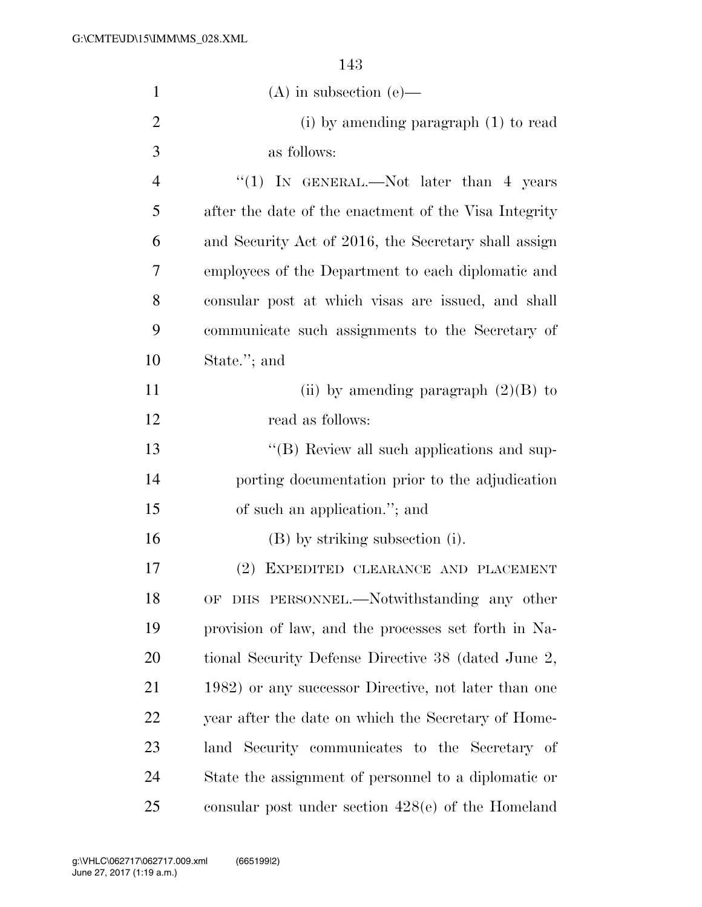| $\mathbf{1}$   | $(A)$ in subsection $(e)$ —                           |
|----------------|-------------------------------------------------------|
| $\overline{2}$ | (i) by amending paragraph (1) to read                 |
| 3              | as follows:                                           |
| 4              | "(1) IN GENERAL.—Not later than $4$ years             |
| 5              | after the date of the enactment of the Visa Integrity |
| 6              | and Security Act of 2016, the Secretary shall assign  |
| 7              | employees of the Department to each diplomatic and    |
| 8              | consular post at which visas are issued, and shall    |
| 9              | communicate such assignments to the Secretary of      |
| 10             | State."; and                                          |
| 11             | (ii) by amending paragraph $(2)(B)$ to                |
| 12             | read as follows:                                      |
| 13             | $\lq\lq$ (B) Review all such applications and sup-    |
| 14             | porting documentation prior to the adjudication       |
| 15             | of such an application."; and                         |
| 16             | (B) by striking subsection (i).                       |
| 17             | EXPEDITED CLEARANCE AND PLACEMENT<br>$(2)^{-}$        |
| 18             | OF DHS PERSONNEL.-Notwithstanding any other           |
| 19             | provision of law, and the processes set forth in Na-  |
| 20             | tional Security Defense Directive 38 (dated June 2,   |
| 21             | 1982) or any successor Directive, not later than one  |
| <u>22</u>      | year after the date on which the Secretary of Home-   |
| 23             | land Security communicates to the Secretary of        |
| 24             | State the assignment of personnel to a diplomatic or  |
| 25             | consular post under section $428(e)$ of the Homeland  |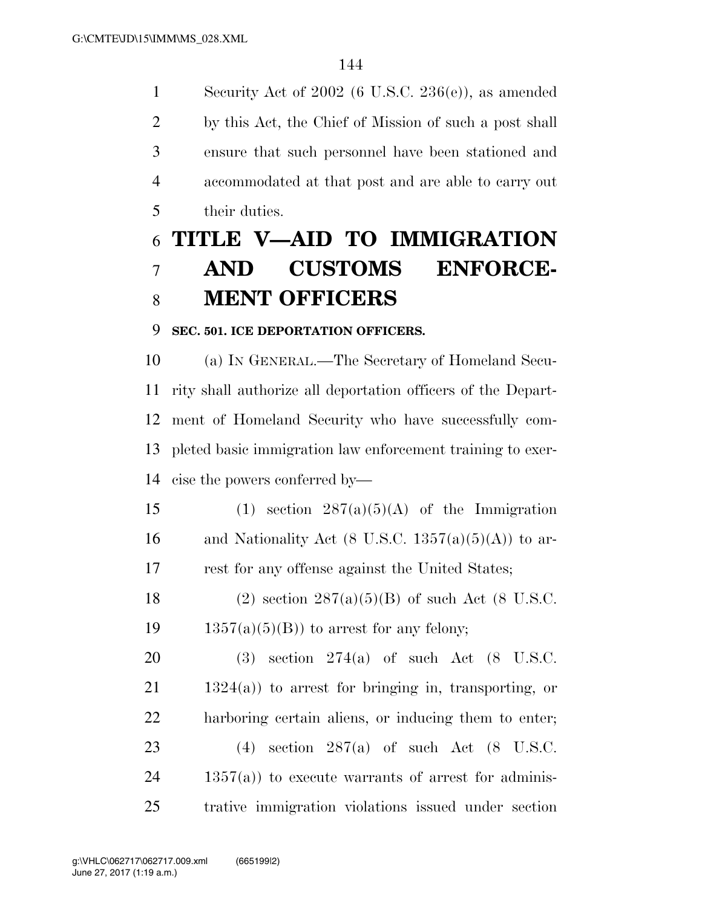Security Act of 2002 (6 U.S.C. 236(e)), as amended by this Act, the Chief of Mission of such a post shall ensure that such personnel have been stationed and accommodated at that post and are able to carry out their duties.

# **TITLE V—AID TO IMMIGRATION AND CUSTOMS ENFORCE-MENT OFFICERS**

#### **SEC. 501. ICE DEPORTATION OFFICERS.**

 (a) IN GENERAL.—The Secretary of Homeland Secu- rity shall authorize all deportation officers of the Depart- ment of Homeland Security who have successfully com- pleted basic immigration law enforcement training to exer-cise the powers conferred by—

15 (1) section  $287(a)(5)(A)$  of the Immigration 16 and Nationality Act (8 U.S.C.  $1357(a)(5)(A)$ ) to ar-rest for any offense against the United States;

18 (2) section  $287(a)(5)(B)$  of such Act (8 U.S.C. 19  $1357(a)(5)(B)$  to arrest for any felony;

 (3) section 274(a) of such Act (8 U.S.C. 1324(a)) to arrest for bringing in, transporting, or harboring certain aliens, or inducing them to enter; (4) section 287(a) of such Act (8 U.S.C. 1357(a)) to execute warrants of arrest for adminis-trative immigration violations issued under section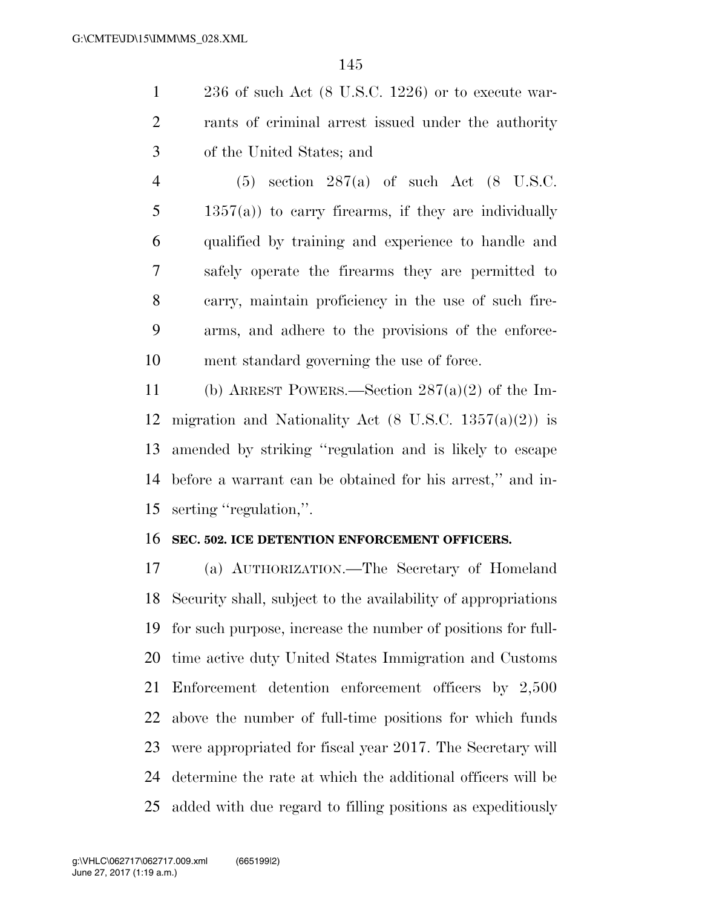236 of such Act (8 U.S.C. 1226) or to execute war- rants of criminal arrest issued under the authority of the United States; and

 (5) section 287(a) of such Act (8 U.S.C. 1357(a)) to carry firearms, if they are individually qualified by training and experience to handle and safely operate the firearms they are permitted to carry, maintain proficiency in the use of such fire- arms, and adhere to the provisions of the enforce-ment standard governing the use of force.

 (b) ARREST POWERS.—Section 287(a)(2) of the Im-12 migration and Nationality Act  $(8 \text{ U.S.C. } 1357(a)(2))$  is amended by striking ''regulation and is likely to escape before a warrant can be obtained for his arrest,'' and in-serting ''regulation,''.

#### **SEC. 502. ICE DETENTION ENFORCEMENT OFFICERS.**

 (a) AUTHORIZATION.—The Secretary of Homeland Security shall, subject to the availability of appropriations for such purpose, increase the number of positions for full- time active duty United States Immigration and Customs Enforcement detention enforcement officers by 2,500 above the number of full-time positions for which funds were appropriated for fiscal year 2017. The Secretary will determine the rate at which the additional officers will be added with due regard to filling positions as expeditiously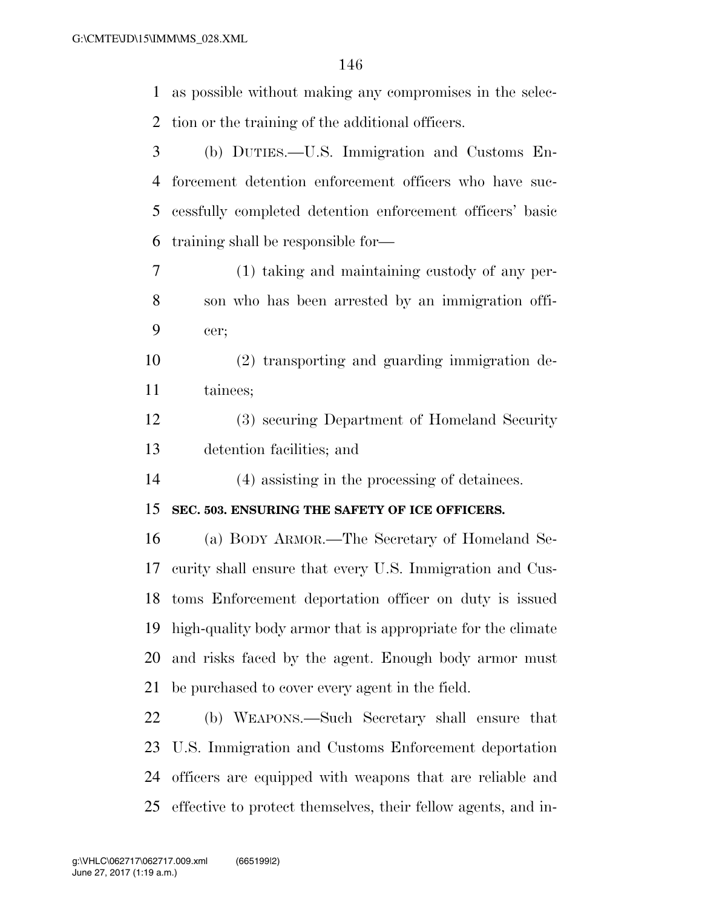as possible without making any compromises in the selec- tion or the training of the additional officers. (b) DUTIES.—U.S. Immigration and Customs En- forcement detention enforcement officers who have suc- cessfully completed detention enforcement officers' basic training shall be responsible for— (1) taking and maintaining custody of any per- son who has been arrested by an immigration offi- cer; (2) transporting and guarding immigration de- tainees; (3) securing Department of Homeland Security detention facilities; and (4) assisting in the processing of detainees. **SEC. 503. ENSURING THE SAFETY OF ICE OFFICERS.**  (a) BODY ARMOR.—The Secretary of Homeland Se- curity shall ensure that every U.S. Immigration and Cus- toms Enforcement deportation officer on duty is issued high-quality body armor that is appropriate for the climate

be purchased to cover every agent in the field.

 (b) WEAPONS.—Such Secretary shall ensure that U.S. Immigration and Customs Enforcement deportation officers are equipped with weapons that are reliable and effective to protect themselves, their fellow agents, and in-

and risks faced by the agent. Enough body armor must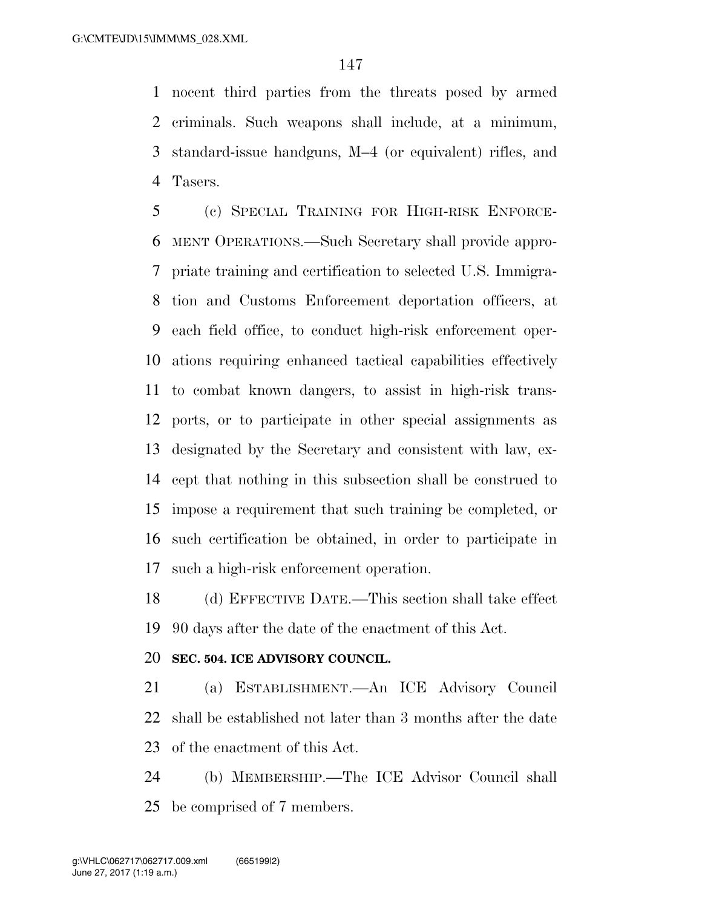nocent third parties from the threats posed by armed criminals. Such weapons shall include, at a minimum, standard-issue handguns, M–4 (or equivalent) rifles, and Tasers.

 (c) SPECIAL TRAINING FOR HIGH-RISK ENFORCE- MENT OPERATIONS.—Such Secretary shall provide appro- priate training and certification to selected U.S. Immigra- tion and Customs Enforcement deportation officers, at each field office, to conduct high-risk enforcement oper- ations requiring enhanced tactical capabilities effectively to combat known dangers, to assist in high-risk trans- ports, or to participate in other special assignments as designated by the Secretary and consistent with law, ex- cept that nothing in this subsection shall be construed to impose a requirement that such training be completed, or such certification be obtained, in order to participate in such a high-risk enforcement operation.

 (d) EFFECTIVE DATE.—This section shall take effect 90 days after the date of the enactment of this Act.

#### **SEC. 504. ICE ADVISORY COUNCIL.**

 (a) ESTABLISHMENT.—An ICE Advisory Council shall be established not later than 3 months after the date of the enactment of this Act.

 (b) MEMBERSHIP.—The ICE Advisor Council shall be comprised of 7 members.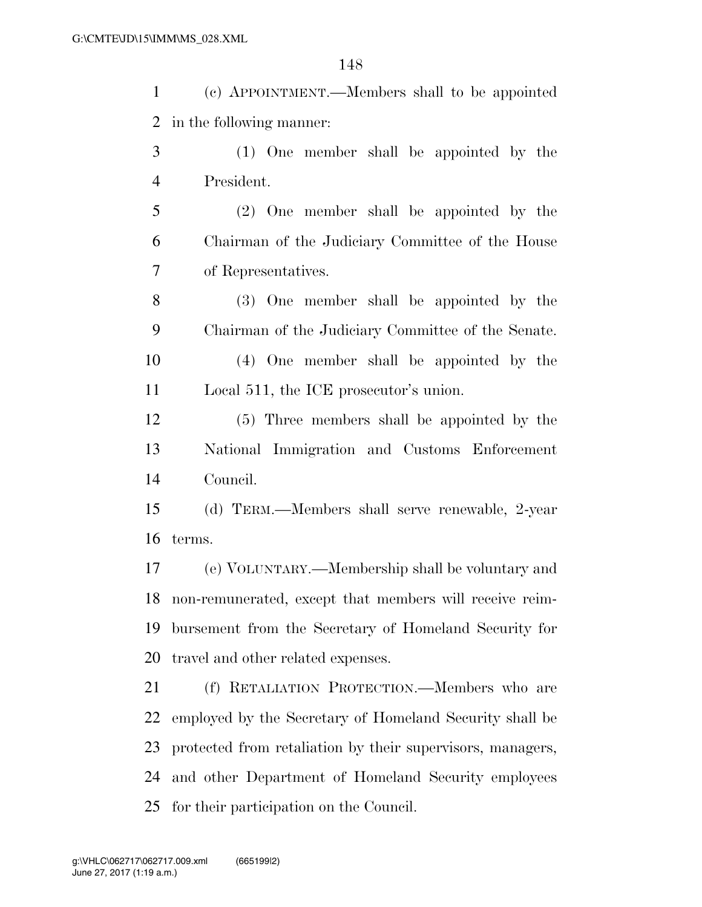(c) APPOINTMENT.—Members shall to be appointed in the following manner:

- (1) One member shall be appointed by the President.
- (2) One member shall be appointed by the Chairman of the Judiciary Committee of the House of Representatives.

 (3) One member shall be appointed by the Chairman of the Judiciary Committee of the Senate. (4) One member shall be appointed by the

Local 511, the ICE prosecutor's union.

 (5) Three members shall be appointed by the National Immigration and Customs Enforcement Council.

 (d) TERM.—Members shall serve renewable, 2-year terms.

 (e) VOLUNTARY.—Membership shall be voluntary and non-remunerated, except that members will receive reim- bursement from the Secretary of Homeland Security for travel and other related expenses.

 (f) RETALIATION PROTECTION.—Members who are employed by the Secretary of Homeland Security shall be protected from retaliation by their supervisors, managers, and other Department of Homeland Security employees for their participation on the Council.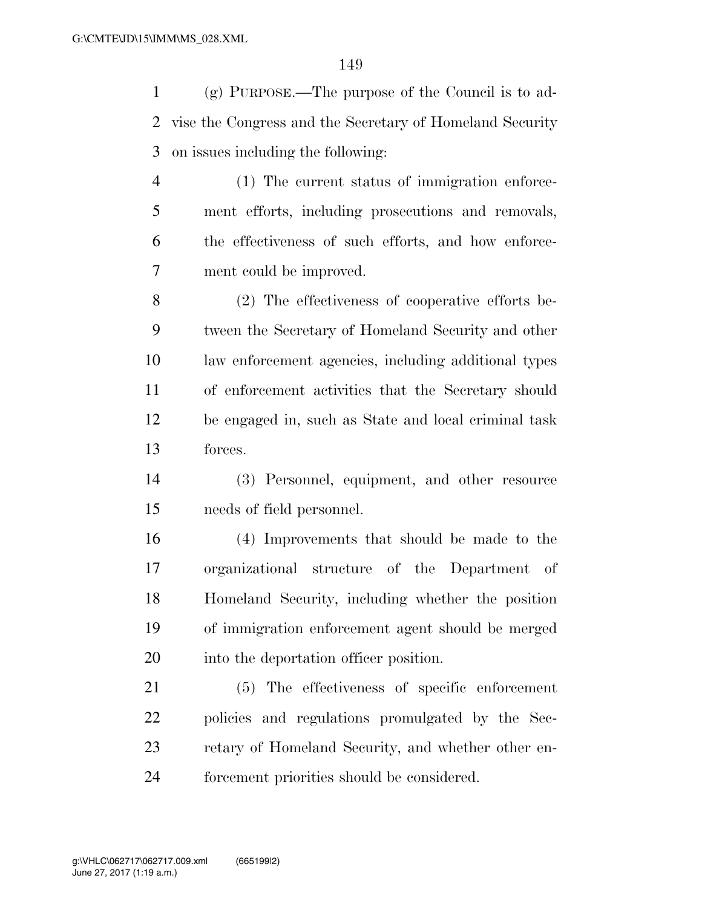(g) PURPOSE.—The purpose of the Council is to ad- vise the Congress and the Secretary of Homeland Security on issues including the following:

 (1) The current status of immigration enforce- ment efforts, including prosecutions and removals, the effectiveness of such efforts, and how enforce-ment could be improved.

 (2) The effectiveness of cooperative efforts be- tween the Secretary of Homeland Security and other law enforcement agencies, including additional types of enforcement activities that the Secretary should be engaged in, such as State and local criminal task forces.

 (3) Personnel, equipment, and other resource needs of field personnel.

 (4) Improvements that should be made to the organizational structure of the Department of Homeland Security, including whether the position of immigration enforcement agent should be merged into the deportation officer position.

 (5) The effectiveness of specific enforcement policies and regulations promulgated by the Sec- retary of Homeland Security, and whether other en-forcement priorities should be considered.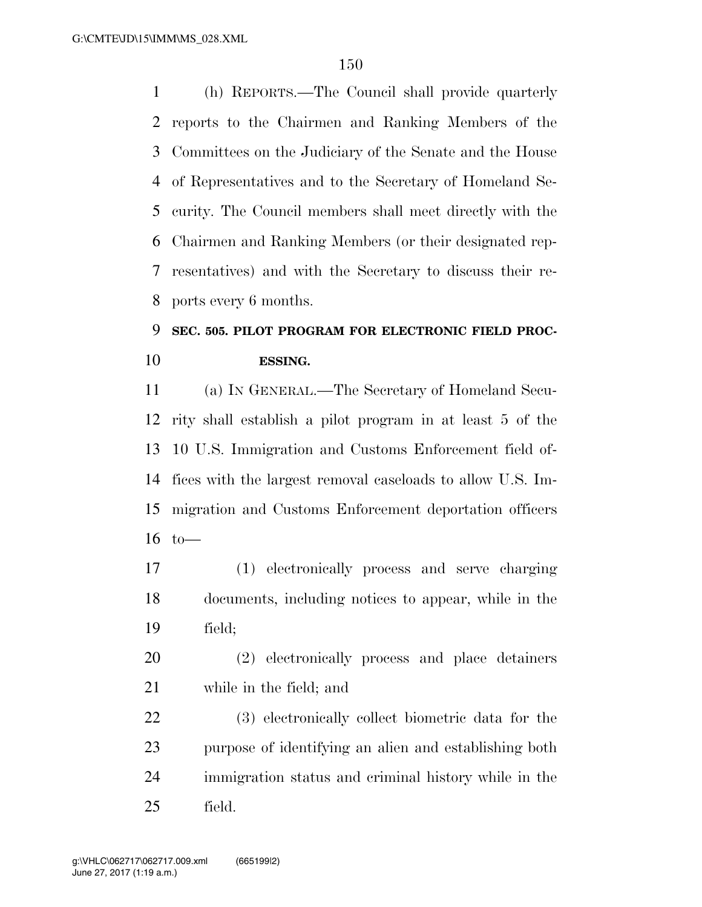(h) REPORTS.—The Council shall provide quarterly reports to the Chairmen and Ranking Members of the Committees on the Judiciary of the Senate and the House of Representatives and to the Secretary of Homeland Se- curity. The Council members shall meet directly with the Chairmen and Ranking Members (or their designated rep- resentatives) and with the Secretary to discuss their re-ports every 6 months.

# **SEC. 505. PILOT PROGRAM FOR ELECTRONIC FIELD PROC-ESSING.**

 (a) IN GENERAL.—The Secretary of Homeland Secu- rity shall establish a pilot program in at least 5 of the 10 U.S. Immigration and Customs Enforcement field of- fices with the largest removal caseloads to allow U.S. Im- migration and Customs Enforcement deportation officers to—

 (1) electronically process and serve charging documents, including notices to appear, while in the field;

 (2) electronically process and place detainers while in the field; and

 (3) electronically collect biometric data for the purpose of identifying an alien and establishing both immigration status and criminal history while in the field.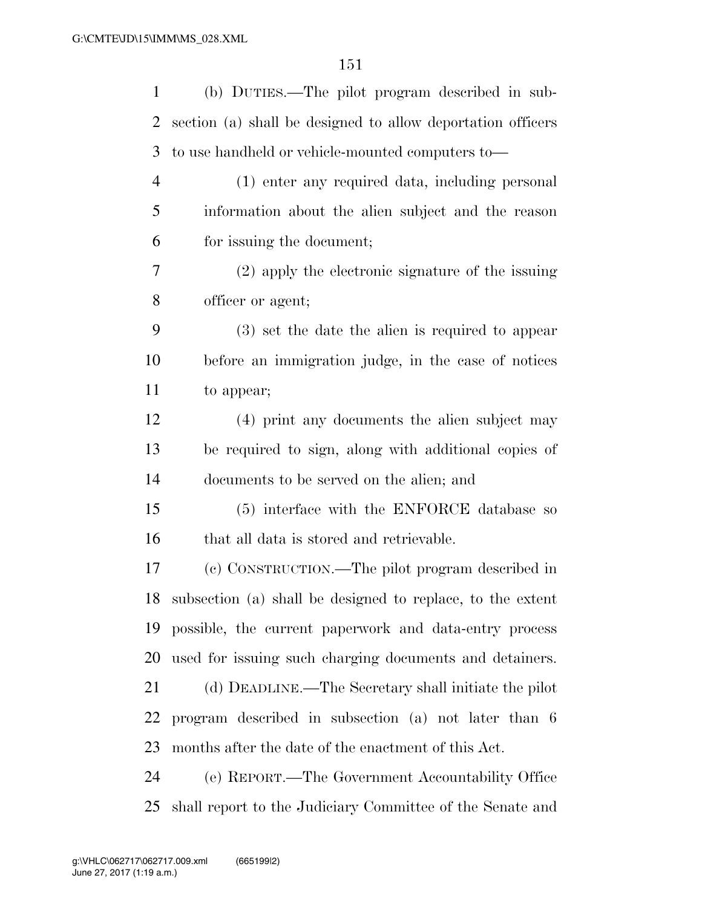| $\mathbf{1}$   | (b) DUTIES.—The pilot program described in sub-               |
|----------------|---------------------------------------------------------------|
| $\overline{2}$ | section (a) shall be designed to allow deportation officers   |
| 3              | to use handheld or vehicle-mounted computers to-              |
| $\overline{4}$ | (1) enter any required data, including personal               |
| 5              | information about the alien subject and the reason            |
| 6              | for issuing the document;                                     |
| 7              | (2) apply the electronic signature of the issuing             |
| 8              | officer or agent;                                             |
| 9              | $(3)$ set the date the alien is required to appear            |
| 10             | before an immigration judge, in the case of notices           |
| 11             | to appear;                                                    |
| 12             | (4) print any documents the alien subject may                 |
| 13             | be required to sign, along with additional copies of          |
| 14             | documents to be served on the alien; and                      |
| 15             | (5) interface with the ENFORCE database so                    |
| 16             | that all data is stored and retrievable.                      |
| 17             | (c) CONSTRUCTION.—The pilot program described in              |
|                | 18 subsection (a) shall be designed to replace, to the extent |
|                | 19 possible, the current paperwork and data-entry process     |
| 20             | used for issuing such charging documents and detainers.       |
| 21             | (d) DEADLINE.—The Secretary shall initiate the pilot          |
| 22             | program described in subsection (a) not later than 6          |
| 23             | months after the date of the enactment of this Act.           |
| 24             | (e) REPORT.—The Government Accountability Office              |
| 25             | shall report to the Judiciary Committee of the Senate and     |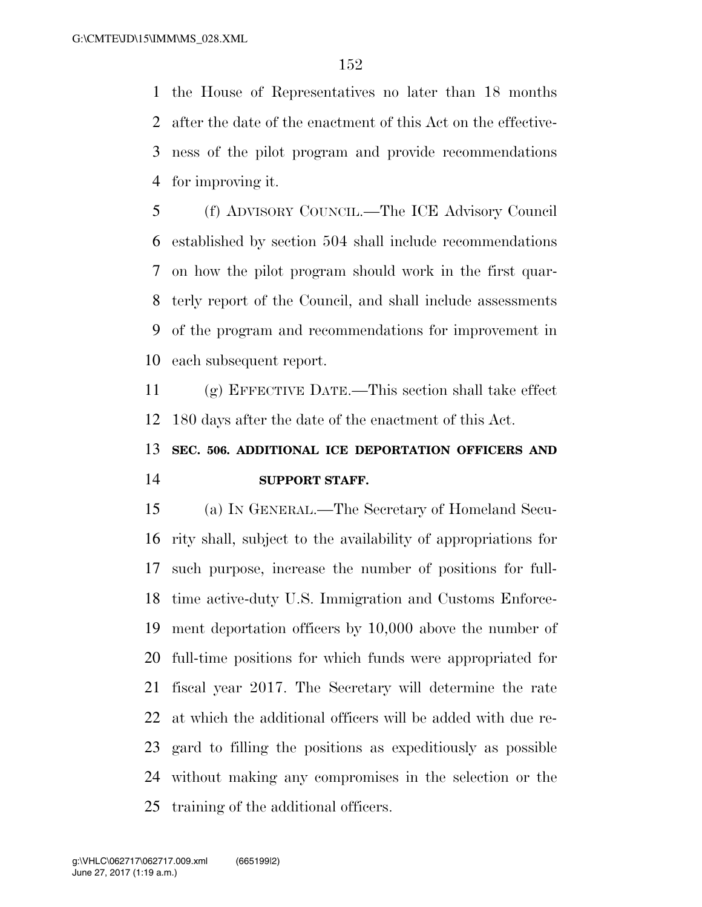the House of Representatives no later than 18 months after the date of the enactment of this Act on the effective- ness of the pilot program and provide recommendations for improving it.

 (f) ADVISORY COUNCIL.—The ICE Advisory Council established by section 504 shall include recommendations on how the pilot program should work in the first quar- terly report of the Council, and shall include assessments of the program and recommendations for improvement in each subsequent report.

 (g) EFFECTIVE DATE.—This section shall take effect 180 days after the date of the enactment of this Act.

# **SEC. 506. ADDITIONAL ICE DEPORTATION OFFICERS AND SUPPORT STAFF.**

 (a) IN GENERAL.—The Secretary of Homeland Secu- rity shall, subject to the availability of appropriations for such purpose, increase the number of positions for full- time active-duty U.S. Immigration and Customs Enforce- ment deportation officers by 10,000 above the number of full-time positions for which funds were appropriated for fiscal year 2017. The Secretary will determine the rate at which the additional officers will be added with due re- gard to filling the positions as expeditiously as possible without making any compromises in the selection or the training of the additional officers.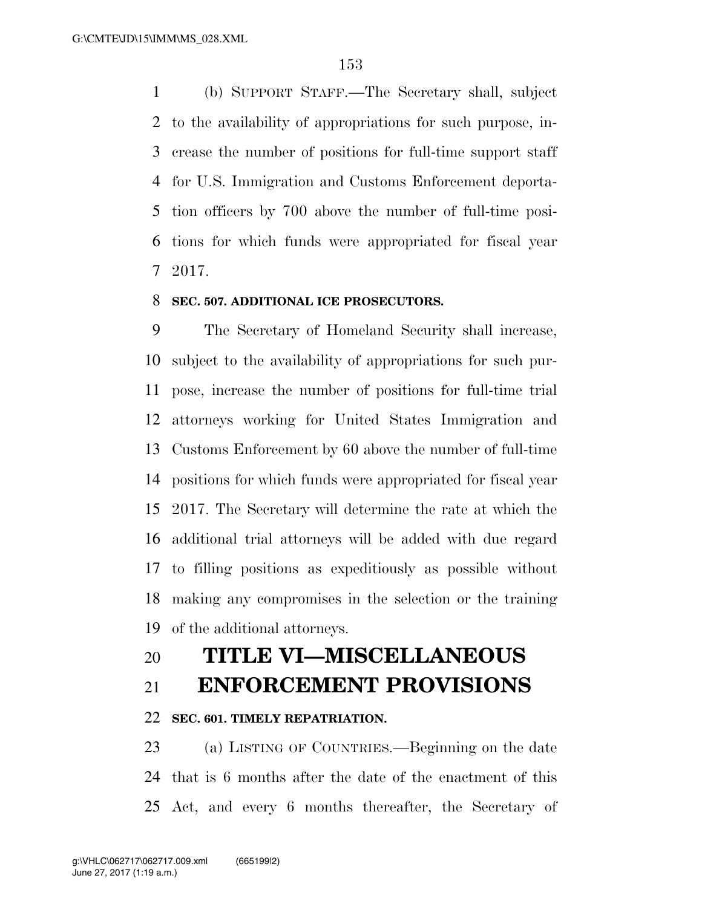(b) SUPPORT STAFF.—The Secretary shall, subject to the availability of appropriations for such purpose, in- crease the number of positions for full-time support staff for U.S. Immigration and Customs Enforcement deporta- tion officers by 700 above the number of full-time posi- tions for which funds were appropriated for fiscal year 2017.

#### **SEC. 507. ADDITIONAL ICE PROSECUTORS.**

 The Secretary of Homeland Security shall increase, subject to the availability of appropriations for such pur- pose, increase the number of positions for full-time trial attorneys working for United States Immigration and Customs Enforcement by 60 above the number of full-time positions for which funds were appropriated for fiscal year 2017. The Secretary will determine the rate at which the additional trial attorneys will be added with due regard to filling positions as expeditiously as possible without making any compromises in the selection or the training of the additional attorneys.

## **TITLE VI—MISCELLANEOUS**

### **ENFORCEMENT PROVISIONS**

#### **SEC. 601. TIMELY REPATRIATION.**

 (a) LISTING OF COUNTRIES.—Beginning on the date that is 6 months after the date of the enactment of this Act, and every 6 months thereafter, the Secretary of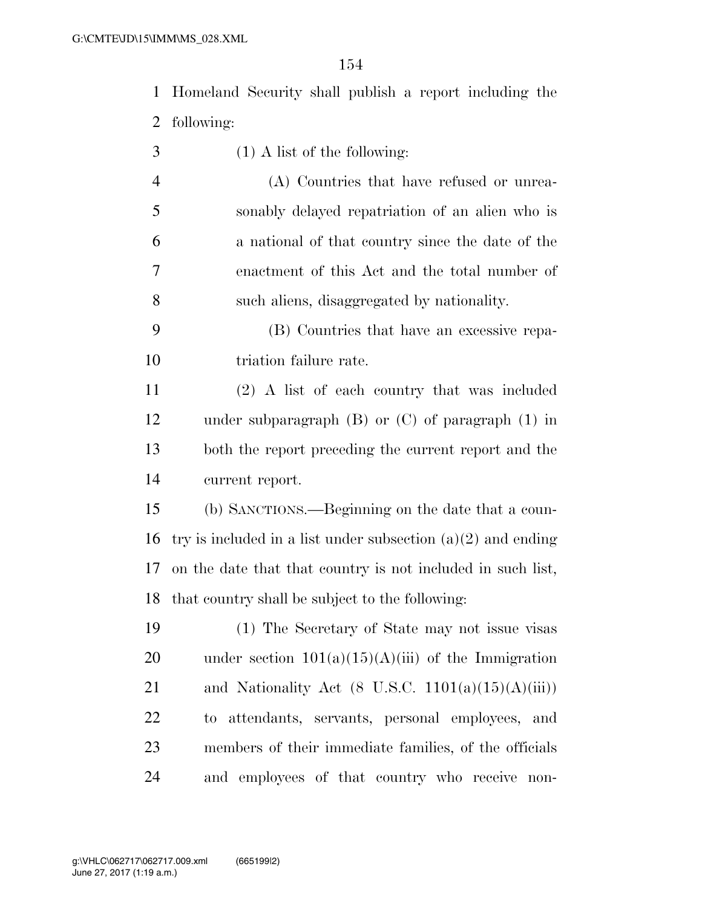Homeland Security shall publish a report including the following:

(1) A list of the following:

 (A) Countries that have refused or unrea- sonably delayed repatriation of an alien who is a national of that country since the date of the enactment of this Act and the total number of such aliens, disaggregated by nationality.

 (B) Countries that have an excessive repa-10 triation failure rate.

 (2) A list of each country that was included under subparagraph (B) or (C) of paragraph (1) in both the report preceding the current report and the current report.

 (b) SANCTIONS.—Beginning on the date that a coun-16 try is included in a list under subsection  $(a)(2)$  and ending on the date that that country is not included in such list, that country shall be subject to the following:

 (1) The Secretary of State may not issue visas 20 under section  $101(a)(15)(A)(iii)$  of the Immigration 21 and Nationality Act (8 U.S.C.  $1101(a)(15)(A)(iii)$ ) to attendants, servants, personal employees, and members of their immediate families, of the officials and employees of that country who receive non-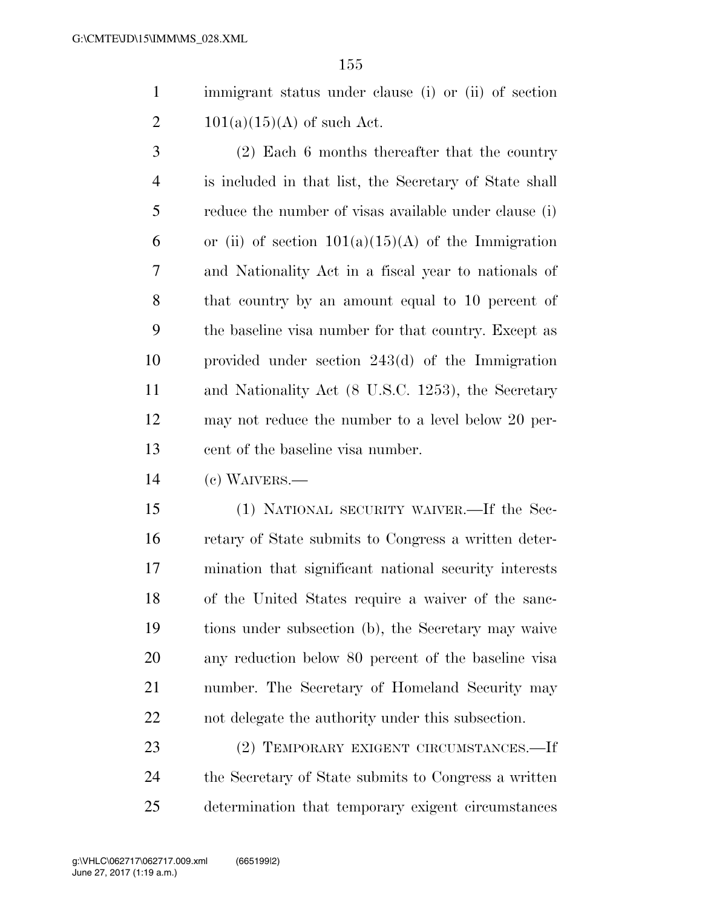immigrant status under clause (i) or (ii) of section 2  $101(a)(15)(A)$  of such Act.

 (2) Each 6 months thereafter that the country is included in that list, the Secretary of State shall reduce the number of visas available under clause (i) 6 or (ii) of section  $101(a)(15)(A)$  of the Immigration and Nationality Act in a fiscal year to nationals of that country by an amount equal to 10 percent of the baseline visa number for that country. Except as provided under section 243(d) of the Immigration and Nationality Act (8 U.S.C. 1253), the Secretary may not reduce the number to a level below 20 per-cent of the baseline visa number.

(c) WAIVERS.—

 (1) NATIONAL SECURITY WAIVER.—If the Sec- retary of State submits to Congress a written deter- mination that significant national security interests of the United States require a waiver of the sanc- tions under subsection (b), the Secretary may waive any reduction below 80 percent of the baseline visa number. The Secretary of Homeland Security may not delegate the authority under this subsection.

 (2) TEMPORARY EXIGENT CIRCUMSTANCES.—If the Secretary of State submits to Congress a written determination that temporary exigent circumstances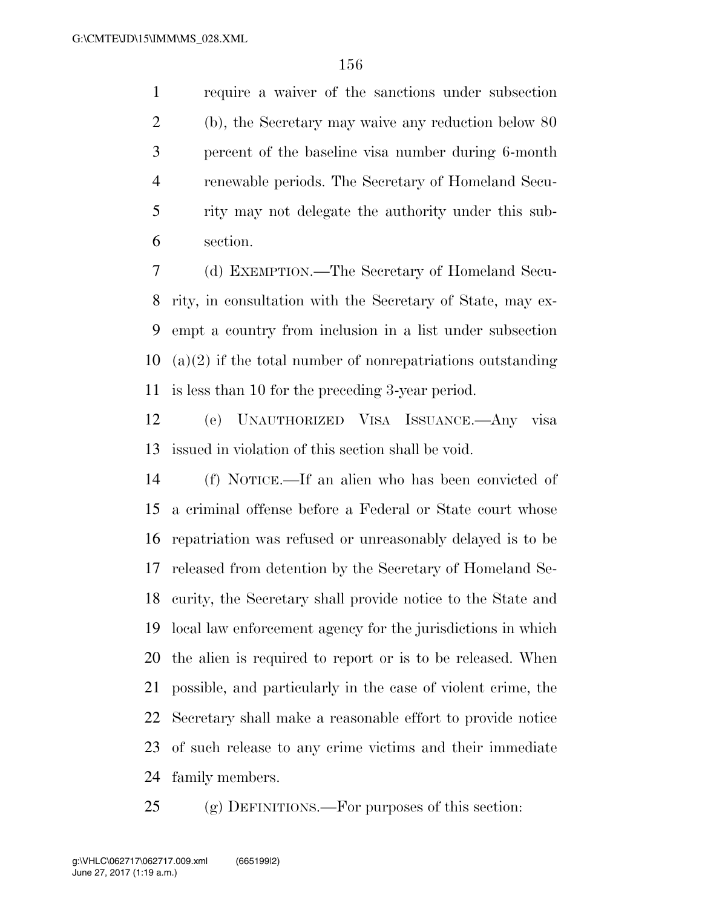require a waiver of the sanctions under subsection (b), the Secretary may waive any reduction below 80 percent of the baseline visa number during 6-month renewable periods. The Secretary of Homeland Secu- rity may not delegate the authority under this sub-section.

 (d) EXEMPTION.—The Secretary of Homeland Secu- rity, in consultation with the Secretary of State, may ex- empt a country from inclusion in a list under subsection (a)(2) if the total number of nonrepatriations outstanding is less than 10 for the preceding 3-year period.

 (e) UNAUTHORIZED VISA ISSUANCE.—Any visa issued in violation of this section shall be void.

 (f) NOTICE.—If an alien who has been convicted of a criminal offense before a Federal or State court whose repatriation was refused or unreasonably delayed is to be released from detention by the Secretary of Homeland Se- curity, the Secretary shall provide notice to the State and local law enforcement agency for the jurisdictions in which the alien is required to report or is to be released. When possible, and particularly in the case of violent crime, the Secretary shall make a reasonable effort to provide notice of such release to any crime victims and their immediate family members.

(g) DEFINITIONS.—For purposes of this section: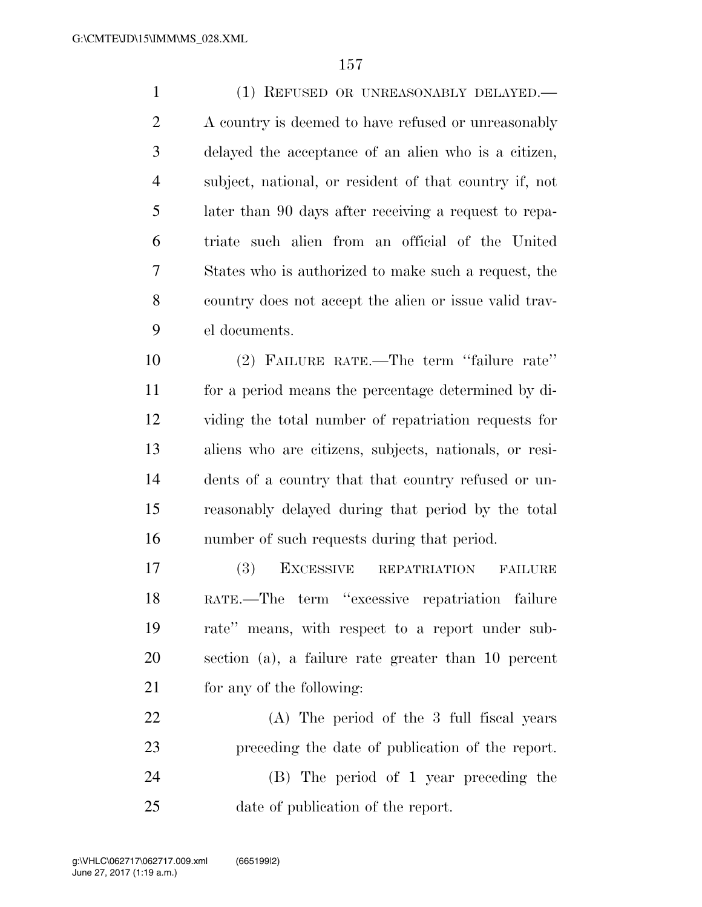(1) REFUSED OR UNREASONABLY DELAYED.— 2 A country is deemed to have refused or unreasonably delayed the acceptance of an alien who is a citizen, subject, national, or resident of that country if, not later than 90 days after receiving a request to repa- triate such alien from an official of the United States who is authorized to make such a request, the country does not accept the alien or issue valid trav-el documents.

 (2) FAILURE RATE.—The term ''failure rate'' for a period means the percentage determined by di- viding the total number of repatriation requests for aliens who are citizens, subjects, nationals, or resi- dents of a country that that country refused or un- reasonably delayed during that period by the total number of such requests during that period.

 (3) EXCESSIVE REPATRIATION FAILURE RATE.—The term ''excessive repatriation failure rate'' means, with respect to a report under sub- section (a), a failure rate greater than 10 percent for any of the following:

 (A) The period of the 3 full fiscal years preceding the date of publication of the report. (B) The period of 1 year preceding the date of publication of the report.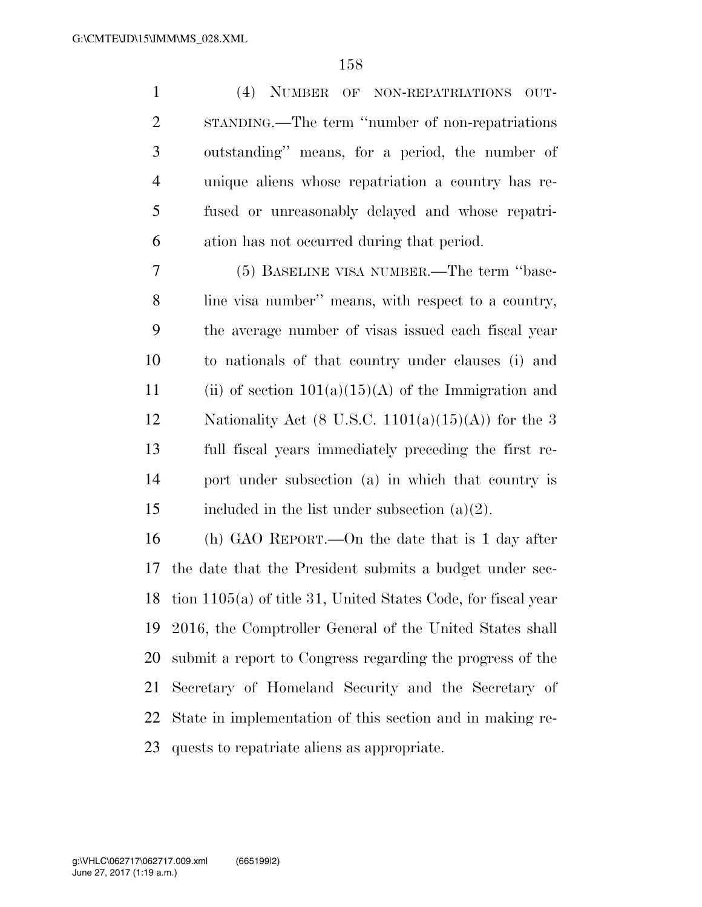(4) NUMBER OF NON-REPATRIATIONS OUT- STANDING.—The term ''number of non-repatriations outstanding'' means, for a period, the number of unique aliens whose repatriation a country has re- fused or unreasonably delayed and whose repatri-ation has not occurred during that period.

 (5) BASELINE VISA NUMBER.—The term ''base- line visa number'' means, with respect to a country, the average number of visas issued each fiscal year to nationals of that country under clauses (i) and 11 (ii) of section  $101(a)(15)(A)$  of the Immigration and 12 Nationality Act (8 U.S.C.  $1101(a)(15)(A)$ ) for the 3 full fiscal years immediately preceding the first re- port under subsection (a) in which that country is 15 included in the list under subsection  $(a)(2)$ .

 (h) GAO REPORT.—On the date that is 1 day after the date that the President submits a budget under sec- tion 1105(a) of title 31, United States Code, for fiscal year 2016, the Comptroller General of the United States shall submit a report to Congress regarding the progress of the Secretary of Homeland Security and the Secretary of State in implementation of this section and in making re-quests to repatriate aliens as appropriate.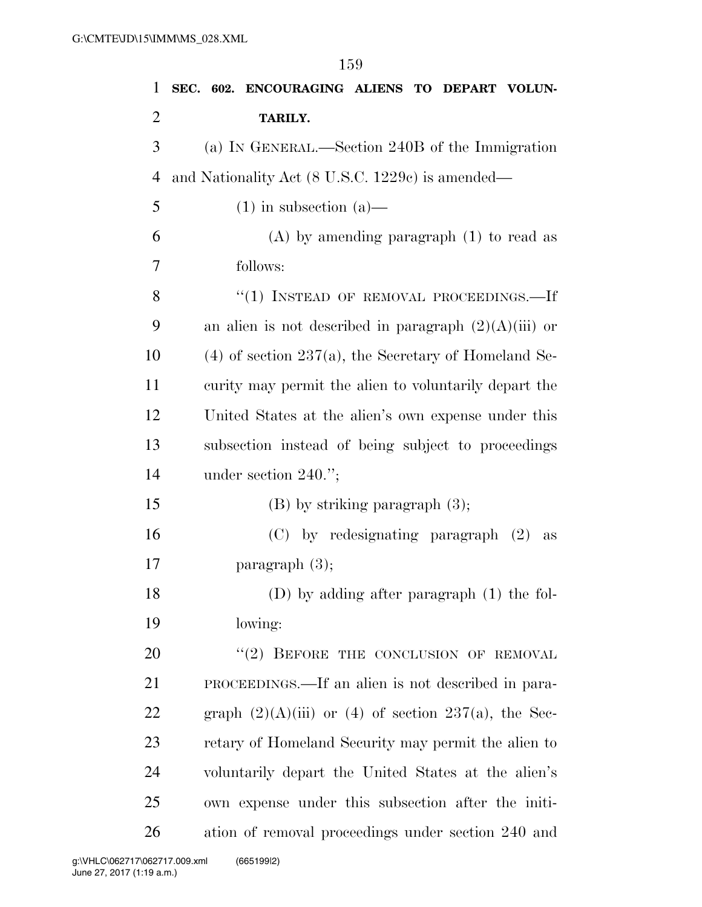| 1              | SEC. 602. ENCOURAGING ALIENS TO DEPART VOLUN-               |
|----------------|-------------------------------------------------------------|
| $\overline{2}$ | TARILY.                                                     |
| 3              | (a) IN GENERAL.—Section 240B of the Immigration             |
| $\overline{4}$ | and Nationality Act (8 U.S.C. 1229c) is amended—            |
| 5              | $(1)$ in subsection $(a)$ —                                 |
| 6              | $(A)$ by amending paragraph $(1)$ to read as                |
| 7              | follows:                                                    |
| 8              | "(1) INSTEAD OF REMOVAL PROCEEDINGS.—If                     |
| 9              | an alien is not described in paragraph $(2)(A)(iii)$ or     |
| 10             | $(4)$ of section 237(a), the Secretary of Homeland Se-      |
| 11             | curity may permit the alien to voluntarily depart the       |
| 12             | United States at the alien's own expense under this         |
| 13             | subsection instead of being subject to proceedings          |
| 14             | under section $240."$ ;                                     |
| 15             | $(B)$ by striking paragraph $(3)$ ;                         |
| 16             | $(C)$ by redesignating paragraph $(2)$<br>as                |
| 17             | paragraph $(3)$ ;                                           |
| 18             | $(D)$ by adding after paragraph $(1)$ the fol-              |
| 19             | lowing:                                                     |
| 20             | "(2) BEFORE THE CONCLUSION OF REMOVAL                       |
| 21             | PROCEEDINGS.—If an alien is not described in para-          |
| 22             | graph $(2)(A)(iii)$ or $(4)$ of section $237(a)$ , the Sec- |
| 23             | retary of Homeland Security may permit the alien to         |
| 24             | voluntarily depart the United States at the alien's         |
| 25             | own expense under this subsection after the initi-          |
| 26             | ation of removal proceedings under section 240 and          |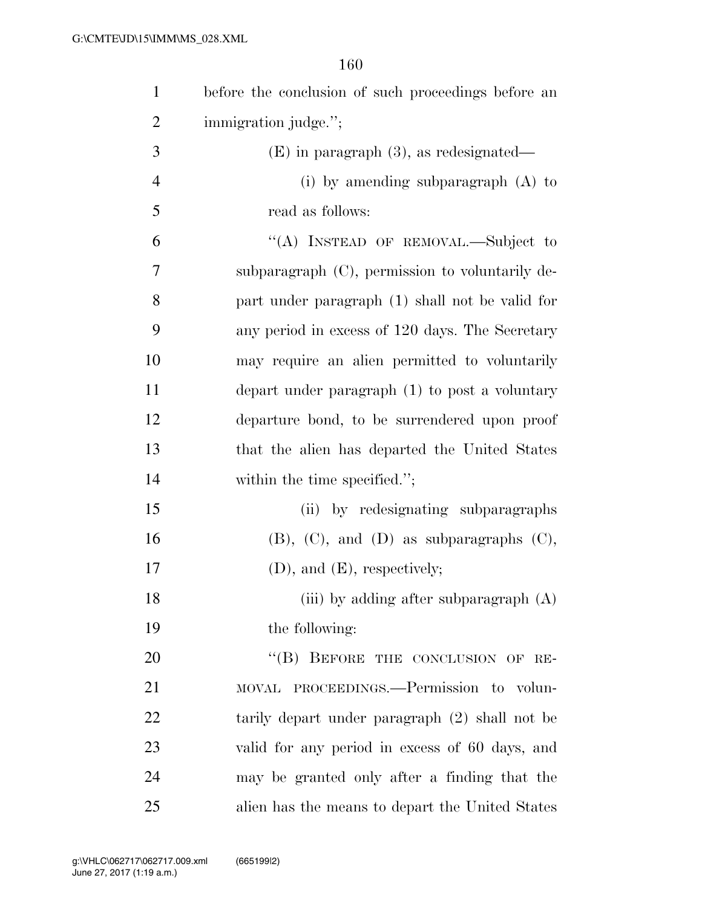| $\mathbf{1}$   | before the conclusion of such proceedings before an |
|----------------|-----------------------------------------------------|
| $\overline{2}$ | immigration judge.";                                |
| 3              | $(E)$ in paragraph $(3)$ , as redesignated—         |
| $\overline{4}$ | (i) by amending subparagraph $(A)$ to               |
| 5              | read as follows:                                    |
| 6              | "(A) INSTEAD OF REMOVAL.—Subject to                 |
| 7              | subparagraph (C), permission to voluntarily de-     |
| 8              | part under paragraph (1) shall not be valid for     |
| 9              | any period in excess of 120 days. The Secretary     |
| 10             | may require an alien permitted to voluntarily       |
| 11             | depart under paragraph $(1)$ to post a voluntary    |
| 12             | departure bond, to be surrendered upon proof        |
| 13             | that the alien has departed the United States       |
| 14             | within the time specified.";                        |
| 15             | (ii) by redesignating subparagraphs                 |
| 16             | $(B)$ , $(C)$ , and $(D)$ as subparagraphs $(C)$ ,  |
| 17             | $(D)$ , and $(E)$ , respectively;                   |
| 18             | (iii) by adding after subparagraph $(A)$            |
| 19             | the following:                                      |
| 20             | "(B) BEFORE THE CONCLUSION OF RE-                   |
| 21             | MOVAL PROCEEDINGS.—Permission to volun-             |
| 22             | tarily depart under paragraph (2) shall not be      |
| 23             | valid for any period in excess of 60 days, and      |
| 24             | may be granted only after a finding that the        |
| 25             | alien has the means to depart the United States     |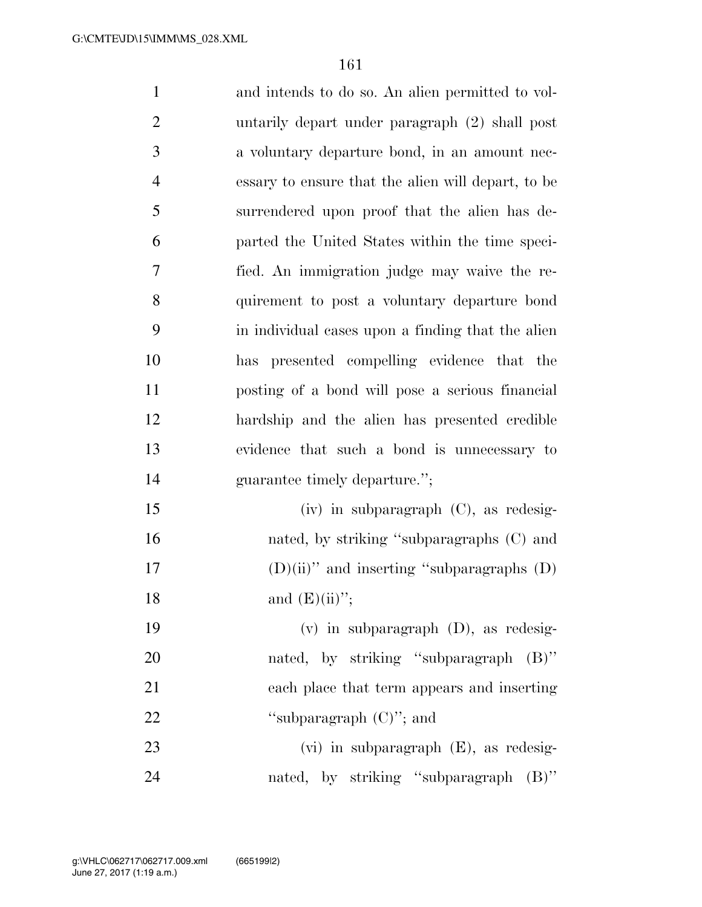| $\mathbf{1}$   | and intends to do so. An alien permitted to vol-   |
|----------------|----------------------------------------------------|
| $\overline{c}$ | untarily depart under paragraph (2) shall post     |
| 3              | a voluntary departure bond, in an amount nec-      |
| 4              | essary to ensure that the alien will depart, to be |
| 5              | surrendered upon proof that the alien has de-      |
| 6              | parted the United States within the time speci-    |
| 7              | fied. An immigration judge may waive the re-       |
| 8              | quirement to post a voluntary departure bond       |
| 9              | in individual cases upon a finding that the alien  |
| 10             | has presented compelling evidence that the         |
| 11             | posting of a bond will pose a serious financial    |
| 12             | hardship and the alien has presented credible      |
| 13             | evidence that such a bond is unnecessary to        |
| 14             | guarantee timely departure.";                      |
| 15             | $(iv)$ in subparagraph $(C)$ , as redesig-         |
| 16             | nated, by striking "subparagraphs (C) and          |
| 17             | $(D)(ii)$ " and inserting "subparagraphs $(D)$     |
| 18             | and $(E)(ii)$ ";                                   |
| 19             | $(v)$ in subparagraph $(D)$ , as redesig-          |
| 20             | nated, by striking "subparagraph (B)"              |
| 21             | each place that term appears and inserting         |
| 22             | "subparagraph $(C)$ "; and                         |
| 23             | $(vi)$ in subparagraph $(E)$ , as redesig-         |
| 24             | nated, by striking "subparagraph (B)"              |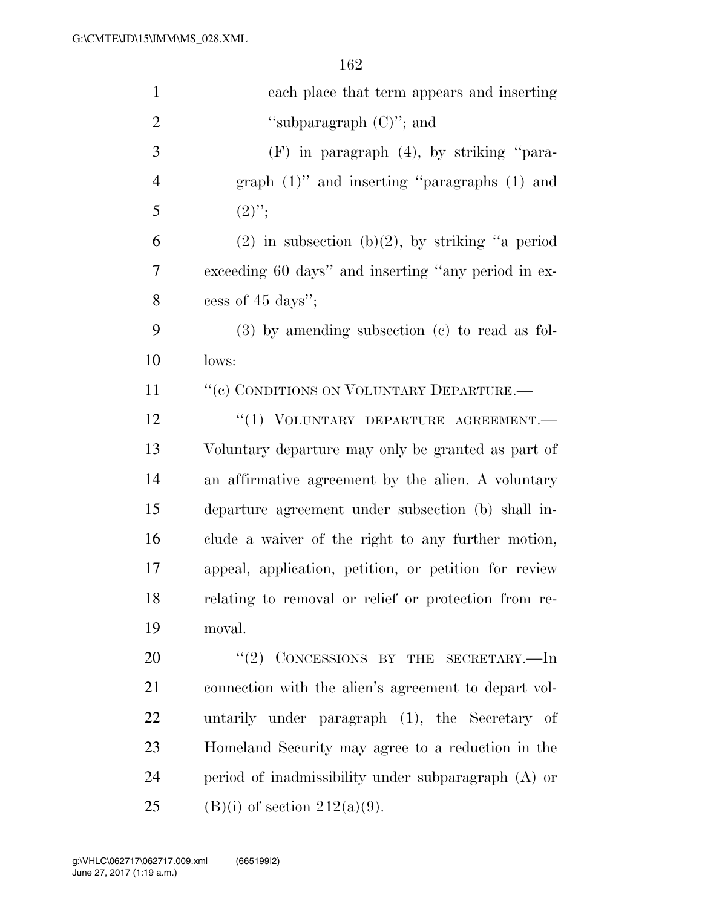| $\mathbf{1}$   | each place that term appears and inserting            |
|----------------|-------------------------------------------------------|
| $\overline{2}$ | "subparagraph $(C)$ "; and                            |
| 3              | $(F)$ in paragraph $(4)$ , by striking "para-         |
| $\overline{4}$ | graph $(1)$ " and inserting "paragraphs $(1)$ and     |
| 5              | $(2)$ ";                                              |
| 6              | $(2)$ in subsection $(b)(2)$ , by striking "a period  |
| 7              | exceeding 60 days" and inserting "any period in ex-   |
| 8              | cess of 45 days";                                     |
| 9              | $(3)$ by amending subsection $(e)$ to read as fol-    |
| 10             | lows:                                                 |
| 11             | "(c) CONDITIONS ON VOLUNTARY DEPARTURE.-              |
| 12             | "(1) VOLUNTARY DEPARTURE AGREEMENT.                   |
| 13             | Voluntary departure may only be granted as part of    |
| 14             | an affirmative agreement by the alien. A voluntary    |
| 15             | departure agreement under subsection (b) shall in-    |
| 16             | clude a waiver of the right to any further motion,    |
| 17             | appeal, application, petition, or petition for review |
| 18             | relating to removal or relief or protection from re-  |
| 19             | moval.                                                |
| 20             | $``(2)$ CONCESSIONS BY THE SECRETARY.—In              |
| 21             | connection with the alien's agreement to depart vol-  |
| 22             | untarily under paragraph (1), the Secretary of        |
| 23             | Homeland Security may agree to a reduction in the     |
| 24             | period of inadmissibility under subparagraph $(A)$ or |
| 25             | $(B)(i)$ of section $212(a)(9)$ .                     |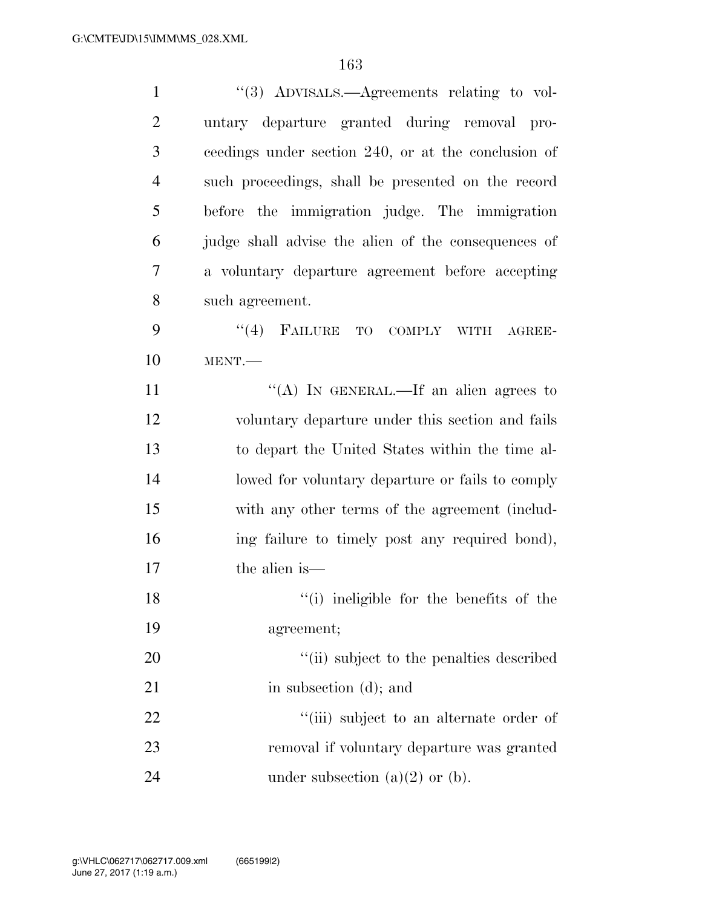| $\mathbf{1}$   | $\cdot\cdot$ (3) ADVISALS.—Agreements relating to vol- |
|----------------|--------------------------------------------------------|
| $\overline{2}$ | untary departure granted during removal pro-           |
| 3              | ceedings under section 240, or at the conclusion of    |
| $\overline{4}$ | such proceedings, shall be presented on the record     |
| 5              | before the immigration judge. The immigration          |
| 6              | judge shall advise the alien of the consequences of    |
| 7              | a voluntary departure agreement before accepting       |
| 8              | such agreement.                                        |
| 9              | (4)<br>FAILURE<br>TO COMPLY<br><b>WITH</b><br>AGREE-   |
| 10             | MENT.                                                  |
| 11             | "(A) IN GENERAL.—If an alien agrees to                 |
| 12             | voluntary departure under this section and fails       |
| 13             | to depart the United States within the time al-        |
| 14             | lowed for voluntary departure or fails to comply       |
| 15             | with any other terms of the agreement (includ-         |
| 16             | ing failure to timely post any required bond),         |
| 17             | the alien is—                                          |
| 18             | "(i) ineligible for the benefits of the                |
| 19             | agreement;                                             |
| 20             | "(ii) subject to the penalties described               |
| 21             | in subsection (d); and                                 |
| 22             | "(iii) subject to an alternate order of                |
| 23             | removal if voluntary departure was granted             |
| 24             | under subsection $(a)(2)$ or $(b)$ .                   |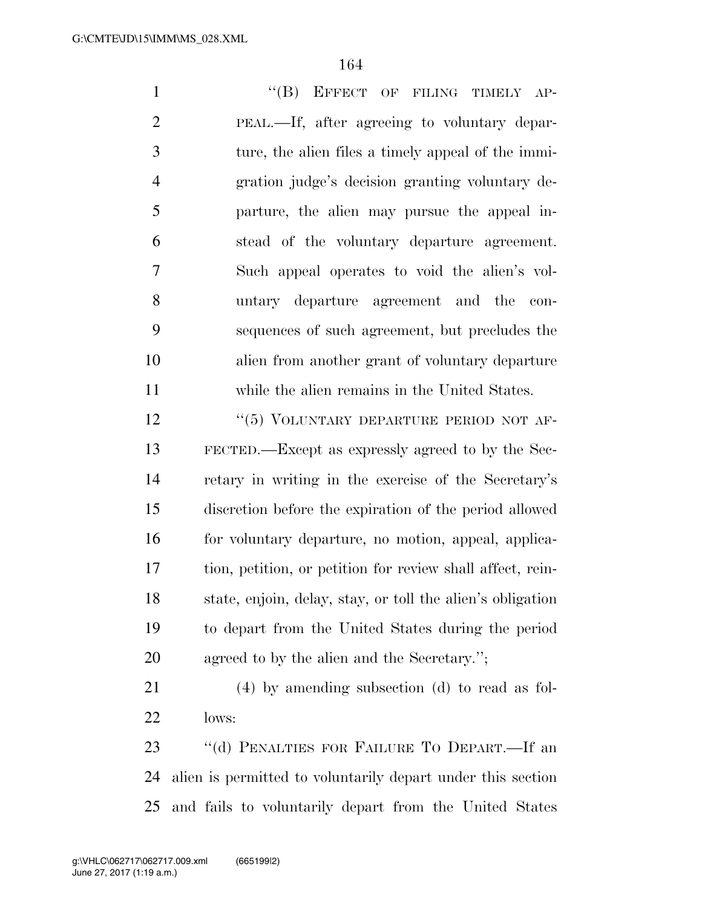1 "(B) EFFECT OF FILING TIMELY AP- PEAL.—If, after agreeing to voluntary depar- ture, the alien files a timely appeal of the immi- gration judge's decision granting voluntary de- parture, the alien may pursue the appeal in- stead of the voluntary departure agreement. Such appeal operates to void the alien's vol- untary departure agreement and the con- sequences of such agreement, but precludes the alien from another grant of voluntary departure while the alien remains in the United States. 12 "(5) VOLUNTARY DEPARTURE PERIOD NOT AF-

 FECTED.—Except as expressly agreed to by the Sec- retary in writing in the exercise of the Secretary's discretion before the expiration of the period allowed for voluntary departure, no motion, appeal, applica- tion, petition, or petition for review shall affect, rein- state, enjoin, delay, stay, or toll the alien's obligation to depart from the United States during the period agreed to by the alien and the Secretary.'';

 (4) by amending subsection (d) to read as fol-lows:

 ''(d) PENALTIES FOR FAILURE TO DEPART.—If an alien is permitted to voluntarily depart under this section and fails to voluntarily depart from the United States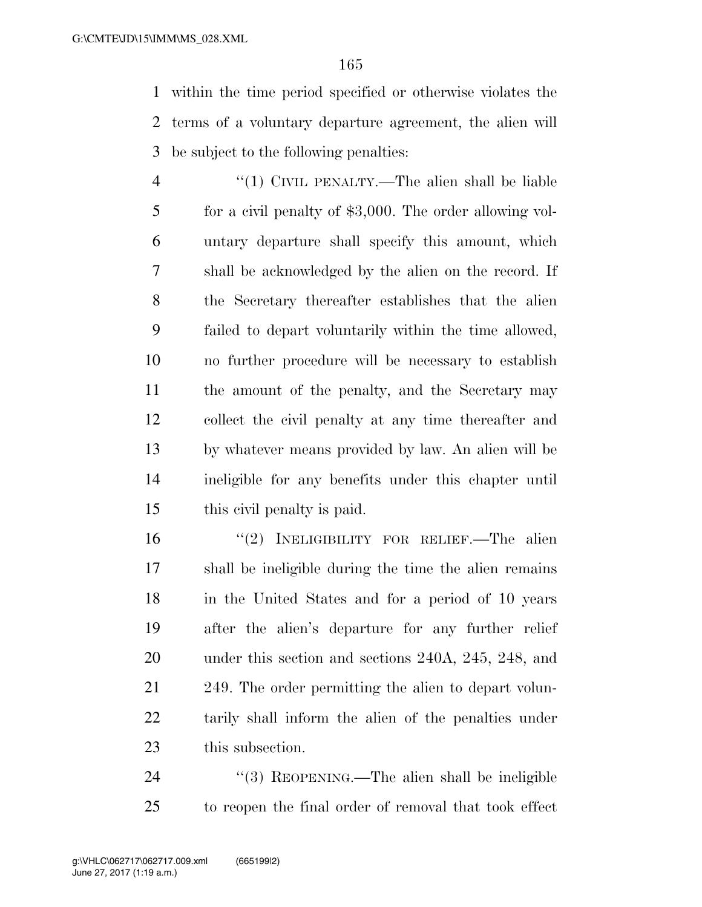within the time period specified or otherwise violates the terms of a voluntary departure agreement, the alien will be subject to the following penalties:

 ''(1) CIVIL PENALTY.—The alien shall be liable for a civil penalty of \$3,000. The order allowing vol- untary departure shall specify this amount, which shall be acknowledged by the alien on the record. If the Secretary thereafter establishes that the alien failed to depart voluntarily within the time allowed, no further procedure will be necessary to establish the amount of the penalty, and the Secretary may collect the civil penalty at any time thereafter and by whatever means provided by law. An alien will be ineligible for any benefits under this chapter until this civil penalty is paid.

 ''(2) INELIGIBILITY FOR RELIEF.—The alien shall be ineligible during the time the alien remains in the United States and for a period of 10 years after the alien's departure for any further relief under this section and sections 240A, 245, 248, and 249. The order permitting the alien to depart volun- tarily shall inform the alien of the penalties under this subsection.

24 "(3) REOPENING.—The alien shall be ineligible to reopen the final order of removal that took effect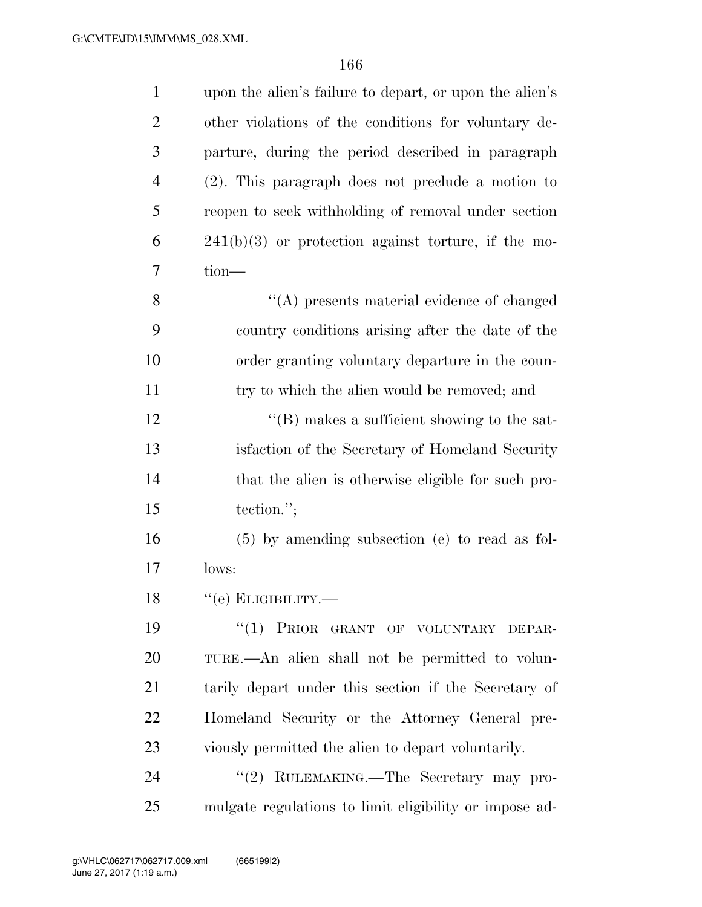| $\mathbf{1}$   | upon the alien's failure to depart, or upon the alien's |
|----------------|---------------------------------------------------------|
| $\overline{2}$ | other violations of the conditions for voluntary de-    |
| 3              | parture, during the period described in paragraph       |
| $\overline{4}$ | $(2)$ . This paragraph does not preclude a motion to    |
| 5              | reopen to seek withholding of removal under section     |
| 6              | $241(b)(3)$ or protection against torture, if the mo-   |
| 7              | $tion$ —                                                |
| 8              | "(A) presents material evidence of changed              |
| 9              | country conditions arising after the date of the        |
| 10             | order granting voluntary departure in the coun-         |
| 11             | try to which the alien would be removed; and            |
| 12             | $\lq\lq$ (B) makes a sufficient showing to the sat-     |
| 13             | is faction of the Secretary of Homeland Security        |
| 14             | that the alien is otherwise eligible for such pro-      |
| 15             | tection.";                                              |
| 16             | $(5)$ by amending subsection (e) to read as fol-        |
| 17             | lows:                                                   |
| 18             | $\lq\lq (e)$ Е<br>LIGIBILITY.—                          |
| 19             | ``(1)<br>PRIOR GRANT OF VOLUNTARY DEPAR-                |
| 20             | TURE.—An alien shall not be permitted to volun-         |
| 21             | tarily depart under this section if the Secretary of    |
| 22             | Homeland Security or the Attorney General pre-          |
| 23             | viously permitted the alien to depart voluntarily.      |
| 24             | "(2) RULEMAKING.—The Secretary may pro-                 |
| 25             | mulgate regulations to limit eligibility or impose ad-  |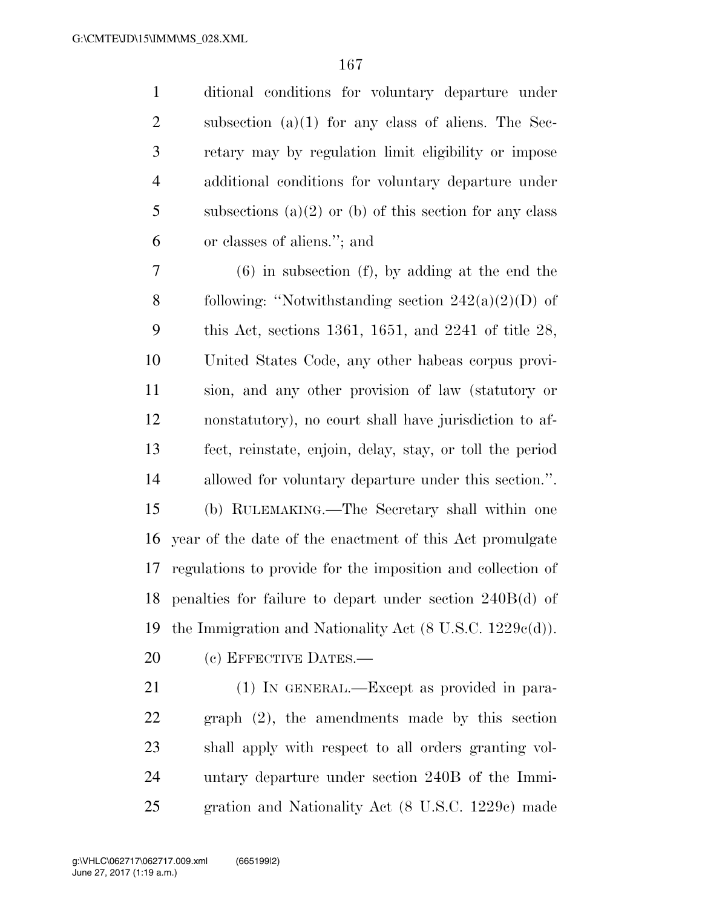ditional conditions for voluntary departure under subsection (a)(1) for any class of aliens. The Sec- retary may by regulation limit eligibility or impose additional conditions for voluntary departure under 5 subsections (a)(2) or (b) of this section for any class or classes of aliens.''; and

 (6) in subsection (f), by adding at the end the 8 following: "Notwithstanding section  $242(a)(2)(D)$  of this Act, sections 1361, 1651, and 2241 of title 28, United States Code, any other habeas corpus provi- sion, and any other provision of law (statutory or nonstatutory), no court shall have jurisdiction to af- fect, reinstate, enjoin, delay, stay, or toll the period allowed for voluntary departure under this section.''. (b) RULEMAKING.—The Secretary shall within one year of the date of the enactment of this Act promulgate regulations to provide for the imposition and collection of penalties for failure to depart under section 240B(d) of the Immigration and Nationality Act (8 U.S.C. 1229c(d)).

20 (c) EFFECTIVE DATES.—

 (1) IN GENERAL.—Except as provided in para- graph (2), the amendments made by this section shall apply with respect to all orders granting vol- untary departure under section 240B of the Immi-gration and Nationality Act (8 U.S.C. 1229c) made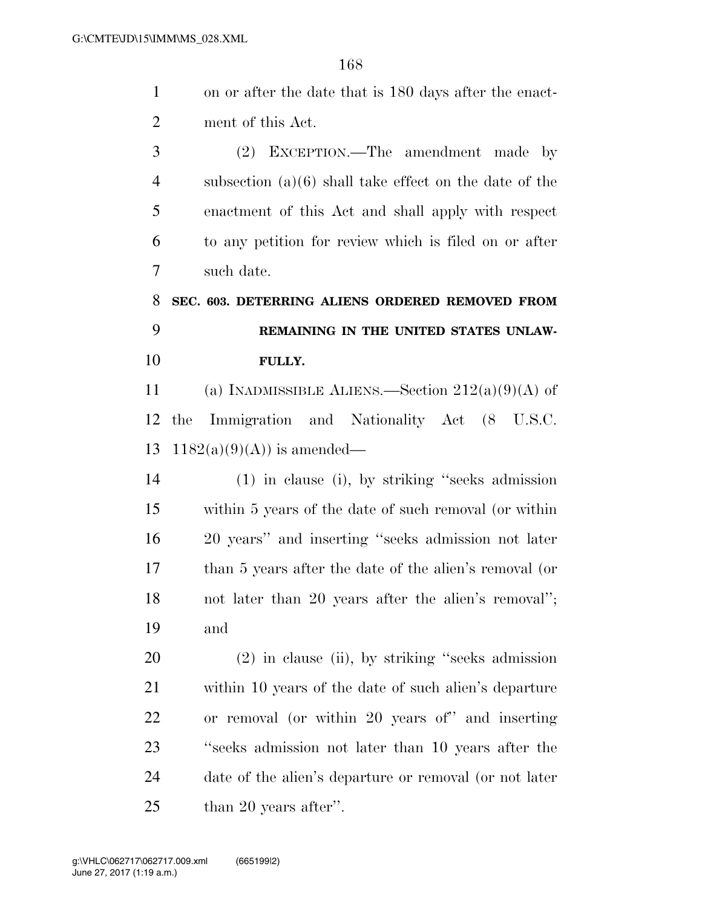| $\mathbf{1}$   | on or after the date that is 180 days after the enact-   |
|----------------|----------------------------------------------------------|
| $\overline{2}$ | ment of this Act.                                        |
| 3              | (2) EXCEPTION.—The amendment made by                     |
| $\overline{4}$ | subsection $(a)(6)$ shall take effect on the date of the |
| 5              | enactment of this Act and shall apply with respect       |
| 6              | to any petition for review which is filed on or after    |
| 7              | such date.                                               |
| 8              | SEC. 603. DETERRING ALIENS ORDERED REMOVED FROM          |
| 9              | REMAINING IN THE UNITED STATES UNLAW-                    |
| 10             | FULLY.                                                   |
| 11             | (a) INADMISSIBLE ALIENS.—Section $212(a)(9)(A)$ of       |
| 12             | Immigration and Nationality Act (8 U.S.C.<br>the         |
| 13             | $1182(a)(9)(A)$ is amended—                              |
| 14             | (1) in clause (i), by striking "seeks admission          |
| 15             | within 5 years of the date of such removal (or within    |
| 16             | 20 years" and inserting "seeks admission not later       |
| 17             | than 5 years after the date of the alien's removal (or   |
| 18             | not later than 20 years after the alien's removal";      |
| 19             | and                                                      |
| 20             | $(2)$ in clause (ii), by striking "seeks admission       |
| 21             | within 10 years of the date of such alien's departure    |
| 22             | or removal (or within 20 years of" and inserting         |
| 23             | "seeks admission not later than 10 years after the       |
| 24             | date of the alien's departure or removal (or not later   |
| 25             | than 20 years after".                                    |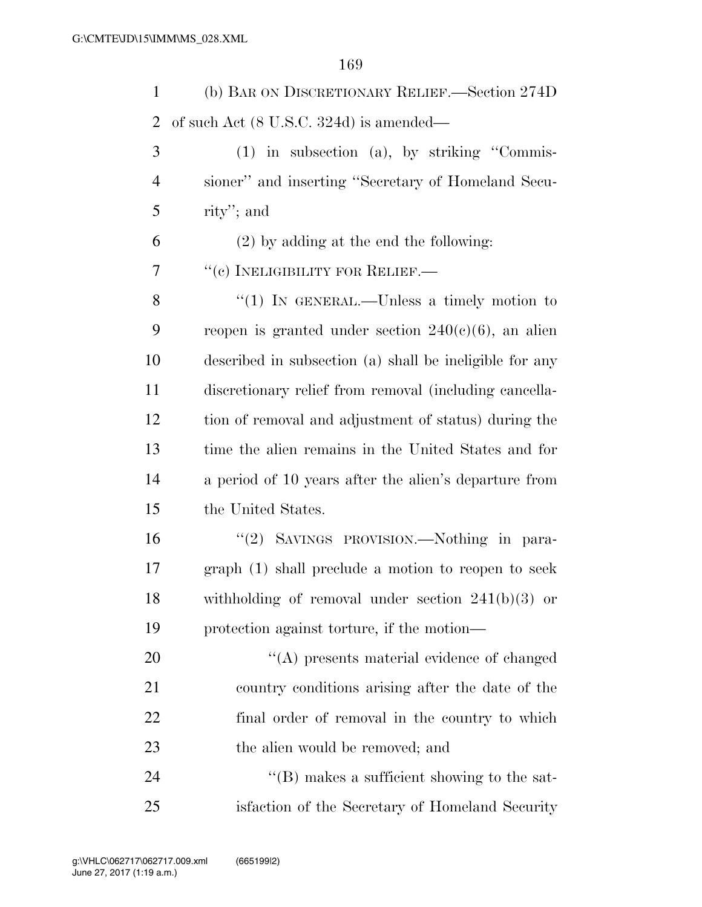(b) BAR ON DISCRETIONARY RELIEF.—Section 274D of such Act (8 U.S.C. 324d) is amended— (1) in subsection (a), by striking ''Commis- sioner'' and inserting ''Secretary of Homeland Secu-rity''; and

(2) by adding at the end the following:

7 <sup>"</sup>(c) INELIGIBILITY FOR RELIEF.—

8 "(1) In GENERAL.—Unless a timely motion to 9 reopen is granted under section  $240(c)(6)$ , an alien described in subsection (a) shall be ineligible for any discretionary relief from removal (including cancella- tion of removal and adjustment of status) during the time the alien remains in the United States and for a period of 10 years after the alien's departure from the United States.

 ''(2) SAVINGS PROVISION.—Nothing in para- graph (1) shall preclude a motion to reopen to seek withholding of removal under section 241(b)(3) or protection against torture, if the motion—

 $\langle (A)$  presents material evidence of changed country conditions arising after the date of the final order of removal in the country to which 23 the alien would be removed; and

24  $\text{``(B)}$  makes a sufficient showing to the sat-isfaction of the Secretary of Homeland Security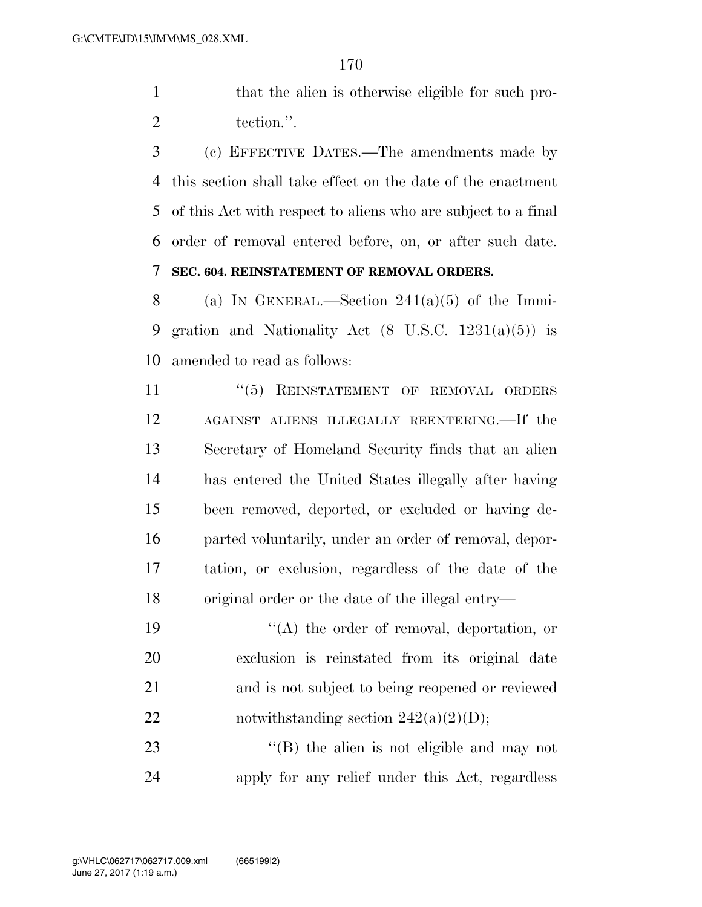1 that the alien is otherwise eligible for such pro-2 tection.".

 (c) EFFECTIVE DATES.—The amendments made by this section shall take effect on the date of the enactment of this Act with respect to aliens who are subject to a final order of removal entered before, on, or after such date. **SEC. 604. REINSTATEMENT OF REMOVAL ORDERS.** 

8 (a) IN GENERAL.—Section  $241(a)(5)$  of the Immi- gration and Nationality Act (8 U.S.C. 1231(a)(5)) is amended to read as follows:

11 "(5) REINSTATEMENT OF REMOVAL ORDERS AGAINST ALIENS ILLEGALLY REENTERING.—If the Secretary of Homeland Security finds that an alien has entered the United States illegally after having been removed, deported, or excluded or having de- parted voluntarily, under an order of removal, depor- tation, or exclusion, regardless of the date of the original order or the date of the illegal entry—

19 ''(A) the order of removal, deportation, or exclusion is reinstated from its original date and is not subject to being reopened or reviewed 22 notwithstanding section  $242(a)(2)(D)$ ;

23 ''(B) the alien is not eligible and may not apply for any relief under this Act, regardless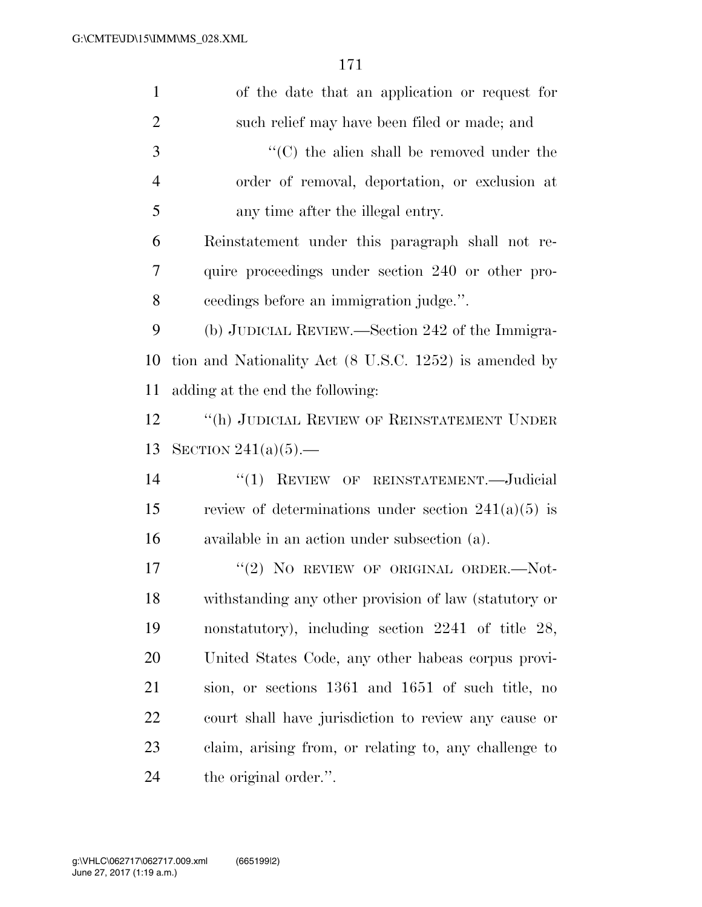| $\mathbf{1}$   | of the date that an application or request for         |
|----------------|--------------------------------------------------------|
| $\overline{2}$ | such relief may have been filed or made; and           |
| 3              | $\cdot$ (C) the alien shall be removed under the       |
| $\overline{4}$ | order of removal, deportation, or exclusion at         |
| 5              | any time after the illegal entry.                      |
| 6              | Reinstatement under this paragraph shall not re-       |
| 7              | quire proceedings under section 240 or other pro-      |
| 8              | ceedings before an immigration judge.".                |
| 9              | (b) JUDICIAL REVIEW.—Section 242 of the Immigra-       |
| 10             | tion and Nationality Act (8 U.S.C. 1252) is amended by |
| 11             | adding at the end the following:                       |
| 12             | "(h) JUDICIAL REVIEW OF REINSTATEMENT UNDER            |
| 13             | SECTION $241(a)(5)$ .                                  |
| 14             | "(1) REVIEW OF REINSTATEMENT.—Judicial                 |
| 15             | review of determinations under section $241(a)(5)$ is  |
| 16             | available in an action under subsection (a).           |
| 17             | "(2) NO REVIEW OF ORIGINAL ORDER.- $Not$ -             |
| 18             | withstanding any other provision of law (statutory or  |
| 19             |                                                        |
|                | nonstatutory), including section 2241 of title 28,     |
| 20             | United States Code, any other habeas corpus provi-     |
| 21             | sion, or sections 1361 and 1651 of such title, no      |
| 22             | court shall have jurisdiction to review any cause or   |
| 23             | claim, arising from, or relating to, any challenge to  |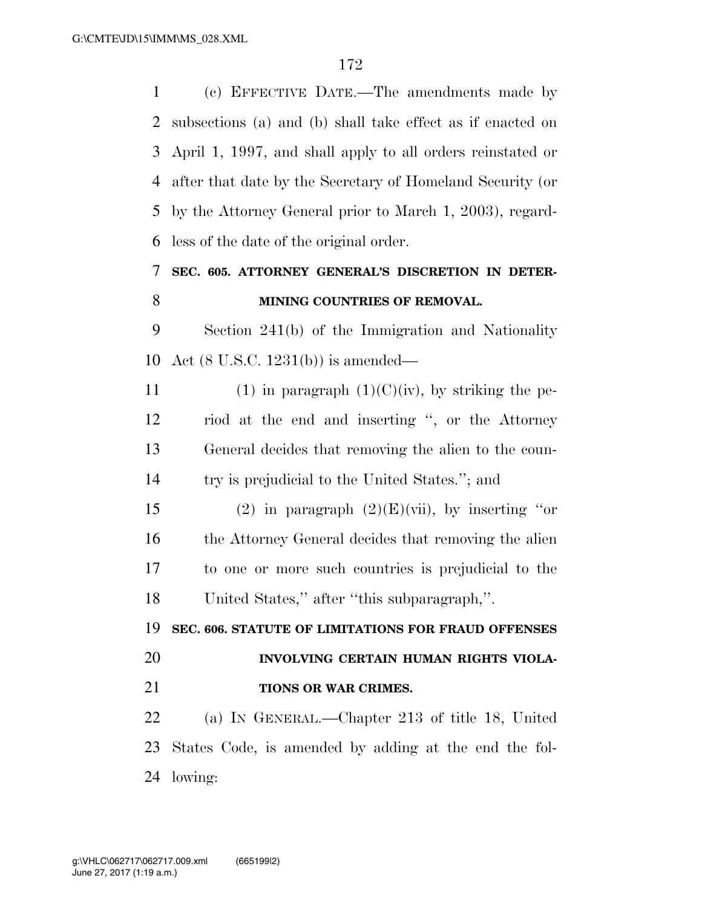(c) EFFECTIVE DATE.—The amendments made by subsections (a) and (b) shall take effect as if enacted on April 1, 1997, and shall apply to all orders reinstated or after that date by the Secretary of Homeland Security (or by the Attorney General prior to March 1, 2003), regard-less of the date of the original order.

## **SEC. 605. ATTORNEY GENERAL'S DISCRETION IN DETER-MINING COUNTRIES OF REMOVAL.**

 Section 241(b) of the Immigration and Nationality Act (8 U.S.C. 1231(b)) is amended—

11 (1) in paragraph  $(1)(C)(iv)$ , by striking the pe- riod at the end and inserting '', or the Attorney General decides that removing the alien to the coun-try is prejudicial to the United States.''; and

15 (2) in paragraph  $(2)(E)(\n \text{vii})$ , by inserting "or 16 the Attorney General decides that removing the alien to one or more such countries is prejudicial to the United States,'' after ''this subparagraph,''.

**SEC. 606. STATUTE OF LIMITATIONS FOR FRAUD OFFENSES** 

# **INVOLVING CERTAIN HUMAN RIGHTS VIOLA-**

**TIONS OR WAR CRIMES.** 

 (a) IN GENERAL.—Chapter 213 of title 18, United States Code, is amended by adding at the end the fol-lowing: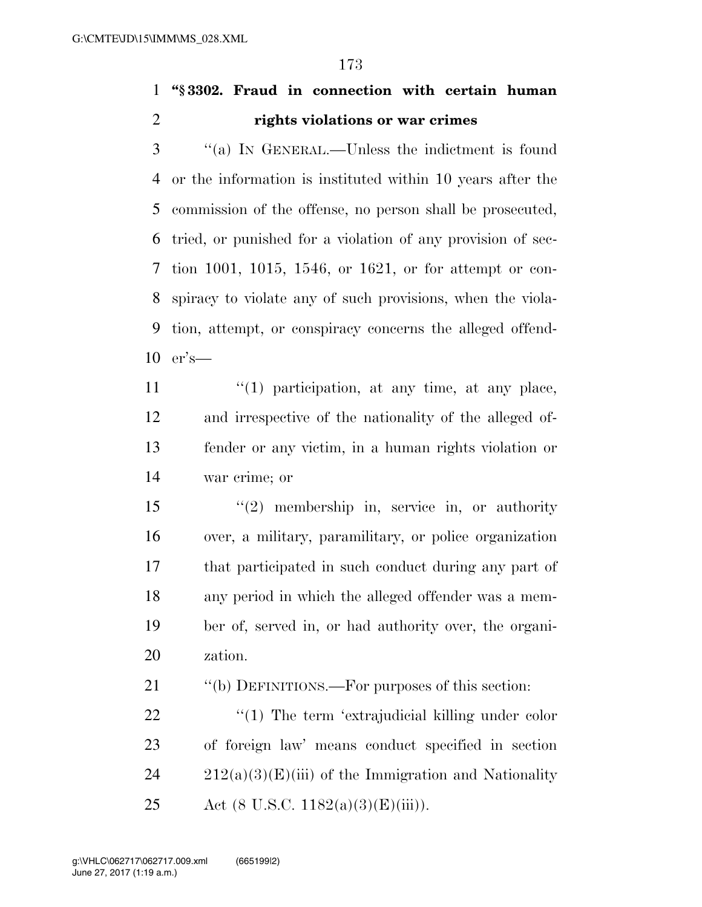**''§ 3302. Fraud in connection with certain human rights violations or war crimes** 

 ''(a) IN GENERAL.—Unless the indictment is found or the information is instituted within 10 years after the commission of the offense, no person shall be prosecuted, tried, or punished for a violation of any provision of sec- tion 1001, 1015, 1546, or 1621, or for attempt or con- spiracy to violate any of such provisions, when the viola- tion, attempt, or conspiracy concerns the alleged offend-er's—

 $\frac{u'(1)}{2}$  participation, at any time, at any place, and irrespective of the nationality of the alleged of- fender or any victim, in a human rights violation or war crime; or

 ''(2) membership in, service in, or authority over, a military, paramilitary, or police organization that participated in such conduct during any part of any period in which the alleged offender was a mem- ber of, served in, or had authority over, the organi-zation.

21 "(b) DEFINITIONS.—For purposes of this section:

22  $\frac{4}{1}$  The term 'extrajudicial killing under color of foreign law' means conduct specified in section  $24 \qquad 212(a)(3)(E)(iii)$  of the Immigration and Nationality 25 Act (8 U.S.C.  $1182(a)(3)(E(iii))$ .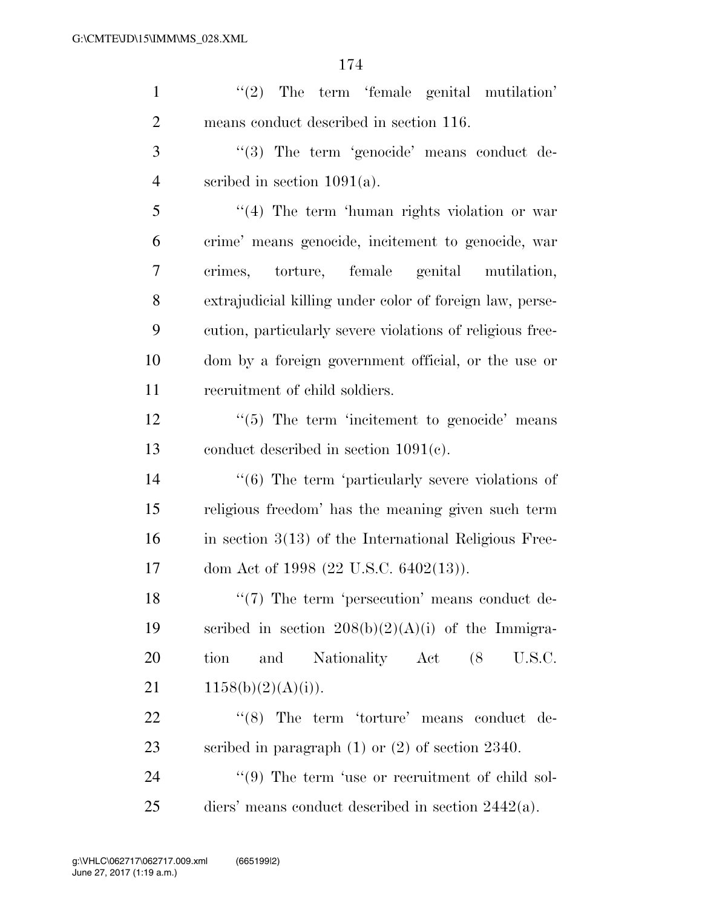| $\mathbf{1}$   | $\lq(2)$ The term 'female genital mutilation'             |
|----------------|-----------------------------------------------------------|
| $\overline{2}$ | means conduct described in section 116.                   |
| 3              | "(3) The term 'genocide' means conduct de-                |
| $\overline{4}$ | scribed in section $1091(a)$ .                            |
| 5              | "(4) The term 'human rights violation or war              |
| 6              | crime' means genocide, incitement to genocide, war        |
| 7              | crimes, torture, female genital mutilation,               |
| 8              | extrajudicial killing under color of foreign law, perse-  |
| 9              | cution, particularly severe violations of religious free- |
| 10             | dom by a foreign government official, or the use or       |
| 11             | recruitment of child soldiers.                            |
| 12             | $\lq(5)$ The term 'incitement to genocide' means          |
| 13             | conduct described in section $1091(c)$ .                  |
| 14             | $((6)$ The term 'particularly severe violations of        |
| 15             | religious freedom' has the meaning given such term        |
| 16             | in section $3(13)$ of the International Religious Free-   |
| 17             | dom Act of 1998 (22 U.S.C. 6402(13)).                     |
| 18             | $\lq(7)$ The term 'persecution' means conduct de-         |
| 19             | scribed in section $208(b)(2)(A)(i)$ of the Immigra-      |
| 20             | Nationality Act (8<br>U.S.C.<br>tion<br>and               |
| 21             | 1158(b)(2)(A)(i)).                                        |
| 22             | $(8)$ The term 'torture' means conduct de-                |
| 23             | scribed in paragraph $(1)$ or $(2)$ of section 2340.      |
| 24             | "(9) The term 'use or recruitment of child sol-           |
| 25             | diers' means conduct described in section $2442(a)$ .     |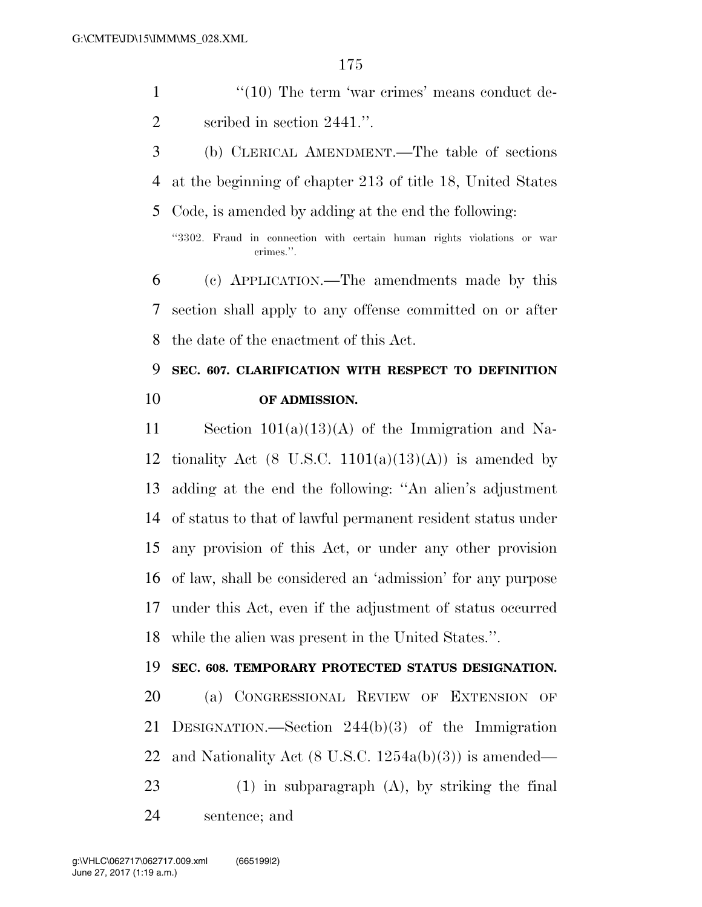- 1 ''(10) The term 'war crimes' means conduct de-2 scribed in section 2441.".
- (b) CLERICAL AMENDMENT.—The table of sections at the beginning of chapter 213 of title 18, United States Code, is amended by adding at the end the following:

''3302. Fraud in connection with certain human rights violations or war crimes.''.

 (c) APPLICATION.—The amendments made by this section shall apply to any offense committed on or after the date of the enactment of this Act.

## **SEC. 607. CLARIFICATION WITH RESPECT TO DEFINITION OF ADMISSION.**

 Section 101(a)(13)(A) of the Immigration and Na-12 tionality Act (8 U.S.C.  $1101(a)(13)(A)$ ) is amended by adding at the end the following: ''An alien's adjustment of status to that of lawful permanent resident status under any provision of this Act, or under any other provision of law, shall be considered an 'admission' for any purpose under this Act, even if the adjustment of status occurred while the alien was present in the United States.''.

#### **SEC. 608. TEMPORARY PROTECTED STATUS DESIGNATION.**

- (a) CONGRESSIONAL REVIEW OF EXTENSION OF DESIGNATION.—Section 244(b)(3) of the Immigration and Nationality Act (8 U.S.C. 1254a(b)(3)) is amended— (1) in subparagraph (A), by striking the final
- sentence; and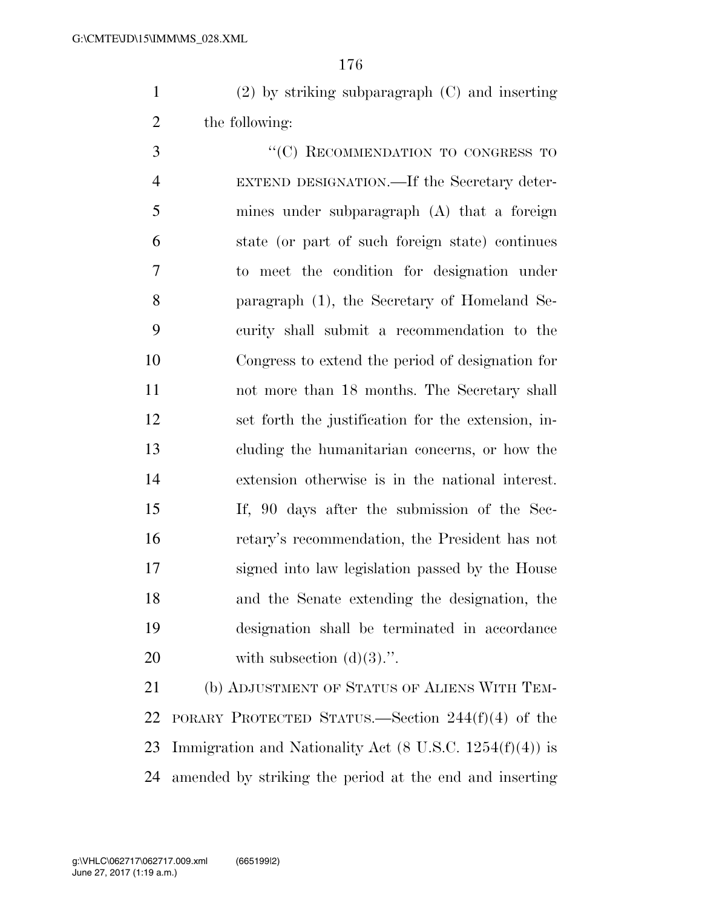(2) by striking subparagraph (C) and inserting the following:

3 "<sup>"</sup>(C) RECOMMENDATION TO CONGRESS TO EXTEND DESIGNATION.—If the Secretary deter- mines under subparagraph (A) that a foreign state (or part of such foreign state) continues to meet the condition for designation under paragraph (1), the Secretary of Homeland Se- curity shall submit a recommendation to the Congress to extend the period of designation for not more than 18 months. The Secretary shall set forth the justification for the extension, in- cluding the humanitarian concerns, or how the extension otherwise is in the national interest. If, 90 days after the submission of the Sec- retary's recommendation, the President has not signed into law legislation passed by the House and the Senate extending the designation, the designation shall be terminated in accordance 20 with subsection  $(d)(3)$ .".

 (b) ADJUSTMENT OF STATUS OF ALIENS WITH TEM- PORARY PROTECTED STATUS.—Section 244(f)(4) of the 23 Immigration and Nationality Act  $(8 \text{ U.S.C. } 1254(f)(4))$  is amended by striking the period at the end and inserting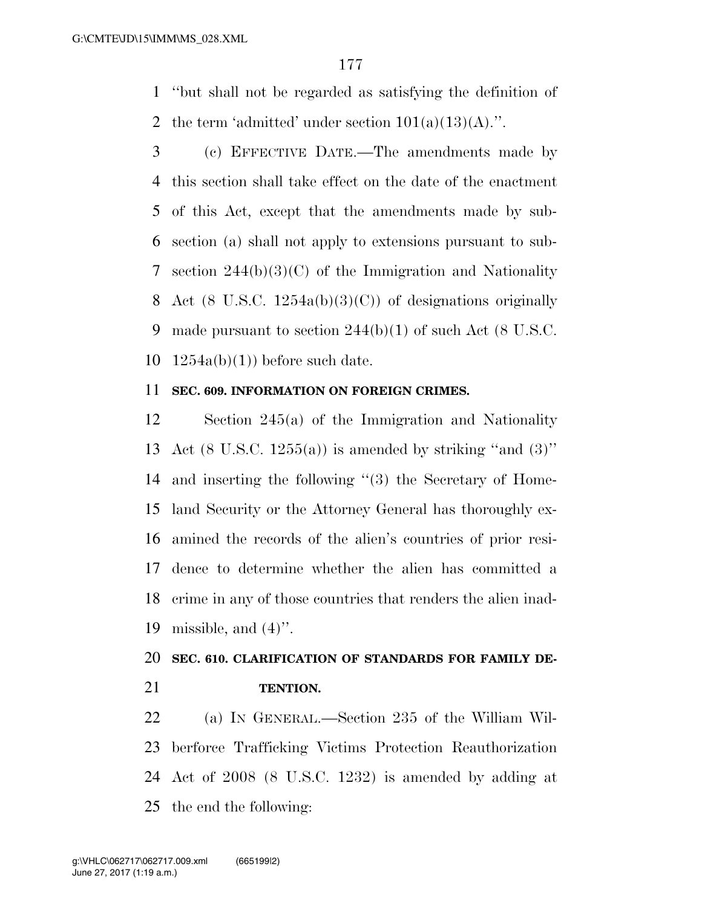''but shall not be regarded as satisfying the definition of 2 the term 'admitted' under section  $101(a)(13)(A)$ .".

 (c) EFFECTIVE DATE.—The amendments made by this section shall take effect on the date of the enactment of this Act, except that the amendments made by sub- section (a) shall not apply to extensions pursuant to sub- section 244(b)(3)(C) of the Immigration and Nationality 8 Act (8 U.S.C.  $1254a(b)(3)(C)$ ) of designations originally 9 made pursuant to section  $244(b)(1)$  of such Act (8 U.S.C.  $1254a(b)(1)$  before such date.

#### **SEC. 609. INFORMATION ON FOREIGN CRIMES.**

 Section 245(a) of the Immigration and Nationality 13 Act  $(8 \text{ U.S.C. } 1255(a))$  is amended by striking "and  $(3)$ " and inserting the following ''(3) the Secretary of Home- land Security or the Attorney General has thoroughly ex- amined the records of the alien's countries of prior resi- dence to determine whether the alien has committed a crime in any of those countries that renders the alien inad-19 missible, and  $(4)$ ".

## **SEC. 610. CLARIFICATION OF STANDARDS FOR FAMILY DE-TENTION.**

 (a) IN GENERAL.—Section 235 of the William Wil- berforce Trafficking Victims Protection Reauthorization Act of 2008 (8 U.S.C. 1232) is amended by adding at the end the following: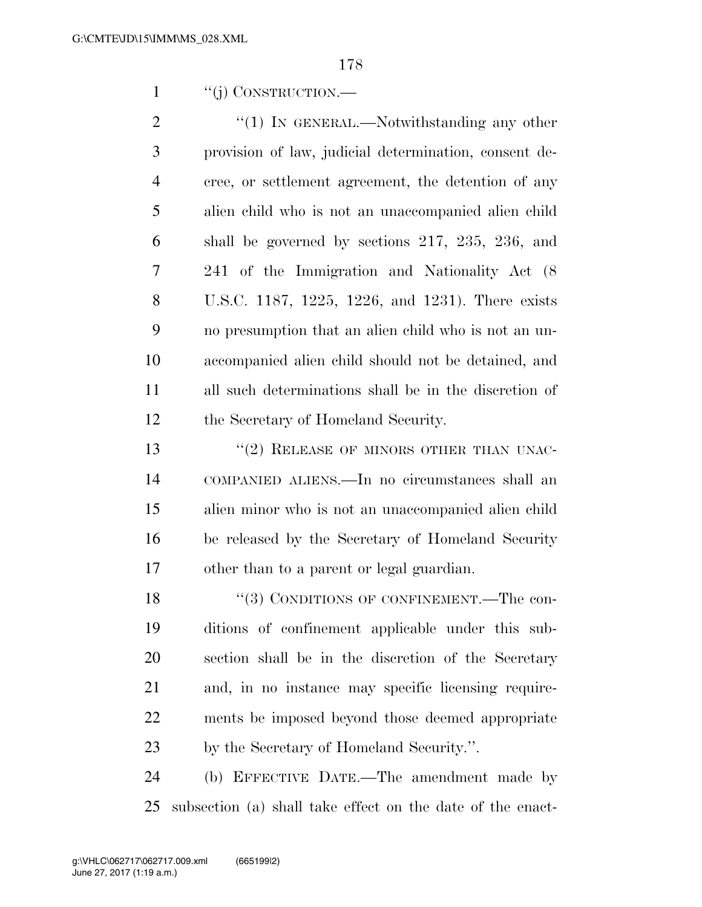1 "(i) CONSTRUCTION.—

2 "(1) In GENERAL.—Notwithstanding any other provision of law, judicial determination, consent de- cree, or settlement agreement, the detention of any alien child who is not an unaccompanied alien child shall be governed by sections 217, 235, 236, and 241 of the Immigration and Nationality Act (8 U.S.C. 1187, 1225, 1226, and 1231). There exists no presumption that an alien child who is not an un- accompanied alien child should not be detained, and all such determinations shall be in the discretion of the Secretary of Homeland Security.

13 "(2) RELEASE OF MINORS OTHER THAN UNAC- COMPANIED ALIENS.—In no circumstances shall an alien minor who is not an unaccompanied alien child be released by the Secretary of Homeland Security other than to a parent or legal guardian.

18 "(3) CONDITIONS OF CONFINEMENT.—The con- ditions of confinement applicable under this sub- section shall be in the discretion of the Secretary and, in no instance may specific licensing require- ments be imposed beyond those deemed appropriate by the Secretary of Homeland Security.''.

 (b) EFFECTIVE DATE.—The amendment made by subsection (a) shall take effect on the date of the enact-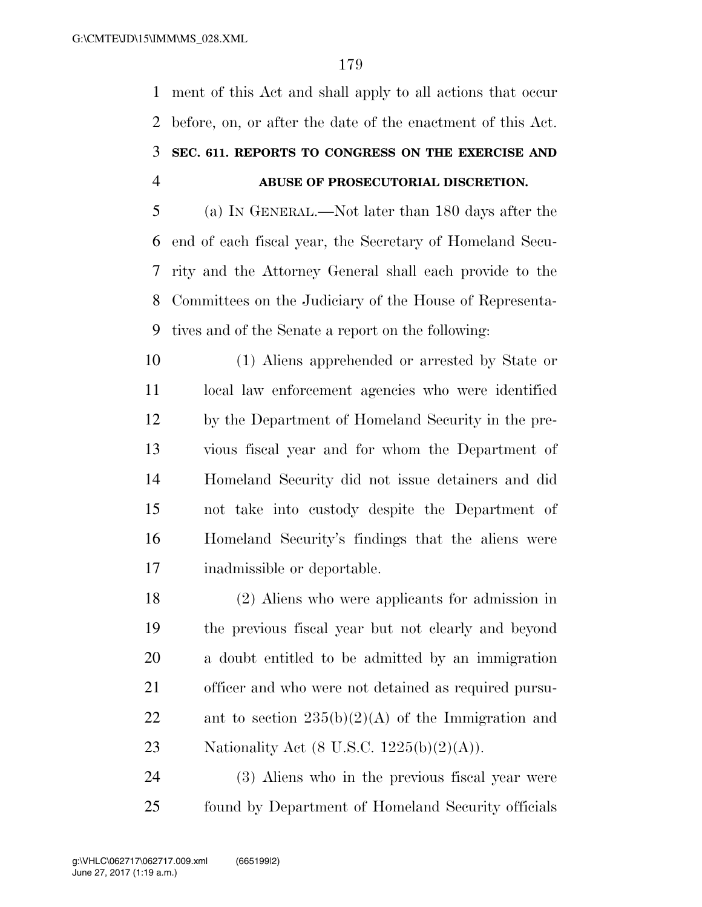ment of this Act and shall apply to all actions that occur before, on, or after the date of the enactment of this Act. **SEC. 611. REPORTS TO CONGRESS ON THE EXERCISE AND ABUSE OF PROSECUTORIAL DISCRETION.** 

 (a) IN GENERAL.—Not later than 180 days after the end of each fiscal year, the Secretary of Homeland Secu- rity and the Attorney General shall each provide to the Committees on the Judiciary of the House of Representa-tives and of the Senate a report on the following:

 (1) Aliens apprehended or arrested by State or local law enforcement agencies who were identified by the Department of Homeland Security in the pre- vious fiscal year and for whom the Department of Homeland Security did not issue detainers and did not take into custody despite the Department of Homeland Security's findings that the aliens were inadmissible or deportable.

 (2) Aliens who were applicants for admission in the previous fiscal year but not clearly and beyond a doubt entitled to be admitted by an immigration officer and who were not detained as required pursu-22 ant to section  $235(b)(2)(A)$  of the Immigration and 23 Nationality Act  $(8 \text{ U.S.C. } 1225(b)(2)(\text{A})).$ 

 (3) Aliens who in the previous fiscal year were found by Department of Homeland Security officials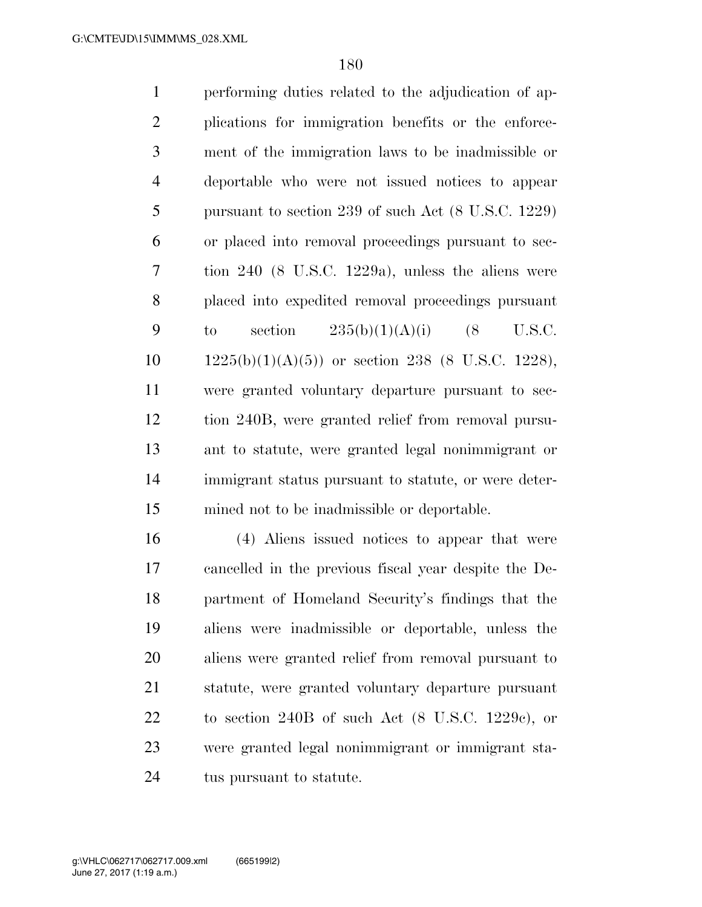| $\mathbf{1}$   | performing duties related to the adjudication of ap-           |
|----------------|----------------------------------------------------------------|
| $\overline{2}$ | plications for immigration benefits or the enforce-            |
| 3              | ment of the immigration laws to be inadmissible or             |
| $\overline{4}$ | deportable who were not issued notices to appear               |
| 5              | pursuant to section 239 of such Act $(8 \text{ U.S.C. } 1229)$ |
| 6              | or placed into removal proceedings pursuant to sec-            |
| $\tau$         | tion $240$ (8 U.S.C. 1229a), unless the aliens were            |
| 8              | placed into expedited removal proceedings pursuant             |
| 9              | section $235(b)(1)(A)(i)$ (8<br>U.S.C.<br>$\mathbf{t}$         |
| 10             | $1225(b)(1)(A)(5)$ or section 238 (8 U.S.C. 1228),             |
| 11             | were granted voluntary departure pursuant to sec-              |
| 12             | tion 240B, were granted relief from removal pursu-             |
| 13             | ant to statute, were granted legal nonimmigrant or             |
| 14             | immigrant status pursuant to statute, or were deter-           |
| 15             | mined not to be inadmissible or deportable.                    |
|                |                                                                |

 (4) Aliens issued notices to appear that were cancelled in the previous fiscal year despite the De- partment of Homeland Security's findings that the aliens were inadmissible or deportable, unless the aliens were granted relief from removal pursuant to statute, were granted voluntary departure pursuant to section 240B of such Act (8 U.S.C. 1229c), or were granted legal nonimmigrant or immigrant sta-24 tus pursuant to statute.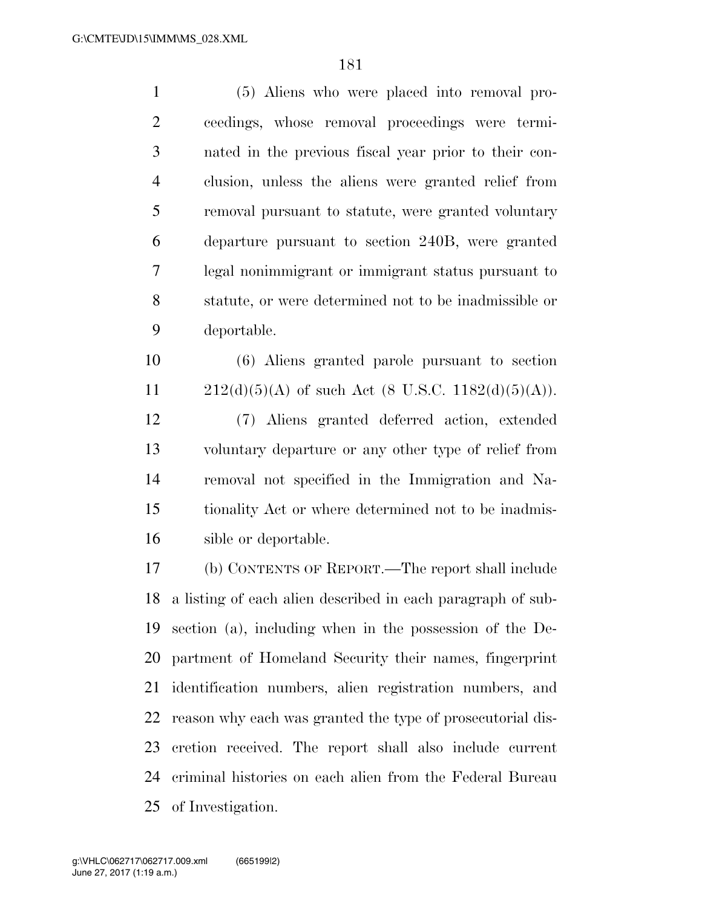| $\mathbf{1}$   | (5) Aliens who were placed into removal pro-                |  |  |
|----------------|-------------------------------------------------------------|--|--|
| $\overline{2}$ | ceedings, whose removal proceedings were termi-             |  |  |
| 3              | nated in the previous fiscal year prior to their con-       |  |  |
| $\overline{4}$ | clusion, unless the aliens were granted relief from         |  |  |
| 5              | removal pursuant to statute, were granted voluntary         |  |  |
| 6              | departure pursuant to section 240B, were granted            |  |  |
| 7              | legal nonimmigrant or immigrant status pursuant to          |  |  |
| 8              | statute, or were determined not to be inadmissible or       |  |  |
| 9              | deportable.                                                 |  |  |
| 10             | (6) Aliens granted parole pursuant to section               |  |  |
| 11             | $212(d)(5)(A)$ of such Act (8 U.S.C. 1182(d)(5)(A)).        |  |  |
| 12             | (7) Aliens granted deferred action, extended                |  |  |
| 13             | voluntary departure or any other type of relief from        |  |  |
| 14             | removal not specified in the Immigration and Na-            |  |  |
| 15             | tionality Act or where determined not to be inadmis-        |  |  |
| 16             | sible or deportable.                                        |  |  |
| 17             | (b) CONTENTS OF REPORT.—The report shall include            |  |  |
| 18             | a listing of each alien described in each paragraph of sub- |  |  |
| 19             | section (a), including when in the possession of the De-    |  |  |
| 20             | partment of Homeland Security their names, fingerprint      |  |  |
| 21             | identification numbers, alien registration numbers, and     |  |  |
| 22             | reason why each was granted the type of prosecutorial dis-  |  |  |
| 23             | cretion received. The report shall also include current     |  |  |
| 24             | criminal histories on each alien from the Federal Bureau    |  |  |
| 25             | of Investigation.                                           |  |  |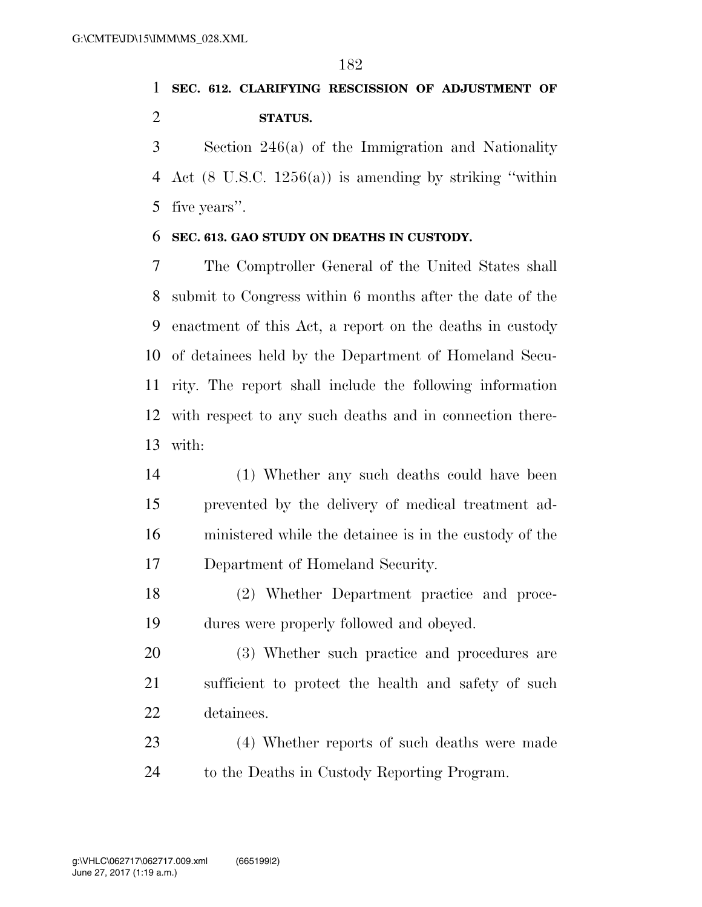## **SEC. 612. CLARIFYING RESCISSION OF ADJUSTMENT OF STATUS.**

 Section 246(a) of the Immigration and Nationality Act (8 U.S.C. 1256(a)) is amending by striking ''within five years''.

## **SEC. 613. GAO STUDY ON DEATHS IN CUSTODY.**

 The Comptroller General of the United States shall submit to Congress within 6 months after the date of the enactment of this Act, a report on the deaths in custody of detainees held by the Department of Homeland Secu- rity. The report shall include the following information with respect to any such deaths and in connection there-with:

- (1) Whether any such deaths could have been prevented by the delivery of medical treatment ad- ministered while the detainee is in the custody of the Department of Homeland Security.
- (2) Whether Department practice and proce-dures were properly followed and obeyed.
- (3) Whether such practice and procedures are sufficient to protect the health and safety of such detainees.

 (4) Whether reports of such deaths were made to the Deaths in Custody Reporting Program.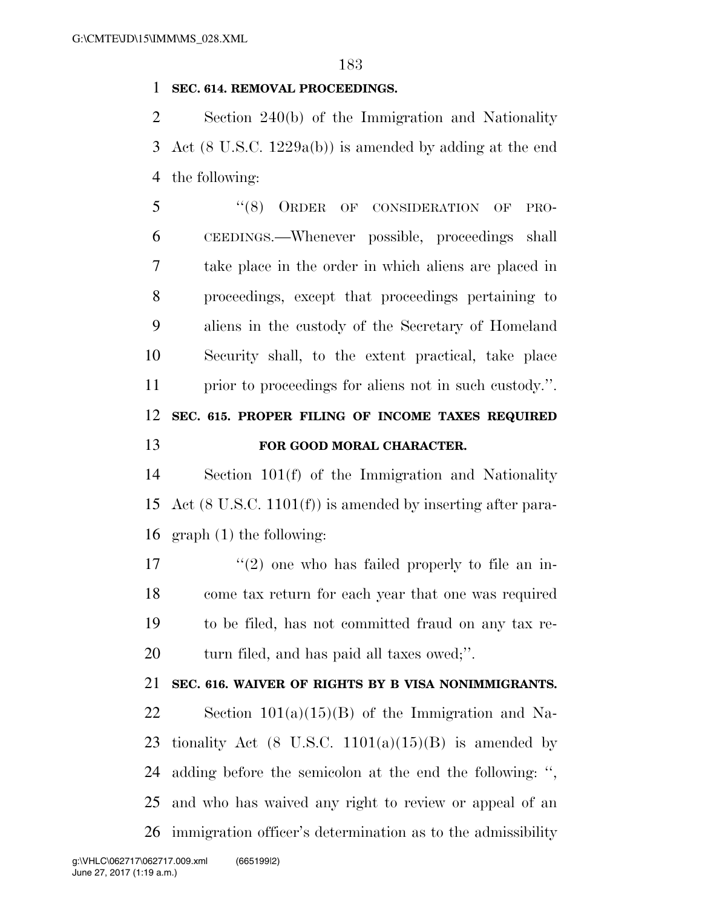## **SEC. 614. REMOVAL PROCEEDINGS.**

 Section 240(b) of the Immigration and Nationality Act (8 U.S.C. 1229a(b)) is amended by adding at the end the following:

5 "(8) ORDER OF CONSIDERATION OF PRO- CEEDINGS.—Whenever possible, proceedings shall take place in the order in which aliens are placed in proceedings, except that proceedings pertaining to aliens in the custody of the Secretary of Homeland Security shall, to the extent practical, take place prior to proceedings for aliens not in such custody.''. **SEC. 615. PROPER FILING OF INCOME TAXES REQUIRED FOR GOOD MORAL CHARACTER.** 

 Section 101(f) of the Immigration and Nationality Act (8 U.S.C. 1101(f)) is amended by inserting after para-graph (1) the following:

 $\frac{17}{2}$  ''(2) one who has failed properly to file an in- come tax return for each year that one was required to be filed, has not committed fraud on any tax re-turn filed, and has paid all taxes owed;''.

## **SEC. 616. WAIVER OF RIGHTS BY B VISA NONIMMIGRANTS.**

22 Section  $101(a)(15)(B)$  of the Immigration and Na-23 tionality Act (8 U.S.C.  $1101(a)(15)(B)$  is amended by adding before the semicolon at the end the following: '', and who has waived any right to review or appeal of an immigration officer's determination as to the admissibility